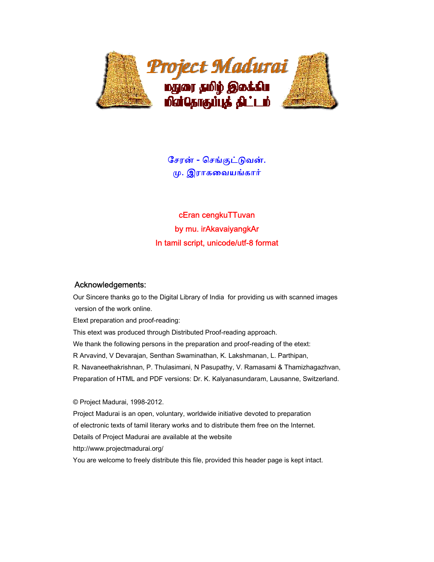

ேசரன் - ெசங்குட்ᾌவன். ᾙ. இராகைவயங்கார்

cEran cengkuTTuvan by mu. irAkavaiyangkAr In tamil script, unicode/utf-8 format

## Acknowledgements:

 Our Sincere thanks go to the Digital Library of India for providing us with scanned images version of the work online.

Etext preparation and proof-reading:

This etext was produced through Distributed Proof-reading approach.

We thank the following persons in the preparation and proof-reading of the etext:

R Arvavind, V Devarajan, Senthan Swaminathan, K. Lakshmanan, L. Parthipan,

R. Navaneethakrishnan, P. Thulasimani, N Pasupathy, V. Ramasami & Thamizhagazhvan,

Preparation of HTML and PDF versions: Dr. K. Kalyanasundaram, Lausanne, Switzerland.

© Project Madurai, 1998-2012.

 Project Madurai is an open, voluntary, worldwide initiative devoted to preparation of electronic texts of tamil literary works and to distribute them free on the Internet. Details of Project Madurai are available at the website http://www.projectmadurai.org/ You are welcome to freely distribute this file, provided this header page is kept intact.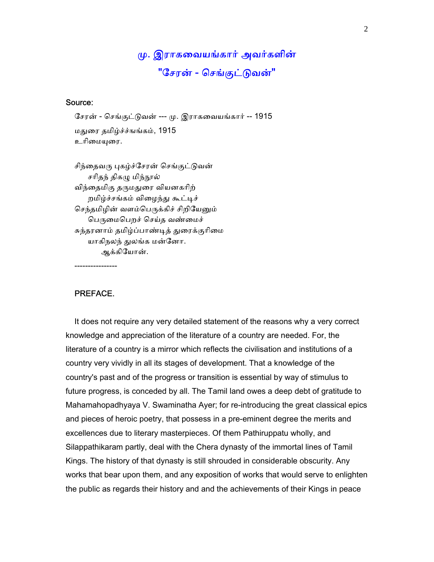ᾙ. இராகைவயங்கார் அவர்களின் "சேரன் - செங்குட்டுவன்"

## Source:

 ேசரன் - ெசங்குட்ᾌவன் --- ᾙ. இராகைவயங்கார் -- 1915 மᾐைர தமிழ்ச்ச்ஙங்கம், 1915 உரிமையரை.

சிந்தைவரு புகழ்ச்சேரன் செங்குட்டுவன் சரிதந் திகழு மிந்நூல் விந்தைமிகு தருமதுரை வியனகரிற் றமிழ்ச்சங்கம் விைழந்ᾐ கூட்ᾊச் செந்தமிழின் வளம்பெருக்கிச் சிறியேனும் பெருமைபெறச் செய்த வண்மைச் சுந்தரனாம் தமிழ்ப்பாண்டித் துரைக்குரிமை யாகிநலந் துலங்க மன்னோ. ஆக்கிேயான்.

----------------

## PREFACE.

 It does not require any very detailed statement of the reasons why a very correct knowledge and appreciation of the literature of a country are needed. For, the literature of a country is a mirror which reflects the civilisation and institutions of a country very vividly in all its stages of development. That a knowledge of the country's past and of the progress or transition is essential by way of stimulus to future progress, is conceded by all. The Tamil land owes a deep debt of gratitude to Mahamahopadhyaya V. Swaminatha Ayer; for re-introducing the great classical epics and pieces of heroic poetry, that possess in a pre-eminent degree the merits and excellences due to literary masterpieces. Of them Pathiruppatu wholly, and Silappathikaram partly, deal with the Chera dynasty of the immortal lines of Tamil Kings. The history of that dynasty is still shrouded in considerable obscurity. Any works that bear upon them, and any exposition of works that would serve to enlighten the public as regards their history and and the achievements of their Kings in peace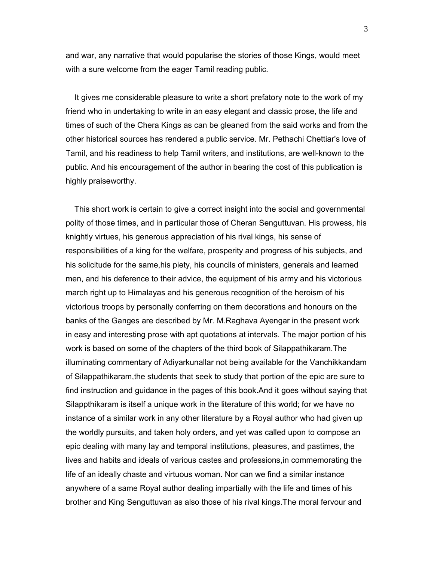and war, any narrative that would popularise the stories of those Kings, would meet with a sure welcome from the eager Tamil reading public.

 It gives me considerable pleasure to write a short prefatory note to the work of my friend who in undertaking to write in an easy elegant and classic prose, the life and times of such of the Chera Kings as can be gleaned from the said works and from the other historical sources has rendered a public service. Mr. Pethachi Chettiar's love of Tamil, and his readiness to help Tamil writers, and institutions, are well-known to the public. And his encouragement of the author in bearing the cost of this publication is highly praiseworthy.

 This short work is certain to give a correct insight into the social and governmental polity of those times, and in particular those of Cheran Senguttuvan. His prowess, his knightly virtues, his generous appreciation of his rival kings, his sense of responsibilities of a king for the welfare, prosperity and progress of his subjects, and his solicitude for the same,his piety, his councils of ministers, generals and learned men, and his deference to their advice, the equipment of his army and his victorious march right up to Himalayas and his generous recognition of the heroism of his victorious troops by personally conferring on them decorations and honours on the banks of the Ganges are described by Mr. M.Raghava Ayengar in the present work in easy and interesting prose with apt quotations at intervals. The major portion of his work is based on some of the chapters of the third book of Silappathikaram.The illuminating commentary of Adiyarkunallar not being available for the Vanchikkandam of Silappathikaram,the students that seek to study that portion of the epic are sure to find instruction and guidance in the pages of this book.And it goes without saying that Silappthikaram is itself a unique work in the literature of this world; for we have no instance of a similar work in any other literature by a Royal author who had given up the worldly pursuits, and taken holy orders, and yet was called upon to compose an epic dealing with many lay and temporal institutions, pleasures, and pastimes, the lives and habits and ideals of various castes and professions,in commemorating the life of an ideally chaste and virtuous woman. Nor can we find a similar instance anywhere of a same Royal author dealing impartially with the life and times of his brother and King Senguttuvan as also those of his rival kings.The moral fervour and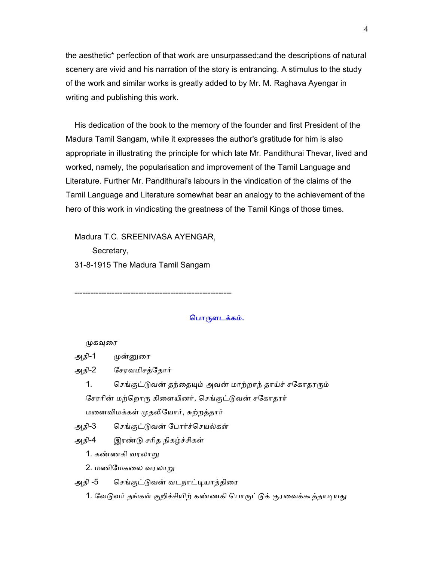the aesthetic\* perfection of that work are unsurpassed;and the descriptions of natural scenery are vivid and his narration of the story is entrancing. A stimulus to the study of the work and similar works is greatly added to by Mr. M. Raghava Ayengar in writing and publishing this work.

 His dedication of the book to the memory of the founder and first President of the Madura Tamil Sangam, while it expresses the author's gratitude for him is also appropriate in illustrating the principle for which late Mr. Pandithurai Thevar, lived and worked, namely, the popularisation and improvement of the Tamil Language and Literature. Further Mr. Pandithurai's labours in the vindication of the claims of the Tamil Language and Literature somewhat bear an analogy to the achievement of the hero of this work in vindicating the greatness of the Tamil Kings of those times.

Madura T.C. SREENIVASA AYENGAR,

Secretary,

31-8-1915 The Madura Tamil Sangam

-----------------------------------------------------------

## பொருளடக்கம்.

#### முகவுரை

அதி-1 முன்னுரை

அதி-2 ேசரவமிசத்ேதார்

1. செங்குட்டுவன் தந்தையும் அவன் மாற்றாந் தாய்ச் சகோதரரும் சேரரின் மற்றொரு கிளையினர், செங்குட்டுவன் சகோதரர்

மனைவிமக்கள் முதலியோர், சுற்றத்தார்

அதி-3 ெசங்குட்ᾌவன் ேபார்ச்ெசயல்கள்

அதி-4 இரண்ᾌ சாித நிகழ்ச்சிகள்

1. கண்ணகி வரலாᾠ

2. மணிேமகைல வரலாᾠ

அதி -5 செங்குட்டுவன் வடநாட்டியாத்திரை

1. வேடுவர் தங்கள் குறிச்சியிற் கண்ணகி பொருட்டுக் குரவைக்கூத்தாடியது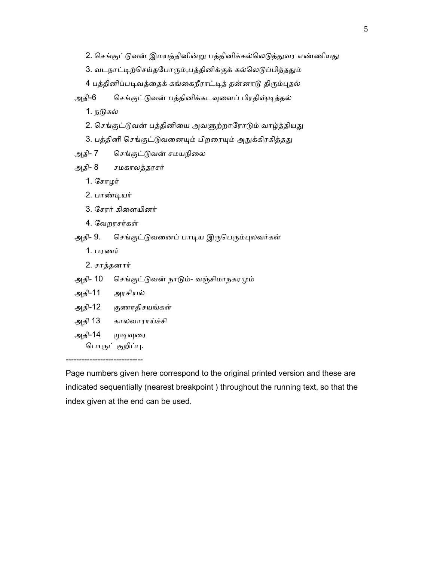```
2. செங்குட்டுவன் இமயத்தினின்று பத்தினிக்கல்லெடுத்துவர எண்ணியது
```

```
3. வடநாட்டிற்செய்தபோரும்,பத்தினிக்குக் கல்லெடுப்பித்ததும்
```
4 பத்தினிப்படிவத்தைக் கங்கைநீராட்டித் தன்னாடு திரும்புதல்

அதி-6 செங்குட்டுவன் பத்தினிக்கடவுளைப் பிரதிஷ்டித்தல்

1. நடுகல்

- 2. செங்குட்டுவன் பத்தினியை அவளுற்றாரோடும் வாழ்த்தியது
- 3. பத்தினி செங்குட்டுவனையும் பிறரையும் அநுக்கிரகித்தது

அதி- 7 செங்குட்டுவன் சமயநிலை

```
 அதி- 8 சமகாலத்தரசர்
```
1. ேசாழர்

- 2. பாண்ᾊயர்
- 3. ேசரர் கிைளயினர்
- 4. ேவறரசர்கள்

அதி- 9. செங்குட்டுவனைப் பாடிய இருபெரும்புலவர்கள்

- 1. பரணர்
- 2. சாத்தனார்
- அதி- 10 செங்குட்டுவன் நாடும்- வஞ்சிமாநகரமும்
- அதி-11 அரசியல்
- அதி-12 குணாதிசயங்கள்
- அதி 13 காலவாராய்ச்சி
- அதி-14 முடிவுரை பொருட் குறிப்பு.

-----------------------------

Page numbers given here correspond to the original printed version and these are indicated sequentially (nearest breakpoint ) throughout the running text, so that the index given at the end can be used.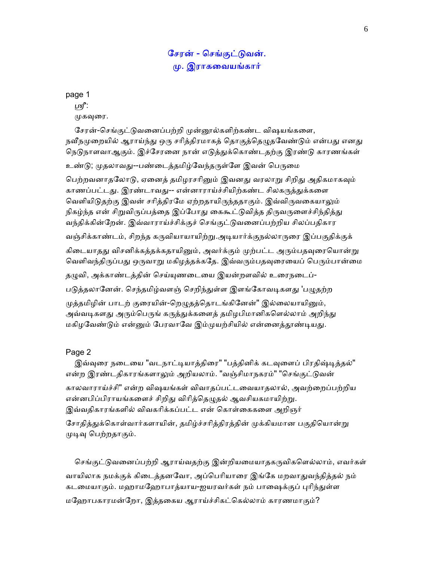## ேசரன் - ெசங்குட்ᾌவன். ᾙ. இராகைவயங்கார்

page 1

ழி:

முகவுரை.

சேரன்-செங்குட்டுவனைப்பற்றி முன்னூல்களிற்கண்ட விஷயங்களை, நவீநமுறையில் ஆராய்ந்து ஒரு சரித்திரமாகத் தொகுத்தெழுதவேண்டும் என்பது எனது நெடுநாளவாஆகும். இச்சேரனை நான் எடுத்துக்கொண்டதற்கு இரண்டு காரணங்கள்

உண்டு; முதலாவது--பண்டைத்தமிழ்வேந்தருள்ளே இவன் பெருமை

பெற்றவனாதலோடு, ஏனைத் தமிழரசரினும் இவனது வரலாறு சிறிது அதிகமாகவும் காணப்பட்டது. இரண்டாவது-- என்னாராய்ச்சியிற்கண்ட சிலகருத்துக்களை வெளியிடுதற்கு இவன் சரித்திரமே ஏற்றதாயிருந்ததாகும். இவ்விருவகையாலும் நிகழ்ந்த என் சிறுவிருப்பத்தை இப்போது கைகூட்டுவித்த திருவருளைச்சிந்தித்து வந்திக்கின்ேறன். இவ்வாராய்ச்சிக்குச் ெசங்குட்ᾌவைனப்பற்றிய சிலப்பதிகார

வஞ்சிக்காண்டம், சிறந்த கருவியாயாயிற்று.அடியார்க்குநல்லாருரை இப்பகுதிக்குக்

கிடையாதது விசனிக்கத்தக்கதாயினும், அவர்க்கும் முற்பட்ட அரும்பதவுரையொன்று வெளிவந்திருப்பது ஒருவாறு மகிழத்தக்கதே. இவ்வரும்பதவுரையைப் பெரும்பான்மை

தழுவி, அக்காண்டத்தின் செய்யுணடையை இயன்றளவில் உரைநடைப்-

படுத்தலானேன். செந்தமிழ்வளஞ் செறிந்துள்ள இளங்கோவடிகளது 'பழுதற்ற

முத்தமிழின் பாடற் குரையின்-றெழுதத்தொடங்கினேன்" இல்லையாயினும், அவ்வடிகளது அரும்பெருங் கருத்துக்களைத் தமிழபிமானிகளெல்லாம் அறிந்து மகிழவேண்டும் என்னும் பேரவாவே இம்முயற்சியில் என்னைத்தூண்டியது.

## Page 2

இவ்வுரை நடையை "வடநாட்டியாத்திரை" "பத்தினிக் கடவுளைப் பிரதிஷ்டித்தல்" என்ற இரண்டதிகாரங்களாலும் அறியலாம். "வஞ்சிமாநகரம்" "செங்குட்டுவன் காலவாராய்ச்சி" என்ற விஷயங்கள் விவாதப்பட்டைவயாதலால், அவற்ைறப்பற்றிய என்னபிப்பிராயங்களைச் சிறிது விரித்தெழுதல் ஆவசியகமாயிற்று. இவ்வதிகாரங்களில் விவகரிக்கப்பட்ட என் கொள்கைகளை அறிஞர்

சோதித்துக்கொள்வார்களாயின், தமிழ்ச்சரித்திரத்தின் முக்கியமான பகுதியொன்று முடிவு பெற்றதாகும்.

செங்குட்டுவனைப்பற்றி ஆராய்வதற்கு இன்றியமையாதகருவிகளெல்லாம், எவர்கள் வாயிலாக நமக்குக் கிடைத்தனவோ, அப்பெரியாரை இங்கே மறவாதுவந்தித்தல் நம் கடமையாகும். மஹாமஹோபாத்யாய-ஐயரவர்கள் நம் பாஷைக்குப் புரிந்துள்ள மேஹாபகாரமன்ேறா, இத்தைகய ஆராய்ச்சிகட்ெகல்லாம் காரணமாகும்?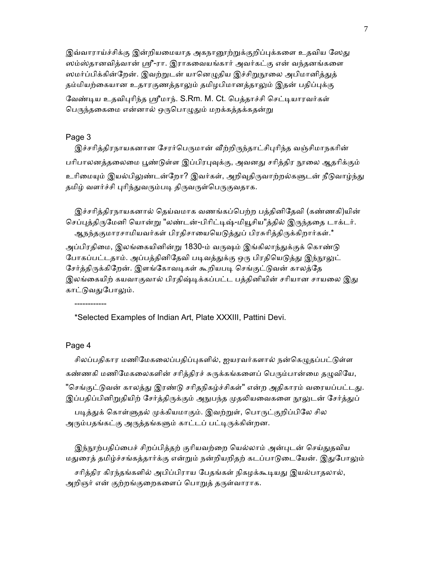இவ்வாராய்ச்சிக்கு இன்றியமையாத அகநானூற்றுக்குறிப்புக்களை உதவிய ஸேது ஸம்ஸ்தானவித்வான் ஸ்ரீ-ரா. இராகவையங்கார் அவர்கட்கு என் வந்தனங்களை ஸமர்ப்பிக்கின்றேன். இவற்றுடன் யானெழுதிய இச்சிறுநூலை அபிமானித்துத் தம்மியற்கையான உதாரகுணத்தாலும் தமிழபிமானத்தாலும் இதன் பதிப்புக்கு வேண்டிய உதவிபுரிந்த ஸ்ரீமாந். S.Rm. M. Ct. பெத்தாச்சி செட்டியாரவர்கள் பெருந்தகைமை என்னால் ஒருபொழுதும் மறக்கத்தக்கதன்று

## Page 3

இச்சரித்திரநாயகனான சேரர்பெருமான் வீற்றிருந்தாட்சிபுரிந்த வஞ்சிமாநகரின் பரிபாலனத்தலைமை பூண்டுள்ள இப்பிரபுவுக்கு, அவனது சரித்திர நூலை ஆதரிக்கும் உரிமையும் இயல்பிலுண்டன்றோ? இவர்கள், அறிவுதிருவாற்றல்களுடன் நீடுவாழ்ந்து தமிழ் வளர்ச்சி புரிந்துவரும்படி திருவருள்பெருகுவதாக.

 இச்சாித்திரநாயகனால் ெதய்வமாக வணங்கப்ெபற்ற பத்தினிேதவி (கண்ணகி)யின் செப்புத்திருமேனி யொன்று "லண்டன்-பிரிட்டிஷ்-மியூசிய"த்தில் இருந்ததை டாக்டர். ஆநந்தகுமாரசாமியவர்கள் பிரதிசாயையெடுத்துப் பிரசுரித்திருக்கிறார்கள்.\*

அப்பிரகிமை, இலங்கையினின்று 1830-ம் வருஷம் இங்கிலாந்துக்குக் கொண்டு போகப்பட்டதாம். அப்பத்தினிதேவி படிவத்துக்கு ஒரு பிரதியெடுத்து இந்நூலுட் சேர்த்திருக்கிறேன். இளங்கோவடிகள் கூறியபடி செங்குட்டுவன் காலத்தே இலங்கையிற் கயவாகுவால் பிரதிஷ்டிக்கப்பட்ட பத்தினியின் சரியான சாயலை இது காட்டுவதுபோலும்.

\*Selected Examples of Indian Art, Plate XXXIII, Pattini Devi.

#### Page 4

------------

சிலப்பதிகார மணிமேகலைப்பதிப்புகளில், ஐயரவர்களால் நன்கெழுதப்பட்டுள்ள கண்ணகி மணிமேகலைகளின் சரித்திரச் சுருக்கங்களைப் பெரும்பான்மை தழுவியே, "செங்குட்டுவன் காலத்து இரண்டு சரிதநிகழ்ச்சிகள்" என்ற அதிகாரம் வரையப்பட்டது. இப்பதிப்பினிறுதியிற் சேர்த்திருக்கும் அநுபந்த முதலியவைகளை நூலுடன் சேர்த்துப்

படித்துக் கொள்ளுதல் முக்கியமாகும். இவற்றுள், பொருட்குறிப்பிலே சில அரும்பதங்கட்கு அருத்தங்களும் காட்டப் பட்டிருக்கின்றன.

இந்நூற்பதிப்பைச் சிறப்பித்தற் குரியவற்றை யெல்லாம் அன்புடன் செய்துதவிய மதுரைத் தமிழ்ச்சங்கத்தார்க்கு என்றும் நன்றியறிதற் கடப்பாடுடையேன். இதுபோலும் சரித்திர கிரந்தங்களில் அபிப்பிராய பேதங்கள் நிகழக்கூடியது இயல்பாதலால், அறிஞர் என் குற்றங்குறைகளைப் பொறுத் தருள்வாராக.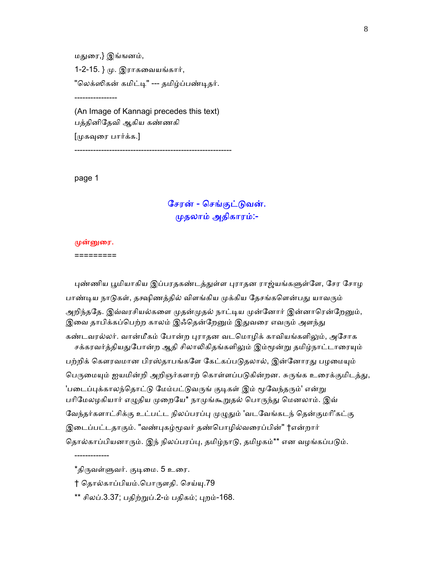மᾐைர,} இங்ஙனம், 1-2-15. } ᾙ. இராகைவயங்கார், "லெக்ஸிகன் கமிட்டி" --- தமிழ்ப்பண்டிதர். ----------------

 (An Image of Kannagi precedes this text) பத்தினிேதவி ஆகிய கண்ணகி

[முகவுரை பார்க்க.]

-----------------------------------------------------------

page 1

# சேரன் - செங்குட்டுவன். ᾙதலாம் அதிகாரம்:-

## ᾙன்ᾔைர.

=========

-------------

புண்ணிய பூமியாகிய இப்பரதகண்டத்துள்ள புராதன ராஜ்யங்களுள்ளே, சேர சோழ பாண்டிய நாடுகள், தக்ஷிணத்தில் விளங்கிய முக்கிய தேசங்களென்பது யாவரும் அறிந்ததே. இவ்வரசியல்களை முதன்முதல் நாட்டிய முன்னோர் இன்னாரென்றேனும், இவை தாபிக்கப்பெற்ற காலம் இஃதென்றேனும் இதுவரை எவரும் அளந்து கண்டவரல்லர். வான்மீகம் போன்ற புராதன வடமொழிக் காவியங்களிலும், அசோக சக்கரவர்த்தியதுபோன்ற ஆதி சிலாலிகிதங்களிலும் இம்மூன்று தமிழ்நாட்டாரையும் பற்றிக் கௌரவமான பிரஸ்தாபங்களே கேட்கப்படுதலால், இன்னோரது பழமையும் பெருமையும் ஐயமின்றி அறிஞர்களாற் கொள்ளப்படுகின்றன. சுருங்க உரைக்குமிடத்து, 'படைப்புக்காலந்தொட்டு மேம்பட்டுவருங் குடிகள் இம் மூவேந்தரும்' என்று பரிமேலழகியார் எழுதிய முறையே\* நாமுங்கூறுதல் பொருந்து மெனலாம். இவ் வேந்தர்களாட்சிக்கு உட்பட்ட நிலப்பரப்பு முழுதும் 'வடவேங்கடந் தென்குமரி'கட்கு இடைப்பட்டதாகும். "வண்புகழ்மூவர் தண்பொழில்வரைப்பின்" †என்றார் தொல்காப்பியனாரும். இந் நிலப்பரப்பு, தமிழ்நாடு, தமிழகம்\*\* என வழங்கப்படும்.

<sup>\*</sup>திருவள்ளுவர். குடிமை. 5 உரை.

<sup>†</sup> தொல்காப்பியம்.பொருளதி. செய்யு.79

<sup>\*\*</sup> சிலப்.3.37; பதிற்றுப்.2-ம் பதிகம்; புறம்-168.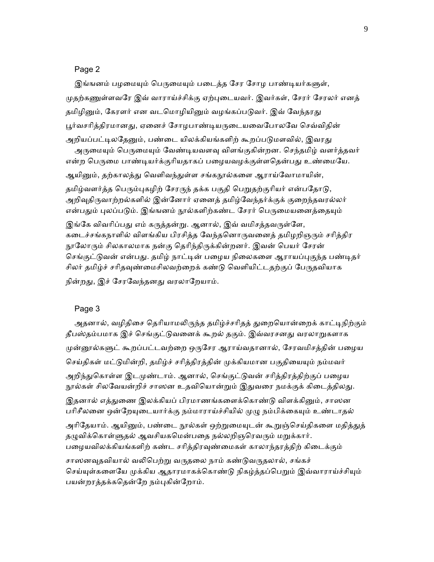## Page 2

இங்ஙனம் பழமையும் பெருமையும் படைத்த சேர சோழ பாண்டியர்களுள், முதற்கணுள்ளவரே இவ் வாராய்ச்சிக்கு ஏற்புடையவர். இவர்கள், சேரர் சேரலர் எனத் தமிழினும், கேரளர் என வடமொழியினும் வழங்கப்படுவர். இவ் வேந்தரது பூர்வசரித்திரமானது, ஏனைச் சோழபாண்டியருடையவைபோலவே செவ்விதின் அறியப்பட்டிலதேனும், பண்டை யிலக்கியங்களிற் கூறப்படுமளவில், இவரது அருமையும் பெருமையும் வேண்டியவளவு விளங்குகின்றன. செந்தமிழ் வளர்த்தவர் என்ற பெருமை பாண்டியர்க்குரியதாகப் பழையவழக்குள்ளதென்பது உண்மையே. ஆயினும், தற்காலத்து வெளிவந்துள்ள சங்கநூல்களை ஆராய்வோமாயின்,

தமிழ்வளர்த்த பெரும்புகழிற் சேரருந் தக்க பகுதி பெறுதற்குரியர் என்பதோடு, அறிவுதிருவாற்றல்களில் இன்னோர் ஏனைத் தமிழ்வேந்தர்க்குக் குறைந்தவரல்லர் என்பதும் புலப்படும். இங்ஙனம் நூல்களிற்கண்ட சேரர் பெருமையனைத்தையும்

இங்கே விவரிப்பது எம் கருத்தன்று. ஆனால், இவ் வமிசத்தவருள்ளே, கடைச்சங்கநாளில் விளங்கிய பிரசித்த வேந்தனொருவனைத் தமிழறிஞரும் சரித்திர நூலோரும் சிலகாலமாக நன்கு தெரிந்திருக்கின்றனர். இவன் பெயர் சேரன் செங்குட்டுவன் என்பது. தமிழ் நாட்டின் பழைய நிலைகளை ஆராயப்புகுந்த பண்டிதர் சிலர் தமிழ்ச் சரிதவுண்மைசிலவற்றைக் கண்டு வெளியிட்டதற்குப் பேருதவியாக நின்றது, இச் சேரவேந்தனது வரலாறேயாம்.

#### Page 3

அதனால், வழிதிசை தெரியாமலிருந்த தமிழ்ச்சரிதத் துறையொன்றைக் காட்டிநிற்கும் தீபஸ்தம்பமாக இச் செங்குட்டுவனைக் கூறல் தகும். இவ்வரசனது வரலாறுகளாக முன்னூல்களுட் கூறப்பட்டவற்றை ஒருசேர ஆராய்வதானால், சேரவமிசத்தின் பழைய செய்திகள் மட்டுமின்றி, தமிழ்ச் சரித்திரத்தின் முக்கியமான பகுதியையும் நம்மவர் அறிந்துகொள்ள இடமுண்டாம். ஆனால், செங்குட்டுவன் சரித்திரத்திற்குப் பழைய நூல்கள் சிலவேயன்றிச் சாஸன உதவியொன்றும் இதுவரை நமக்குக் கிடைத்திலது. இதனால் எத்துணை இலக்கியப் பிரமாணங்களைக்கொண்டு விளக்கினும், சாஸன பரிசீலனை ஒன்றேயுடையார்க்கு நம்மாராய்ச்சியில் முழு நம்பிக்கையும் உண்டாதல் அரிதேயாம். ஆயினும், பண்டை நூல்கள் ஒற்றுமையுடன் கூறுஞ்செய்திகளை மதித்துத் தழுவிக்கொள்ளுதல் ஆவசியகமென்பதை நல்லறிஞரெவரும் மறுக்கார். பழையவிலக்கியங்களிற் கண்ட சரித்திரவுண்மைகள் காலாந்தரத்திற் கிடைக்கும்

சாஸனவுதவியால் வலிபெற்று வருதலை நாம் கண்டுவருதலால், சங்கச் செய்யுள்களையே முக்கிய ஆதாரமாகக்கொண்டு நிகழ்த்தப்பெறும் இவ்வாராய்ச்சியும் பயன்றரத்தக்கதென்றே நம்புகின்றோம்.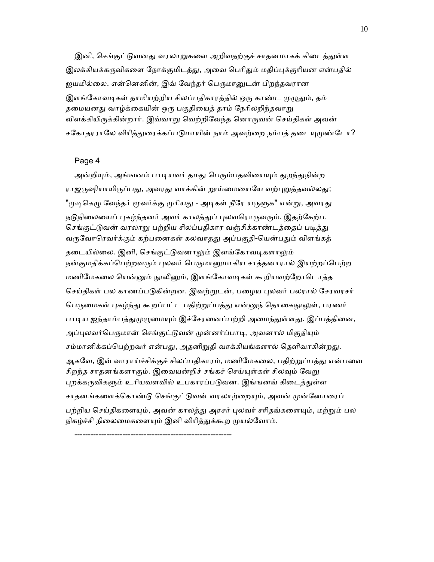இனி, செங்குட்டுவனது வரலாறுகளை அறிவதற்குச் சாதனமாகக் கிடைத்துள்ள இலக்கியக்கருவிகளை நோக்குமிடத்து, அவை பெரிதும் மதிப்புக்குரியன என்பதில் ஐயமில்லை. என்னெனின், இவ் வேந்தர் பெருமானுடன் பிறந்தவரான இளங்கோவடிகள் தாமியற்றிய சிலப்பதிகாரத்தில் ஒரு காண்ட முழுதும், தம் தமையனது வாழ்க்கையின் ஒரு பகுதியைத் தாம் நேரிலறிந்தவாறு விளக்கியிருக்கின்றார். இவ்வாறு வெற்றிவேந்த னொருவன் செய்திகள் அவன் சகோதரராலே விரித்துரைக்கப்படுமாயின் நாம் அவற்றை நம்பத் தடையுமுண்டோ?

#### Page 4

அன்றியும், அங்ஙனம் பாடியவர் தமது பெரும்பதவியையும் துறந்துநின்ற ராஜருஷியாயிருப்பது, அவரது வாக்கின் றூய்மையையே வற்புறுத்தவல்லது; "முடிகெழு வேந்தர் மூவர்க்கு முரியது - அடிகள் நீரே யருளுக" என்று, அவரது நடுநிலையைப் புகழ்ந்தனர் அவர் காலத்துப் புலவரொருவரும். இதற்கேற்ப, செங்குட்டுவன் வரலாறு பற்றிய சிலப்பதிகார வஞ்சிக்காண்டத்தைப் படித்து வருவோரெவர்க்கும் கற்பனைகள் கலவாதது அப்பகுதி-யென்பதும் விளங்கத் தடையில்லை. இனி, செங்குட்டுவனாலும் இளங்கோவடிகளாலும் நன்குமதிக்கப்பெற்றவரும் புலவர் பெருமானுமாகிய சாத்தனாரால் இயற்றப்பெற்ற மணிமேகலை யென்னும் நூலினும், இளங்கோவடிகள் கூறியவற்றோடொத்த செய்திகள் பல காணப்படுகின்றன. இவற்றுடன், பழைய புலவர் பலரால் சேரவரசர் பெருமைகள் புகழ்ந்து கூறப்பட்ட பதிற்றுப்பத்து என்னுந் தொகைநூலுள், பரணர் பாடிய ஐந்தாம்பத்துமுழுமையும் இச்சேரனைப்பற்றி அமைந்துள்ளது. இப்பத்தினை, அப்புலவர்பெருமான் செங்குட்டுவன் முன்னர்ப்பாடி, அவனால் மிகுதியும் சம்மானிக்கப்பெற்றவர் என்பது, அதனிறுதி வாக்கியங்களால் தெளிவாகின்றது. ஆகவே, இவ் வாராய்ச்சிக்குச் சிலப்பதிகாரம், மணிமேகலை, பதிற்றுப்பத்து என்பவை சிறந்த சாதனங்களாகும். இவையன்றிச் சங்கச் செய்யுள்கள் சிலவும் வேறு புறக்கருவிகளும் உரியவளவில் உபகாரப்படுவன. இங்ஙனங் கிடைத்துள்ள சாதனங்களைக்கொண்டு செங்குட்டுவன் வரலாற்றையும், அவன் முன்னோரைப் பற்றிய செய்திகளையும், அவன் காலத்து அரசர் புலவர் சரிதங்களையும், மற்றும் பல நிகழ்ச்சி நிலைமைகளையும் இனி விரித்துக்கூற முயல்வோம்.

-----------------------------------------------------------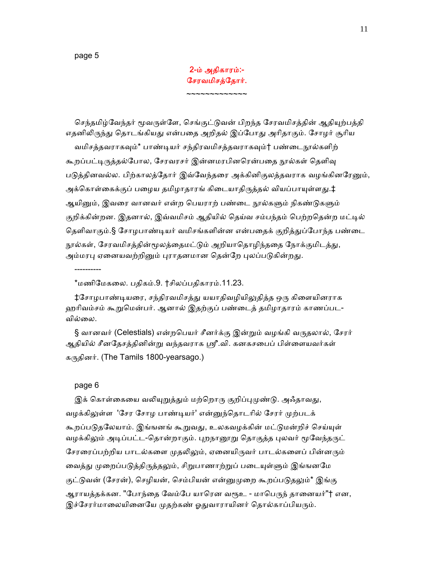page 5

## 2-ம் அதிகாரம்:- ேசரவமிசத்ேதார்.

~~~~~~~~~~~~~

செந்தமிழ்வேந்தர் மூவருள்ளே, செங்குட்டுவன் பிறந்த சேரவமிசத்தின் ஆதியுற்பத்தி எதனிலிருந்து தொடங்கியது என்பதை அறிதல் இப்போது அரிதாகும். சோழர் சூரிய வமிசத்தவராகவும்\* பாண்டியர் சந்திரவமிசத்தவராகவும்† பண்டைநூல்களிற் கூறப்பட்டிருத்தல்போல, சேரவரசர் இன்னமரபினரென்பதை நூல்கள் தெளிவு படுத்தினவல்ல. பிற்காலத்தோர் இவ்வேந்தரை அக்கினிகுலத்தவராக வழங்கினரேனும், அக்கொள்கைக்குப் பழைய தமிழாதாரங் கிடையாதிருத்தல் வியப்பாயுள்ளது.‡ ஆயினும், இவரை வானவர் என்ற பெயராற் பண்டை நூல்களும் நிகண்டுகளும் குறிக்கின்றன. இதனால், இவ்வமிசம் ஆதியில் தெய்வ சம்பந்தம் பெற்றதென்ற மட்டில் கெளிவாகும்.§ சோழபாண்டியர் வமிசங்களின்ன என்பதைக் குறித்துப்போந்த பண்டை நூல்கள், சேரவமிசத்தின்மூலத்தைமட்டும் அறியாதொழிந்ததை நோக்குமிடத்து, அம்மரபு ஏனையவற்றினும் புராதனமான தென்றே புலப்படுகின்றது.

\*மணிேமகைல. பதிகம்.9. †சிலப்பதிகாரம்.11.23.

‡சோழபாண்டியரை, சந்திரவமிசத்து யயாதிவழியிலுதித்த ஒரு கிளையினராக ஹாிவம்சம் கூᾠெமன்பர். ஆனால் இதற்குப் பண்ைடத் தமிழாதாரம் காணப்பட-வில்லை.

§ வானவர் (Celestials) என்றபெயர் சீனர்க்கு இன்றும் வழங்கி வருதலால், சேரர் ஆதியில் சீனதேசத்தினின்று வந்தவராக ஸ்ரீ.வி. கனகசபைப் பிள்ளையவர்கள் கருதினர். (The Tamils 1800-yearsago.)

#### page 6

----------

இக் கொள்கையை வலியுறுத்தும் மற்றொரு குறிப்புமுண்டு. அஃதாவது, வழக்கிலுள்ள 'சேர சோழ பாண்டியர்' என்னுந்தொடரில் சேரர் முற்படக் கூறப்படுதலேயாம். இங்ஙனங் கூறுவது, உலகவழக்கின் மட்டுமன்றிச் செய்யுள் வழக்கிலும் அடிப்பட்ட-தொன்றாகும். புறநானூறு தொகுத்த புலவர் மூவேந்தருட் சேரரைப்பற்றிய பாடல்களை முதலிலும், ஏனையிருவர் பாடல்களைப் பின்னரும் வைத்து முறைப்படுத்திருத்தலும், சிறுபாணாற்றுப் படையுள்ளும் இங்ஙனமே குட்டுவன் (சேரன்), செழியன், செம்பியன் என்னுமுறை கூறப்படுதலும்\* இங்கு ஆராயத்தக்கன. "போந்தை வேம்பே யாரென வரூஉ - மாபெருந் தானையர்"† என, இச்சேரர்மாலையினையே முதற்கண் ஓதுவாராயினர் தொல்காப்பியரும்.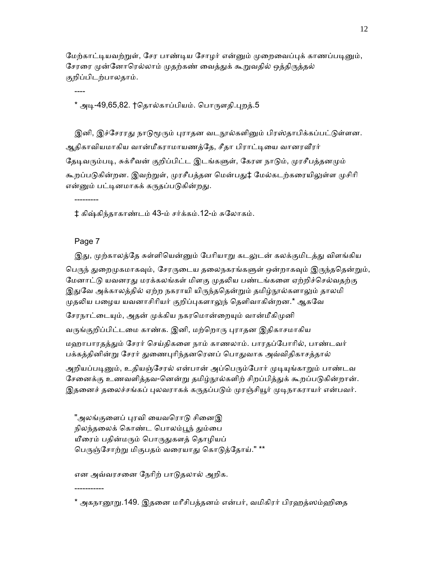மேற்காட்டியவற்றுள், சேர பாண்டிய சோழர் என்னும் முறைவைப்புக் காணப்படினும், சேரரை முன்னோரெல்லாம் முதற்கண் வைத்துக் கூறுவதில் ஒத்திருத்தல் குறிப்பிடற்பாலதாம்.

\* அடி-49,65,82. †தொல்காப்பியம். பொருளதி.புறத்.5

இனி, இச்சேரரது நாடுமூரும் புராதன வடநூல்களினும் பிரஸ்தாபிக்கப்பட்டுள்ளன. ஆதிகாவியமாகிய வான்மீகராமாயணத்தே, சீதா பிராட்டியை வானரவீரர் தேடிவரும்படி, சுக்ரீவன் குறிப்பிட்ட இடங்களுள், கேரள நாடும், முரசீபத்தனமும் கூறப்படுகின்றன. இவற்றுள், முரசீபத்தன மென்பது‡ மேல்கடற்கரையிலுள்ள முசிரி என்னும் பட்டினமாகக் கருதப்படுகின்றது.

‡ கிஷ்கிந்தாகாண்டம் 43-ம் சர்க்கம்.12-ம் சுேலாகம்.

## Page 7

-----------

---------

----

இது, முற்காலத்தே சுள்ளியென்னும் பேரியாறு கடலுடன் கலக்குமிடத்து விளங்கிய பெருந் துறைமுகமாகவும், சேரருடைய தலைநகரங்களுள் ஒன்றாகவும் இருந்ததென்றும், மேனாட்டு யவனரது மரக்கலங்கள் மிளகு முதலிய பண்டங்களை ஏற்றிச்செல்வதற்கு இதுவே அக்காலத்தில் ஏற்ற நகராயி யிருந்ததென்றும் தமிழ்நூல்களாலும் தாலமி முதலிய பழைய யவனாசிரியர் குறிப்புகளாலுந் தெளிவாகின்றன.\* ஆகவே

சேரநாட்டையும், அதன் முக்கிய நகரமொன்றையும் வான்மீகிமுனி

வருங்குறிப்பிட்டமை காண்க. இனி, மற்றொரு புராதன இதிகாசமாகிய

மஹாபாரதத்தும் சேரர் செய்திகளை நாம் காணலாம். பாரதப்போரில், பாண்டவர் பக்கத்தினின்று சேரர் துணைபுரிந்தனரெனப் பொதுவாக அவ்விதிகாசத்தால்

அறியப்படினும், உதியஞ்சேரல் என்பான் அப்பெரும்போர் முடியுங்காறும் பாண்டவ சேனைக்கு உணவளித்தவ-னென்று தமிழ்நூல்களிற் சிறப்பித்துக் கூறப்படுகின்றான். இதனைச் தலைச்சங்கப் புலவராகக் கருதப்படும் முரஞ்சியூர் முடிநாகராயர் என்பவர்.

"அலங்குளைப் புரவி யைவரொடு சினைஇ நிலந்தலைக் கொண்ட பொலம்பூந் தும்பை யீரைம் பதின்மரும் பொருதுகளத் தொழியப் பெருஞ்சோற்று மிகுபதம் வரையாது கொடுத்தோய்." \*\*

என அவ்வரசைன ேநாிற் பாᾌதலால் அறிக.

\* அகநானூறு.149. இதனை மரீசிபத்தனம் என்பர், வமிகிரர் பிரஹத்ஸம்ஹிதை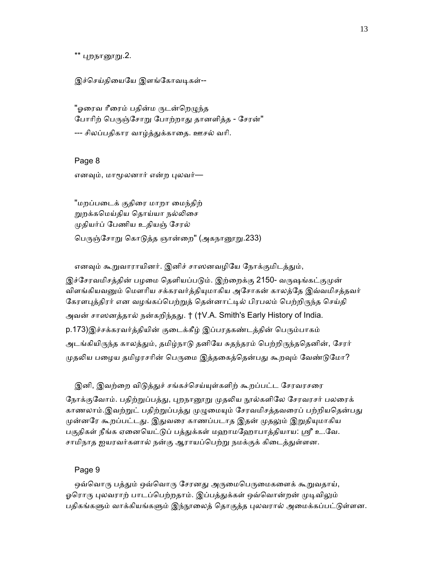\*\* புறந<u>ா</u>னூறு.2.

இச்செய்தியையே இளங்கோவடிகள்--

"ஓரைவ ரீரைம் பதின்ம ருடன்றெழுந்த போரிற் பெருஞ்சோறு போற்றாது தானளித்த - சேரன்" --- சிலப்பதிகார வாழ்த்ᾐக்காைத. ஊசல் வாி.

 Page 8 எனவும், மாமூலனார் என்ற புலவர்—

 "மறப்பைடக் குதிைர மாறா ைமந்திற் றுறக்கமெய்திய தொய்யா நல்லிசை ᾙதியர்ப் ேபணிய உதியஞ் ேசரல் பெருஞ்சோறு கொடுத்த ஞான்றை" (அகநானூறு.233)

எனவும் கூறுவாராயினர். இனிச் சாஸனவழியே நோக்குமிடத்தும்,

இச்சேரவமிசத்தின் பழமை தெளியப்படும். இற்றைக்கு 2150- வருஷங்கட்குமுன் விளங்கியவனும் மௌரிய சக்கரவர்த்தியுமாகிய அசோகன் காலத்தே இவ்வமிசத்தவர் கேரளபுத்திரர் என வழங்கப்பெற்றுத் தென்னாட்டில் பிரபலம் பெற்றிருந்த செய்தி அவன் சாஸனத்தால் நன்கறிந்தது. † (†V.A. Smith's Early History of India. p.173)இச்சக்கரவர்த்தியின் குடைக்கீழ் இப்பரதகண்டத்தின் பெரும்பாகம் அடங்கியிருந்த காலத்தும், தமிழ்நாடு தனியே சுதந்தரம் பெற்றிருந்ததெனின், சேரர் முதலிய பழைய தமிழரசரின் பெருமை இத்தகைத்தென்பது கூறவும் வேண்டுமோ?

இனி, இவற்றை விடுத்துச் சங்கச்செய்யுள்களிற் கூறப்பட்ட சேரவரசரை நோக்குவோம். பதிற்றுப்பத்து, புறநானூறு முதலிய நூல்களிலே சேரவரசர் பலரைக் காணலாம்.இவற்றுட் பதிற்றுப்பத்து முழுமையும் சேரவமிசத்தவரைப் பற்றியதென்பது முன்னரே கூறப்பட்டது. இதுவரை காணப்படாத இதன் முதலும் இறுதியுமாகிய பகுதிகள் நீங்க ஏனையெட்டுப் பத்துக்கள் மஹாமஹோபாத்தியாய: ஸ்ரீ உ.வே. சாமிநாத ஐயரவர்களால் நன்கு ஆராயப்பெற்று நமக்குக் கிடைத்துள்ளன.

#### Page 9

ஒவ்வொரு பத்தும் ஒவ்வொரு சேரனது அருமைபெருமைகளைக் கூறுவதாய், ஓரொரு புலவராற் பாடப்பெற்றதாம். இப்பத்துக்கள் ஒவ்வொன்றன் முடிவிலும் பதிகங்களும் வாக்கியங்களும் இந்நூலைத் தொகுத்த புலவரால் அமைக்கப்பட்டுள்ளன.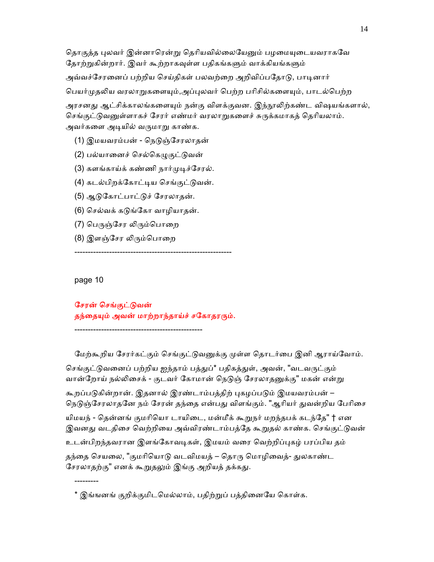தொகுத்த புலவர் இன்னாரென்று தெரியவில்லையேனும் பழமையுடையவராகவே தோற்றுகின்றார். இவர் கூற்றாகவுள்ள பதிகங்களும் வாக்கியங்களும் அவ்வச்சேரனைப் பற்றிய செய்திகள் பலவற்றை அறிவிப்பதோடு, பாடினார் பெயர்முதலிய வரலாறுகளையும்,அப்புலவர் பெற்ற பரிசில்களையும், பாடல்பெற்ற அரசனது ஆட்சிக்காலங்களையும் நன்கு விளக்குவன. இந்நூலிற்கண்ட விஷயங்களால்,

செங்குட்டுவனுள்ளாகச் சேரர் எண்மர் வரலாறுகளைச் சுருக்கமாகத் தெரியலாம். அவர்களை அடியில் வருமாறு காண்க.

- (1) இமயவரம்பன் நெடுஞ்சேரலாதன்
- (2) பல்யானைச் செல்கெழுகுட்டுவன்
- (3) களங்காய்க் கண்ணி நார்முடிச்சோல்.
- (4) கடல்பிறக்கோட்டிய செங்குட்டுவன்.
- (5) ஆᾌேகாட்பாட்ᾌச் ேசரலாதன்.
- (6) செல்வக் கடுங்கோ வாழியாதன்.
- (7) பெருஞ்சேர லிரும்பொறை
- (8) இளஞ்சேர லிரும்பொறை

page 10

---------

சேரன் செங்குட்டுவன் தந்தையும் அவன் மாற்றாந்தாய்ச் சகோதரரும்.

------------------------------------------------

-----------------------------------------------------------

மேற்கூறிய சேரர்கட்கும் செங்குட்டுவனுக்கு முள்ள தொடர்பை இனி ஆராய்வோம். செங்குட்டுவனைப் பற்றிய ஐந்தாம் பத்துப்\* பதிகத்துள், அவன், "வடவருட்கும் வான்றோய் நல்லிசைக் - குடவர் கோமான் நெடுஞ் சேரலாதனுக்கு" மகன் என்று கூறப்படுகின்றான். இதனால் இரண்டாம்பத்திற் புகழப்படும் இமயவரம்பன் – நெடுஞ்சேரலாதனே நம் சேரன் தந்தை என்பது விளங்கும். "ஆரியர் துவன்றிய பேரிசை யிமயந் - தென்னங் குமரியொ டாயிடை, மன்மீக் கூறுநர் மறந்தபக் கடந்தே" † என இவனது வடதிசை வெற்றியை அவ்விரண்டாம்பத்தே கூறுதல் காண்க. செங்குட்டுவன் உடன்பிறந்தவரான இளங்கோவடிகள், இமயம் வரை வெற்றிப்புகழ் பரப்பிய தம் தந்தை செயலை, "குமரியொடு வடவிமயத் – தொரு மொழிவைத்- துலகாண்ட சேரலாதற்கு" எனக் கூறுதலும் இங்கு அறியத் தக்கது.

<sup>\*</sup> இங்ஙனங் குறிக்குமிடமெல்லாம், பதிற்றுப் பத்தினையே கொள்க.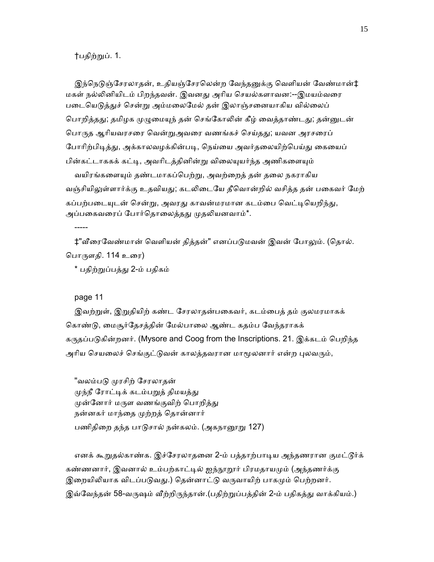#### †பதிற்ᾠப். 1.

இந்நெடுஞ்சேரலாதன், உதியஞ்சேரலென்ற வேந்தனுக்கு வெளியன் வேண்மான்‡ மகள் நல்லினியிடம் பிறந்தவன். இவனது அரிய செயல்களாவன:--இமயம்வரை படையெடுத்துச் சென்று அம்மலைமேல் தன் இலாஞ்சனையாகிய வில்லைப் பொறித்தது; தமிழக முழுமையுந் தன் செங்கோலின் கீழ் வைத்தாண்டது; தன்னுடன் பொருத ஆரியவரசரை வென்றுஅவரை வணங்கச் செய்தது; யவன அரசரைப் போரிற்பிடித்து, அக்காலவழக்கின்படி, நெய்யை அவர்தலையிற்பெய்து கையைப் பின்கட்டாககக் கட்டி, அவரிடத்தினின்று விலையுயர்ந்த அணிகளையும் வயிரங்களையும் தண்டமாகப்பெற்று, அவற்றைத் தன் தலை நகராகிய வஞ்சியிலுள்ளார்க்கு உதவியது; கடலிடையே தீவொன்றில் வசித்த தன் பகைவர் மேற் கப்பற்படையுடன் சென்று, அவரது காவன்மரமான கடம்பை வெட்டியெறிந்து, அப்பகைவரைப் போர்தொலைத்தது முதலியனவாம்\*.

‡"வீரைவேண்மான் வெளியன் தித்தன்" எனப்படுமவன் இவன் போலும். (தொல். ெபாᾞளதி. 114 உைர)

\* பதிற்ᾠப்பத்ᾐ 2-ம் பதிகம்

## page 11

-----

இவற்றுள், இறுதியிற் கண்ட சேரலாதன்பகைவர், கடம்பைத் தம் குலமரமாகக் கொண்டு, மைசூர்தேசத்தின் மேல்பாலை ஆண்ட கதம்ப வேந்தராகக் கᾞதப்பᾌகின்றனர். (Mysore and Coog from the Inscriptions. 21. இக்கடம் ெபறிந்த அரிய செயலைச் செங்குட்டுவன் காலத்தவரான மாமூலனார் என்ற புலவரும்,

"வலம்படு முரசிற் சேரலாதன் முந்நீ ரோட்டிக் கடம்பறுத் திமயத்து முன்னோர் மருள வணங்குவிற் பொறித்து நன்னகர் மாந்தை முற்றத் தொன்னார் பணிதிறை தந்த பாடுசால் நன்கலம். (அகநானூறு 127)

எனக் கூறுதல்காண்க. இச்சேரலாதனை 2-ம் பத்தாற்பாடிய அந்தணரான குமட்டூர்க் கண்ணனார், இவனால் உம்பற்காட்டில் ஐந்நூறூர் பிரமதாயமும் (அந்தணர்க்கு இறையிலியாக விடப்படுவது.) தென்னாட்டு வருவாயிற் பாகமும் பெற்றனர். இவ்வேந்தன் 58-வருஷம் வீற்றிருந்தான்.(பதிற்றுப்பத்தின் 2-ம் பதிகத்து வாக்கியம்.)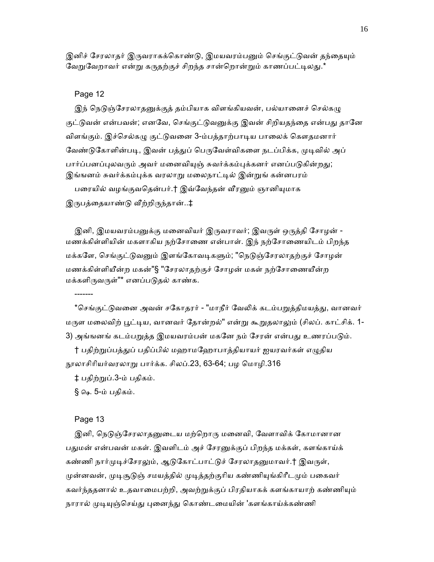இனிச் சேரலாதர் இருவராகக்கொண்டு, இமயவரம்பனும் செங்குட்டுவன் தந்தையும் வேறுவேறாவர் என்று கருதற்குச் சிறந்த சான்றொன்றும் காணப்பட்டிலது.\*

## Page 12

இந் நெடுஞ்சேரலாதனுக்குத் தம்பியாக விளங்கியவன், பல்யானைச் செல்கழு குட்டுவன் என்பவன்; எனவே, செங்குட்டுவனுக்கு இவன் சிறியதந்தை என்பது தானே விளங்கும். இச்செல்கழு குட்டுவனை 3-ம்பத்தாற்பாடிய பாலைக் கௌதமனார் வேண்டுகோளின்படி, இவன் பத்துப் பெருவேள்விகளை நடப்பிக்க, முடிவில் அப் பார்ப்பனப்புலவரும் அவர் மனைவியுஞ் சுவர்க்கம்புக்கனர் எனப்படுகின்றது; இங்ஙனம் சுவர்க்கம்புக்க வரலாறு மலைநாட்டில் இன்றுங் கன்னபரம்

பரையில் வழங்குவதென்பர்.† இவ்வேந்தன் வீரனும் ஞானியுமாக இருபத்தையாண்டு வீற்றிருந்தான்..‡

இனி, இமயவரம்பனுக்கு மனைவியர் இருவராவர்; இவருள் ஒருத்தி சோழன் -மணக்கிள்ளியின் மகளாகிய நற்சோணை என்பாள். இந் நற்சோணையிடம் பிறந்த மக்களே, செங்குட்டுவனும் இளங்கோவடிகளும்; "நெடுஞ்சேரலாதற்குச் சோழன் மணக்கிள்ளியீன்ற மகன்"§ "ேசரலாதற்குச் ேசாழன் மகள் நற்ேசாைணயீன்ற மக்களிᾞவᾞள்"\* எனப்பᾌதல் காண்க.

\*செங்குட்டுவனை அவன் சகோதரர் - "மாநீர் வேலிக் கடம்பறுத்திமயத்து, வானவர் மருள மலைவிற் பூட்டிய, வானவர் தோன்றல்" என்று கூறுதலாலும் (சிலப். காட்சிக். 1-3) அங்ஙனங் கடம்பறுத்த இமயவரம்பன் மகனே நம் சேரன் என்பது உணரப்படும்.

† பதிற்றுப்பத்துப் பதிப்பில் மஹாமஹோபாத்தியாயர் ஐயரவர்கள் எழுதிய நூலாசிரியர்வரலாறு பார்க்க. சிலப்.23, 63-64; பழ மொழி.316

‡ பதிற்ᾠப்.3-ம் பதிகம்.

§ ௸. 5-ம் பதிகம்.

#### Page 13

-------

இனி, நெடுஞ்சேரலாதனுடைய மற்றொரு மனைவி, வேளாவிக் கோமானான பதுமன் என்பவன் மகள். இவளிடம் அச் சேரனுக்குப் பிறந்த மக்கள், களங்காய்க் கண்ணி நார்முடிச்சேரலும், ஆடுகோட்பாட்டுச் சேரலாதனுமாவர்.† இவருள், முன்னவன், முடிசூடுஞ் சமயத்தில் முடித்தற்குரிய கண்ணியுங்கிரீடமும் பகைவர் கவர்ந்ததனால் உதவாமைபற்றி, அவற்றுக்குப் பிரதியாகக் களங்காயாற் கண்ணியும் நாரால் முடியுஞ்செய்து புனைந்து கொண்டமையின் 'களங்காய்க்கண்ணி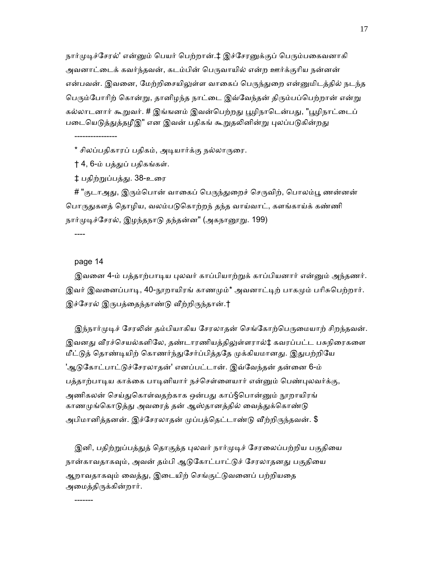நார்முடிச்சேரல்' என்னும் பெயர் பெற்றான்.‡ இச்சேரனுக்குப் பெரும்பகைவனாகி அவனாட்டைக் கவர்ந்தவன், கடம்பின் பெருவாயில் என்ற ஊர்க்குரிய நன்னன் என்பவன். இவனை, மேற்றிசையிலுள்ள வாகைப் பெருந்துறை என்னுமிடத்தில் நடந்த பெரும்போரிற் கொன்று, தானிழந்த நாட்டை இவ்வேந்தன் திரும்பப்பெற்றான் என்று கல்லாடனார் கூறுவர். # இங்ஙனம் இவன்பெற்றது பூழிநாடென்பது, "பூழிநாட்டைப் படையெடுத்துத்தழீஇ" என இவன் பதிகங் கூறுதலினின்று புலப்படுகின்றது

\* சிலப்பதிகாரப் பதிகம், அடியார்க்கு நல்லாருரை.

† 4, 6-ம் பத்ᾐப் பதிகங்கள்.

‡ பதிற்றுப்பத்து. 38-உரை

# "குடாஅது, இரும்பொன் வாகைப் பெருந்துறைச் செருவிற், பொலம்பூ ணன்னன் பொருதுகளத் தொழிய, வலம்படுகொற்றந் தந்த வாய்வாட், களங்காய்க் கண்ணி நார்முடிச்சேரல், இழந்தநாடு தந்தன்ன" (அகநானூறு. 199)

----

-------

#### page 14

----------------

இவனை 4-ம் பத்தாற்பாடிய புலவர் காப்பியாற்றுக் காப்பியனார் என்னும் அந்தணர். இவர் இவனைப்பாடி, 40-நூறாயிரங் காணமும்\* அவனாட்டிற் பாகமும் பரிசுபெற்றார். இச்சேரல் இருபத்தைந்தாண்டு வீற்றிருந்தான்.†

இந்நார்முடிச் சேரலின் தம்பியாகிய சேரலாதன் செங்கோற்பெருமையாற் சிறந்தவன். இவனது வீரச்செயல்களிலே, தண்டாரணியத்திலுள்ளரால்‡ கவரப்பட்ட பசுநிரைகளை மீட்டுத் தொண்டியிற் கொணர்ந்துசேர்ப்பித்ததே முக்கியமானது. இதுபற்றியே 'ஆடுகோட்பாட்டுச்சேரலாதன்' எனப்பட்டான். இவ்வேந்தன் தன்னை 6-ம் பத்தாற்பாடிய காக்கை பாடினியார் நச்செள்ளையார் என்னும் பெண்புலவர்க்கு, அணிகலன் செய்துகொள்வதற்காக ஒன்பது காப்§பொன்னும் நூறாயிரங் காணமுங்கொடுத்து அவரைத் தன் ஆஸ்தானத்தில் வைத்துக்கொண்டு அபிமானித்தனன். இச்சேரலாதன் முப்பத்தெட்டாண்டு வீற்றிருந்தவன். \$

இனி, பதிற்றுப்பத்துத் தொகுத்த புலவர் நார்முடிச் சேரலைப்பற்றிய பகுதியை நான்காவதாகவும், அவன் தம்பி ஆடுகோட்பாட்டுச் சேரலாதனது பகுதியை ஆறாவதாகவும் வைத்து, இடையிற் செங்குட்டுவனைப் பற்றியதை அமைத்திருக்கின்றார்.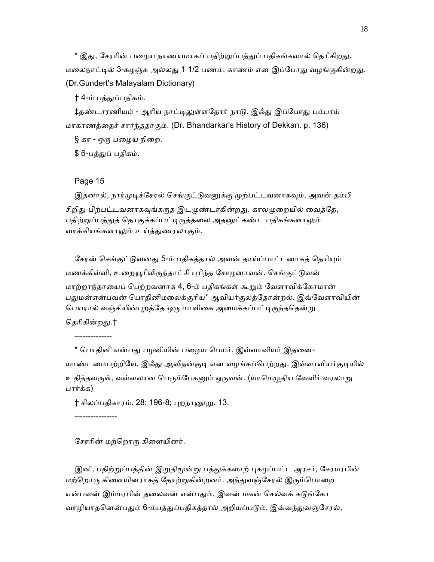\* இது, சேரரின் பழைய நாணயமாகப் பதிற்றுப்பத்துப் பதிகங்களால் தெரிகிறது. மலைநாட்டில் 3-கழஞ்சு அல்லது 1 1/2 பணம், காணம் என இப்போது வழங்குகின்றது. (Dr.Gundert's Malayalam Dictionary)

† 4-ம் பத்துப்பதிகம்.

‡தண்டாரணியம் - ஆரிய நாட்டிலுள்ளதோர் நாடு. இஃது இப்போது பம்பாய் மாகாணத்ைதச் சார்ந்ததாகும். (Dr. Bhandarkar's History of Dekkan. p. 136)

 $\S$  கா - ஒரு பழைய நிறை.

\$ 6-பத்ᾐப் பதிகம்.

#### Page 15

இதனால், நார்முடிச்சேரல் செங்குட்டுவனுக்கு முற்பட்டவனாகவும், அவன் தம்பி சிறிது பிற்பட்டவனாகவுங்கருத இடமுண்டாகின்றது. காலமுறையில் வைத்தே, பதிற்றுப்பத்துத் தொகுக்கப்பட்டிருத்தலை அதனுட்கண்ட பதிகங்களாலும் வாக்கியங்களாலும் உய்த்துணரலாகும்.

சேரன் செங்குட்டுவனது 5-ம் பதிகத்தால் அவன் தாய்ப்பாட்டனாகத் தெரியும் மணக்கிள்ளி, உறையூரிலிருந்தாட்சி புரிந்த சோழனாவன். செங்குட்டுவன் மாற்றாந்தாையப் ெபற்றவனாக 4, 6-ம் பதிகங்கள் கூᾠம் ேவளாவிக்ேகாமான் பதுமன்என்பவன் பொதினிமலைக்குரிய\* ஆவியர்குலத்தோன்றல். இவ்வேளாவியின் பெயரால் வஞ்சியின்புறத்தே ஒரு மாளிகை அமைக்கப்பட்டிருந்ததென்று

தெரிகின்றது.† --------------

\* பொதினி என்பது பழனியின் பழைய பெயர். இவ்வாவியர் இதனை-யாண்டமைபற்றியே, இஃது ஆவிநன்குடி என வழங்கப்பெற்றது. இவ்வாவியர்குடியில் உதித்தவருள், வள்ளலான பெரும்பேகனும் ஒருவன். (யாமெழுதிய வேளிர் வரலாறு பார்க்க)

† சிலப்பதிகாரம். 28: 196-8; புறநாறைறு. 13.

----------------

சேரரின் மற்றொரு கிளையினர்.

இனி, பதிற்றுப்பத்தின் இறுதிமூன்று பத்துக்களாற் புகழப்பட்ட அரசர், சேரமரபின் மற்றொரு கிளையினராகத் தோற்றுகின்றனர். அந்துவஞ்சேரல் இரும்பொறை என்பவன் இம்மரபின் தலைவன் என்பதும், இவன் மகன் செல்வக் கடுங்கோ வாழியாதனென்பதும் 6-ம்பத்துப்பதிகத்தால் அறியப்படும். இவ்வந்துவஞ்சேரல்,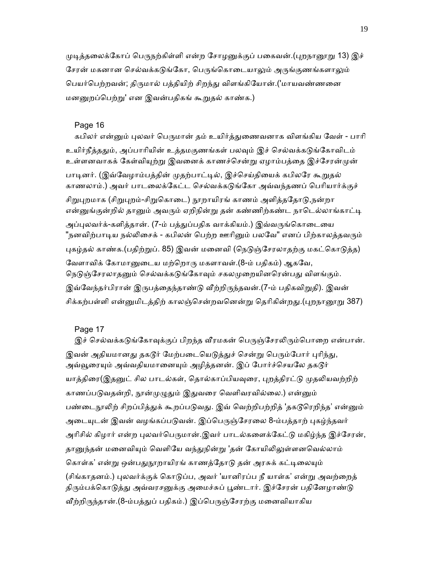முடித்தலைக்கோப் பெருநற்கிள்ளி என்ற சோழனுக்குப் பகைவன்.(புறநானூறு 13) இச் சேரன் மகனான செல்வக்கடுங்கோ, பெருங்கொடையாலும் அருங்குணங்களாலும் பெயர்பெற்றவன்; திருமால் பத்தியிற் சிறந்து விளங்கியோன்.('மாயவண்ணனை மனனுறப்பெற்று' என இவன்பதிகங் கூறுதல் காண்க.)

#### Page 16

கபிலர் என்னும் புலவர் பெருமான் தம் உயிர்த்துணைவனாக விளங்கிய வேள் - பாரி உயிர்நீத்ததும், அப்பாரியின் உத்தமகுணங்கள் பலவும் இச் செல்வக்கடுங்கோவிடம் உள்ளனவாகக் கேள்வியுற்று இவனைக் காணச்சென்று ஏழாம்பத்தை இச்சேரன்முன் பாடினர். (இவ்வேழாம்பத்தின் முதற்பாட்டில், இச்செய்தியைக் கபிலரே கூறுதல் காணலாம்.) அவர் பாடலைக்கேட்ட செல்வக்கடுங்கோ அவ்வந்தணப் பெரியார்க்குச் சிறுபுறமாக (சிறுபுறம்-சிறுகொடை) நூறாயிரங் காணம் அளித்ததோடு,நன்றா என்னுங்குன்றில் தானும் அவரும் ஏறிநின்று தன் கண்ணிற்கண்ட நாடெல்லாங்காட்டி அப்புலவர்க்-களித்தான். (7-ம் பத்துப்பதிக வாக்கியம்.) இவ்வருங்கொடையை "நனவிற்பாடிய நல்லிசைக் - கபிலன் பெற்ற ஊரினும் பலவே" எனப் பிற்காலத்தவரும் புகழ்தல் காண்க.(பதிற்றுப். 85) இவன் மனைவி (நெடுஞ்சேரலாதற்கு மகட்கொடுத்த) வேளாவிக் கோமானுடைய மற்றொரு மகளாவள்.(8-ம் பதிகம்) ஆகவே, நெடுஞ்சேரலாதனும் செல்வக்கடுங்கோவும் சகலமுறையினரென்பது விளங்கும். இவ்வேந்தர்பிரான் இருபத்தைந்தாண்டு வீற்றிருந்தவன்.(7-ம் பதிகவிறுதி). இவன் சிக்கற்பள்ளி என்னுமிடத்திற் காலஞ்சென்றவனென்று தெரிகின்றது.(புறநானூறு 387)

## Page 17

இச் செல்வக்கடுங்கோவுக்குப் பிறந்த வீரமகன் பெருஞ்சேரலிரும்பொறை என்பான். இவன் அதியமானது தகடூர் மேற்படையெடுத்துச் சென்று பெரும்போர் புரிந்து, அவ்வூரையும் அவ்வதியமானையும் அழித்தனன். இப் போர்ச்செயலே தகடூர் யாத்திரை(இதனுட் சில பாடல்கள், தொல்காப்பியவுரை, புறத்திரட்டு முதலியவற்றிற் காணப்படுவதன்றி, நூன்முழுதும் இதுவரை வெளிவரவில்லை.) என்னும் பண்டைநூலிற் சிறப்பித்துக் கூறப்படுவது. இவ் வெற்றிபற்றித் 'தகடூரெறிந்த' என்னும் அடையுடன் இவன் வழங்கப்படுவன். இப்பெருஞ்சேரலை 8-ம்பத்தாற் புகழ்ந்தவர் அரிசில் கிழார் என்ற புலவர்பெருமான்.இவர் பாடல்களைக்கேட்டு மகிழ்ந்த இச்சேரன், தானுந்தன் மனைவியும் வெளியே வந்துநின்று 'தன் கோயிலிலுள்ளனவெல்லாம் கொள்க' என்று ஒன்பதுநூறாயிரங் காணத்தோடு தன் அரசுக் கட்டிலையும் (சிங்காதனம்.) புலவர்க்குக் கொடுப்ப, அவர் 'யானிரப்ப நீ யாள்க' என்று அவற்றைத் திரும்பக்கொடுத்து அவ்வரசனுக்கு அமைச்சுப் பூண்டார். இச்சேரன் பதினேழாண்டு வீற்றிருந்தான்.(8-ம்பத்துப் பதிகம்.) இப்பெருஞ்சேரற்கு மனைவியாகிய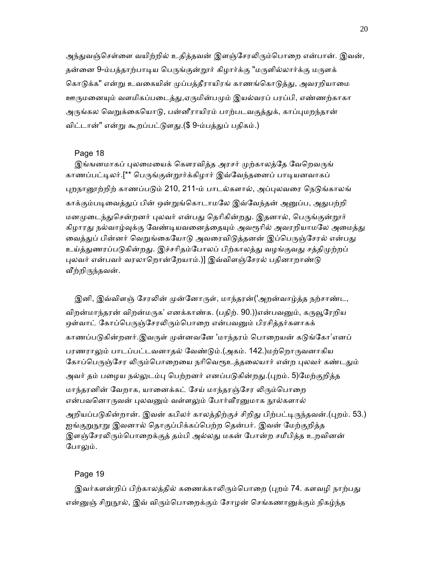அந்துவஞ்செள்ளை வயிற்றில் உதித்தவன் இளஞ்சேரலிரும்பொறை என்பான். இவன், தன்னை 9-ம்பத்தாற்பாடிய பெருங்குன்றூர் கிழார்க்கு "மருளில்லார்க்கு மருளக் கொடுக்க" என்று உவகையின் முப்பத்தீராயிரங் காணங்கொடுத்து, அவரறியாமை ஊருமனையும் வளமிகப்படைத்து,ஏருமின்பமும் இயல்வரப் பரப்பி, எண்ணற்காகா அருங்கல வெறுக்கையொடு, பன்னீராயிரம் பாற்படவகுத்துக், காப்புமறந்தான் விட்டான்" என்று கூறப்பட்டுளது.(\$ 9-ம்பத்துப் பதிகம்.)

#### Page 18

இங்ஙனமாகப் புலமையைக் கௌரவித்த அரசர் முற்காலத்தே வேறெவருங் காணப்பட்டிலர்.[\*\* பெருங்குன்றூர்க்கிழார் இவ்வேந்தனைப் பாடியனவாகப் புறநானூற்றிற் காணப்படும் 210, 211-ம் பாடல்களால், அப்புலவரை நெடுங்காலங் காக்கும்படிவைத்துப் பின் ஒன்றுங்கொடாமலே இவ்வேந்தன் அனுப்ப, அதுபற்றி மனமுடைந்துசென்றனர் புலவர் என்பது தெரிகின்றது. இதனால், பெருங்குன்றூர் கிழாரது நல்வாழ்வுக்கு வேண்டியவனைத்தையும் அவரூரில் அவரறியாமலே அமைத்து வைத்துப் பின்னர் வெறுங்கையோடு அவரைவிடுத்தனன் இப்பெருஞ்சேரல் என்பது உய்த்துணரப்படுகின்றது. இச்சரிதம்போலப் பிற்காலத்து வழங்குவது சத்திமுற்றப் புலவர் என்பவர் வரலாறொன்றேயாம்.)] இவ்விளஞ்சேரல் பதினாறாண்டு வீற்றிருந்தவன்.

இனி, இவ்விளஞ் சேரலின் முன்னோருள், மாந்தரன்('அறன்வாழ்த்த நற்சாண்ட, விறன்மாந்தரன் விறன்மருக' எனக்காண்க. (பதிற். 90.))என்பவனும், கருவூரேறிய ஒள்வாட் கோப்பெருஞ்சேரலிரும்பொறை என்பவனும் பிரசித்தர்களாகக் காணப்படுகின்றனர்.இவருள் முன்னவனே 'மாந்தரம் பொறையன் கடுங்கோ'எனப் பரணராலும் பாடப்பட்டவனாதல் வேண்டும்.(அகம். 142.)மற்றொருவனாகிய கோப்பெருஞ்சேர லிரும்பொறையை நரிவெரூஉத்தலையார் என்ற புலவர் கண்டதும் அவர் தம் பழைய நல்லுடம்பு பெற்றனர் எனப்படுகின்றது.(புறம். 5)மேற்குறித்த மாந்தரனின் வேறாக, யானைக்கட் சேய் மாந்தரஞ்சேர லிரும்பொறை என்பவனொருவன் புலவனும் வள்ளலும் போர்வீரனுமாக நூல்களால் அறியப்படுகின்றான். இவன் கபிலர் காலத்திற்குச் சிறிது பிற்பட்டிருந்தவன்.(புறம். 53.) ஐங்குறுநூறு இவனால் தொகுப்பிக்கப்பெற்ற தென்பர். இவன் மேற்குறித்த இளஞ்சேரலிரும்பொறைக்குத் தம்பி அல்லது மகன் போன்ற சமீபித்த உறவினன் போலும்.

#### Page 19

இவர்களன்றிப் பிற்காலத்தில் கணைக்காலிரும்பொறை (புறம் 74. களவழி நாற்பது என்னுஞ் சிறுநூல், இவ் விரும்பொறைக்கும் சோழன் செங்கணானுக்கும் நிகழ்ந்த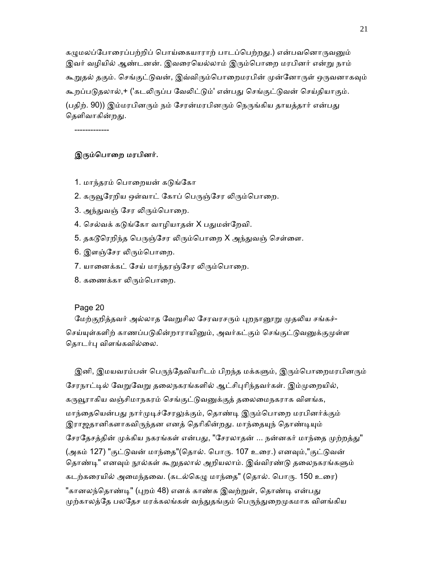கமுமலப்போரைப்பற்றிப் பொய்கையாராற் பாடப்பெற்றது.) என்பவனொருவனும் இவர் வழியில் ஆண்டனன். இவரையெல்லாம் இரும்பொறை மரபினர் என்று நாம் கூறுதல் தகும். செங்குட்டுவன், இவ்விரும்பொறைமரபின் முன்னோருள் ஒருவனாகவும் கூறப்படுதலால்,+ ('கடலிருப்ப வேலிட்டும்' என்பது செங்குட்டுவன் செய்தியாகும். (பதிற். 90)) இம்மரபினரும் நம் சேரன்மரபினரும் நெருங்கிய தாயத்தார் என்பது கெளிவாகின்றது.

-------------

## இரும்பொறை மரபினர்.

- 1. மாந்தரம் பொறையன் கடுங்கோ
- 2. கருவூரேறிய ஒள்வாட் கோப் பெருஞ்சேர லிரும்பொறை.
- 3. அந்துவஞ் சேர லிரும்பொறை.
- 4. செல்வக் கடுங்கோ வாழியாதன் X பதுமன்றேவி.
- 5. தகடூரெறிந்த பெருஞ்சேர லிரும்பொறை X அந்துவஞ் செள்ளை.
- 6. இளஞ்சேர லிரும்பொறை.
- 7. யானைக்கட் சேய் மாந்தரஞ்சேர லிரும்பொறை.
- 8. கணைக்கா லிரும்பொறை.

#### Page 20

மேற்குறித்தவர் அல்லாத வேறுசில சேரவரசரும் புறநானூறு முதலிய சங்கச்-செய்யுள்களிற் காணப்படுகின்றாராயினும், அவர்கட்கும் செங்குட்டுவனுக்குமுள்ள தொடர்பு விளங்கவில்லை.

இனி, இமயவரம்பன் பெருந்தேவியரிடம் பிறந்த மக்களும், இரும்பொறைமரபினரும் சேரநாட்டில் வேறுவேறு தலைநகரங்களில் ஆட்சிபுரிந்தவர்கள். இம்முறையில், கருவூராகிய வஞ்சிமாநகரம் செங்குட்டுவனுக்குத் தலைமைநகராக விளங்க, மாந்தையென்பது நார்முடிச்சேரலுக்கும், தொண்டி இரும்பொறை மரபினர்க்கும் இராஜதானிகளாகவிருந்தன எனத் தெரிகின்றது. மாந்தையுந் தொண்டியும் சேரதேசத்தின் முக்கிய நகரங்கள் என்பது, "சேரலாதன் ... நன்னகர் மாந்தை முற்றத்து" (அகம் 127) "குட்டுவன் மாந்தை"(தொல். பொரு. 107 உரை.) எனவும்,"குட்டுவன் தொண்டி" எனவும் நூல்கள் கூறுதலால் அறியலாம். இவ்விரண்டு தலைநகரங்களும் கடற்கரையில் அமைந்தவை. (கடல்கெழு மாந்தை" (தொல். பொரு. 150 உரை) "கானலந்தொண்டி" (புறம் 48) எனக் காண்க இவற்றுள், தொண்டி என்பது முற்காலத்தே பலதேச மரக்கலங்கள் வந்துதங்கும் பெருந்துறைமுகமாக விளங்கிய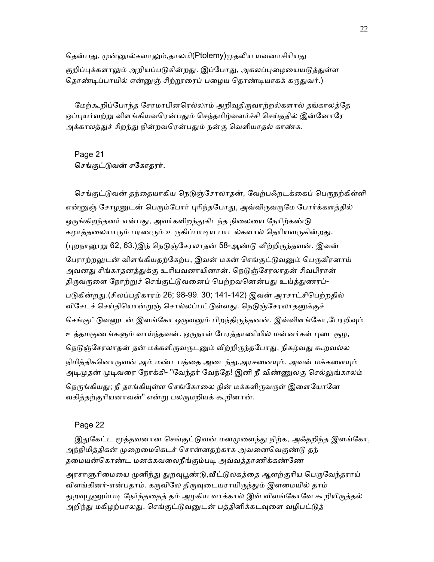தென்பது, முன்னூல்களாலும்,தாலமி(Ptolemy)முதலிய யவனாசிரியது குறிப்புக்களாலும் அறியப்படுகின்றது. இப்போது, அகலப்புழையையடுத்துள்ள தொண்டிப்பாயில் என்னுஞ் சிற்றூரைப் பழைய தொண்டியாகக் கருதுவர்.)

மேற்கூறிப்போந்த சேரமரபினரெல்லாம் அறிவுதிருவாற்றல்களால் தங்காலத்தே ஒப்புயர்வற்று விளங்கியவரென்பதும் செந்தமிழ்வளர்ச்சி செய்ததில் இன்னோரே அக்காலத்துச் சிறந்து நின்றவரென்பதும் நன்கு வெளியாதல் காண்க.

## Page 21 செங்குட்டுவன் சகோதரர்.

செங்குட்டுவன் தந்தையாகிய நெடுஞ்சேரலாதன், வேற்பஃறடக்கைப் பெருநற்கிள்ளி என்னுஞ் சோழனுடன் பெரும்போர் புரிந்தபோது, அவ்விருவருமே போர்க்களத்தில் ஒருங்கிறந்தனர் என்பது, அவர்களிறந்துகிடந்த நிலையை நேரிற்கண்டு கழாத்தலையாரும் பரணரும் உருகிப்பாடிய பாடல்களால் தெரியவருகின்றது. (புறநானூறு 62, 63.)இந் நெடுஞ்சேரலாதன் 58-ஆண்டு வீற்றிருந்தவன். இவன் பேராற்றலுடன் விளங்கியதற்கேற்ப, இவன் மகன் செங்குட்டுவனும் பெருவீரனாய் அவனது சிங்காதனத்துக்கு உரியவனாயினான். நெடுஞ்சேரலாதன் சிவபிரான் திருவருளை நோற்றுச் செங்குட்டுவனைப் பெற்றவனென்பது உய்த்துணரப்-படுகின்றது.(சிலப்பதிகாரம் 26; 98-99. 30; 141-142) இவன் அரசாட்சிபெற்றதில் விசேடச் செய்தியொன்றுஞ் சொல்லப்பட்டுள்ளது. நெடுஞ்சேரலாதனுக்குச் செங்குட்டுவனுடன் இளங்கோ ஒருவனும் பிறந்திருந்தனன். இவ்விளங்கோ,பேரறிவும் உத்தமகுணங்களும் வாய்ந்தவன். ஒருநாள் பேரத்தாணியில் மன்னர்கள் புடைசூழ, நெடுஞ்சேரலாதன் தன் மக்களிருவருடனும் வீற்றிருந்தபோது, நிகழ்வது கூறவல்ல நிமித்திகனொருவன் அம் மண்டபத்தை அடைந்து,அரசனையும், அவன் மக்களையும் அடிமுதன் முடிவரை நோக்கி- "வேந்தர் வேந்தே! இனி நீ விண்ணுலகு செல்லுங்காலம் நெருங்கியது; நீ தாங்கியுள்ள செங்கோலை நின் மக்களிருவருள் இளையோனே வகித்தற்குாியனாவன்" என்ᾠ பலᾞமறியக் கூறினான்.

## Page 22

இதுகேட்ட மூத்தவனான செங்குட்டுவன் மனமுளைந்து நிற்க, அஃதறிந்த இளங்கோ, அந்நிமித்திகன் முறைமைகெடச் சொன்னதற்காக அவனைவெகுண்டு தந் தமையன்கொண்ட மனக்கவலைநீங்கும்படி அவ்வத்தாணிக்கண்ணே அரசாளுரிமையை முனிந்து துறவுபூண்டு,வீட்டுலகத்தை ஆளற்குரிய பெருவேந்தராய் விளங்கினர்-என்பதாம். கருவிலே திருவுடையராயிருந்தும் இளமையில் தாம் துறவுபூணும்படி நேர்ந்ததைத் தம் அழகிய வாக்கால் இவ் விளங்கோவே கூறியிருத்தல் அறிந்து மகிழற்பாலது. செங்குட்டுவனுடன் பத்தினிக்கடவுளை வழிபட்டுத்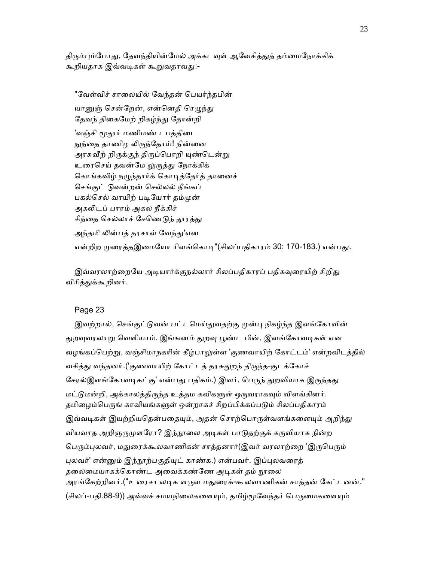திரும்பும்போது, கேவந்தியின்மேல் அக்கடவள் ஆவேசிக்குக் தம்மைநோக்கிக் கூறியதாக இவ்வடிகள் கூறுவதாவது:-

"வேள்விச் சாலையில் வேந்தன் பெயர்ந்தபின் யானுன் சென்றேன், என்னெதி ரெமுந்து தேவந் திகைமேற் றிகழ்ந்து தோன்றி 'வஞ்சி மூதூர் மணிமண் டபத்திடை நுந்தை தாணிழ லிருந்தோய்! நின்னை அரசுவீற் றிருக்குந் திருப்பொறி யுண்டென்று உரைசெய் தவன்மே லுருத்து நோக்கிக் கொங்கவிழ் நழுந்தார்க் கொடித்தேர்த் தானைச் ெசங்குட் ᾌவன்றன் ெசல்லல் நீங்கப் பகல்செல் வாயிற் படியோர் தம்முன் அகலிடப் பாரம் அகல நீக்கிச் சிந்தை செல்லாச் சேணெடுந் தூரத்து அந்தமி லின்பத் தரசாள் வேந்து'என என்றிற முரைக்கஇமையோ ரிளங்கொட"(சிலப்பகிகாரம் 30: 170-183.) என்பகு.

இவ்வரலாற்றையே அடியார்க்குநல்லார் சிலப்பதிகாரப் பதிகவுரையிற் சிறிது விரித்துக்கூறினர்.

## Page 23

இவற்றால், செங்குட்டுவன் பட்டமெய்துவதற்கு முன்பு நிகழ்ந்த இளங்கோவின் துறவுவரலாறு வெளியாம். இங்ஙனம் துறவு பூண்ட பின், இளங்கோவடிகள் என வழங்கப்பெற்று, வஞ்சிமாநகரின் கீழ்பாலுள்ள 'குணவாயிற் கோட்டம்' என்றவிடக்கில் வசித்து வந்தனர்.('குணவாயிற் கோட்டத் தரசுதுறந் திருந்த-குடக்கோச் சேரல்இளங்கோவடிகட்கு' என்பது பதிகம்.) இவர், பெருந் துறவியாக இருந்தது மட்டுமன்றி, அக்காலத்திருந்த உத்தம கவிகளுள் ஒருவராகவும் விளங்கினர். தமிழைம்பெருங் காவியங்களுள் ஒன்றாகச் சிறப்பிக்கப்படும் சிலப்பதிகாரம் இவ்வடிகள் இயற்றியதென்பதையும், அதன் சொற்பொருள்வளங்களையும் அறிந்து வியவாத அறிஞருமுளரோ? இந்நூலை அடிகள் பாடுதற்குக் கருவியாக நின்ற பெரும்புலவர், மதுரைக்கூலவாணிகன் சாத்தனார்(இவர் வரலாற்றை 'இருபெரும் புலவர்' என்னும் இந்நூற்பகுதியுட் காண்க.) என்பவர். இப்புலவரைத் தலைமையாகக்கொண்ட அவைக்கண்ணே அடிகள் தம் நூலை அரங்கேற்றினர்.("உரைசா லடிக ளருள மதுரைக்-கூலவாணிகன் சாத்தன் கேட்டனன்." (சிலப்-பதி.88-9)) அவ்வச் சமயநிலைகளையும், தமிழ்மூவேந்தர் பெருமைகளையும்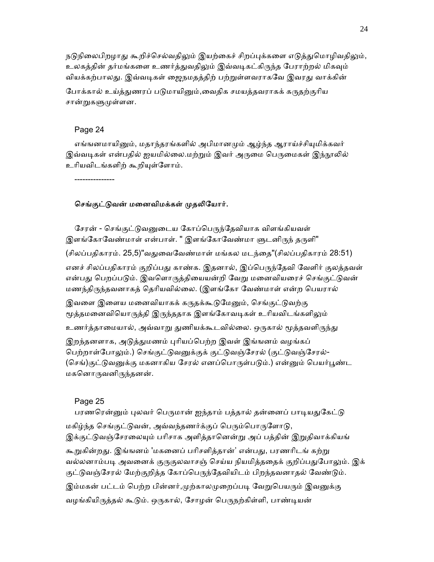நடுநிலைபிறழாது கூறிச்செல்வதிலும் இயற்கைச் சிறப்புக்களை எடுத்துமொழிவதிலும், உலகத்தின் தர்மங்களை உணர்த்துவதிலும் இவ்வடிகட்கிருந்த பேராற்றல் மிகவும் வியக்கற்பாலது. இவ்வடிகள் ஜைநமதத்திற் பற்றுள்ளவராகவே இவரது வாக்கின்

போக்கால் உய்த்துணரப் படுமாயினும்,வைதிக சமயத்தவராகக் கருதற்குரிய சான்றுகளுமுள்ளன.

#### Page 24

எங்ஙனமாயினும், மதாந்தரங்களில் அபிமானமும் ஆழ்ந்த ஆராய்ச்சியுமிக்கவர் இவ்வடிகள் என்பதில் ஐயமில்லை.மற்றும் இவர் அருமை பெருமைகள் இந்நூலில் உரியவிடங்களிற் கூறியுள்ளோம்.

---------------

#### செங்குட்டுவன் மனைவிமக்கள் முதலியோர்.

சேரன் - செங்குட்டுவனுடைய கோப்பெருந்தேவியாக விளங்கியவள் இளங்கோவேண்மாள் என்பாள். " இளங்கோவேண்மா ளுடனிருந் தருளி"

(சிலப்பதிகாரம். 25,5)"வதுவைவேண்மாள் மங்கல மடந்தை"(சிலப்பதிகாரம் 28:51)

எனச் சிலப்பதிகாரம் குறிப்பது காண்க. இதனால், இப்பெருந்தேவி வேளிர் குலத்தவள் என்பது பெறப்படும். இவளொருத்தியையன்றி வேறு மனைவியரைச் செங்குட்டுவன் மணந்திᾞந்தவனாகத் ெதாியவில்ைல. (இளங்ேகா ேவண்மாள் என்ற ெபயரால்

இவளை இளைய மனைவியாகக் கருதக்கூடுமேனும், செங்குட்டுவற்கு மூத்தமனைவியொருத்தி இருந்ததாக இளங்கோவடிகள் உரியவிடங்களிலும்

உணர்த்தாமையால், அவ்வாறு துணியக்கூடவில்லை. ஒருகால் மூத்தவளிருந்து

இறந்தனளாக, அடுத்துமணம் புரியப்பெற்ற இவள் இங்ஙனம் வழங்கப் பெற்றாள்போலும்.) செங்குட்டுவனுக்குக் குட்டுவஞ்சேரல் (குட்டுவஞ்சேரல்-(செங்)குட்டுவனுக்கு மகனாகிய சேரல் எனப்பொருள்படும்.) என்னும் பெயர்பூண்ட மகனொருவனிருந்தனன்.

#### Page 25

பரணரென்னும் புலவர் பெருமான் ஐந்தாம் பத்தால் தன்னைப் பாடியதுகேட்டு மகிழ்ந்த செங்குட்டுவன், அவ்வந்தணர்க்குப் பெரும்பொருளோடு, இக்குட்டுவஞ்சேரலையும் பரிசாக அளித்தானென்று அப் பத்தின் இறுதிவாக்கியங் கூறுகின்றது. இங்ஙனம் 'மகனைப் பரிசளித்தான்' என்பது, பரணரிடங் கற்று வல்லனாம்படி அவனைக் குருகுலவாசஞ் செய்ய நியமித்ததைக் குறிப்பதுபோலும். இக் குட்டுவஞ்சேரல் மேற்குறித்த கோப்பெருந்தேவியிடம் பிறந்தவனாதல் வேண்டும். இம்மகன் பட்டம் பெற்ற பின்னர்,முற்காலமுறைப்படி வேறுபெயரும் இவனுக்கு வழங்கியிருத்தல் கூடும். ஒருகால், சோழன் பெருநற்கிள்ளி, பாண்டியன்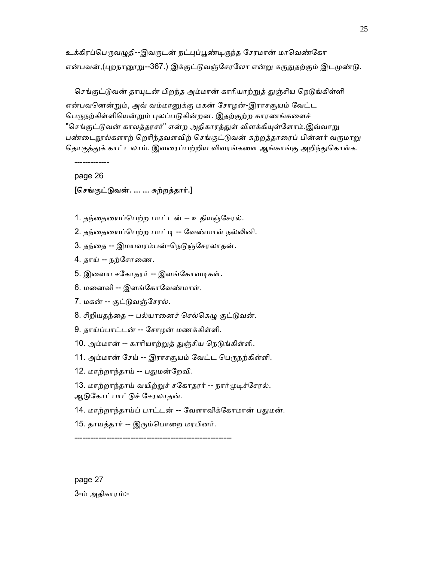உக்கிரப்பெருவழுதி--இவருடன் நட்புப்பூண்டிருந்த சேரமான் மாவெண்கோ என்பவன்,(புறநானூறு--367.) இக்குட்டுவஞ்சேரலோ என்று கருதுதற்கும் இடமுண்டு.

செங்குட்டுவன் தாயுடன் பிறந்த அம்மான் காரியாற்றுத் துஞ்சிய நெடுங்கிள்ளி என்பவனென்றும், அவ் வம்மானுக்கு மகன் சோழன்-இராசசூயம் வேட்ட பெருநற்கிள்ளியென்றும் புலப்படுகின்றன. இதற்குற்ற காரணங்களைச் "செங்குட்டுவன் காலத்தரசர்" என்ற அதிகாரத்துள் விளக்கியுள்ளோம்.இவ்வாறு பண்டைநூல்களாற் றெரிந்தவளவிற் செங்குட்டுவன் சுற்றத்தாரைப் பின்னர் வருமாறு தொகுத்துக் காட்டலாம். இவரைப்பற்றிய விவரங்களை ஆங்காங்கு அறிந்துகொள்க.

-------------

page 26

### [ெசங்குட்ᾌவன். ... ... சுற்றத்தார்.]

- 1. தந்ைதையப்ெபற்ற பாட்டன் -- உதியஞ்ேசரல்.
- 2. தந்தையைப்பெற்ற பாட்டி -- வேண்மாள் நல்லினி.
- 3. தந்தை -- இமயவரம்பன்-நெடுஞ்சேரலாதன்.
- 4. தாய் -- நற்சோணை.
- 5. இளைய சகோதரர் -- இளங்கோவடிகள்.
- 6. மனைவி -- இளங்கோவேண்மாள்.
- 7. மகன் -- குட்ᾌவஞ்ேசரல்.
- 8. சிறியதந்தை -- பல்யானைச் செல்கெழு குட்டுவன்.
- 9. தாய்ப்பாட்டன் -- ேசாழன் மணக்கிள்ளி.
- 10. அம்மான் -- காரியாற்றுத் துஞ்சிய நெடுங்கிள்ளி.
- 11. அம்மான் சேய் -- இராசசூயம் வேட்ட பெருநற்கிள்ளி.
- 12. மாற்றாந்தாய் -- பதுமன்றேவி.
- 13. மாற்றாந்தாய் வயிற்றுச் சகோதரர் -- நார்முடிச்சேரல். ஆᾌேகாட்பாட்ᾌச் ேசரலாதன்.
- 14. மாற்றாந்தாய்ப் பாட்டன் -- வேளாவிக்கோமான் பதுமன்.
- 15. தாயத்தார் -- இரும்பொறை மரபினர்.

-----------------------------------------------------------

 page 27 3-ம் அதிகாரம்:-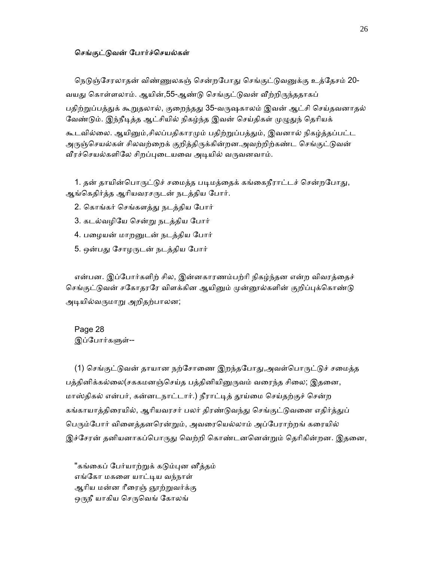#### செங்குட்டுவன் போர்ச்செயல்கள்

நெடுஞ்சேரலாதன் விண்ணுலகஞ் சென்றபோது செங்குட்டுவனுக்கு உத்தேசம் 20-வயது கொள்ளலாம். ஆயின்,55-ஆண்டு செங்குட்டுவன் வீற்றிருந்ததாகப் பதிற்றுப்பத்துக் கூறுதலால், குறைந்தது 35-வருஷகாலம் இவன் ஆட்சி செய்தவனாதல் வேண்டும். இந்நீடித்த ஆட்சியில் நிகழ்ந்த இவன் செய்திகள் முழுதுந் தெரியக்

கூடவில்லை. ஆயினும்,சிலப்பதிகாரமும் பதிற்றுப்பத்தும், இவனால் நிகழ்த்தப்பட்ட அருஞ்செயல்கள் சிலவற்றைக் குறித்திருக்கின்றன.அவற்றிற்கண்ட செங்குட்டுவன் வீரச்செயல்களிலே சிறப்புடையவை அடியில் வருவனவாம்.

1. தன் தாயின்பொருட்டுச் சமைத்த படிமத்தைக் கங்கைநீராட்டச் சென்றபோது, ஆங்கெதிர்த்த ஆரியவரசருடன் நடத்திய போர்.

- 2. ெகாங்கர் ெசங்களத்ᾐ நடத்திய ேபார்
- 3. கடல்வழிேய ெசன்ᾠ நடத்திய ேபார்
- 4. பைழயன் மாறᾔடன் நடத்திய ேபார்
- 5. ஒன்பது சோழருடன் நடத்திய போர்

என்பன. இப்போர்களிற் சில, இன்னகாரணம்பற்ரி நிகழ்ந்தன என்ற விவரத்தைச் செங்குட்டுவன் சகோதரரே விளக்கின ஆயினும் முன்னூல்களின் குறிப்புக்கொண்டு அடியில்வருமாறு அறிதற்பாலன;

 Page 28 இப்போர்களுள்--

(1) செங்குட்டுவன் தாயான நற்சோணை இறந்தபோது,அவள்பொருட்டுச் சமைத்த பத்தினிக்கல்லை(சககமனஞ்செய்த பத்தினியினுருவம் வரைந்த சிலை; இதனை, மாஸ்திகல் என்பர், கன்னடநாட்டார்.) நீராட்டித் தூய்மை செய்தற்குச் சென்ற கங்காயாத்திரையில், ஆரியவரசர் பலர் திரண்டுவந்து செங்குட்டுவனை எதிர்த்துப் பெரும்போர் விளைத்தனரென்றும், அவரையெல்லாம் அப்பேராற்றங் கரையில் இச்சேரன் தனியனாகப்பொருது வெற்றி கொண்டனனென்றும் தெரிகின்றன. இதனை,

"கங்கைப் பேர்யாற்றுக் கடும்புன னீத்தம் எங்ேகா மகைள யாட்ᾊய வந்நாள் ஆரிய மன்ன ரீரைஞ் ஞூற்றுவர்க்கு ஒருநீ யாகிய செருவெங் கோலங்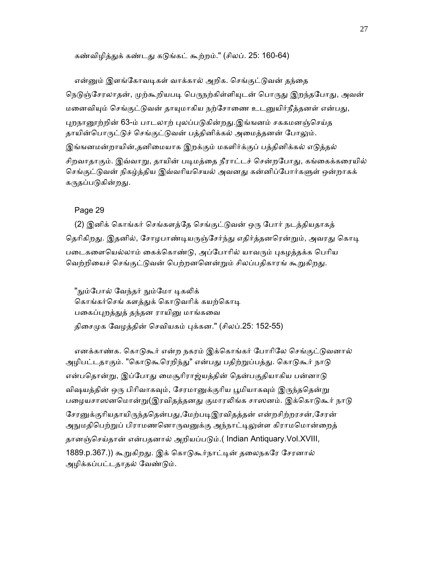கண்விமிக்குக் கண்டது கடுங்கட் கூற்றம்." (சிலப். 25: 160-64)

என்னும் இளங்கோவடிகள் வாக்கால் அறிக. செங்குட்டுவன் தந்தை நெடுஞ்சேரலாதன், முற்கூறியபடி பெருநற்கிள்ளியுடன் பொருது இறந்தபோது, அவன் மனைவியும் செங்குட்டுவன் தாயுமாகிய நற்சோணை உடனுயிர்நீத்தனள் என்பது, புறநானூற்றின் 63-ம் பாடலாற் புலப்படுகின்றது.இங்ஙனம் சககமனஞ்செய்த தாயின்பொருட்டுச் செங்குட்டுவன் பத்தினிக்கல் அமைத்தனன் போலும். இங்ஙனமன்றாயின்,தனிமையாக இறக்கும் மகளிர்க்குப் பத்தினிக்கல் எடுத்தல் சிறவாதாகும். இவ்வாறு, தாயின் படிமத்தை நீராட்டச் சென்றபோது, கங்கைக்கரையில் செங்குட்டுவன் நிகழ்த்திய இவ்வரியசெயல் அவனது கன்னிப்போர்களுள் ஒன்றாகக் கருதப்படுகின்றது.

#### Page 29

(2) இனிக் கொங்கர் செங்களத்தே செங்குட்டுவன் ஒரு போர் நடத்தியதாகத் தெரிகிறது. இதனில், சோழபாண்டியருஞ்சேர்ந்து எதிர்த்தனரென்றும், அவரது கொடி படைகளையெல்லாம் கைக்கொண்டு, அப்போரில் யாவரும் புகழத்தக்க பெரிய வெற்றியைச் செங்குட்டுவன் பெற்றனனென்றும் சிலப்பதிகாரங் கூறுகிறது.

"நும்போல் வேந்தர் நும்மோ டிகலிக் கொங்கர்செங் களத்துக் கொடுவரிக் கயற்கொடி பகைப்புறத்துத் தந்தன ராயினு மாங்கவை திசைமுக வேழத்தின் செவியகம் புக்கன." (சிலப்.25: 152-55)

எனக்காண்க. கொடுகூர் என்ற நகரம் இக்கொங்கர் போரிலே செங்குட்டுவனால் அழிபட்டதாகும். "கொடுகூரெறிந்து" என்பது பதிற்றுப்பத்து. கொடுகூர் நாடு என்பதொன்று, இப்போது மைசூரிராஜ்யத்தின் தென்பகுதியாகிய பன்னாடு விஷயத்தின் ஒரு பிரிவாகவும், சேரமானுக்குரிய பூமியாகவும் இருந்ததென்று பழையசாஸனமொன்று(இரவிதத்தனது குமாரலிங்க சாஸனம். இக்கொடுகூர் நாடு சேரனுக்குரியதாயிருந்ததென்பது,மேற்படிஇரவிதத்தன் என்றசிற்றரசன்,சேரன் அநுமதிபெற்றுப் பிராமணனொருவனுக்கு அந்நாட்டிலுள்ள கிராமமொன்றைத் தானஞ்செய்தான் என்பதனால் அறியப்படும்.( Indian Antiquary.Vol.XVIII, 1889.p.367.)) கூறுகிறது. இக் கொடுகூர்நாட்டின் தலைநகரே சேரனால் அழிக்கப்பட்டதாதல் வேண்டும்.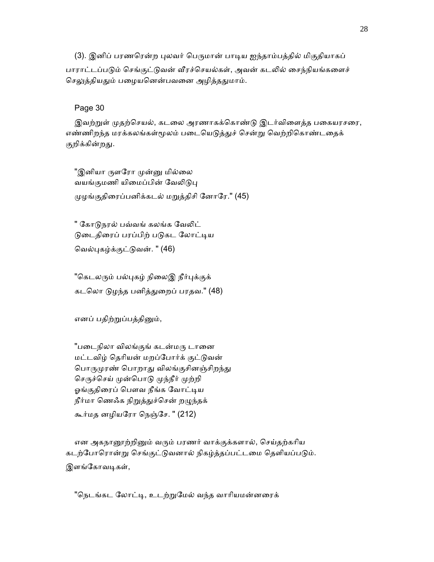(3). இனிப் பரணரென்ற புலவர் பெருமான் பாடிய ஐந்தாம்பத்தில் மிகுதியாகப் பாராட்டப்படும் செங்குட்டுவன் வீரச்செயல்கள், அவன் கடலில் சைந்நியங்களைச் செலுத்தியதும் பழையனென்பவனை அழித்ததுமாம்.

## Page 30

இவற்றுள் முதற்செயல், கடலை அரணாகக்கொண்டு இடர்விளைத்த பகையரசரை, எண்ணிறந்த மரக்கலங்கள்மூலம் படையெடுத்துச் சென்று வெற்றிகொண்டதைக் குறிக்கின்றது.

"இனியா ருளரோ முன்னு மில்லை வயங்குமணி யிமைப்பின் வேலிடுபு ᾙழங்குதிைரப்பனிக்கடல் மᾠத்திசி ேனாேர." (45)

" கோடுநரல் பவ்வங் கலங்க வேலிட் டுடைதிரைப் பரப்பிற் படுகட லோட்டிய ெவல்ᾗகழ்க்குட்ᾌவன். " (46)

"கெடலரும் பல்புகழ் நிலைஇ நீர்புக்குக் கடலொ டுழந்த பனித்துறைப் பரதவ." (48)

எனப் பதிற்றுப்பத்தினும்,

"படைநிலா விலங்குங் கடன்மரு டானை மட்டவிழ் ெதாியன் மறப்ேபார்க் குட்ᾌவன் பொருமுரண் பொறாது விலங்குசினஞ்சிறந்து செருச்செய் முன்பொடு முந்நீர் முற்றி ஓங்குதிரைப் பௌவ நீங்க வோட்டிய நீர்மா ணெஃக நிறுத்துச்சென் றழுந்தக் கூர்மத னழியேரா ெநஞ்ேச. " (212)

என அகநானூற்றினும் வரும் பரணர் வாக்குக்களால், செய்தற்கரிய கடற்போரொன்று செங்குட்டுவனால் நிகழ்த்தப்பட்டமை தெளியப்படும். இளங்கோவடிகள்,

"நெடங்கட லோட்டி, உடற்றுமேல் வந்த வாரியமன்னரைக்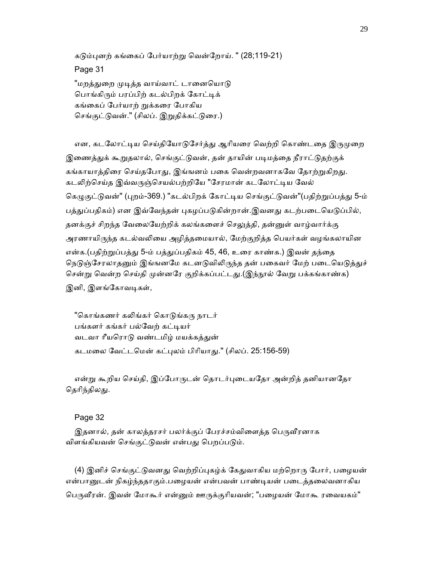கடும்பனற் கங்கைப் பேர்யாற்று வென்றோய். " (28:119-21)

Page 31

"மறத்துறை முடித்த வாய்வாட் டானையொடு பொங்கிரும் பரப்பிற் கடல்பிறக் கோட்டிக் கங்கைப் பேர்யாற் றுக்கரை போகிய செங்குட்டுவன்." (சிலப். இறுதிக்கட்டுரை.)

என, கடலோட்டிய செய்தியோடுசேர்த்து ஆரியரை வெற்றி கொண்டதை இருமுறை இணைத்துக் கூறுதலால், செங்குட்டுவன், தன் தாயின் படிமத்தை நீராட்டுதற்குக் கங்காயாத்திரை செய்தபோது, இங்ஙனம் பகை வென்றவனாகவே தோற்றுகிறது. கடலிற்செய்த இவ்வருஞ்செயல்பற்றியே "சேரமான் கடலோட்டிய வேல் கெழுகுட்டுவன்" (புறம்-369.) "கடல்பிறக் கோட்டிய செங்குட்டுவன்"(பதிற்றுப்பத்து 5-ம் பத்துப்பதிகம்) என இவ்வேந்தன் புகழப்படுகின்றான்.இவனது கடற்படையெடுப்பில், தனக்குச் சிறந்த வேலையேற்றிக் கலங்களைச் செலுத்தி, தன்னுள் வாழ்வார்க்கு அரணாயிருந்த கடல்வலியை அழித்தமையால், மேற்குறித்த பெயர்கள் வழங்கலாயின என்க.(பதிற்றுப்பத்து 5-ம் பத்துப்பதிகம் 45, 46, உரை காண்க.) இவன் தந்தை நெடுஞ்சேரலாதனும் இங்ஙனமே கடனடுவிலிருந்த தன் பகைவர் மேற் படையெடுத்துச் சென்று வென்ற செய்தி முன்னரே குறிக்கப்பட்டது.(இந்நூல் வேறு பக்கங்காண்க) இனி, இளங்கோவடிகள்,

"கொங்கணர் கலிங்கர் கொடுங்கரு நாடர் பங்களர் கங்கர் பல்வேற் கட்டியர் வடவா ரீயரொடு வண்டமிழ் மயக்கத்துன் கடமைல ேவட்டெமன் கட்ᾗலம் பிாியாᾐ." (சிலப். 25:156-59)

என்று கூறிய செய்தி, இப்போருடன் தொடர்புடையதோ அன்றித் தனியானதோ தெரிந்திலது.

## Page 32

இதனால், தன் காலத்தரசர் பலர்க்குப் பேரச்சம்விளைத்த பெருவீரனாக விளங்கியவன் செங்குட்டுவன் என்பது பெறப்படும்.

(4) இனிச் செங்குட்டுவனது வெற்றிப்புகழ்க் கேதுவாகிய மற்றொரு போர், பழையன் என்பானுடன் நிகழ்ந்ததாகும்.பழையன் என்பவன் பாண்டியன் படைத்தலைவனாகிய பெருவீரன். இவன் மோகூர் என்னும் ஊருக்குரியவன்; "பழையன் மோகூ ரவையகம்"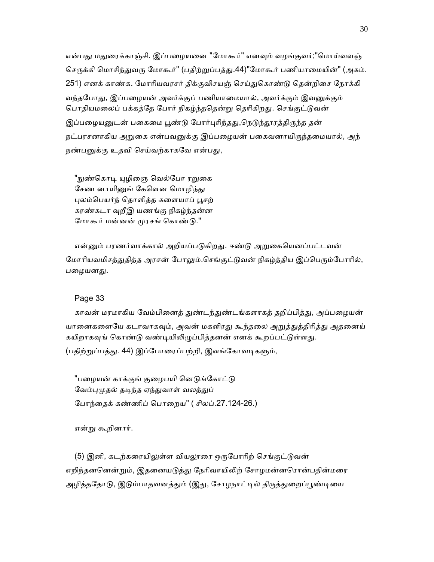என்பது மதுரைக்காஞ்சி. இப்பழையனை "மோகூர்" எனவும் வழங்குவர்;"மொய்வளஞ் செருக்கி மொசிந்துவரு மோகூர்" (பதிற்றுப்பத்து.44)"மோகூர் பணியாமையின்" (அகம். 251) எனக் காண்க. மோரியவரசர் திக்குவிசயஞ் செய்துகொண்டு தென்றிசை நோக்கி வந்தபோது, இப்பழையன் அவர்க்குப் பணியாமையால், அவர்க்கும் இவனுக்கும் பொதியமலைப் பக்கத்தே போர் நிகழ்ந்ததென்று தெரிகிறது. செங்குட்டுவன் இப்பழையனுடன் பகைமை பூண்டு போர்புரிந்தது,நெடுந்தூரத்திருந்த தன் நட்பரசனாகிய அறுகை என்பவனுக்கு இப்பழையன் பகைவனாயிருந்தமையால், அந் நண்பனுக்கு உதவி செய்வற்காகவே என்பது,

"நுண்கொடி யுழிஞை வெல்போ ரறுகை சேண னாயினுங் கேளென மொழிந்து புலம்பெயர்ந் தொளித்த களையாப் பூசற் கரண்கடா ᾫறீஇ யணங்கு நிகழ்ந்தன்ன மோகூர் மன்னன் முரசங் கொண்டு."

என்னும் பரணர்வாக்கால் அறியப்படுகிறது. ஈண்டு அறுகையெனப்பட்டவன் மோரியவமிசத்துதித்த அரசன் போலும்.செங்குட்டுவன் நிகழ்த்திய இப்பெரும்போரில், பழையனது.

## Page 33

காவன் மரமாகிய வேம்பினைத் துண்டந்துண்டங்களாகத் தறிப்பித்து, அப்பழையன் யானைகளையே கடாவாகவும், அவன் மகளிரது கூந்தலை அறுத்துத்திரித்து அதனைய் கயிறாகவுங் கொண்டு வண்டியிலிழுப்பித்தனன் எனக் கூறப்பட்டுள்ளது. (பதிற்றுப்பத்து. 44) இப்போரைப்பற்றி, இளங்கோவடிகளும்,

"பழையன் காக்குங் குழைபயி னெடுங்கோட்டு வேம்புமுதல் தடிந்த ஏந்துவாள் வலத்துப் ேபாந்ைதக் கண்ணிப் ெபாைறய" ( சிலப்.27.124-26.)

என்ᾠ கூறினார்.

(5) இனி, கடற்கரையிலுள்ள வியலூரை ஒருபோரிற் செங்குட்டுவன் எறிந்தனனென்றும், இதனையடுத்து நேரிவாயிலிற் சோழமன்னரொன்பதின்மரை அழித்ததோடு, இடும்பாதவனத்தும் (இது, சோழநாட்டில் திருத்துறைப்பூண்டியை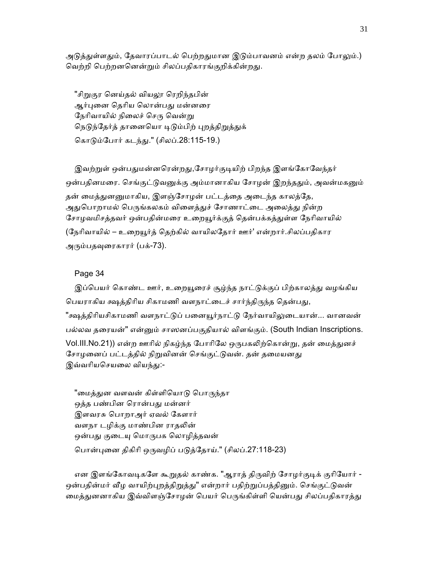அடுத்துள்ளதும், தேவாரப்பாடல் பெற்றதுமான இடும்பாவனம் என்ற தலம் போலும்.) வெற்றி பெற்றனனென்றும் சிலப்பதிகாரங்குறிக்கின்றது.

"சிறுகுர னெய்தல் வியலூ ரெறிந்தபின் ஆர்புனை தெரிய லொன்பது மன்னரை நேரிவாயில் நிலைச் செரு வென்று நெடுந்தேர்த் தானையொ டிடும்பிற் புறத்திறுத்துக் ெகாᾌம்ேபார் கடந்ᾐ." (சிலப்.28:115-19.)

இவற்றுள் ஒன்பதுமன்னரென்றது,சோழர்குடியிற் பிறந்த இளங்கோவேந்தர் ஒன்பதினமரை. செங்குட்டுவனுக்கு அம்மானாகிய சோழன் இறந்ததும், அவன்மகனும் தன் மைத்துனனுமாகிய, இளஞ்சோழன் பட்டத்தை அடைந்த காலத்தே, அதுபொறாமல் பெருங்கலகம் விளைத்துச் சோணாட்டை அலைத்து நின்ற சோழவமிசத்தவர் ஒன்பதின்மரை உறையூர்க்குத் தென்பக்கத்துள்ள நேரிவாயில் (நேரிவாயில் – உறையூர்த் தெற்கில் வாயிலதோர் ஊர்' என்றார்.சிலப்பதிகார அᾞம்பதᾫைரகாரர் (பக்-73).

## Page 34

இப்பெயர் கொண்ட ஊர், உறையூரைச் சூழ்ந்த நாட்டுக்குப் பிற்காலத்து வழங்கிய பெயராகிய க்ஷக்திரிய சிகாமணி வளநாட்டைச் சார்ந்திருந்த தென்பது, "க்ஷத்திரியசிகாமணி வளநாட்டுப் பனையூர்நாட்டு நேர்வாயிலுடையான்... வானவன் பல்லவ தைரயன்" என்ᾔம் சாஸனப்பகுதியால் விளங்கும். (South Indian Inscriptions. Vol.III.No.21)) என்ற ஊரில் நிகழ்ந்த போரிலே ஒருபகலிற்கொன்று, தன் மைத்துனச் சோழனைப் பட்டத்தில் நிறுவினன் செங்குட்டுவன். தன் தமையனது இவ்வரியசெயலை வியந்து:-

"மைத்துன வளவன் கிள்ளியொடு பொருந்தா ஒத்த பண்பின ெரான்பᾐ மன்னர் இளவரசு ெபாறாஅர் ஏவல் ேகளார் வளநா டழிக்கு மாண்பின ராதலின் ஒன்பது குடையு மொருபக லொழித்தவன் ெபான்ᾗைன திகிாி ஒᾞவழிப் பᾌத்ேதாய்." (சிலப்.27:118-23)

என இளங்கோவடிகளே கூறுதல் காண்க. "ஆராத் திருவிற் சோழர்குடிக் குரியோர் -ஒன்பதின்மர் வீழ வாயிற்புறத்திறுத்து" என்றார் பதிற்றுப்பத்தினும். செங்குட்டுவன் மைத்துனனாகிய இவ்விளஞ்சோழன் பெயர் பெருங்கிள்ளி யென்பது சிலப்பதிகாரத்து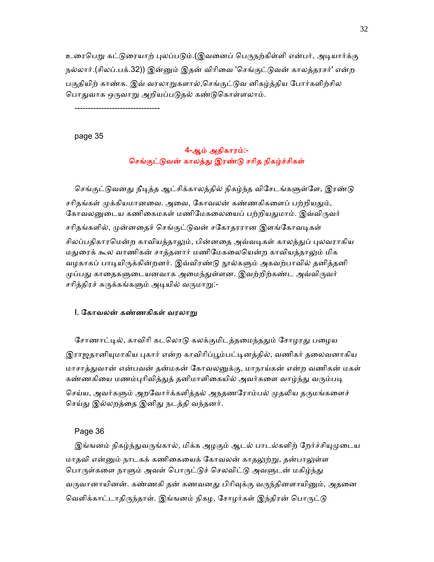உரைபெறு கட்டுரையாற் புலப்படும்.(இவனைப் பெருநற்கிள்ளி என்பர், அடியார்க்கு நல்லார்.(சிலப்.பக்.32)) இன்னும் இதன் விரிவை 'செங்குட்டுவன் காலத்தரசர்' என்ற பகுதியிற் காண்க. இவ் வரலாறுகளால்,செங்குட்டுவ னிகழ்த்திய போர்களிற்சில பொதுவாக ஒருவாறு அறியப்படுதல் கண்டுகொள்ளலாம்.

--------------------------------

page 35

## 4-ஆம் அதிகாரம்:- செங்குட்டுவன் காலத்து இரண்டு சரித நிகழ்ச்சிகள்

செங்குட்டுவனது நீடித்த ஆட்சிக்காலத்தில் நிகழ்ந்த விசேடங்களுள்ளே, இரண்டு சரிதங்கள் முக்கியமானவை. அவை, கோவலன் கண்ணகிகளைப் பற்றியதும், கோவலனுடைய கணிகைமகள் மணிமேகலையைப் பற்றியதுமாம். இவ்விருவர் சரிதங்களில், முன்னதைச் செங்குட்டுவன் சகோதரரான இளங்கோவடிகள் சிலப்பதிகாரமென்ற காவியத்தாலும், பின்னதை அவ்வடிகள் காலத்துப் புலவராகிய மதுரைக் கூல வாணிகன் சாத்தனார் மணிமேகலையென்ற காவியத்தாலும் மிக வழகாகப் பாடியிருக்கின்றனர். இவ்விரண்டு நூல்களும் அகவற்பாவில் தனித்தனி முப்பது காதைகளுடையனவாக அமைந்துள்ளன. இவற்றிற்கண்ட அவ்விருவர் சரித்திரச் சுருக்கங்களும் அடியில் வருமாறு:-

## I. கோவலன் கண்ணகிகள் வரலாறு

சோணாட்டில், காவிரி கடலொடு கலக்குமிடத்தமைந்ததும் சோழரது பழைய இராஜதானியுமாகிய புகார் என்ற காவிரிப்பூம்பட்டினத்தில், வணிகர் தலைவனாகிய மாசாத்துவான் என்பவன் தன்மகன் கோவலனுக்கு, மாநாய்கன் என்ற வணிகன் மகள் கண்ணகியை மணம்புரிவித்துத் தனிமாளிகையில் அவர்களை வாழ்ந்து வரும்படி செய்ய, அவர்களும் அறவோர்க்களித்தல் அநதணரோம்பல் முதலிய தருமங்களைச் செய்து இல்லறத்தை இனிது நடத்தி வந்தனர்.

## Page 36

இங்ஙனம் நிகழ்ந்துவருங்கால், மிக்க அழகும் ஆடல் பாடல்களிற் றேர்ச்சியுமுடைய மாதவி என்னும் நாடகக் கணிகையைக் கோவலன் காதலுற்று, தன்பாலுள்ள பொருள்களை நாளும் அவள் பொருட்டுச் செலவிட்டு அவளுடன் மகிழ்ந்து வருவானாயினன். கண்ணகி தன் கணவனது பிரிவுக்கு வருந்தினளாயினும், அதனை வெளிக்காட்டாதிருந்தாள். இங்ஙனம் நிகழ, சோழர்கள் இந்திரன் பொருட்டு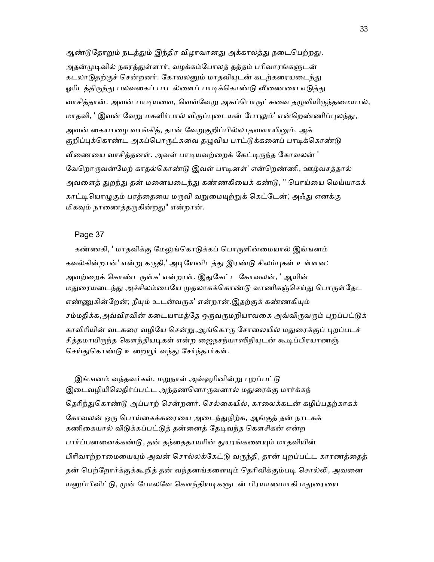ஆண்டுதோறும் நடத்தும் இந்திர விழாவானது அக்காலத்து நடைபெற்றது. அதன்முடிவில் நகரத்துள்ளார், வழக்கம்போலத் தத்தம் பரிவாரங்களுடன் கடலாடுதற்குச் சென்றனர். கோவலனும் மாதவியுடன் கடற்கரையடைந்து ஓரிடத்திருந்து பலவகைப் பாடல்ளைப் பாடிக்கொண்டு வீணையை எடுத்து வாசித்தான். அவன் பாடியவை, வெவ்வேறு அகப்பொருட்சுவை தழுவியிருந்தமையால், மாதவி, ' இவன் வேறு மகளிர்பால் விருப்புடையன் போலும்' என்றெண்ணிப்புலந்து, அவன் கையாழை வாங்கித், தான் வேறுகுறிப்பில்லாதவளாயினும், அக் குறிப்புக்கொண்ட அகப்பொருட்சுவை தழுவிய பாட்டுக்களைப் பாடிக்கொண்டு வீணையை வாசித்தனள். அவள் பாடியவற்றைக் கேட்டிருந்த கோவலன் ' வேறொருவன்மேற் காதல்கொண்டு இவள் பாடினள்' என்றெண்ணி, ஊழ்வசத்தால் அவளைத் துறந்து தன் மனையடைந்து கண்ணகியைக் கண்டு, " பொய்யை மெய்யாகக் காட்டியொழுகும் பரத்தையை மருவி வறுமையுற்றுக் கெட்டேன்; அஃது எனக்கு மிகவும் நாணைத்தருகின்றது" என்றான்.

## Page 37

கண்ணகி, ' மாதவிக்கு மேலுங்கொடுக்கப் பொருளின்மையால் இங்ஙனம் கவல்கின்றான்' என்று கருதி,' அடியேனிடத்து இரண்டு சிலம்புகள் உள்ளன: அவற்றைக் கொண்டருள்க' என்றாள். இதுகேட்ட கோவலன், ' ஆயின் மதுரையடைந்து அச்சிலம்பையே முதலாகக்கொண்டு வாணிகஞ்செய்து பொருள்தேட எண்ணுகின்றேன்; நீயும் உடன்வருக' என்றான்.இதற்குக் கண்ணகியும் சம்மதிக்க,அவ்விரவின் கடையாமத்தே ஒருவருமறியாவகை அவ்விருவரும் புறப்பட்டுக் காவிரியின் வடகரை வழியே சென்று,ஆங்கொரு சோலையில் மதுரைக்குப் புறப்படச் சித்தமாயிருந்த கௌந்தியடிகள் என்ற ஜைநசந்யாஸிநியுடன் கூடிப்பிரயாணஞ் செய்துகொண்டு உறையூர் வந்து சேர்ந்தார்கள்.

இங்ஙனம் வந்தவர்கள், மறுநாள் அவ்வூரினின்று புறப்பட்டு இடைவழியிலெதிர்ப்பட்ட அந்தணனொருவனால் மதுரைக்கு மார்க்கந் தெரிந்துகொண்டு அப்பாற் சென்றனர். செல்கையில், காலைக்கடன் கழிப்பதற்காகக் கோவலன் ஒரு பொய்கைக்கரையை அடைந்துநிற்க, ஆங்குத் தன் நாடகக் கணிகையால் விடுக்கப்பட்டுத் தன்னைத் தேடிவந்த கௌசிகன் என்ற பார்ப்பனனைக்கண்டு, தன் தந்தைதாயரின் துயரங்களையும் மாதவியின் பிரிவாற்றாமையையும் அவன் சொல்லக்கேட்டு வருந்தி, தான் புறப்பட்ட காரணத்தைத் தன் பெற்றோர்க்குக்கூறித் தன் வந்தனங்களையும் தெரிவிக்கும்படி சொல்லி, அவனை யனுப்பிவிட்டு, முன் போலவே கௌந்தியடிகளுடன் பிரயாணமாகி மதுரையை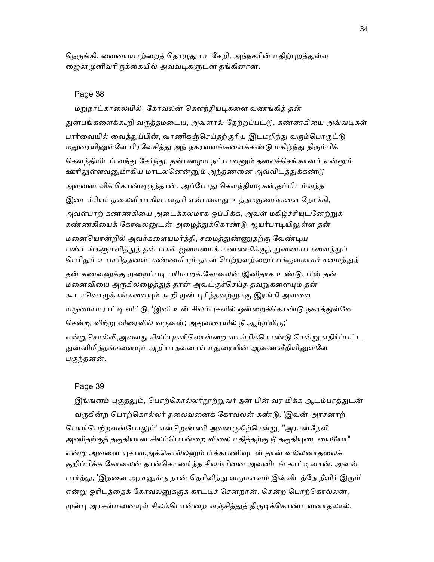நெருங்கி, வையையாற்றைத் தொழுது படகேறி, அந்நகரின் மதிற்புறத்துள்ள ஜைனமுனிவரிருக்கையில் அவ்வடிகளுடன் தங்கினான்.

#### Page 38

மறுநாட்காலையில், கோவலன் கௌந்தியடிகளை வணங்கித் தன் துன்பங்களைக்கூறி வருத்தமடைய, அவளால் தேற்றப்பட்டு, கண்ணகியை அவ்வடிகள் பார்வையில் வைத்துப்பின், வாணிகஞ்செய்தற்குரிய இடமறிந்து வரும்பொருட்டு மதுரையினுள்ளே பிரவேசித்து அந் நகரவளங்களைக்கண்டு மகிழ்ந்து திரும்பிக் கௌந்தியிடம் வந்து சேர்ந்து, தன்பழைய நட்பாளனும் தலைச்செங்கானம் என்னும் ஊரிலுள்ளவனுமாகிய மாடலனென்னும் அந்தணனை அவ்விடத்துக்கண்டு அளவளாவிக் கொண்டிருந்தான். அப்போது கௌந்தியடிகள்,தம்மிடம்வந்த இடைச்சியர் தலைவியாகிய மாதரி என்பவளது உத்தமகுணங்களை நோக்கி, அவள்பாற் கண்ணகியை அடைக்கலமாக ஒப்பிக்க, அவள் மகிழ்ச்சியுடனேற்றுக் கண்ணகியைக் கோவலனுடன் அழைத்துக்கொண்டு ஆயர்பாடியிலுள்ள தன் மனையொன்றில் அவர்களையமர்த்தி, சமைத்துண்ணுதற்கு வேண்டிய பண்டங்களுமளித்துத் தன் மகள் ஐயையைக் கண்ணகிக்குத் துணையாகவைத்துப் பெரிதும் உபசரித்தனள். கண்ணகியும் தான் பெற்றவற்றைப் பக்குவமாகச் சமைத்துத் தன் கணவனுக்கு முறைப்படி பரிமாறக்,கோவலன் இனிதாக உண்டு, பின் தன் மனைவியை அருகிலழைத்துத் தான் அவட்குச்செய்த தவறுகளையும் தன் கூடாவொழுக்கங்களையும் கூறி முன் புரிந்தவற்றுக்கு இரங்கி அவளை யருமைபாராட்டி விட்டு, 'இனி உன் சிலம்புகளில் ஒன்றைக்கொண்டு நகரத்துள்ளே சென்று விற்று விரைவில் வருவன்; அதுவரையில் நீ ஆற்றியிரு;' என்றுசொல்லி,அவளது சிலம்புகளிலொன்றை வாங்கிக்கொண்டு சென்று,எதிர்ப்பட்ட துன்னிமித்தங்களையும் அறியாதவனாய் மதுரையின் ஆவணவீதியினுள்ளே

#### புகுந்தனன்.

#### Page 39

இங்ஙனம் புகுதலும், பொற்கொல்லர்நூற்றுவர் தன் பின் வர மிக்க ஆடம்பரத்துடன் வருகின்ற பொற்கொல்லர் தலைவனைக் கோவலன் கண்டு, 'இவன் அரசனாற் பெயர்பெற்றவன்போலும்' என்றெண்ணி அவனருகிற்சென்று, "அரசன்தேவி அணிதற்குத் தகுதியான சிலம்பொன்றை விலை மதித்தற்கு நீ தகுதியுடையையோ" என்று அவனை யுசாவ,அக்கொல்லனும் மிக்கபணிவுடன் தான் வல்லனாதலைக் குறிப்பிக்க கோவலன் தான்கொணர்ந்த சிலம்பினை அவனிடங் காட்டினான். அவன் பார்த்து, 'இதனை அரசனுக்கு நான் தெரிவித்து வருமளவும் இவ்விடத்தே நீவிர் இரும்' என்று ஓரிடத்தைக் கோவலனுக்குக் காட்டிச் சென்றான். சென்ற பொற்கொல்லன், முன்பு அரசன்மனையுள் சிலம்பொன்றை வஞ்சித்துத் திருடிக்கொண்டவனாதலால்,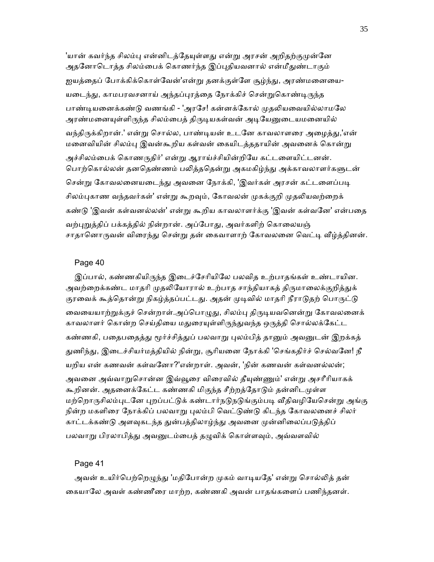'யான் கவர்ந்த சிலம்பு என்னிடத்தேயுள்ளது என்று அரசன் அறிதற்குமுன்னே அதனோடொத்த சிலம்பைக் கொணர்ந்த இப்புதியவனால் என்மீதுண்டாகும் ஜயத்தைப் போக்கிக்கொள்வேன்'என்று தனக்குள்ளே சூழ்ந்து, அரண்மனையை-யடைந்து, காமபரவசனாய் அந்தப்புரத்தை நோக்கிச் சென்றுகொண்டிருந்த பாண்டியனைக்கண்டு வணங்கி - 'அரசே! கன்னக்கோல் முதலியவையில்லாமலே அரண்மனையுள்ளிருந்த சிலம்பைத் திருடியகள்வன் அடியேனுடையமனையில் வந்திருக்கிறான்.' என்று சொல்ல, பாண்டியன் உடனே காவலாளரை அழைத்து,'என் மனைவியின் சிலம்பு இவன்கூறிய கள்வன் கையிடத்ததாயின் அவனைக் கொன்று அச்சிலம்பைக் கொணருதிர்' என்று ஆராய்ச்சியின்றியே கட்டளையிட்டனன். பொற்கொல்லன் தனதெண்ணம் பலித்ததென்று அகமகிழ்ந்து அக்காவலாளர்களுடன் சென்று கோவலனையடைந்து அவனை நோக்கி, 'இவர்கள் அரசன் கட்டளைப்படி சிலம்புகாண வந்தவர்கள்' என்று கூறவும், கோவலன் முகக்குறி முதலியவற்றைக் கண்டு 'இவன் கள்வனல்லன்' என்று கூறிய காவலாளர்க்கு 'இவன் கள்வனே' என்பதை வற்புறுத்திப் பக்கத்தில் நின்றான். அப்போது, அவர்களிற் கொலையஞ் சாதானொருவன் விரைந்து சென்று தன் கைவாளாற் கோவலனை வெட்டி வீழ்த்தினன்.

#### Page 40

இப்பால், கண்ணகியிருந்த இடைச்சேரியிலே பலவித உற்பாதங்கள் உண்டாயின. அவற்றைக்கண்ட மாதரி முதலியோரால் உற்பாத சாந்தியாகத் திருமாலைக்குறித்துக் குரவைக் கூத்தொன்று நிகழ்த்தப்பட்டது. அதன் முடிவில் மாதரி நீராடுதற் பொருட்டு வையையாற்றுக்குச் சென்றாள்.அப்பொழுது, சிலம்பு திருடியவனென்று கோவலனைக் காவலாளர் கொன்ற செய்தியை மதுரையுள்ளிருந்துவந்த ஒருத்தி சொல்லக்கேட்ட கண்ணகி, பதைபதைத்து மூர்ச்சித்துப் பலவாறு புலம்பித் தானும் அவனுடன் இறக்கத் துணிந்து, இடைச்சியர்மத்தியில் நின்று, சூரியனை நோக்கி 'செங்கதிர்ச் செல்வனே! நீ யறிய என் கணவன் கள்வேனா?'என்றாள். அவன், 'நின் கணவன் கள்வனல்லன்; அவனை அவ்வாறுசொன்ன இவ்வூரை விரைவில் தீயுண்ணும்' என்று அசரீரியாகக் கூறினன். அதனைக்கேட்ட கண்ணகி மிகுந்த சீற்றத்தோடும் தன்னிடமுள்ள மற்றொருசிலம்புடனே புறப்பட்டுக் கண்டார்நடுநடுங்கும்படி வீதிவழியேசென்று அங்கு நின்ற மகளிரை நோக்கிப் பலவாறு புலம்பி வெட்டுண்டு கிடந்த கோவலனைச் சிலர் காட்டக்கண்டு அளவுகடந்த துன்பத்திலாழ்ந்து அவனை முன்னிலைப்படுத்திப் பலவாறு பிரலாபித்து அவனுடம்பைத் தழுவிக் கொள்ளவும், அவ்வளவில்

#### Page 41

அவன் உயிர்பெற்றெழுந்து 'மதிபோன்ற முகம் வாடியதே' என்று சொல்லித் தன் ைகயாேல அவள் கண்ணீைர மாற்ற, கண்ணகி அவன் பாதங்கைளப் பணிந்தனள்.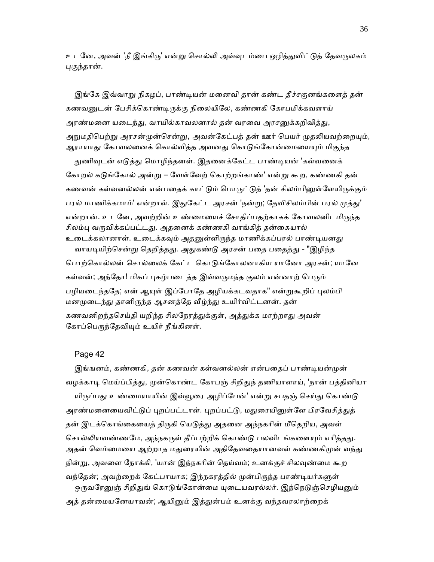உடனே, அவன் 'நீ இங்கிரு' என்று சொல்லி அவ்வுடம்பை ஒழித்துவிட்டுத் தேவருலகம் ᾗகுந்தான்.

இங்கே இவ்வாறு நிகழப், பாண்டியன் மனைவி தான் கண்ட தீச்சகுனங்களைத் தன் கணவனுடன் பேசிக்கொண்டிருக்கு நிலையிலே, கண்ணகி கோபமிக்கவளாய் அரண்மனை யடைந்து, வாயில்காவலனால் தன் வரவை அரசனுக்கறிவித்து, அநுமதிபெற்று அரசன்முன்சென்று, அவன்கேட்பத் தன் ஊர் பெயர் முதலியவற்றையும், ஆராயாது கோவலனைக் கொல்வித்த அவனது கொடுங்கோன்மையையும் மிகுந்த

துணிவுடன் எடுத்து மொழிந்தனள். இதனைக்கேட்ட பாண்டியன் 'கள்வனைக் கோறல் கடுங்கோல் அன்று – வேள்வேற் கொற்றங்காண்' என்று கூற, கண்ணகி தன் கணவன் கள்வனல்லன் என்பதைக் காட்டும் பொருட்டுத் 'தன் சிலம்பினுள்ளேயிருக்கும் பரல் மாணிக்கமாம்' என்றாள். இதுகேட்ட அரசன் 'நன்று; தேவிசிலம்பின் பரல் முத்து' என்றான். உடனே, அவற்றின் உண்மையைச் சோதிப்பதற்காகக் கோவலனிடமிருந்த சிலம்பு வருவிக்கப்பட்டது. அதனைக் கண்ணகி வாங்கித் தன்கையால் உடைக்கலானாள். உடைக்கவும் அதனுள்ளிருந்த மாணிக்கப்பரல் பாண்டியனது வாயடியிற்சென்று தெறித்தது. அதுகண்டு அரசன் பதை பதைத்து - "இழிந்த பொற்கொல்லன் சொல்லைக் கேட்ட கொடுங்கோலனாகிய யானோ அரசன்; யானே கள்வன்; அந்தோ! மிகப் புகழ்படைத்த இவ்வருமந்த குலம் என்னாற் பெரும் பழியடைந்ததே; என் ஆயுள் இப்போதே அழியக்கடவதாக" என்றுகூறிப் புலம்பி மனமுடைந்து தானிருந்த ஆசனத்தே வீழ்ந்து உயிர்விட்டனன். தன் கணவனிறந்தசெய்தி யறிந்த சிலநேரத்துக்குள், அத்துக்க மாற்றாது அவன் கோப்பெருந்தேவியும் உயிர் நீங்கினள்.

#### Page 42

இங்ஙனம், கண்ணகி, தன் கணவன் கள்வனல்லன் என்பதைப் பாண்டியன்முன் வழக்காடி மெய்ப்பித்து, முன்கொண்ட கோபஞ் சிறிதுந் தணியாளாய், 'நான் பத்தினியா யிருப்பது உண்மையாயின் இவ்வூரை அழிப்பேன்' என்று சபதஞ் செய்து கொண்டு அரண்மனையைவிட்டுப் புறப்பட்டாள். புறப்பட்டு, மதுரையினுள்ளே பிரவேசித்துத் தன் இடக்கொங்கையைத் திருகி யெடுத்து அதனை அந்நகரின் மீதெறிய, அவள் சொல்லியவண்ணமே, அந்நகருள் தீப்பற்றிக் கொண்டு பலவிடங்களையும் எரித்தது. அதன் வெம்மையை ஆற்றாத மதுரையின் அதிதேவதையானவள் கண்ணகிமுன் வந்து நின்ᾠ, அவைள ேநாக்கி, 'யான் இந்நகாின் ெதய்வம்; உனக்குச் சிலᾫண்ைம கூற வந்தேன்; அவற்றைக் கேட்பாயாக; இந்நகரத்தில் முன்பிருந்த பாண்டியர்களுள் ஒருவரேனுஞ் சிறிதுங் கொடுங்கோன்மை யுடையவரல்லர். இந்நெடுஞ்செழியனும் அத் தன்மையனேயாவன்; ஆயினும் இத்துன்பம் உனக்கு வந்தவரலாற்றைக்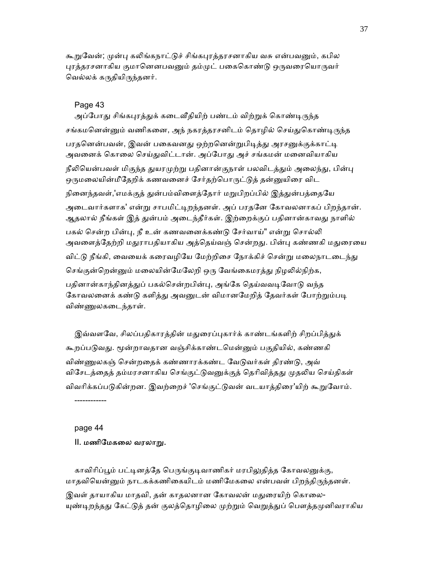கூறுவேன்; முன்பு கலிங்கநாட்டுச் சிங்கபுரத்தரசனாகிய வசு என்பவனும், கபில புரத்தரசனாகிய குமானெனபவனும் தம்முட் பகைகொண்டு ஒருவரையொருவர் ெவல்லக் கᾞதியிᾞந்தனர்.

#### Page 43

அப்போது சிங்கபுரத்துக் கடைவீதியிற் பண்டம் விற்றுக் கொண்டிருந்த சங்கமனென்னும் வணிகனை, அந் நகரத்தரசனிடம் தொழில் செய்துகொண்டிருந்த பரதனென்பவன், இவன் பகைவனது ஒற்றனென்றுபிடித்து அரசனுக்குக்காட்டி அவனைக் கொலை செய்துவிட்டான். அப்போது அச் சங்கமன் மனைவியாகிய நீலியென்பவள் மிகுந்த துயரமுற்று பதினான்குநாள் பலவிடத்தும் அலைந்து, பின்பு ஒருமலையின்மீதேறிக் கணவனைச் சேர்தற்பொருட்டுத் தன்னுயிரை விட நினைந்தவள்,'எமக்குத் துன்பம்விளைத்தோர் மறுபிறப்பில் இத்துன்பத்தையே அடைவார்களாக' என்று சாபமிட்டிறந்தனள். அப் பரதனே கோவலனாகப் பிறந்தான். ஆதலால் நீங்கள் இத் துன்பம் அடைந்தீர்கள். இற்றைக்குப் பதினான்காவது நாளில் பகல் சென்ற பின்பு, நீ உன் கணவனைக்கண்டு சேர்வாய்" என்று சொல்லி அவளைத்தேற்றி மதுராபதியாகிய அத்தெய்வஞ் சென்றது. பின்பு கண்ணகி மதுரையை விட்டு நீங்கி, வையைக் கரைவழியே மேற்றிசை நோக்கிச் சென்று மலைநாடடைந்து செங்குன்றென்னும் மலையின்மேலேறி ஒரு வேங்கைமரத்து நிழலில்நிற்க, பதினான்காந்தினத்துப் பகல்சென்றபின்பு, அங்கே தெய்வவடிவோடு வந்த கோவலனைக் கண்டு களித்து அவனுடன் விமானமேறித் தேவர்கள் போற்றும்படி விண்ᾎலகைடந்தாள்.

இவ்வளவே, சிலப்பதிகாரத்தின் மதுரைப்புகார்க் காண்டங்களிற் சிறப்பித்துக் கூறப்படுவது. மூன்றாவதான வஞ்சிக்காண்டமென்னும் பகுதியில், கண்ணகி விண்ணுலகஞ் சென்றதைக் கண்ணாரக்கண்ட வேடுவர்கள் திரண்டு, அவ் விசேடத்தைத் தம்மரசனாகிய செங்குட்டுவனுக்குத் தெரிவித்தது முதலிய செய்திகள் விவரிக்கப்படுகின்றன. இவற்றைச் 'செங்குட்டுவன் வடயாத்திரை'யிற் கூறுவோம்.

------------

#### page 44

## II. மணிமேகலை வரலாறு.

காவிரிப்பூம் பட்டினத்தே பெருங்குடிவாணிகர் மரபிலுதித்த கோவலனுக்கு, மாதவியென்னும் நாடகக்கணிகையிடம் மணிமேகலை என்பவள் பிறந்திருந்தனள். இவள் தாயாகிய மாதவி, தன் காதலனான கோவலன் மதுரையிற் கொலை-யுண்டிறந்தது கேட்டுத் தன் குலத்தொழிலை முற்றும் வெறுத்துப் பௌத்தமுனிவராகிய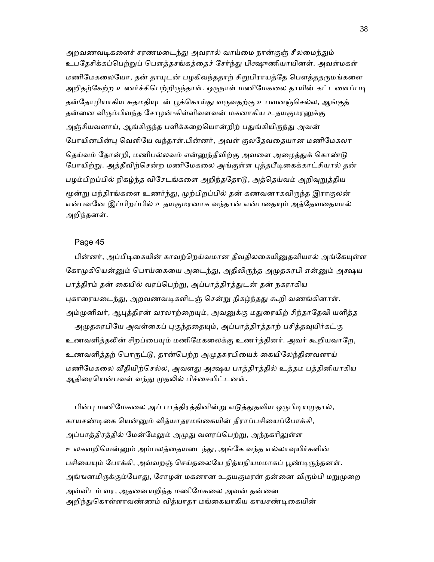அறவணவடிகளைச் சரணமடைந்து அவரால் வாய்மை நான்குஞ் சீலமைந்தும் உபதேசிக்கப்பெற்றுப் பௌத்தசங்கத்தைச் சேர்ந்து பிக்ஷுணியாயினள். அவள்மகள் மணிமேகலையோ, தன் தாயுடன் பழகிவந்ததாற் சிறுபிராயத்தே பௌத்ததருமங்களை அறிதற்கேற்ற உணர்ச்சிபெற்றிருந்தாள். ஒருநாள் மணிமேகலை தாயின் கட்டளைப்படி தன்தோழியாகிய சுதமதியுடன் பூக்கொய்து வருவதற்கு உபவனஞ்செல்ல, ஆங்குத் தன்னை விரும்பிவந்த சோழன்-கிள்ளிவளவன் மகனாகிய உதயகுமரனுக்கு அஞ்சியவளாய், ஆங்கிருந்த பளிக்கறையொன்றிற் பதுங்கியிருந்து அவன் போயினபின்பு வெளியே வந்தாள்.பின்னர், அவள் குலதேவதையான மணிமேகலா தெய்வம் தோன்றி, மணிபல்லவம் என்னுந்தீவிற்கு அவளை அழைத்துக் கொண்டு போயிற்று. அத்தீவிற்சென்ற மணிமேகலை அங்குள்ள புத்தபீடிகைக்காட்சியால் தன் பழம்பிறப்பில் நிகழ்ந்த விசேடங்களை அறிந்ததோடு, அத்தெய்வம் அறிவுறுத்திய மூன்று மந்திரங்களை உணர்ந்து, முற்பிறப்பில் தன் கணவனாகவிருந்த இராகுலன் என்பவனே இப்பிறப்பில் உதயகுமரனாக வந்தான் என்பதையும் அத்தேவதையால் அறிந்தனள்.

## Page 45

பின்னர், அப்பீடிகையின் காவற்றெய்வமான தீவதிலகையினுதவியால் அங்கேயுள்ள கோமுகியென்னும் பொய்கையை அடைந்து, அதிலிருந்த அமுதசுரபி என்னும் அக்ஷய பாத்திரம் தன் கையில் வரப்பெற்று, அப்பாத்திரத்துடன் தன் நகராகிய புகாரையடைந்து, அறவணவடிகளிடஞ் சென்று நிகழ்ந்தது கூறி வணங்கினாள். அம்முனிவர், ஆபுத்திரன் வரலாற்றையும், அவனுக்கு மதுரையிற் சிந்தாதேவி யளித்த அமுதசுரபியே அவள்கைப் புகுந்ததையும், அப்பாத்திரத்தாற் பசித்தவுயிர்கட்கு உணவளித்தலின் சிறப்பையும் மணிமேகலைக்கு உணர்த்தினர். அவர் கூறியவாறே, உணவளித்தற் பொருட்டு, தான்பெற்ற அமுதசுரபியைக் கையிலேந்தினவளாய் மணிமேகலை வீதியிற்செல்ல, அவளது அக்ஷய பாத்திரத்தில் உத்தம பத்தினியாகிய ஆதிரையென்பவள் வந்து முதலில் பிச்சையிட்டனள்.

பின்பு மணிமேகலை அப் பாத்திரத்தினின்று எடுத்துதவிய ஒருபிடியமுதால், காயசண்டிகை யென்னும் வித்யாதரமங்கையின் தீராப்பசியைப்போக்கி, அப்பாத்திரத்தில் மேன்மேலும் அமுது வளரப்பெற்று, அந்நகரிலுள்ள உலகவறியென்னும் அம்பலத்தையடைந்து, அங்கே வந்த எல்லாவுயிர்களின் பசியையும் போக்கி, அவ்வறஞ் செய்தலையே நித்யநியமமாகப் பூண்டிருந்தனள். அங்ஙனமிருக்கும்போது, சோழன் மகனான உதயகுமரன் தன்னை விரும்பி மறுமுறை அவ்விடம் வர, அதனையறிந்த மணிமேகலை அவன் தன்னை அறிந்துகொள்ளாவண்ணம் வித்யாதர மங்கையாகிய காயசண்டிகையின்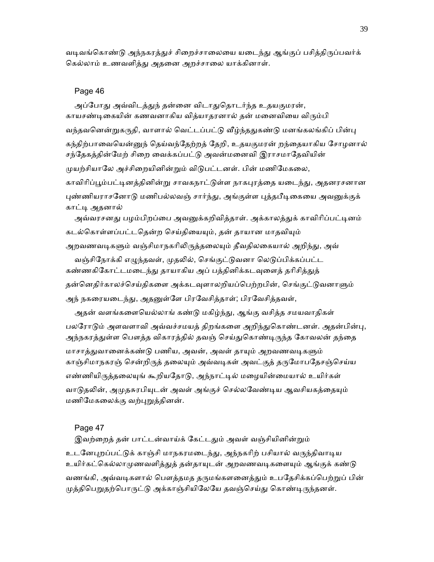வடிவங்கொண்டு அந்நகரத்துச் சிறைச்சாலையை யடைந்து ஆங்குப் பசித்திருப்பவர்க் கெல்லாம் உணவளித்து அதனை அறச்சாலை யாக்கினாள்.

#### Page 46

அப்போது அவ்விடத்துந் தன்னை விடாதுதொடர்ந்த உதயகுமரன், காயசண்டிகையின் கணவனாகிய வித்யாதரனால் தன் மனைவியை விரும்பி வந்தவனென்றுகருதி, வாளால் வெட்டப்பட்டு வீழ்ந்ததுகண்டு மனங்கலங்கிப் பின்பு கந்திற்பாவையென்னுந் தெய்வந்தேற்றத் தேறி, உதயகுமரன் றந்தையாகிய சோழனால் சந்தேகத்தின்மேற் சிறை வைக்கப்பட்டு அவன்மனைவி இராசமாதேவியின் முயற்சியாலே அச்சிறையினின்றும் விடுபட்டனள். பின் மணிமேகலை, காவிரிப்பூம்பட்டினத்தினின்று சாவகநாட்டுள்ள நாகபுரத்தை யடைந்து, அதனரசனான புண்ணியராசனோடு மணிபல்லவஞ் சார்ந்து, அங்குள்ள புத்தபீடிகையை அவனுக்குக் காட்டி அதனால் அவ்வரசனது பழம்பிறப்பை அவனுக்கறிவித்தாள். அக்காலத்துக் காவிரிப்பட்டினம் கடல்கொள்ளப்பட்டதென்ற செய்தியையும், தன் தாயான மாதவியும் அறவணவடிகளும் வஞ்சிமாநகரிலிருத்தலையும் தீவதிலகையால் அறிந்து, அவ் வஞ்சிநோக்கி எழுந்தவள், முதலில், செங்குட்டுவனா லெடுப்பிக்கப்பட்ட கண்ணகிகோட்டமடைந்து தாயாகிய அப் பத்தினிக்கடவுளைத் தரிசித்துத் தன்னெதிர்காலச்செய்திகளை அக்கடவுளாலறியப்பெற்றபின், செங்குட்டுவனாளும் அந் நகரையடைந்து, அதனுள்ளே பிரவேசித்தாள்; பிரவேசித்தவள், அதன் வளங்களையெல்லாங் கண்டு மகிழ்ந்து, ஆங்கு வசித்த சமயவாதிகள் பலரோடும் அளவளாவி அவ்வச்சமயத் திறங்களை அறிந்துகொண்டனள். அதன்பின்பு, அந்நகரத்துள்ள பௌத்த விகாரத்தில் தவஞ் செய்துகொண்டிருந்த கோவலன் தந்தை மாசாத்துவானைக்கண்டு பணிய, அவன், அவள் தாயும் அறவணவடிகளும் காஞ்சிமாநகரஞ் சென்றிருத் தலையும் அவ்வடிகள் அவட்குத் தருமோபதேசஞ்செய்ய

எண்ணியிருத்தலையுங் கூறியதோடு, அந்நாட்டில் மழையின்மையால் உயிர்கள் வாடுதலின், அமுதசுரபியுடன் அவள் அங்குச் செல்லவேண்டிய ஆவசியகத்தையும் மணிமேகலைக்கு வற்புறுத்தினன்.

#### Page 47

இவற்றைத் தன் பாட்டன்வாய்க் கேட்டதும் அவள் வஞ்சியினின்றும் உடனேபுறப்பட்டுக் காஞ்சி மாநகரமடைந்து, அந்நகரிற் பசியால் வருந்திவாடிய உயிர்கட்கெல்லாமுணவளித்துத் தன்தாயுடன் அறவணவடிகளையும் ஆங்குக் கண்டு வணங்கி, அவ்வடிகளால் பௌத்தமத தருமங்களனைத்தும் உபதேசிக்கப்பெற்றுப் பின் முத்திபெறுதற்பொருட்டு அக்காஞ்சியிலேயே தவஞ்செய்து கொண்டிருந்தனள்.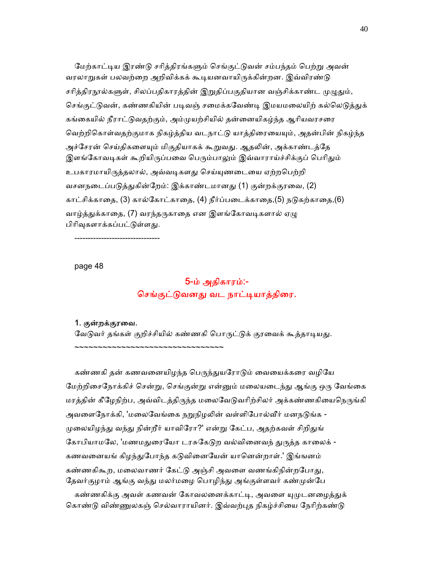மேற்காட்டிய இரண்டு சரித்திரங்களும் செங்குட்டுவன் சம்பந்தம் பெற்று அவன் வரலாறுகள் பலவற்றை அறிவிக்கக் கூடியனவாயிருக்கின்றன. இவ்விரண்டு சரித்திரநூல்களுள், சிலப்பதிகாரத்தின் இறுதிப்பகுதியான வஞ்சிக்காண்ட முழுதும், செங்குட்டுவன், கண்ணகியின் படிவஞ் சமைக்கவேண்டி இமயமலையிற் கல்லெடுத்துக் கங்கையில் நீராட்டுவதற்கும், அம்முயற்சியில் தன்னையிகழ்ந்த ஆரியவரசரை வெற்றிகொள்வதற்குமாக நிகழ்த்திய வடநாட்டு யாத்திரையையும், அதன்பின் நிகழ்ந்த அச்சேரன் செய்திகளையும் மிகுதியாகக் கூறுவது. ஆதலின், அக்காண்டத்தே இளங்கோவடிகள் கூறியிருப்பவை பெரும்பாலும் இவ்வாராய்ச்சிக்குப் பெரிதும் உபகாரமாயிருத்தலால், அவ்வடிகளது செய்யுணடையை ஏற்றபெற்றி வசனநடைப்படுத்துகின்றேம்: இக்காண்டமானது (1) குன்றக்குரவை, (2) காட்சிக்காதை, (3) கால்கோட்காதை, (4) நீர்ப்படைக்காதை,(5) நடுகற்காதை,(6) வாழ்த்துக்காதை, (7) வரந்தருகாதை என இளங்கோவடிகளால் ஏழு பிரிவுகளாக்கப்பட்டுள்ளது.

--------------------------------

page 48

# 5-ம் அதிகாரம்:- செங்குட்டுவனது வட நாட்டியாத்திரை.

#### 1. குன்றக்குரைவ.

~~~~~~~~~~~~~~~~~~~~~~~~~~~~~~~~~~

வேடுவர் தங்கள் குறிச்சியில் கண்ணகி பொருட்டுக் குரவைக் கூத்தாடியது.

கண்ணகி தன் கணவனையிழந்த பெருந்துயரோடும் வையைக்கரை வழியே மேற்றிசைநோக்கிச் சென்று, செங்குன்று என்னும் மலையடைந்து ஆங்கு ஒரு வேங்கை மரத்தின் கீழேநிற்ப, அவ்விடத்திருந்த மலைவேடுவரிற்சிலர் அக்கண்ணகியைநெருங்கி அவளைநோக்கி, 'மலைவேங்கை நறுநிழலின் வள்ளிபோல்வீர் மனநடுங்க -முலையிழந்து வந்து நின்றீர் யாவிரோ?' என்று கேட்ப, அதற்கவள் சிறிதுங் கோபியாமலே, 'மணமதுரையோ டரசுகேடுற வல்வினைவந் துருத்த காலைக் -கணவனையங் கிழந்துபோந்த கடுவினையேன் யானென்றாள்.' இங்ஙனம் கண்ணகிகூற, மலைவாணர் கேட்டு அஞ்சி அவளை வணங்கிநின்றபோது, தேவர்குழாம் ஆங்கு வந்து மலர்மழை பொழிந்து அங்குள்ளவர் கண்முன்பே

கண்ணகிக்கு அவள் கணவன் கோவலனைக்காட்டி, அவளை யுமுடனழைத்துக் கொண்டு விண்ணுலகஞ் செல்வாராயினர். இவ்வற்புத நிகழ்ச்சியை நேரிற்கண்டு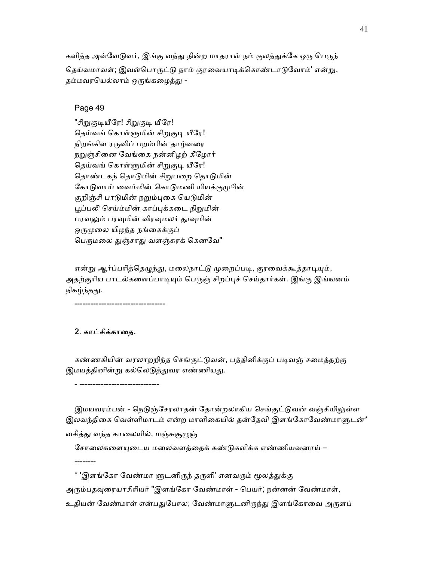களித்த அவ்வேடுவர், இங்கு வந்து நின்ற மாதராள் நம் குலத்துக்கே ஒரு பெருந் தெய்வமாவள்; இவள்பொருட்டு நாம் குரவையாடிக்கொண்டாடுவோம்' என்று, தம்மவரயெல்லாம் ஒருங்கழைத்து -

# Page 49

"சிறுகுடியீரே! சிறுகுடி யீரே! தெய்வங் கொள்ளுமின் சிறுகுடி யீரே! நிறங்கிள ரருவிப் பறம்பின் தாழ்வரை நறுஞ்சினை வேங்கை நன்னிழற் கீழோர் தெய்வங் கொள்ளுமின் சிறுகுடி யீரே! தொண்டகந் தொடுமின் சிறுபறை தொடுமின் கோடுவாய் வைம்மின் கொடுமணி யியக்குமுின் குறிஞ்சி பாடுமின் நறும்புகை யெடுமின் பூப்பலி செய்ம்மின் காப்புக்கடை நிறுமின் பரவலும் பரவுமின் விரவுமலர் தூவுமின் ஒருமுலை யிழந்த நங்கைக்குப் பெருமலை துஞ்சாது வளஞ்சுரக் கெனவே"

என்று ஆர்ப்பரித்தெழுந்து, மலைநாட்டு முறைப்படி, குரவைக்கூத்தாடியும், அதற்குரிய பாடல்களைப்பாடியும் பெருஞ் சிறப்புச் செய்தார்கள். இங்கு இங்ஙனம் நிகழ்ந்தது.

# 2. காட்சிக்காதை.

----------------------------------

- ------------------------------

--------

கண்ணகியின் வரலாறறிந்த செங்குட்டுவன், பத்தினிக்குப் படிவஞ் சமைத்தற்கு இமயத்தினின்று கல்லெடுத்துவர எண்ணியது.

இமயவரம்பன் - நெடுஞ்சேரலாதன் தோன்றலாகிய செங்குட்டுவன் வஞ்சியிலுள்ள இலவந்திகை வெள்ளிமாடம் என்ற மாளிகையில் தன்தேவி இளங்கோவேண்மாளுடன்\* வசித்து வந்த காலையில், மஞ்சுசூழுஞ்

சோலைகளையுடைய மலைவளத்தைக் கண்டுகளிக்க எண்ணியவனாய் –

\* 'இளங்கோ வேண்மா ளுடனிருந் தருளி' எனவரும் மூலத்துக்கு

அரும்பதவுரையாசிரியர் "இளங்கோ வேண்மாள் - பெயர்; நன்னன் வேண்மாள்,

உதியன் வேண்மாள் என்பதுபோல; வேண்மாளுடனிருந்து இளங்கோவை அருளப்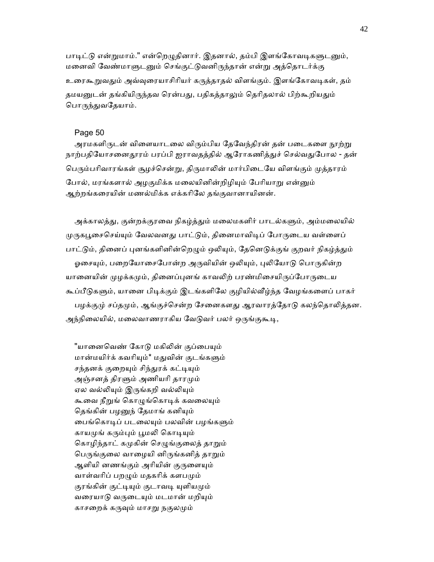பாடிட்டு என்றுமாம்." என்றெழுதினார். இதனால், தம்பி இளங்கோவடிகளுடனும், மனைவி வேண்மாளுடனும் செங்குட்டுவனிருந்தான் என்று அத்தொடர்க்கு உரைகூறுவதும் அவ்வுரையாசிரியர் கருத்தாதல் விளங்கும். இளங்கோவடிகள், தம் தமயனுடன் தங்கியிருந்தவ ரென்பது, பதிகத்தாலும் தெரிதலால் பிற்கூறியதும் பொருந்துவதேயாம்.

# Page 50

அரமகளிருடன் விளையாடலை விரும்பிய தேவேந்திரன் தன் படைகளை நூற்று நாற்பதியோசனைதூரம் பரப்பி ஐராவதத்தில் ஆரோகணித்துச் செல்வதுபோல - தன் பெரும்பரிவாரங்கள் சூழச்சென்று, திருமாலின் மார்பிடையே விளங்கும் முத்தாரம் போல், மரங்களால் அழகுமிக்க மலையினின்றிழியும் பேரியாறு என்னும் ஆற்றங்கைரயின் மணல்மிக்க எக்காிேல தங்குவானாயினன்.

அக்காலத்து, குன்றக்குரவை நிகழ்த்தும் மலைமகளிர் பாடல்களும், அம்மலையில் முருகபூசைசெய்யும் வேலவனது பாட்டும், தினைமாவிடிப் போருடைய வள்ளைப் பாட்டும், தினைப் புனங்களினின்றெழும் ஒலியும், தேனெடுக்குங் குறவர் நிகழ்த்தும் ஓசையும், பறையோசைபோன்ற அருவியின் ஒலியும், புலியோடு பொருகின்ற யானையின் முழக்கமும், தினைப்புனங் காவலிற் பரண்மிசையிருப்போருடைய கூப்பீடுகளும், யானை பிடிக்கும் இடங்களிலே குழியில்வீழ்ந்த வேழங்களைப் பாகர் பழக்குமு் சப்தமும், ஆங்குச்சென்ற சேனைகளது ஆரவாரத்தோடு கலந்தொலித்தன. அந்நிலையில், மலைவாணராகிய வேடுவர் பலர் ஒருங்குகூடி,

"யானைவெண் கோடு மகிலின் குப்பையும் மான்மயிர்க் கவரியும்\* மதுவின் குடங்களும் சந்தனக் குறையும் சிந்துரக் கட்டியும் அஞ்சனத் திரளும் அணியரி தாரமும் ஏல வல்லியும் இருங்கறி வல்லியும் கூவை நீறுங் கொழுங்கொடிக் கவலையும் தெங்கின் பழனுந் தேமாங் கனியும் பைங்கொடிப் படலையும் பலவின் பழங்களும் காயமுங் கரும்பும் பூமலி கொடியும் கொழிந்தாட் கமுகின் செழுங்குலைத் தாறும் பெருங்குலை வாழையி னிருங்கனித் தாறும் ஆளியி னணங்கும் அரியின் குருளையும் வாள்வரிப் பறழும் மதகரிக் களபமும் குரங்கின் குட்டியும் குடாவடி யுளியமும் வரையாடு வருடையும் மடமான் மறியும் காசறைக் கருவும் மாசறு நகுலமும்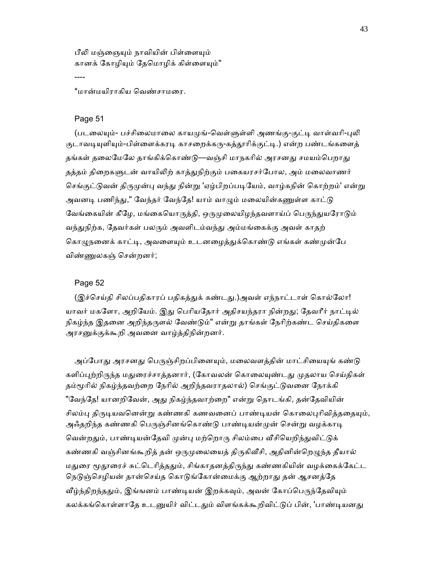பீலி மஞ்ஞையும் நாவியின் பிள்ளையும் கானக் கோழியும் தேமொழிக் கிள்ளையும்"

\*மான்மயிராகிய ெவண்சாமைர.

#### Page 51

----

(படலையும்- பச்சிலைமாலை காயமுங்-வெள்ளுள்ளி அணங்கு-குட்டி வாள்வரி-புலி குடாவடியுளியும்-பிள்ளைக்கரடி காசறைக்கரு-கத்தூரிக்குட்டி.) என்ற பண்டங்களைத் தங்கள் தலைமேலே தாங்கிக்கொண்டு—வஞ்சி மாநகரில் அரசனது சமயம்பெறாது தத்தம் திறைகளுடன் வாயிலிற் காத்துநிற்கும் பகையரசர்போல, அம் மலைவாணர் செங்குட்டுவன் திருமுன்பு வந்து நின்று 'ஏழ்பிறப்படியேம், வாழ்கநின் கொற்றம்' என்று அவனடி பணிந்து," வேந்தர் வேந்தே! யாம் வாமும் மலையின்கணுள்ள காட்டு வேங்கையின் கீழே, மங்கையொருத்தி, ஒருமுலையிழந்தவளாய்ப் பெருந்துயரோடும் வந்துநிற்க, தேவர்கள் பலரும் அவளிடம்வந்து அம்மங்கைக்கு அவள் காதற் கொழுநனைக் காட்டி, அவளையும் உடனழைத்துக்கொண்டு எங்கள் கண்முன்பே விண்ᾎலகஞ் ெசன்றனர்;

#### Page 52

(இச்செய்தி சிலப்பதிகாரப் பதிகத்துக் கண்டது.)அவள் எந்நாட்டாள் கொல்லோ! யாவர் மகளோ, அறியேம். இது பெரியதோர் அதிசயந்தரா நின்றது; தேவரீர் நாட்டில் நிகழ்ந்த இதனை அறிந்தருளல் வேண்டும்" என்று தாங்கள் நேரிற்கண்ட செய்திகளை அரசனுக்குக்கூறி அவனை வாழ்த்திநின்றனர்.

அப்போது அரசனது பெருஞ்சிறப்பினையும், மலைவளத்தின் மாட்சியையுங் கண்டு களிப்புற்றிருந்த மதுரைச்சாத்தனார், (கோவலன் கொலையுண்டது முதலாய செய்திகள் தம்மூரில் நிகழ்ந்தவற்றை நேரில் அறிந்தவராதலால்) செங்குட்டுவனை நோக்கி "வேந்தே! யானறிவேன், அது நிகழ்ந்தவாற்றை" என்று தொடங்கி, தன்தேவியின் சிலம்பு திருடியவனென்று கண்ணகி கணவனைப் பாண்டியன் கொலைபுரிவித்ததையும், அஃதறிந்த கண்ணகி பெருஞ்சினங்கொண்டு பாண்டியன்முன் சென்று வழக்காடி வென்றதும், பாண்டியன்தேவி முன்பு மற்றொரு சிலம்பை வீசியெறிந்துவிட்டுக் கண்ணகி வஞ்சினங்கூறித் தன் ஒருமுலையைத் திருகிவீசி, அதினின்றெழுந்த தீயால் மதுரை மூதூரைச் சுட்டெரித்ததும், சிங்காதனத்திருந்து கண்ணகியின் வழக்கைக்கேட்ட நெடுஞ்செழியன் தான்செய்த கொடுங்கோன்மைக்கு ஆற்றாது தன் ஆசனத்தே வீழ்ந்திறந்ததும், இங்ஙனம் பாண்டியன் இறக்கவும், அவன் கோப்பெருந்தேவியும் கலக்கங்கொள்ளாதே உடனுயிர் விட்டதும் விளங்கக்கூறிவிட்டுப் பின், 'பாண்டியனது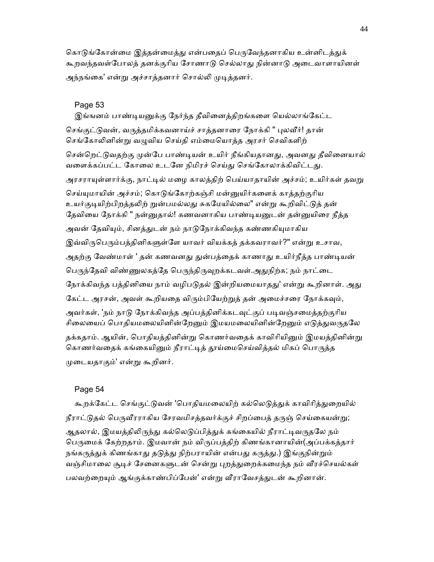கொடுங்கோன்மை இத்தன்மைத்து என்பதைப் பெருவேந்தனாகிய உன்னிடத்துக் கூறவந்தவள்போலத் தனக்குரிய சோணாடு செல்லாது நின்னாடு அடைவாளாயினள் அந்நங்கை' என்று அச்சாத்தனார் சொல்லி முடித்தனர்.

## Page 53

இங்ஙனம் பாண்டியனுக்கு நேர்ந்த தீவினைத்திறங்களை யெல்லாங்கேட்ட செங்குட்டுவன், வருத்தமிக்கவனாய்ச் சாத்தனாரை நோக்கி " புலவீர்! தான் செங்கோலினின்று வழுவிய செய்தி எம்மையொத்த அரசர் செவிகளிற் சென்றெட்டுவதற்கு முன்பே பாண்டியன் உயிர் நீங்கியதானது, அவனது தீவினையால் வளைக்கப்பட்ட கோலை உடனே நிமிரச் செய்து செங்கோலாக்கிவிட்டது. அரசராயுள்ளார்க்கு, நாட்டில் மழை காலத்திற் பெய்யாதாயின் அச்சம்; உயிர்கள் தவறு செய்யுமாயின் அச்சம்; கொடுங்கோற்கஞ்சி மன்னுயிர்களைக் காத்தற்குரிய உயர்குடியிற்பிறத்தலிற் றுன்பமல்லது சுகமேயில்லை" என்று கூறிவிட்டுத் தன் தேவியை நோக்கி " நன்னுதால்! கணவனாகிய பாண்டியனுடன் தன்னுயிரை நீத்த அவன் தேவியும், சினத்துடன் நம் நாடுநோக்கிவந்த கண்ணகியுமாகிய இவ்விருபெரும்பத்தினிகளுள்ளே யாவர் வியக்கத் தக்கவராவர்?" என்று உசாவ, அதற்கு வேண்மாள் ' தன் கணவனது துன்பத்தைக் காணாது உயிர்நீத்த பாண்டியன் பெருந்தேவி விண்ணுலகத்தே பெருந்திருவுறக்கடவள்.அதுநிற்க; நம் நாட்டை நோக்கிவந்த பத்தினியை நாம் வழிபடுதல் இன்றியமையாதது' என்று கூறினாள். அது கேட்ட அரசன், அவள் கூறியதை விரும்பியேற்றுத் தன் அமைச்சரை நோக்கவும், அவர்கள், 'நம் நாடு நோக்கிவந்த அப்பத்தினிக்கடவுட்குப் படிவஞ்சமைத்தற்குரிய சிலையைப் பொதியமலையினின்றேனும் இமயமலையினின்றேனும் எடுத்துவருதலே தக்கதாம். ஆயின், பொதியத்தினின்று கொணர்வதைக் காவிரியினும் இமயத்தினின்று கொணர்வதைக் கங்கையினும் நீராட்டித் தூய்மைசெய்வித்தல் மிகப் பொருத்த ᾙைடயதாகும்' என்ᾠ கூறினர்.

#### Page 54

கூறக்கேட்ட செங்குட்டுவன் 'பொதியமலையிற் கல்லெடுத்துக் காவிரித்துறையில் நீராட்டுதல் பெருவீரராகிய சேரவமிசத்தவர்க்குச் சிறப்பைத் தருஞ் செய்கையன்று; ஆதலால், இமயத்திலிருந்து கல்லெடுப்பித்துக் கங்கையில் நீராட்டிவருதலே நம் பெருமைக் கேற்றதாம். இமவான் நம் விருப்பத்திற் கிணங்கானாயின்(அப்பக்கத்தார் நங்கருத்துக் கிணங்காது தடுத்து நிற்பராயின் என்பது கருத்து.) இங்குநின்றும் வஞ்சிமாலை சூடிச் சேனைகளுடன் சென்று புறத்துறைக்கமைந்த நம் வீரச்செயல்கள் பலவற்றையும் ஆங்குக்காண்பிப்பேன்' என்று வீராவேசக்துடன் கூறினான்.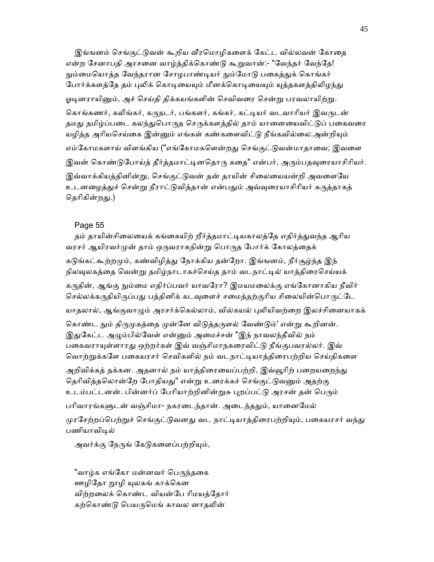இங்ஙனம் செங்குட்டுவன் கூறிய வீரமொழிகளைக் கேட்ட வில்லவன் கோதை என்ற சேனாபதி அரசனை வாழ்த்திக்கொண்டு கூறுவான்:- "வேந்தர் வேந்தே! நும்மையொத்த வேந்தரான சோழபாண்டியர் நும்மோடு பகைத்துக் கொங்கர் போர்க்களத்தே தம் புலிக் கொடியையும் மீனக்கொடியையும் யுத்தகளத்திலிழந்து ஓடினராயினும், அச் செய்கி கிக்கயங்களின் செவிவரை சென்று பரவலாயிற்று. கொங்கணர், கலிங்கர், கருநடர், பங்களர், கங்கர், கட்டியர் வடவாரியர் இவருடன் தமது தமிழ்ப்படை கலந்துபொருத செருக்களத்தில் தாம் யானையைவிட்டுப் பகைவரை யழித்த அரியசெய்கை இன்னும் எங்கள் கண்களைவிட்டு நீங்கவில்லை.அன்றியும் எம்கோமகளாய் விளங்கிய ("எங்கோமகளென்றது செங்குட்டுவன்மாதாவை; இவளை இவன் கொண்டுபோய்த் தீர்த்தமாட்டினதொரு கதை" என்பர், அரும்பதவுரையாசிரியர். இவ்வாக்கியத்தினின்று, செங்குட்டுவன் தன் தாயின் சிலையையன்றி அவளையே உடனழைத்துச் சென்று நீராட்டுவித்தான் என்பதும் அவ்வுரையாசிரியர் கருத்தாகத் தெரிகின்றது.)

#### Page 55

தம் தாயின்சிலையைக் கங்கையிற் றீர்த்தமாட்டியகாலத்தே எதிர்த்துவந்த ஆரிய வரசர் ஆயிரவர்முன் தாம் ஒருவராகநின்று பொருத போர்க் கோலத்தைக் கடுங்கட்கூற்றமும், கண்விழித்து நோக்கிய தன்றோ. இங்ஙனம், நீர்சூழ்ந்த இந் நிலவுலகத்தை வென்று தமிழ்நாடாகச்செய்த தாம் வடநாட்டில் யாத்திரைசெய்யக் கருதின், ஆங்கு நும்மை எதிர்ப்பவர் யாவரோ? இமயமலைக்கு எங்கோனாகிய நீவிர் செல்லக்கருதியிருப்பது பத்தினிக் கடவுளைச் சமைத்தற்குரிய சிலையின்பொருட்டே யாதலால், ஆங்குவாழும் அரசர்க்கெல்லாம், வில்கயல் புலியிவற்றை இலச்சினையாகக் கொண்ட நும் திருமுகத்தை முன்னே விடுத்தருளல் வேண்டும்' என்று கூறினன். இதுகேட்ட அழும்பில்வேள் என்னும் அமைச்சன் "இந் நாவலந்தீவில் நம் பகைவராயுள்ளாரது ஒற்றர்கள் இவ் வஞ்சிமாநகரைவிட்டு நீங்குபவரல்லர். இவ் வொற்றுக்களே பகையரசர் செவிகளில் நம் வடநாட்டியாத்திரைபற்றிய செய்திகளை

அறிவிக்கத் தக்கன. அதனால் நம் யாத்திரையைப்பற்றி, இவ்வூரிற் பறையறைந்து தெரிவித்தலொன்றே போதியது" என்று உரைக்கச் செங்குட்டுவனும் அதற்கு உடம்பட்டனன். பின்னர்ப் பேரியாற்றினின்றுசு புறப்பட்டு அரசன் தன் பெரும்

பரிவாரங்களுடன் வஞ்சிமா- நகரடைந்தான். அடைந்ததும், யானைமேல் முரசேற்றப்பெற்றுச் செங்குட்டுவனது வட நாட்டியாத்திரைபற்றியும், பகையரசர் வந்து பணியாவிடில்

அவர்க்கு நேருங் கேடுகளைப்பற்றியும்,

"வாழ்க எங்கோ மன்னவர் பெருந்தகை ஊழிதோ றூழி யுலகங் காக்கென விற்றலைக் கொண்ட வியன்பே ரிமயத்தோர் கற்கொண்டு பெயருமெங் காவல னாதலின்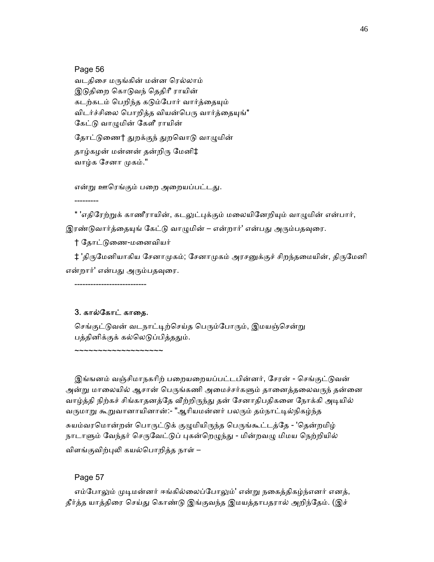Page 56

---------

 வடதிைச மᾞங்கின் மன்ன ெரல்லாம் இடுதிறை கொடுவந் தெதிரீ ராயின் கடற்கடம் பெறிந்த கடும்போர் வார்த்தையும் விடர்ச்சிலை பொறித்த வியன்பெரு வார்த்தையுங்\* கேட்டு வாமுமின் கேளீ ராயின்

தோட்டுணை† துறக்குந் துறவொடு வாழுமின் தாழ்கழன் மன்னன் தன்றிᾞ ேமனி‡ வாழ்க சேனா முகம்."

என்று ஊரெங்கும் பறை அறையப்பட்டது.

\* 'எதிரேற்றுக் காணீராயின், கடலுட்புக்கும் மலையினேறியும் வாழுமின் என்பார், இரண்டுவார்த்தையுங் கேட்டு வாழுமின் – என்றார்' என்பது அரும்பதவுரை.

† ேதாட்ᾌைண-மைனவியர்

‡ 'திருமேனியாகிய சேனாமுகம்; சேனாமுகம் அரசனுக்குச் சிறந்தமையின், திருமேனி என்றார்' என்பது அரும்பதவுரை.

3. கால்கோட் காதை.

~~~~~~~~~~~~~~~~~~~

---------------------------

செங்குட்டுவன் வடநாட்டிற்செய்த பெரும்போரும், இமயஞ்சென்று பத்தினிக்குக் கல்லெடுப்பித்ததும்.

இங்ஙனம் வஞ்சிமாநகரிற் பறையறையப்பட்டபின்னர், சேரன் - செங்குட்டுவன் அன்று மாலையில் ஆசான் பெருங்கணி அமைச்சர்களும் தானைத்தலைவருந் தன்னை வாழ்த்தி நிற்கச் சிங்காதனத்தே வீற்றிருந்து தன் சேனாதிபதிகளை நோக்கி அடியில் வருமாறு கூறுவானாயினான்:- "ஆரியமன்னர் பலரும் தம்நாட்டில்நிகழ்ந்த சுயம்வரமொன்றன் பொருட்டுக் குழுமியிருந்த பெருங்கூட்டத்தே - 'தென்றமிழ் நாடாளும் வேந்தர் செருவேட்டுப் புகன்றெழுந்து - மின்றவழு மிமய நெற்றியில் விளங்குவிற்புலி கயல்பொறித்த நாள் –

Page 57

எம்போலும் முடிமன்னர் ஈங்கில்லைப்போலும்' என்று நகைத்திகழ்ந்எனர் எனத், தீர்த்த யாத்திரை செய்து கொண்டு இங்குவந்த இமயத்தாபதரால் அறிந்தேம். (இச்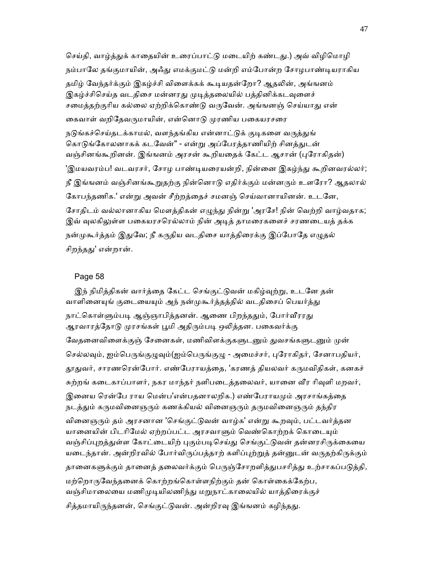செய்தி, வாழ்த்துக் காதையின் உரைப்பாட்டு மடையிற் கண்டது.) அவ் விழிமொழி நம்பாலே தங்குமாயின், அஃது எமக்குமட்டு மன்றி எம்போன்ற சோழபாண்டியராகிய தமிழ் வேந்தர்க்கும் இகழ்ச்சி விளைக்கக் கூடியதன்றோ? ஆதலின், அங்ஙனம் இகழ்ச்சிசெய்த வடதிசை மன்னரது முடித்தலையில் பத்தினிக்கடவுளைச் சமைத்தற்குரிய கல்லை ஏற்றிக்கொண்டு வருவேன். அங்ஙனஞ் செய்யாது என் கைவாள் வறிதேவருமாயின், என்னொடு முரணிய பகையரசரை நடுங்கச்செய்தடக்காமல், வளந்தங்கிய என்னாட்டுக் குடிகளை வருத்துங் கொடுங்கோலனாகக் கடவேன்" - என்று அப்பேரத்தாணியிற் சினத்துடன் வஞ்சினங்கூறினன். இங்ஙனம் அரசன் கூறியைதக் ேகட்ட ஆசான் (ᾗேராகிதன்) 'இமயவரம்ப! வடவரசர், சோழ பாண்டியரையன்றி, நின்னை இகழ்ந்து கூறினவரல்லர்; நீ இங்ஙனம் வஞ்சினங்கூறுதற்கு நின்னொடு எதிர்க்கும் மன்னரும் உளரோ? ஆதலால் ேகாபந்தணிக.' என்ᾠ அவன் சீற்றத்ைதச் சமனஞ் ெசய்வானாயினன். உடேன, சோதிடம் வல்லானாகிய மௌத்திகன் எழுந்து நின்று 'அரசே! நின் வெற்றி வாழ்வதாக; இவ் வுலகிலுள்ள பகையரசரெல்லாம் நின் அடித் தாமரைகளைச் சரணடையத் தக்க நன்முகூர்த்தம் இதுவே; நீ கருதிய வடதிசை யாத்திரைக்கு இப்போதே எழுதல் சிறந்தது' என்றான்.

#### Page 58

இந் நிமித்திகன் வார்த்தை கேட்ட செங்குட்டுவன் மகிழ்வுற்று, உடனே தன் வாளினையுங் குடையையும் அந் நன்முகூர்த்தத்தில் வடதிசைப் பெயர்த்து நாட்கொள்ளும்படி ஆஞ்ஞாபித்தனன். ஆணை பிறந்ததும், போர்வீரரது ஆரவாரத்தோடு முரசங்கள் பூமி அதிரும்படி ஒலித்தன. பகைவர்க்கு வேதனைவிளைக்குஞ் சேனைகள், மணிவிளக்குகளுடனும் துவசங்களுடனும் முன் செல்லவும், ஐம்பெருங்குழுவும்(ஐம்பெருங்குழு - அமைச்சர், புரோகிதர், சேனாபதியர், தூதுவர், சாரணரென்போர். எண்பேராயத்தை, 'கரணத் தியலவர் கருமவிதிகள், கனகச் சுற்றங் கடைகாப்பாளர், நகர மாந்தர் நளிபடைத்தலைவர், யானை வீர ரிவுளி மறவர், இனைய ரென்பே ராய மென்ப'என்பதனாலறிக.) எண்பேராயமும் அரசாங்கத்தை நடத்தும் கருமவினைஞரும் கணக்கியல் வினைஞரும் தருமவினைஞரும் தந்திர வினைஞரும் தம் அரசனான 'செங்குட்டுவன் வாழ்க' என்று கூறவும், பட்டவர்த்தன யானையின் பிடரிமேல் ஏற்றப்பட்ட அரசவாளும் வெண்கொற்றக் கொடையும் வஞ்சிப்புறத்துள்ள கோட்டையிற் புகும்படிசெய்து செங்குட்டுவன் தன்னரசிருக்கையை யடைந்தான். அன்றிரவில் போர்விருப்பத்தாற் களிப்புற்றுத் தன்னுடன் வருதற்கிருக்கும் தானைகளுக்கும் தானைத் தலைவர்க்கும் பெருஞ்சோறளித்துபசரித்து உற்சாகப்படுத்தி, மற்றொருவேந்தனைக் கொற்றங்கொள்ளநிற்கும் தன் கொள்கைக்கேற்ப, வஞ்சிமாலையை மணிமுடியிலணிந்து மறுநாட்காலையில் யாத்திரைக்குச் சித்தமாயிருந்தனன், செங்குட்டுவன். அன்றிரவு இங்ஙனம் கழிந்தது.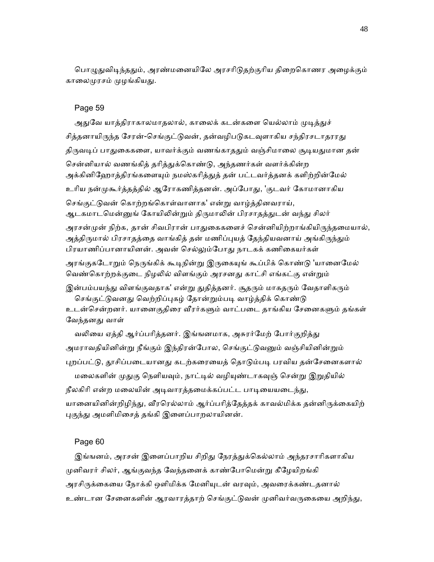பொழுதுவிடிந்ததும், அரண்மனையிலே அரசரிடுதற்குரிய திறைகொணர அழைக்கும் காலைமுரசம் முழங்கியது.

## Page 59

அதுவே யாத்திராகாலமாதலால், காலைக் கடன்களை யெல்லாம் முடித்துச் சித்தனாயிருந்த சேரன்-செங்குட்டுவன், தன்வழிபடுகடவுளாகிய சந்திரசடாதரரது திருவடிப் பாதுகைகளை, யாவர்க்கும் வணங்காததும் வஞ்சிமாலை சூடியதுமான தன் சென்னியால் வணங்கித் தரித்துக்கொண்டு, அந்தணர்கள் வளர்க்கின்ற அக்கினிஹோத்திரங்களையும் நமஸ்கரித்துத் தன் பட்டவர்த்தனக் களிற்றின்மேல் உரிய நன்முகூர்த்தத்தில் ஆரோகணித்தனன். அப்போது, 'குடவர் கோமானாகிய செங்குட்டுவன் கொற்றங்கொள்வானாக' என்று வாழ்த்தினவராய், ஆடகமாடமென்னுங் கோயிலின்றும் திருமாலின் பிரசாதத்துடன் வந்து சிலர் அரசன்முன் நிற்க, தான் சிவபிரான் பாதுகைகளைச் சென்னியிற்றாங்கியிருந்தமையால், அத்திருமால் பிரசாதத்தை வாங்கித் தன் மணிப்புயத் தேந்தியவனாய் அங்கிருந்தும் பிரயாணிப்பானாயினன். அவன் செல்லும்போது நாடகக் கணிகையர்கள் அரங்குகடோறும் நெருங்கிக் கூடிநின்று இருகையுங் கூப்பிக் கொண்டு 'யானைமேல் வெண்கொற்றக்குடை நிழலில் விளங்கும் அரசனது காட்சி எங்கட்கு என்றும் இன்பம்பயந்து விளங்குவதாக' என்று துதித்தனர். சூதரும் மாகதரும் வேதாளிகரும் செங்குட்டுவனது வெற்றிப்புகழ் தோன்றும்படி வாழ்த்திக் கொண்டு உடன்சென்றனர். யானைகுதிரை வீரர்களும் வாட்படை தாங்கிய சேனைகளும் தங்கள் வேந்தனது வாள் வலியை ஏத்தி ஆர்ப்பரித்தனர். இங்ஙனமாக, அசுரர்மேற் போர்குறித்து அமராவதியினின்று நீங்கும் இந்திரன்போல, செங்குட்டுவனும் வஞ்சியினின்றும் புறப்பட்டு, தூசிப்படையானது கடற்கரையைத் தொடும்படி பரவிய தன்சேனைகளால்

மலைகளின் முதுகு நெளியவும், நாட்டில் வழியுண்டாகவுஞ் சென்று இறுதியில் நீலகிரி என்ற மலையின் அடிவாரத்தமைக்கப்பட்ட பாடியையடைந்து, யானையினின்றிழிந்து, வீரரெல்லாம் ஆர்ப்பரித்தேத்தக் காவல்மிக்க தன்னிருக்கையிற் புகுந்து அமளிமிசைத் தங்கி இளைப்பாறலாயினன்.

#### Page 60

இங்ஙனம், அரசன் இளைப்பாறிய சிறிது நேரத்துக்கெல்லாம் அந்தரசாரிகளாகிய முனிவரர் சிலர், ஆங்குவந்த வேந்தனைக் காண்போமென்று கீழேயிறங்கி அரசிருக்கையை நோக்கி ஒளிமிக்க மேனியுடன் வரவும், அவரைக்கண்டதனால் உண்டான சேனைகளின் ஆரவாரத்தாற் செங்குட்டுவன் முனிவர்வருகையை அறிந்து,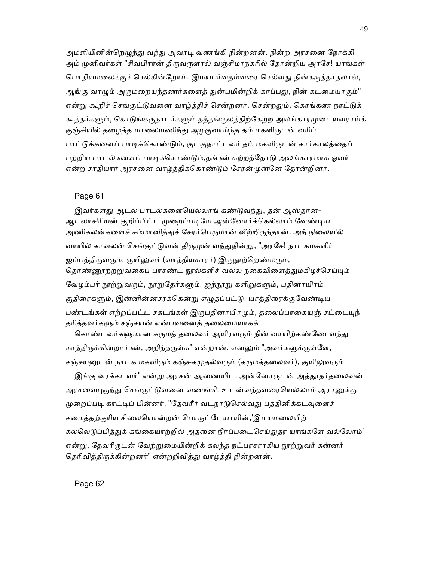அமளியினின்றெழுந்து வந்து அவரடி வணங்கி நின்றனன். நின்ற அரசனை நோக்கி அம் முனிவர்கள் "சிவபிரான் திருவருளால் வஞ்சிமாநகரில் தோன்றிய அரசே! யாங்கள் பொதியமலைக்குச் செல்கின்றோம். இமயபர்வதம்வரை செல்வது நின்கருத்தாதலால், ஆங்கு வாழும் அருமறையந்தணர்களைத் துன்பமின்றிக் காப்பது, நின் கடமையாகும்" என்று கூறிச் செங்குட்டுவனை வாழ்த்திச் சென்றனர். சென்றதும், கொங்கண நாட்டுக் கூத்தர்களும், கொடுங்கருநாடர்களும் தத்தங்குலத்திற்கேற்ற அலங்காரமுடையவராய்க் குஞ்சியில் தழைத்த மாலையணிந்து அழகுவாய்ந்த தம் மகளிருடன் வரிப் பாட்டுக்களைப் பாடிக்கொண்டும், குடகுநாட்டவர் தம் மகளிருடன் கார்காலத்தைப் பற்றிய பாடல்களைப் பாடிக்கொண்டும்,தங்கள் சுற்றத்தோடு அலங்காரமாக ஓவர் என்ற சாதியார் அரசனை வாழ்த்திக்கொண்டும் சேரன்முன்னே தோன்றினர்.

#### Page 61

இவர்களது ஆடல் பாடல்களையெல்லாங் கண்டுவந்து, தன் ஆஸ்தான-ஆடலாசிரியன் குறிப்பிட்ட முறைப்படியே அன்னோர்க்கெல்லாம் வேண்டிய அணிகலன்களைச் சம்மானித்துச் சேரர்பெருமான் வீற்றிருந்தான். அந் நிலையில் வாயில் காவலன் செங்குட்டுவன் திருமுன் வந்துநின்று, "அரசே! நாடகமகளிர் ஐம்பத்திருவரும், குயிலுவர் (வாத்தியகாரர்) இருநூற்றெண்மரும், தொண்ணூற்றறுவகைப் பாசண்ட நூல்களிச் வல்ல நகைவிளைத்துமகிழச்செய்யும் வேழம்பர் நூற்றுவரும், நூறுதேர்களும், ஐந்நூறு களிறுகளும், பதினாயிரம் குதிரைகளும், இன்னின்னசரக்கென்று எழுதப்பட்டு, யாத்திரைக்குவேண்டிய பண்டங்கள் ஏற்றப்பட்ட சகடங்கள் இருபதினாயிரமும், தலைப்பாகையுஞ் சட்டையுந் தரித்தவர்களும் சஞ்சயன் என்பவனைத் தலைமையாகக்

கொண்டவர்களுமான கருமத் தலைவர் ஆயிரவரும் நின் வாயிற்கண்ணே வந்து காத்திருக்கின்றார்கள், அறிந்தருள்க" என்றான். எனலும் "அவர்களுக்குள்ளே, சஞ்சயனுடன் நாடக மகளிரும் கஞ்சுகமுதல்வரும் (கருமத்தலைவர்), குயிலுவரும்

இங்கு வரக்கடவர்" என்று அரசன் ஆணையிட, அன்னோருடன் அத்தூதர்தலைவன் அரசவைபுகுந்து செங்குட்டுவனை வணங்கி, உடன்வந்தவரையெல்லாம் அரசனுக்கு முறைப்படி காட்டிப் பின்னர், "தேவரீர் வடநாடுசெல்வது பத்தினிக்கடவுளைச் சமைத்தற்குரிய சிலையொன்றன் பொருட்டேயாயின்,'இமயமலையிற் கல்லெடுப்பித்துக் கங்கையாற்றில் அதனை நீர்ப்படைசெய்துதர யாங்களே வல்லோம்' என்று, தேவரீருடன் வேற்றுமையின்றிக் கலந்த நட்பரசராகிய நூற்றுவர் கன்னர் தெரிவித்திருக்கின்றனர்" என்றறிவித்து வாழ்த்தி நின்றனன்.

Page 62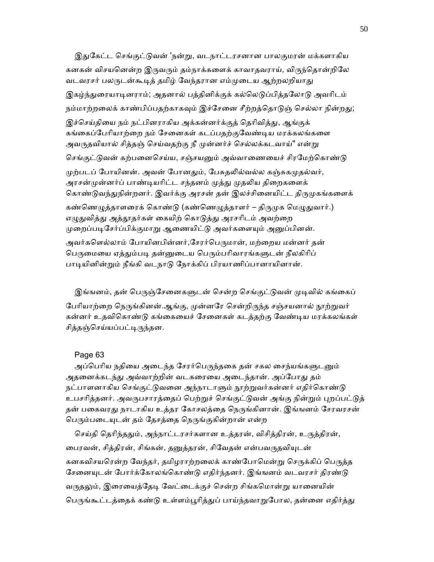இதுகேட்ட செங்குட்டுவன் 'நன்று, வடநாட்டரசனான பாலகுமரன் மக்களாகிய கனகன் விசயனென்ற இருவரும் தம்நாக்களைக் காவாதவராய், விருந்தொன்றிலே வடவரசர் பலருடன்கூடித் தமிழ் வேந்தரான எம்முடைய ஆற்றலறியாது இகழ்ந்துரையாடினராம்; அதனால் பத்தினிக்குக் கல்லெடுப்பித்தலோடு அவரிடம் நம்மாற்றலைக் காண்பிப்பதற்காகவும் இச்சேனை சீற்றத்தொடுஞ் செல்லா நின்றது; இச்செய்தியை நம் நட்பினராகிய அக்கன்னர்க்குத் தெரிவித்து, ஆங்குக் கங்கைப்பேரியாற்றை நம் சேனைகள் கடப்பதற்குவேண்டிய மரக்கலங்களை அவருதவியால் சித்தஞ் செய்வதற்கு நீ முன்னர்ச் செல்லக்கடவாய்" என்று செங்குட்டுவன் கற்பனைசெய்ய, சஞ்சயனும் அவ்வாணையைச் சிரமேற்கொண்டு முற்படப் போயினன். அவன் போனதும், பேசுதலில்வல்ல கஞ்சுகமுதல்வர், அரசன்முன்னர்ப் பாண்டியரிட்ட சந்தனம் முத்து முதலிய திறைகளைக் கொண்டுவந்துநின்றனர். இவர்க்கு அரசன் தன் இலச்சினையிட்ட திருமுகங்களைக் கண்ணெழுத்தாளரைக் கொண்டு (கண்ணெழுத்தாளர் – திருமுக மெழுதுவார்.) எழுதுவித்து அத்தூதர்கள் கையிற் கொடுத்து அரசரிடம் அவற்றை முறைப்படிசேர்ப்பிக்குமாறு ஆணையிட்டு அவர்களையும் அனுப்பினன். அவர்களெல்லாம் போயினபின்னர்,சேரர்பெருமான், மற்றைய மன்னர் தன் பெருமையை ஏத்தும்படி தன்னுடைய பெரும்பரிவாரங்களுடன் நீலகிரிப் பாடியினின்றும் நீங்கி வடநாடு நோக்கிப் பிரயாணிப்பானாயினான்.

இங்ஙனம், தன் பெருஞ்சேனைகளுடன் சென்ற செங்குட்டுவன் முடிவில் கங்கைப் பேரியாற்றை நெருங்கினன்.ஆங்கு, முன்னரே சென்றிருந்த சஞ்சயனால் நூற்றுவர் கன்னர் உதவிெகாண்ᾌ கங்ைகையச் ேசைனகள் கடத்தற்கு ேவண்ᾊய மரக்கலங்கள் சித்தஞ்செய்யப்பட்டிருந்தன.

## Page 63

அப்பெரிய நதியை அடைந்த சேரர்பெருந்தகை தன் சகல சைந்யங்களுடனும் அதனைக்கடந்து அவ்வாற்றின் வடகரையை அடைந்தான். அப்போது தம் நட்பாளனாகிய செங்குட்டுவனை அந்நாடாளும் நூற்றுவர்கன்னர் எதிர்கொண்டு உபசரித்தனர். அவருபசாரத்தைப் பெற்றுச் செங்குட்டுவன் அங்கு நின்றும் புறப்பட்டுத் தன் பகைவரது நாடாகிய உத்தர கோசலத்தை நெருங்கினான். இங்ஙனம் சேரவரசன் பெரும்படையுடன் தம் தேசத்தை நெருங்குகின்றான் என்ற

செய்தி தெரிந்ததும், அந்நாட்டரசர்களான உத்தரன், விசித்திரன், உருத்திரன், பைரவன், சித்திரன், சிங்கன், தனுத்தரன், சிவேதன் என்பவருதவியுடன் கனகவிசயரென்ற வேந்தர், தமிழராற்றலைக் காண்போமென்று செருக்கிப் பெருத்த சேனையுடன் போர்க்கோலங்கொண்டு எதிர்ந்தனர். இங்ஙனம் வடவரசர் திரண்டு வருதலும், இரையைத்தேடி வேட்டைக்குச் சென்ற சிங்கமொன்று யானையின் பெருங்கூட்டத்தைக் கண்டு உள்ளம்பூரித்துப் பாய்ந்தவாறுபோல, தன்னை எதிர்த்து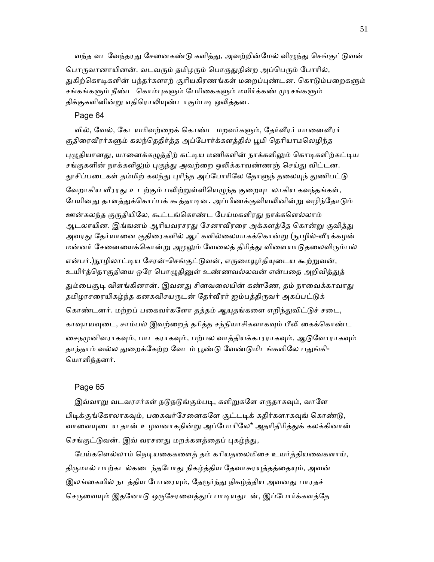வந்த வடவேந்தரது சேனைகண்டு களித்து, அவற்றின்மேல் விழுந்து செங்குட்டுவன்

பொருவானாயினன். வடவரும் தமிழரும் பொருதுநின்ற அப்பெரும் போரில், துகிற்கொடிகளின் பந்தர்களாற் சூரியகிரணங்கள் மறைப்புண்டன. கொடும்பறைகளும் சங்கங்களும் நீண்ட கொம்புகளும் பேரிகைகளும் மயிர்க்கண் முரசங்களும் திக்குகளினின்று எதிரொலியுண்டாகும்படி ஒலித்தன.

Page 64

வில், வேல், கேடயமிவற்றைக் கொண்ட மறவர்களும், தேர்வீரர் யானைவீரர் குதிரைவீரர்களும் கலந்தெதிர்த்த அப்போர்க்களத்தில் பூமி தெரியாமலெழிந்த

புழுதியானது, யானைக்கழுத்திற் கட்டிய மணிகளின் நாக்களிலும் கொடிகளிற்கட்டிய சங்குகளின் நாக்களிலும் புகுந்து அவற்றை ஒலிக்காவண்ணஞ் செய்து விட்டன. தூசிப்படைகள் தம்மிற் கலந்து புரிந்த அப்போரிலே தோளுந் தலையுந் துணிபட்டு

வேறாகிய வீரரது உடற்கும் பலிற்றுள்ளியெழுந்த குறையுடலாகிய கவந்தங்கள், பேயினது தாளத்துக்கொப்பக் கூத்தாடின. அப்பிணக்குவியலினின்று வழிந்தோடும்

ஊன்கலந்த குருதியிலே, கூட்டங்கொண்ட பேய்மகளிரது நாக்களெல்லாம் ஆடலாயின. இங்ஙனம் ஆரியவரசரது சேனாவீரரை அக்களத்தே கொன்று குவித்து அவரது தேர்யானை குதிரைகளில் ஆட்களில்லையாகக்கொன்று (நூழில்-வீரக்கழன் மன்னர் சேனையைக்கொன்று அழலும் வேலைத் திரித்து விளையாடுதலைவிரும்பல்

என்பர்.)நூழிலாட்டிய சேரன்-செங்குட்டுவன், எருமையூர்தியுடைய கூற்றுவன், உயிர்த்தொகுதியை ஒரே பொழுதினுள் உண்ணவல்லவன் என்பதை அறிவித்துத் தும்பைசூடி விளங்கினான். இவனது சினவலையின் கண்ணே, தம் நாவைக்காவாது தமிழரசரையிகழ்ந்த கனகவிசயருடன் தேர்வீரர் ஐம்பத்திருவர் அகப்பட்டுக்

கொண்டனர். மற்றப் பகைவர்களோ தத்தம் ஆயுதங்களை எறிந்துவிட்டுச் சடை, காஷாயவுடை, சாம்பல் இவற்றைத் தரித்த சந்நியாசிகளாகவும் பீலி கைக்கொண்ட சைநமுனிவராகவும், பாடகராகவும், பற்பல வாத்தியக்காரராகவும், ஆடுவோராகவும் தாந்தாம் வல்ல துறைக்கேற்ற வேடம் பூண்டு வேண்டுமிடங்களிலே பதுங்கி-ெயாளிந்தனர்.

## Page 65

இவ்வாறு வடவரசர்கள் நடுநடுங்கும்படி, களிறுகளே எருதாகவும், வாளே பிடிக்குங்கோலாகவும், பகைவர்சேனைகளே சூட்டடிக் கதிர்களாகவுங் கொண்டு, வாளையுடைய தான் உழவனாகநின்று அப்போரிலே\* அதரிதிரித்துக் கலக்கினான் செங்குட்டுவன். இவ் வரசனது மறக்களத்தைப் புகழ்ந்து,

பேய்களெல்லாம் நெடியகைகளைத் தம் கரியதலைமிசை உயர்த்தியவைகளாய், திருமால் பாற்கடல்கடைந்தபோது நிகழ்த்திய தேவாசுரயுத்தத்தையும், அவன் இலங்கையில் நடத்திய போரையும், தேரூர்ந்து நிகழ்த்திய அவனது பாரதச் செருவையும் இதனோடு ஒருசேரவைத்துப் பாடியதுடன், இப்போர்க்களத்தே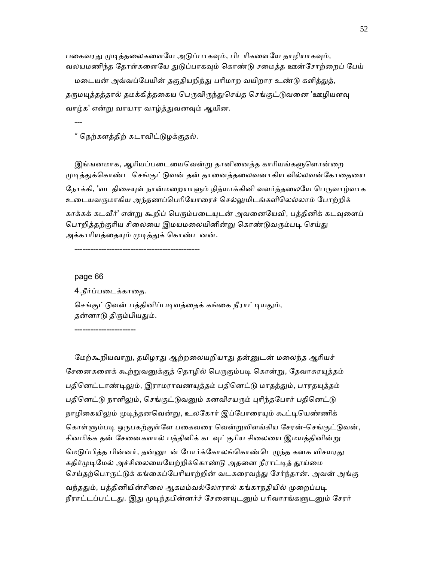பகைவரது முடித்தலைகளையே அடுப்பாகவும், பிடரிகளையே தாழியாகவும், வலயமணிந்த தோள்களையே துடுப்பாகவும் கொண்டு சமைத்த ஊன்சோற்றைப் பேய்

மடையன் அவ்வப்பேயின் தகுதியறிந்து பரிமாற வயிறார உண்டு களித்துத், தருமயுத்தத்தால் தமக்கித்தகைய பெருவிருந்துசெய்த செங்குட்டுவனை 'ஊழியளவு வாழ்க' என்ᾠ வாயார வாழ்த்ᾐவனᾫம் ஆயின.

---

\* ெநற்களத்திற் கடாவிட்ᾌழக்குதல்.

இங்ஙனமாக, ஆரியப்படையைவென்று தானினைத்த காரியங்களுளொன்றை முடித்துக்கொண்ட செங்குட்டுவன் தன் தானைத்தலைவனாகிய வில்லவன்கோதையை நோக்கி, 'வடதிசையுள் நான்மறையாளும் நித்யாக்கினி வளர்த்தலையே பெருவாழ்வாக உைடயவᾞமாகிய அந்தணப்ெபாிேயாைரச் ெசல்ᾤமிடங்களிெலல்லாம் ேபாற்றிக் காக்கக் கடவீர்' என்று கூறிப் பெரும்படையுடன் அவனையேவி, பத்தினிக் கடவுளைப் பொறித்தற்குரிய சிலையை இமயமலையினின்று கொண்டுவரும்படி செய்து அக்காரியத்தையும் முடித்துக் கொண்டனன்.

-----------------------------------------------

## page 66

4.நீர்ப்படைக்காதை. செங்குட்டுவன் பத்தினிப்படிவத்தைக் கங்கை நீராட்டியதும், தன்னாடு திரும்பியதும்.

-----------------------

மேற்கூறியவாறு, தமிழரது ஆற்றலையறியாது தன்னுடன் மலைந்த ஆரியச் சேனைகளைக் கூற்றுவனுக்குத் தொழில் பெருகும்படி கொன்று, தேவாசுரயுத்தம் பதினெட்டாண்டிலும், இராமராவணயுத்தம் பதினெட்டு மாதத்தும், பாரதயுத்தம் பதினெட்டு நாளிலும், செங்குட்டுவனும் கனவிசயரும் புரிந்தபோர் பதினெட்டு நாழிகையிலும் முடிந்தனவென்று, உலகோர் இப்போரையும் கூட்டியெண்ணிக் கொள்ளும்படி ஒருபகற்குள்ளே பகைவரை வென்றுவிளங்கிய சேரன்-செங்குட்டுவன், சினமிக்க தன் சேனைகளால் பத்தினிக் கடவுட்குரிய சிலையை இமயத்தினின்று மெடுப்பித்த பின்னர், தன்னுடன் போர்க்கோலங்கொண்டெழுந்த கனக விசயரது கதிர்முடிமேல் அச்சிலையையேற்றிக்கொண்டு அதனை நீராட்டித் தூய்மை செய்தற்பொருட்டுக் கங்கைப்பேரியாற்றின் வடகரைவந்து சேர்ந்தான். அவன் அங்கு வந்ததும், பத்தினியின்சிலை ஆகமம்வல்லோரால் கங்காநதியில் முறைப்படி நீராட்டப்பட்டது. இது முடிந்தபின்னர்ச் சேனையுடனும் பரிவாரங்களுடனும் சேரர்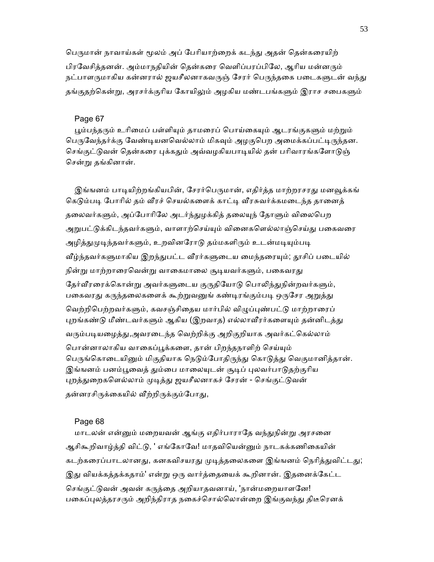பெருமான் நாவாய்கள் மூலம் அப் பேரியாற்றைக் கடந்து அதன் தென்கரையிற் பிரவேசித்தனன். அம்மாநதியின் தென்கரை வெளிப்பரப்பிலே, ஆரிய மன்னரும் நட்பாளருமாகிய கன்னரால் ஜயசீலனாகவருஞ் சேரர் பெருந்தகை படைகளுடன் வந்து தங்குதற்கென்று, அரசர்க்குரிய கோயிலும் அழகிய மண்டபங்களும் இராச சபைகளும்

## Page 67

பூம்பந்தரும் உரிமைப் பள்ளியும் தாமரைப் பொய்கையும் ஆடரங்குகளும் மற்றும் பெருவேந்தர்க்கு வேண்டியனவெல்லாம் மிகவும் அழகுபெற அமைக்கப்பட்டிருந்தன. செங்குட்டுவன் தென்கரை புக்கதும் அவ்வழகியபாடியில் தன் பரிவாரங்களோடுஞ் ெசன்ᾠ தங்கினான்.

இங்ஙனம் பாடியிற்றங்கியபின், சேரர்பெருமான், எதிர்த்த மாற்றரசரது மனவூக்கங் கெடும்படி போரில் தம் வீரச் செயல்களைக் காட்டி வீரசுவர்க்கமடைந்த தானைத் தலைவர்களும், அப்போரிலே அடர்ந்துழக்கித் தலையுந் தோளும் விலைபெற அறுபட்டுக்கிடந்தவர்களும், வாளாற்செய்யும் வினைகளெல்லாஞ்செய்து பகைவரை அழித்துமுடிந்தவர்களும், உறவினரோடு தம்மகளிரும் உடன்மடியும்படி வீழ்ந்தவர்களுமாகிய இறந்துபட்ட வீரர்களுடைய மைந்தரையும்; தூசிப் படையில் நின்று மாற்றாரைவென்று வாகைமாலை சூடியவர்களும், பகைவரது தேர்வீரரைக்கொன்று அவர்களுடைய குருதியோடு பொலிந்துநின்றவர்களும், பகைவரது கருந்தலைகளைக் கூற்றுவனுங் கண்டிரங்கும்படி ஒருசேர அறுத்து வெற்றிபெற்றவர்களும், கவசஞ்சிதைய மார்பில் விழுப்புண்பட்டு மாற்றாரைப் புறங்கண்டு மீண்டவர்களும் ஆகிய (இறவாத) எல்லாவீரர்களையும் தன்னிடத்து வரும்படியழைத்து,அவரடைந்த வெற்றிக்கு அறிகுறியாக அவர்கட்கெல்லாம் பொன்னாலாகிய வாகைப்பூக்களை, தான் பிறந்தநாளிற் செய்யும் பெருங்கொடையினும் மிகுதியாக நெடும்போதிருந்து கொடுத்து வெகுமானித்தான். இங்ஙனம் பனம்பூவைத் தும்பை மாலையுடன் சூடிப் புலவர்பாடுதற்குரிய புறத்துறைகளெல்லாம் முடித்து ஜயசீலனாகச் சேரன் - செங்குட்டுவன் தன்னரசிருக்கையில் வீற்றிருக்கும்போது,

#### Page 68

மாடலன் என்னும் மறையவன் ஆங்கு எதிர்பாராதே வந்துநின்று அரசனை ஆசிகூறிவாழ்த்தி விட்டு, ' எங்கோவே! மாதவியென்னும் நாடகக்கணிகையின் கடற்கரைப்பாடலானது, கனகவிசயரது முடித்தலைகளை இங்ஙனம் நெரித்துவிட்டது; இது வியக்கத்தக்கதாம்' என்று ஒரு வார்த்தையைக் கூறினான். இதனைக்கேட்ட செங்குட்டுவன் அவன் கருக்கை அறியாதவனாய், 'நான்மறையாளனே! பகைப்புலத்தரசரும் அறிந்திராத நகைச்சொல்லொன்றை இங்குவந்து திடீரெனக்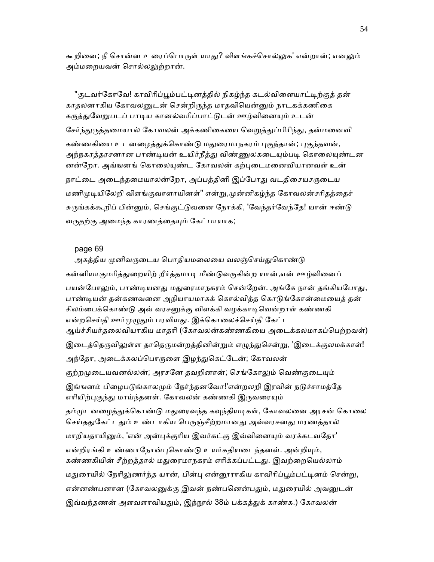கூறினை; நீ சொன்ன உரைப்பொருள் யாகு!? விளங்கச்சொல்லுக' என்றான்; எனலும் அம்மைறயவன் ெசால்லᾤற்றான்.

"குடவர்கோவே! காவிரிப்பூம்பட்டினக்கில் நிகழ்ந்த கடல்விளையாட்டிற்குக் தன் காதலனாகிய கோவலனுடன் சென்றிருந்த மாதவியென்னும் நாடகக்கணிகை கருத்துவேறுபடப் பாடிய கானல்வரிப்பாட்டுடன் ஊழ்வினையும் உடன் சேர்ந்துருத்தமையால் கோவலன் அக்கணிகையை வெறுத்துப்பிரிந்து, தன்மனைவி கண்ணகியை உடனழைத்துக்கொண்டு மதுரைமாநகரம் புகுந்தான்; புகுந்தவன், அந்நகரத்தரசனான பாண்டியன் உயிர்நீத்து விண்ணுலகடையும்படி கொலையுண்டன னன்றோ. அங்ஙனங் கொலையுண்ட கோவலன் கற்புடைமனைவியானவள் உன் நாட்டை அடைந்தமையாலன்றோ, அப்பத்தினி இப்போது வடதிசையசருடைய மணிமுடியிலேறி விளங்குவாளாயினள்" என்று,முன்னிகழ்ந்த கோவலன்சரிதத்தைச் சுருங்கக்கூறிப் பின்னும், செங்குட்டுவனை நோக்கி, 'வேந்தர்வேந்தே! யான் ஈண்டு வருதற்கு அமைந்த காரணத்தையும் கேட்பாயாக;

## page 69

அகத்திய முனிவருடைய பொதியமலையை வலஞ்செய்துகொண்டு கன்னியாகுமரித்துறையிற் றீர்த்தமாடி மீண்டுவருகின்ற யான்,என் ஊழ்வினைப் பயன்போலும், பாண்டியனது மதுரைமாநகரம் சென்றேன். அங்கே நான் தங்கியபோது, பாண்டியன் தன்கணவனை அநியாயமாகக் கொல்வித்த கொடுங்கோன்மையைத் தன் சிலம்பைக்கொண்டு அவ் வரசனுக்கு விளக்கி வழக்காடிவென்றாள் கண்ணகி என்றசெய்தி ஊர்முழுதும் பரவியது. இக்கொலைச்செய்தி கேட்ட ஆய்ச்சியர்தைலவியாகிய மாதாி (ேகாவலன்கண்ணகிைய அைடக்கலமாகப்ெபற்றவள்) இடைத்தெருவிலுள்ள தாதெருமன்றத்தினின்றும் எழுந்துசென்று, 'இடைக்குலமக்காள்! அந்தோ, அடைக்கலப்பொருளை இழந்துகெட்டேன்; கோவலன் குற்றமுடையவனல்லன்; அரசனே தவறினான்; செங்கோலும் வெண்குடையும் இங்ஙனம் பிழைபடுங்காலமும் நேர்ந்தனவோ!'என்றலறி இரவின் நடுச்சாமத்தே எரியிற்புகுந்து மாய்ந்தனள். கோவலன் கண்ணகி இருவரையும் தம்முடனழைத்துக்கொண்டு மதுரைவந்த கவுந்தியடிகள், கோவலனை அரசன் கொலை செய்ததுகேட்டதும் உண்டாகிய பெருஞ்சீற்றமானது அவ்வரசனது மரணத்தால் மாறியதாயினும், 'என் அன்புக்குரிய இவர்கட்கு இவ்வினையும் வரக்கடவதோ' என்றிரங்கி உண்ணாநோன்புகொண்டு உயர்கதியடைந்தனள். அன்றியும், கண்ணகியின் சீற்றத்தால் மதுரைமாநகரம் எரிக்கப்பட்டது. இவற்றையெல்லாம் மதுரையில் நேரிலுணர்ந்த யான், பின்பு என்னூராகிய காவிரிப்பூம்பட்டினம் சென்று, என்னண்பனான (கோவலனுக்கு இவன் நண்பனென்பதும், மதுரையில் அவனுடன் இவ்வந்தணன் அளவளாவியதும், இந்நூல் 38ம் பக்கத்துக் காண்க.) கோவலன்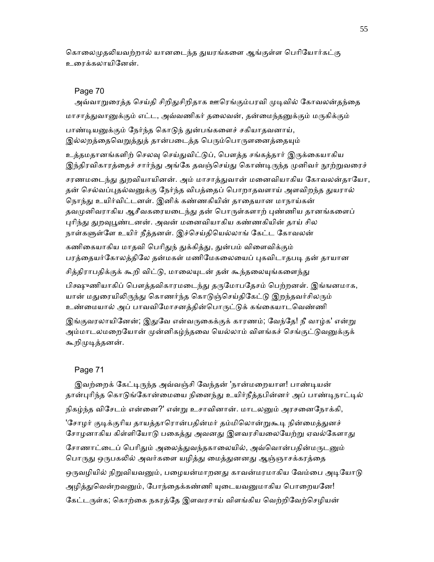கொலைமுதலியவற்றால் யானடைந்த துயரங்களை ஆங்குள்ள பெரியோர்கட்கு உைரக்கலாயிேனன்.

#### Page 70

அவ்வாறுரைத்த செய்தி சிறிதுசிறிதாக ஊரெங்கும்பரவி முடிவில் கோவலன்தந்தை மாசாத்துவானுக்கும் எட்ட, அவ்வணிகர் தலைவன், தன்மைந்தனுக்கும் மருகிக்கும் பாண்டியனுக்கும் நேர்ந்த கொடுந் துன்பங்களைச் சகியாதவனாய், இல்லறத்தைவெறுத்துத் தான்படைத்த பெரும்பொருளனைத்தையும் உத்தமதானங்களிற் செலவு செய்துவிட்டுப், பௌத்த சங்கத்தார் இருக்கையாகிய இந்திரவிகாரத்தைச் சார்ந்து அங்கே தவஞ்செய்து கொண்டிருந்த முனிவர் நூற்றுவரைச் சரணமடைந்து துறவியாயினன். அம் மாசாத்துவான் மனைவியாகிய கோவலன்தாயோ, தன் செல்வப்புதல்வனுக்கு நேர்ந்த விபத்தைப் பொறாதவளாய் அளவிறந்த துயரால் நொந்து உயிர்விட்டனள். இனிக் கண்ணகியின் தாதையான மாநாய்கன் தவமுனிவராகிய ஆசீவகரையடைந்து தன் பொருள்களாற் புண்ணிய தானங்களைப் புரிந்து துறவுபூண்டனன். அவன் மனைவியாகிய கண்ணகியின் தாய் சில நாள்களுள்ளே உயிர் நீத்தனள். இச்செய்தியெல்லாங் கேட்ட கோவலன் கணிகையாகிய மாதவி பெரிதுந் துக்கித்து, துன்பம் விளைவிக்கும் பரத்தையர்கோலத்திலே தன்மகள் மணிமேகலையைப் புகவிடாதபடி தன் தாயான சித்திராபதிக்குக் கூறி விட்டு, மாலையுடன் தன் கூந்தலையுங்களைந்து

பிக்ஷுணியாகிப் பௌத்தவிகாரமடைந்து தருமோபதேசம் பெற்றனள். இங்ஙனமாக, யான் மதுரையிலிருந்து கொணர்ந்த கொடுஞ்செய்திகேட்டு இறந்தவர்சிலரும் உண்மையால் அப் பாவவிமோசனத்தின்பொருட்டுக் கங்கையாடவெண்ணி

இங்குவரலாயினேன்; இதுவே என்வருகைக்குக் காரணம்; வேந்தே! நீ வாழ்க' என்று அம்மாடலமறையோன் முன்னிகழ்ந்தவை யெல்லாம் விளங்கச் செங்குட்டுவனுக்குக் கூறிமுடித்தனன்.

## Page 71

இவற்றைக் கேட்டிருந்த அவ்வஞ்சி வேந்தன் 'நான்மறையாள! பாண்டியன் தான்புரிந்த கொடுங்கோன்மையை நினைந்து உயிர்நீத்தபின்னர் அப் பாண்டிநாட்டில் நிகழ்ந்த விசேடம் என்னை?' என்று உசாவினான். மாடலனும் அரசனைநோக்கி, 'சோழர் குடிக்குரிய தாயத்தாரொன்பதின்மர் தம்மிலொன்றுகூடி நின்மைத்துனச் சோழனாகிய கிள்ளியோடு பகைத்து அவனது இளவரசியலையேற்று ஏவல்கேளாது சோணாட்டைப் பெரிதும் அலைத்துவந்தகாலையில், அவ்வொன்பதின்மருடனும் பொருது ஒருபகலில் அவர்களை யழித்து மைத்துனனது ஆஞ்ஞாசக்கரத்தை ஒருவழியில் நிறுவியவனும், பழையன்மாறனது காவன்மரமாகிய வேம்பை அடியோடு அழித்துவென்றவனும், போந்தைக்கண்ணி யுடையவனுமாகிய பொறையனே! கேட்டருள்க; கொற்கை நகரத்தே இளவரசாய் விளங்கிய வெற்றிவேற்செழியன்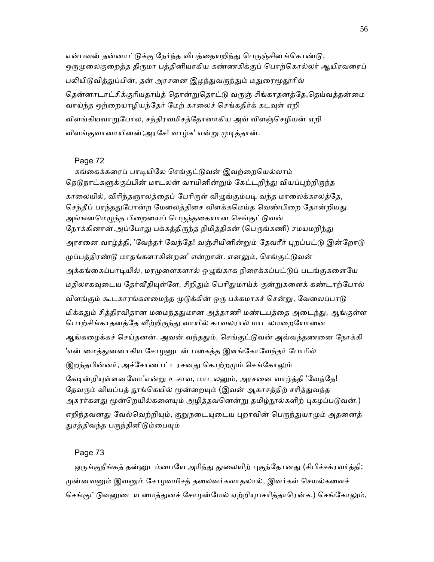என்பவன் தன்னாட்டுக்கு நேர்ந்த விபத்தையறிந்து பெருஞ்சினங்கொண்டு, ஒருமுலைகுறைத்த திருமா பத்தினியாகிய கண்ணகிக்குப் பொற்கொல்லர் ஆயிரவரைப் பலியிடுவித்துப்பின், தன் அரசனை இழந்துவருந்தும் மதுரைமூதூரில் தென்னாடாட்சிக்குரியதாய்த் தொன்றுதொட்டு வருஞ் சிங்காதனத்தே,தெய்வத்தன்மை வாய்ந்த ஒற்றையாழியந்தேர் மேற் காலைச் செங்கதிர்க் கடவுள் ஏறி விளங்கியவாறுபோல, சந்திரவமிசத்தோனாகிய அவ் விளஞ்செழியன் ஏறி விளங்குவானாயினன்;அரசே! வாழ்க' என்று முடித்தான்.

### Page 72

கங்கைக்கரைப் பாடியிலே செங்குட்டுவன் இவற்றையெல்லாம் நெடுநாட்களுக்குப்பின் மாடலன் வாயினின்றும் கேட்டறிந்து வியப்புற்றிருந்த காலையில், விரிந்தஞாலத்தைப் பேரிருள் விழுங்கும்படி வந்த மாலைக்காலத்தே, செந்தீப் பரந்ததுபோன்ற மேலைத்திசை விளக்கமெய்த வெண்பிறை தோன்றியது. அங்ஙனமெழுந்த பிறையைப் பெருந்தகையான செங்குட்டுவன் நோக்கினான்.அப்போது பக்கத்திருந்த நிமித்திகன் (பெருங்கணி) சமயமறிந்து அரசனை வாழ்த்தி, 'வேந்தர் வேந்தே! வஞ்சியினின்றும் தேவரீர் புறப்பட்டு இன்றோடு முப்பத்திரண்டு மாதங்களாகின்றன' என்றான். எனலும், செங்குட்டுவன் அக்கங்கைப்பாடியில், மரமுளைகளால் ஒழுங்காக நிரைக்கப்பட்டுப் படங்குகளையே மதிலாகவுடைய தேர்வீதியுள்ளே, சிறிதும் பெரிதுமாய்க் குன்றுகளைக் கண்டாற்போல் விளங்கும் கூடகாரங்களமைந்த முடுக்கின் ஒரு பக்கமாகச் சென்று, வேலைப்பாடு மிக்கதும் சித்திரவிதான மமைந்ததுமான அத்தாணி மண்டபத்தை அடைந்து, ஆங்குள்ள பொற்சிங்காதனத்தே வீற்றிருந்து வாயில் காவலரால் மாடலமறையோனை ஆங்கழைக்கச் செய்தனன். அவன் வந்ததும், செங்குட்டுவன் அவ்வந்தணனை நோக்கி 'என் மைத்துனனாகிய சோழனுடன் பகைத்த இளங்கோவேந்தர் போரில் இறந்தபின்னர், அச்சோணாட்டரசனது கொற்றமும் செங்கோலும் கேடின்றியுள்ளனவோ'என்று உசாவ, மாடலனும், அரசனை வாழ்த்தி 'வேந்தே! தேவரும் வியப்பத் தூங்கெயில் மூன்றையும் (இவன் ஆகாசத்திற் சரித்துவந்த அசுரர்களது மூன்றெயில்களையும் அழித்தவனென்று தமிழ்நூல்களிற் புகழப்படுவன்.) எறிந்தவனது வேல்வெற்றியும், குறுநடையுடைய புறாவின் பெருந்துயரமும் அதனைத்

# துரத்திவந்த பருந்தினிடும்பையும்

## Page 73

ஒருங்குநீங்கத் தன்னுடம்பையே அரிந்து துலையிற் புகுந்தோனது (சிபிச்சக்ரவர்த்தி; முன்னவனும் இவனும் சோழவமிசத் தலைவர்களாதலால், இவர்கள் செயல்களைச் செங்குட்டுவனுடைய மைத்துனச் சோழன்மேல் ஏற்றியுபசரித்தாரென்க.) செங்கோலும்,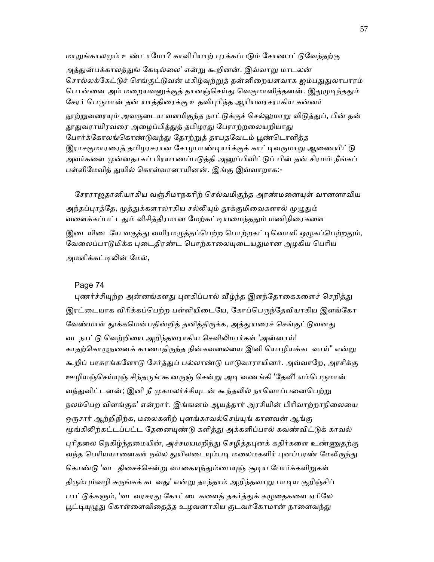மாறுங்காலமும் உண்டாமோ? காவிரியாற் பரக்கப்படும் சோணாட்டுவேந்தற்கு

அத்துன்பக்காலத்துங் கேடில்லை' என்று கூறினன். இவ்வாறு மாடலன் சொல்லக்கேட்டுச் செங்குட்டுவன் மகிழ்வுற்றுத் தன்னிறையளவாக ஐம்பதுதுலாபாரம் பொன்னை அம் மறையவனுக்குத் தானஞ்செய்து வெகுமானித்தனன். இதுமுடிந்ததும் சேரர் பெருமான் தன் யாத்திரைக்கு உதவிபுரிந்த ஆரியவரசராகிய கன்னர்

நூற்றுவரையும் அவருடைய வளமிகுந்த நாட்டுக்குச் செல்லுமாறு விடுத்துப், பின் தன் தூதுவராயிரவரை அழைப்பித்துத் தமிழரது பேராற்றலையறியாது போர்க்கோலங்கொண்டுவந்து தோற்றுத் தாபதவேடம் பூண்டொளித்த இராசகுமாரரைத் தமிழரசரான சோழபாண்டியர்க்குக் காட்டிவருமாறு ஆணையிட்டு அவர்களை முன்னதாகப் பிரயாணப்படுத்தி அனுப்பிவிட்டுப் பின் தன் சிரமம் நீங்கப் பள்ளிமேவித் துயில் கொள்வானாயினன். இங்கு இவ்வாறாக:-

சேரராஜதானியாகிய வஞ்சிமாநகரிற் செல்வமிகுந்த அரண்மனையுள் வானளாவிய அந்தப்புரத்தே, முத்துக்களாலாகிய சல்லியும் தூக்குமிவைகளால் முழுதும் வளைக்கப்பட்டதும் விசித்திரமான மேற்கட்டியமைந்ததும் மணிநிரைகளை இடையிடையே வகுத்து வயிரமழுத்தப்பெற்ற பொற்றகட்டினொளி ஒழுகப்பெற்றதும், வேலைப்பாடுமிக்க புடைதிரண்ட பொற்காலையுடையதுமான அழகிய பெரிய அமளிக்கட்டிலின் மேல்,

## Page 74

புணர்ச்சியுற்ற அன்னங்களது புளகிப்பால் வீழ்ந்த இளந்தோகைகளைச் செறித்து இரட்டையாக விரிக்கப்பெற்ற பள்ளியிடையே, கோப்பெருந்தேவியாகிய இளங்கோ வேண்மாள் தூக்கமென்பதின்றித் தனித்திருக்க, அத்துயரைச் செங்குட்டுவனது வடநாட்ᾌ ெவற்றிைய அறிந்தவராகிய ெசவிᾢமார்கள் 'அன்னாய்! காதற்கொழுநனைக் காணாதிருந்த நின்கவலையை இனி யொழியக்கடவாய்" என்று கூறிப் பாசுரங்களோடு சேர்த்துப் பல்லாண்டு பாடுவாராயினர். அவ்வாறே, அரசிக்கு ஊழியஞ்செய்யுஞ் சிந்தருங் கூனருஞ் சென்று அடி வணங்கி 'தேவீ! எம்பெருமான் வந்துவிட்டனன்; இனி நீ முகமலர்ச்சியுடன் கூந்தலில் நாளொப்பனைபெற்று நலம்ெபற விளங்குக' என்றார். இங்ஙனம் ஆயத்தார் அரசியின் பிாிவாற்றாநிைலைய ஒருசார் ஆற்றிநிற்க, மலைகளிற் புனங்காவல்செய்யுங் கானவன் ஆங்கு மூங்கிலிற்கட்டப்பட்ட தேனையுண்டு களித்து அக்களிப்பால் கவண்விட்டுக் காவல் புரிதலை நெகிழ்ந்தமையின், அச்சமயமறிந்து செழித்தபுனக் கதிர்களை உண்ணுதற்கு வந்த பெரியயானைகள் நல்ல துயிலடையும்படி மலைமகளிர் புனப்பரண் மேலிருந்து கொண்டு 'வட திசைச்சென்று வாகையுந்தும்பையுஞ் சூடிய போர்க்களிறுகள் திரும்பும்வழி சுருங்கக் கடவது' என்று தாந்தாம் அறிந்தவாறு பாடிய குறிஞ்சிப் பாட்டுக்களும், 'வடவரசரது கோட்டைகளைத் தகர்த்துக் கழுதைகளை ஏரிலே பூட்டியுழுது கொள்ளைவிதைத்த உழவனாகிய குடவர்கோமான் நாளைவந்து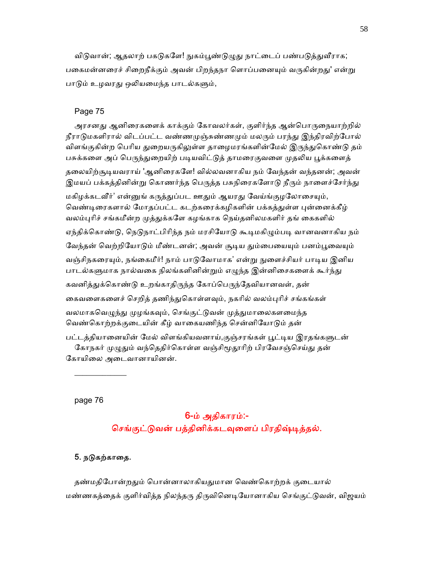விடுவான்; ஆதலாற் பகடுகளே! நுகம்பூண்டுமுது நாட்டைப் பண்படுத்துவீராக; பகைமன்னரைச் சிறைநீக்கும் அவன் பிறந்தநா ளொப்பனையும் வருகின்றது' என்று பாடும் உழவரது ஒலியமைந்த பாடல்களும்,

## Page 75

அரசனது ஆனிரைகளைக் காக்கும் கோவலர்கள், குளிர்ந்த ஆன்பொருநையாற்றில் நீராடுமகளிரால் விடப்பட்ட வண்ணமுஞ்சுண்ணமும் மலரும் பரந்து இந்திரவிற்போல் விளங்குகின்ற பெரிய துறையருகிலுள்ள தாழைமரங்களின்மேல் இருந்துகொண்டு தம் பசுக்களை அப் பெருந்துறையிற் படியவிட்டுத் தாமரைகுவளை முதலிய பூக்களைத் தலையிற்சூடியவராய் 'ஆனிரைகளே! வில்லவனாகிய நம் வேந்தன் வந்தனன்; அவன் இமயப் பக்கத்தினின்று கொணர்ந்த பெருத்த பசுநிரைகளோடு நீரும் நாளைச்சேர்ந்து மகிழக்கடவீர்' என்னுங் கருத்துப்பட ஊதும் ஆயரது வேய்ங்குழலோசையும், வெண்டிரைகளால் மோதப்பட்ட கடற்கரைக்கழிகளின் பக்கத்துள்ள புன்னைக்கீழ் வலம்புரிச் சங்கமீன்ற முத்துக்களே கழங்காக நெய்தனிலமகளிர் தங் கைகளில் ஏந்திக்கொண்டு, நெடுநாட்பிரிந்த நம் மரசியோடு கூடிமகிழும்படி வானவனாகிய நம் வேந்தன் வெற்றியோடும் மீண்டனன்; அவன் சூடிய தும்பையையும் பனம்பூவையும் வஞ்சிநகரையும், நங்கைமீர்! நாம் பாடுவோமாக' என்று நுளைச்சியர் பாடிய இனிய பாடல்களுமாக நால்வகை நிலங்களினின்றும் எழுந்த இன்னிசைகளைக் கூர்ந்து கவனித்துக்கொண்டு உறங்காதிருந்த கோப்பெருந்தேவியானவள், தன் கைவளைகளைச் செறித் தணிந்துகொள்ளவும், நகரில் வலம்புரிச் சங்கங்கள் வலமாகவெழுந்து முழங்கவும், செங்குட்டுவன் முத்துமாலைகளமைந்த வெண்கொற்றக்குடையின் கீழ் வாகையணிந்த சென்னியோடும் தன்

பட்டத்தியானையின் மேல் விளங்கியவனாய்,குஞ்சரங்கள் பூட்டிய இரதங்களுடன் கோநகர் முழுதும் வந்தெதிர்கொள்ள வஞ்சிமூதூரிற் பிரவேசஞ்செய்து தன் கோயிலை அடைவானாயினன்.

page 76

 $\frac{1}{2}$  ,  $\frac{1}{2}$  ,  $\frac{1}{2}$  ,  $\frac{1}{2}$  ,  $\frac{1}{2}$  ,  $\frac{1}{2}$  ,  $\frac{1}{2}$ 

# 6-ம் அதிகாரம்:- செங்குட்டுவன் பத்தினிக்கடவுளைப் பிரதிஷ்டித்தல்.

## 5. நடுகற்காதை.

தண்மதிபோன்றதும் பொன்னாலாகியதுமான வெண்கொற்றக் குடையால் மண்ணகத்தைக் குளிர்வித்த நிலந்தரு திருவினெடியோனாகிய செங்குட்டுவன், விஜயம்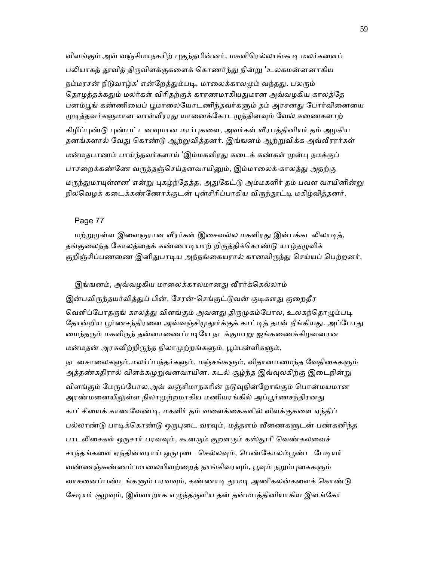விளங்கும் அவ் வஞ்சிமாநகரிற் புகுந்தபின்னர், மகளிரெல்லாங்கூடி மலர்களைப் பலியாகத் தூவித் திருவிளக்குகளைக் கொணர்ந்து நின்று 'உலகமன்னனாகிய நம்மரசன் நீடுவாழ்க' என்றேத்தும்படி, மாலைக்காலமும் வந்தது. பலரும் தொழத்தக்கதும் மலர்கள் விரிதற்குக் காரணமாகியதுமான அவ்வழகிய காலத்தே பனம்பூங் கண்ணியைப் பூமாலையோடணிந்தவர்களும் தம் அரசனது போர்வினையை முடித்தவர்களுமான வாள்வீரரது யானைக்கோடழுத்தினவும் வேல் கணைகளாற் கிழிப்புண்டு புண்பட்டனவுமான மார்புகளை, அவர்கள் வீரபத்தினியர் தம் அழகிய தனங்களால் வேது கொண்டு ஆற்றுவித்தனர். இங்ஙனம் ஆற்றுவிக்க அவ்வீரரர்கள் மன்மதபாணம் பாய்ந்தவர்களாய் 'இம்மகளிரது கடைக் கண்கள் முன்பு நமக்குப் பாசறைக்கண்ணே வருத்தஞ்செய்தனவாயினும், இம்மாலைக் காலத்து அதற்கு மருந்துமாயுள்ளன' என்று புகழ்ந்தேத்த, அதுகேட்டு அம்மகளிர் தம் பவள வாயினின்று நிலவெழக் கடைக்கண்ணோக்குடன் புன்சிரிப்பாகிய விருந்தூட்டி மகிழ்வித்தனர்.

#### Page 77

மற்றுமுள்ள இளைஞரான வீரர்கள் இசைவல்ல மகளிரது இன்பக்கடலிலாடித், தங்குலைந்த கோலத்தைக் கண்ணாடியாற் றிருத்திக்கொண்டு யாழ்தழுவிக் குறிஞ்சிப்பணணை இனிதுபாடிய அந்நங்கையரால் கானவிருந்து செய்யப் பெற்றனர்.

இங்ஙனம், அவ்வழகிய மாலைக்காலமானது வீரர்க்கெல்லாம் இன்பவிருந்தயர்வித்துப் பின், சேரன்-செங்குட்டுவன் குடிகளது குறைதீர வெளிப்போதருங் காலத்து விளங்கும் அவனது திருமுகம்போல, உலகந்தொழும்படி தோன்றிய பூர்ணசந்திரனை அவ்வஞ்சிமுதூர்க்குக் காட்டித் தான் நீங்கியது. அப்போது மைந்தரும் மகளிருந் தன்னாணைப்படியே நடக்குமாறு ஐங்கணைக்கிழவனான

மன்மதன் அரசுவீற்றிருந்த நிலாமுற்றங்களும், பூம்பள்ளிகளும்,

நடனசாலைகளும்,மலர்ப்பந்தர்களும், மஞ்சங்களும், விதானமமைந்த வேதிகைகளும் அத்தண்கதிரால் விளக்கமுறுவனவாயின. கடல் சூழ்ந்த இவ்வுலகிற்கு இடைநின்று விளங்கும் மேருப்போல,அவ் வஞ்சிமாநகரின் நடுவுநின்றோங்கும் பொன்மயமான அரண்மனையிலுள்ள நிலாமுற்றமாகிய மணியரங்கில் அப்பூர்ணசந்திரனது காட்சிையக் காணேவண்ᾊ, மகளிர் தம் வைளக்ைககளில் விளக்குகைள ஏந்திப் பல்லாண்டு பாடிக்கொண்டு ஒருபுடை வரவும், மத்தளம் வீணைகளுடன் பண்கனிந்த பாடலிசைகள் ஒருசார் பரவவும், கூனரும் குறளரும் கஸ்தூரி வெண்கலவைச் சாந்தங்களை ஏந்தினவராய் ஒருபுடை செல்லவும், பெண்கோலம்பூண்ட பேடியர் வண்ணஞ்சுண்ணம் மாலையிவற்றைத் தாங்கிவரவும், பூவும் நறும்புகைகளும் வாசனைப்பண்டங்களும் பரவவும், கண்ணாடி தூமடி அணிகலன்களைக் கொண்டு சேடியர் சூழவும், இவ்வாறாக எழுந்தருளிய தன் தன்மபத்தினியாகிய இளங்கோ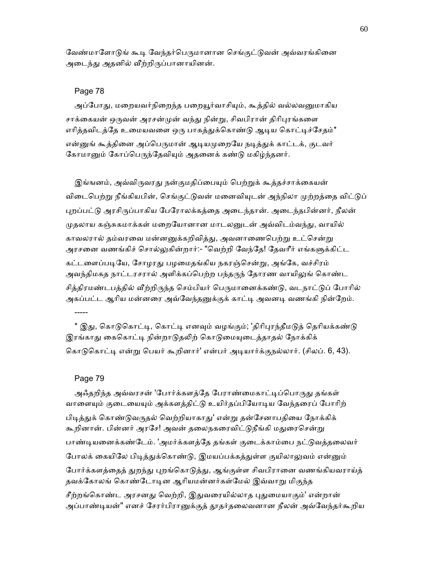வேண்மாளோடுங் கூடி வேந்தர்பெருமானான செங்குட்டுவன் அவ்வரங்கினை அடைந்து அதனில் வீற்றிருப்பானாயினன்.

#### Page 78

அப்போது, மறையவர்நிறைந்த பறையூர்வாசியும், கூத்தில் வல்லவனுமாகிய சாக்கையன் ஒருவன் அரசன்முன் வந்து நின்று, சிவபிரான் திரிபுரங்களை எரித்தவிடத்தே உமையவளை ஒரு பாகத்துக்கொண்டு ஆடிய கொட்டிச்சேதம்\* என்னுங் கூத்தினை அப்பெருமான் ஆடியமுறையே நடித்துக் காட்டக், குடவர் கோமானும் கோப்பெருந்தேவியும் அதனைக் கண்டு மகிழ்ந்தனர்.

இங்ஙனம், அவ்விருவரது நன்குமதிப்பையும் பெற்றுக் கூத்தச்சாக்கையன் விடைபெற்று நீங்கியபின், செங்குட்டுவன் மனைவியுடன் அந்நிலா முற்றத்தை விட்டுப் புறப்பட்டு அரசிருப்பாகிய பேரோலக்கத்தை அடைந்தான். அடைந்தபின்னர், நீலன் முதலாய கஞ்சுகமாக்கள் மறையோனான மாடலனுடன் அவ்விடம்வந்து, வாயில் காவலரால் தம்வரவை மன்னனுக்கறிவித்து, அவனாணைபெற்று உட்சென்று அரசனை வணங்கிச் சொல்லுகின்றார்:- "வெற்றி வேந்தே! தேவரீர் எங்களுக்கிட்ட கட்டளைப்படியே, சோழரது பழமைதங்கிய நகரஞ்சென்று, அங்கே, வச்சிரம் அவந்திமகத நாட்டரசரால் அளிக்கப்பெற்ற பந்தருந் தோரண வாயிலுங் கொண்ட சித்திரமண்டபத்தில் வீற்றிருந்த செம்பியர் பெருமானைக்கண்டு, வடநாட்டுப் போரில் அகப்பட்ட ஆரிய மன்னரை அவ்வேந்தனுக்குக் காட்டி அவனடி வணங்கி நின்றேம்.

\* இது, கொடுகொட்டி, கொட்டி எனவும் வழங்கும்; 'திரிபுரந்தீமடுத் தெரியக்கண்டு இரங்காது கைகொட்டி நின்றாடுதலிற் கொடுமையுடைத்தாதல் நோக்கிக் கொடுகொட்டி என்று பெயர் கூறினார்' என்பர் அடியார்க்குநல்லார். (சிலப். 6, 43).

## Page 79

-----

அஃதறிந்த அவ்வரசன் 'போர்க்களத்தே பேராண்மைகாட்டிப்பொருது தங்கள் வாளையும் குடையையும் அக்களத்திட்டு உயிர்தப்பியோடிய வேந்தரைப் போரிற் பிடித்துக் கொண்டுவருதல் வெற்றியாகாது' என்று தன்சேனாபதியை நோக்கிக் கூறினான். பின்னர் அரசே! அவன் தலைநகரைவிட்டுநீங்கி மதுரைசென்று பாண்டியனைக்கண்டேம். 'அமர்க்களத்தே தங்கள் குடைக்காம்பை நட்டுவத்தலைவர் போலக் கையிலே பிடித்துக்கொண்டு, இமயப்பக்கத்துள்ள குயிலாலுவம் என்னும் போர்க்களத்தைத் துறந்து புறங்கொடுத்து, ஆங்குள்ள சிவபிரானை வணங்கியவராய்த் தவக்கோலங் கொண்டோடின ஆரியமன்னர்கள்மேல் இவ்வாறு மிகுந்த சீற்றங்கொண்ட அரசனது வெற்றி, இதுவரையில்லாத புதுமையாகும்' என்றான்

அப்பாண்டியன்" எனச் சேரர்பிரானுக்குத் தூதர்தலைவனான நீலன் அவ்வேந்தர்கூறிய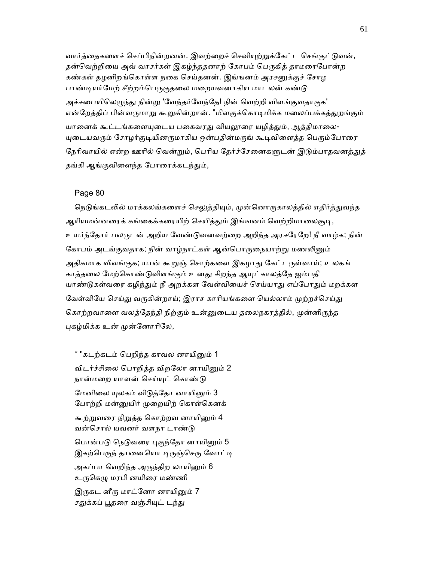வார்த்தைகளைச் செப்பிநின்றனன். இவற்றைச் செவியுற்றுக்கேட்ட செங்குட்டுவன், தன்வெற்றியை அவ் வரசர்கள் இகழ்ந்ததனாற் கோபம் பெருகித் தாமரைபோன்ற கண்கள் தழனிறங்கொள்ள நகை செய்தனன். இங்ஙனம் அரசனுக்குச் சோழ பாண்டியர்மேற் சீற்றம்பெருகுதலை மறையவனாகிய மாடலன் கண்டு அச்சபையிலெழுந்து நின்று 'வேந்தர்வேந்தே! நின் வெற்றி விளங்குவதாகுக' என்றேத்திப் பின்வருமாறு கூறுகின்றான். "மிளகுக்கொடிமிக்க மலைப்பக்கத்துறங்கும் யானைக் கூட்டங்களையுடைய பகைவரது வியலூரை யழித்தும், ஆத்திமாலை-யுடையவரும் சோழர்குடியினருமாகிய ஒன்பதின்மருங் கூடிவிளைத்த பெரும்போரை நேரிவாயில் என்ற ஊரில் வென்றும், பெரிய தேர்ச்சேனைகளுடன் இடும்பாதவனத்துத் தங்கி ஆங்குவிளைந்த போரைக்கடந்தும்,

#### Page 80

நெடுங்கடலில் மரக்கலங்களைச் செலுத்தியும், முன்னொருகாலத்தில் எதிர்த்துவந்த ஆரியமன்னரைக் கங்கைக்கரையிற் செயித்தும் இங்ஙனம் வெற்றிமாலைசூடி, உயர்ந்ேதார் பலᾞடன் அறிய ேவண்ᾌவனவற்ைற அறிந்த அரசேரேற! நீ வாழ்க; நின் கோபம் அடங்குவதாக; நின் வாழ்நாட்கள் ஆன்பொருநையாற்று மணலினும் அதிகமாக விளங்குக; யான் கூறுஞ் சொற்களை இகழாது கேட்டருள்வாய்; உலகங் காத்தலை மேற்கொண்டுவிளங்கும் உனது சிறந்த ஆயுட்காலத்தே ஐம்பதி யாண்டுகள்வரை கழிந்தும் நீ அறக்கள வேள்வியைச் செய்யாது எப்போதும் மறக்கள வேள்வியே செய்து வருகின்றாய்; இராச காரியங்களை யெல்லாம் முற்றச்செய்து கொற்றவாளை வலத்தேந்தி நிற்கும் உன்னுடைய தலைநகரத்தில், முன்னிருந்த புகழ்மிக்க உன் முன்னோரிலே,

\* "கடற்கடம் பெறிந்த காவல னாயினும் 1 விடர்ச்சிலை பொறித்த விறலோ னாயினும் 2 நான்மறை யாளன் செய்யுட் கொண்டு மேனிலை யுலகம் விடுத்தோ னாயினும் 3 போற்றி மன்னுயிர் முறையிற் கொள்கெனக் கூற்றுவரை நிறுத்த கொற்றவ னாயினும் 4 வன்ெசால் யவனர் வளநா டாண்ᾌ பொன்படு நெடுவரை புகுந்தோ னாயினும் 5 இகற்பெருந் தானையொ டிருஞ்செரு வோட்டி அகப்பா வெறிந்த அருந்திற லாயினும் 6 உருகெழு மரபி னயிரை மண்ணி

இருகட னீரு மாட்னோ னாயினும் 7 சதுக்கப் பூதரை வஞ்சியுட் டந்து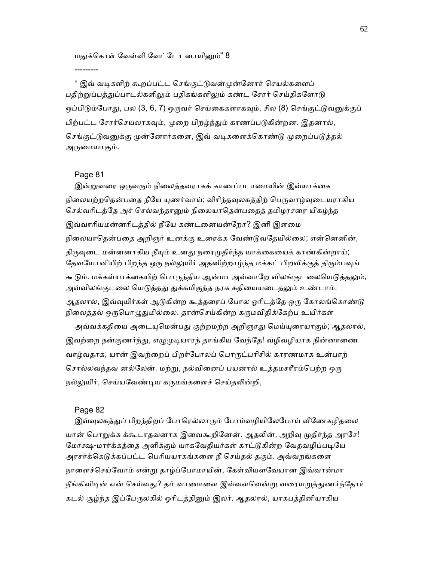### மதுக்கொள் வேள்வி வேட்டோ னாயினும்" 8

\* இவ் வடிகளிற் கூறப்பட்ட செங்குட்டுவன்முன்னோர் செயல்களைப் பதிற்றுப்பத்துப்பாடல்களிலும் பதிகங்களிலும் கண்ட சேரர் செய்திகளோடு ஒப்பிடும்போது, பல (3, 6, 7) ஒருவர் செய்கைகளாகவும், சில (8) செங்குட்டுவனுக்குப் பிற்பட்ட சேரர்செயலாகவும், முறை பிறழ்ந்தும் காணப்படுகின்றன. இதனால், செங்குட்டுவனுக்கு முன்னோர்களை, இவ் வடிகளைக்கொண்டு முறைப்படுத்தல் அருமையாகும்.

#### Page 81

---------

இன்றுவரை ஒருவரும் நிலைத்தவராகக் காணப்படாமையின் இவ்யாக்கை நிலையற்றதென்பதை நீயே யுணர்வாய்; விரிந்தவுலகத்திற் பெருவாழ்வுடையராகிய செல்வரிடத்தே அச் செல்வந்தானும் நிலையாதென்பதைத் தமிழரசரை யிகழ்ந்த இவ்வாாியமன்னாிடத்தில் நீேய கண்டைனயன்ேறா? இனி இளைம நிலையாதென்பதை அறிஞர் உனக்கு உரைக்க வேண்டுவதேயில்லை; என்னெனின், திருவுடை மன்னனாகிய நீயும் உனது நரைமுதிர்ந்த யாக்கையைக் காண்கின்றாய்; தேவயோனியிற் பிறந்த ஒரு நல்லுயிர் அதனிற்றாழ்ந்த மக்கட் பிறவிக்குத் திரும்பவுங் கூடும். மக்கள்யாக்கையிற் பொருந்திய ஆன்மா அவ்வாறே விலங்குடலையெடுத்தலும், அவ்விலங்குடலை யெடுத்தது துக்கமிகுந்த நரக கதியையடைதலும் உண்டாம். ஆதலால், இவ்வுயிர்கள் ஆடுகின்ற கூத்தரைப் போல ஓரிடத்தே ஒரு கோலங்கொண்டு நிலைத்தல் ஒருபொழுதுமில்லை. தான்செய்கின்ற கருமவிதிக்கேற்ப உயிர்கள்

அவ்வக்கதியை அடையுமென்பது குற்றமற்ற அறிஞரது மெய்யுரையாகும்; ஆதலால், இவற்றை நன்குணர்ந்து, எழுமுடியாரந் தாங்கிய வேந்தே! வழிவழியாக நின்னாணை வாழ்வதாக; யான் இவற்ைறப் பிறர்ேபாலப் ெபாᾞட்பாிசில் காரணமாக உன்பாற் சொல்லவந்தவ னல்லேன். மற்று, நல்வினைப் பயனால் உத்தமசரீரம்பெற்ற ஒரு நல்லுயிர், செய்யவேண்டிய கருமங்களைச் செய்தலின்றி,

#### Page 82

இவ்வுலகத்துப் பிறந்திறப் போரெல்லாரும் போம்வழியிலேபோய் வீணேகழிதலை யான் பொறுக்க க்கூடாதவனாக இவைகூறினேன். ஆதலின், அறிவு முதிர்ந்த அரசே! மோக்ஷ-மார்க்கத்தை அளிக்கும் யாகவேதியர்கள் காட்டுகின்ற வேதவழிப்படியே அரசர்க்கெடுக்கப்பட்ட பெரியயாகங்களை நீ செய்தல் தகும். அவ்வறங்களை நாளைச்செய்வோம் என்று தாழ்ப்போமாயின், கேள்வியளவேயான இவ்வான்மா நீங்கிவிடின் என் செய்வது? தம் வாணாளை இவ்வளவென்று வரையறுத்துணர்ந்தோர் கடல் சூழ்ந்த இப்பேருலகில் ஓரிடத்தினும் இலர். ஆதலால், யாகபத்தினியாகிய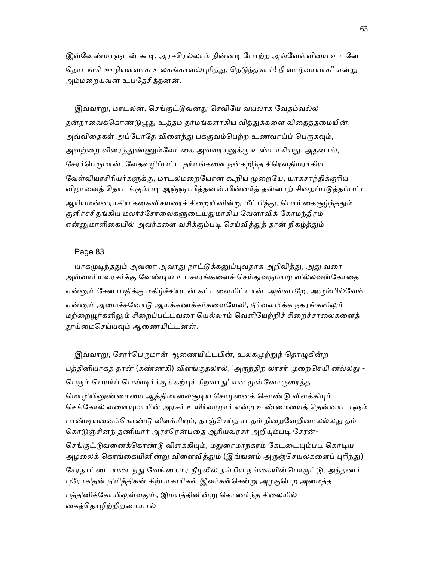இவ்வேண்மாளுடன் கூடி, அரசரெல்லாம் நின்னடி போற்ற அவ்வேள்வியை உடனே தொடங்கி ஊழியளவாக உலகங்காவல்புரிந்து, நெடுந்தகாய்! நீ வாழ்வாயாக" என்று அம்மைறயவன் உபேதசித்தனன்.

இவ்வாறு, மாடலன், செங்குட்டுவனது செவியே வயலாக வேதம்வல்ல தன்நாவைக்கொண்டுழுது உத்தம தர்மங்களாகிய வித்துக்களை விதைத்தமையின், அவ்விதைகள் அப்போதே விளைந்து பக்குவம்பெற்ற உணவாய்ப் பெருகவும், அவற்றை விரைந்துண்ணும்வேட்கை அவ்வரசனுக்கு உண்டாகியது. அதனால், சேரர்பெருமான், வேதவழிப்பட்ட தர்மங்களை நன்கறிந்த சிரௌதியராகிய வேள்வியாசிரியர்களுக்கு, மாடலமறையோன் கூறிய முறையே, யாகசாந்திக்குரிய விழாவைத் தொடங்கும்படி ஆஞ்ஞாபித்தனன்.பின்னர்த் தன்னாற் சிறைப்படுத்தப்பட்ட ஆரியமன்னராகிய கனகவிசயரைச் சிறையினின்று மீட்பித்து, பொய்கைசூழ்ந்ததும் குளிர்ச்சிதங்கிய மலர்ச்சோலைகளுடையதுமாகிய வேளாவிக் கோமந்திரம் என்னுமாளிகையில் அவர்களை வசிக்கும்படி செய்வித்துத் தான் நிகழ்த்தும்

#### Page 83

யாகமுடிந்ததும் அவரை அவரது நாட்டுக்கனுப்புவதாக அறிவித்து, அது வரை அவ்வாரியவரசர்க்கு வேண்டிய உபசாரங்களைச் செய்துவருமாறு வில்லவன்கோதை என்னும் சேனாபதிக்கு மகிழ்ச்சியுடன் கட்டளையிட்டான். அவ்வாறே, அழும்பில்வேள் என்னும் அமைச்சனோடு ஆயக்கணக்கர்களையேவி, நீர்வளமிக்க நகரங்களிலும் மற்றையூர்களிலும் சிறைப்பட்டவரை யெல்லாம் வெளியேற்றிச் சிறைச்சாலைகளைத் தூய்மைசெய்யவும் ஆணையிட்டனன்.

இவ்வாறு, சேரர்பெருமான் ஆணையிட்டபின், உலகமுற்றுந் தொழுகின்ற பத்தினியாகத் தான் (கண்ணகி) விளங்குதலால், 'அருந்திற லரசர் முறைசெயி னல்லது -பெரும் பெயர்ப் பெண்டிர்க்குக் கற்புச் சிறவாது' என முன்னோருரைத்த மொழியினுண்மையை ஆத்திமாலைசூடிய சோழனைக் கொண்டு விளக்கியும், செங்கோல் வளையுமாயின் அரசர் உயிர்வாழார் என்ற உண்மையைத் தென்னாடாளும் பாண்டியனைக்கொண்டு விளக்கியும், தாஞ்செய்த சபதம் நிறைவேறினாலல்லது தம் கொடுஞ்சினந் தணியார் அரசரென்பதை ஆரியவரசர் அறியும்படி சேரன்-செங்குட்டுவனைக்கொண்டு விளக்கியும், மதுரைமாநகரம் கேடடையும்படி கொடிய அழலைக் கொங்கையினின்று விளைவித்தும் (இங்ஙனம் அருஞ்செயல்களைப் புரிந்து) சேரநாட்டை யடைந்து வேங்கைமர நீழலில் தங்கிய நங்கையின்பொருட்டு, அந்தணர் புரோகிதன் நிமித்திகன் சிற்பாசாரிகள் இவர்கள்சென்று அழகுபெற அமைத்த பத்தினிக்கோயிலுள்ளதும், இமயத்தினின்று கொணர்ந்த சிலையில் ைகத்ெதாழிற்றிறைமயால்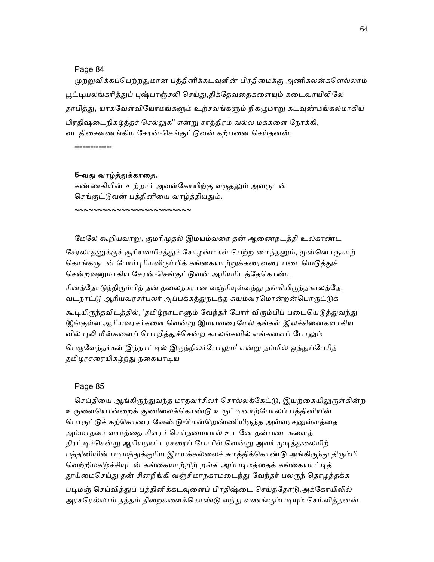## Page 84

முற்றுவிக்கப்பெற்றதுமான பத்தினிக்கடவுளின் பிரதிமைக்கு அணிகலன்களெல்லாம் பூட்டியலங்கரித்துப் புஷ்பாஞ்சலி செய்து,திக்தேவதைகளையும் கடைவாயிலிலே தாபித்து, யாகவேள்வியோமங்களும் உற்சவங்களும் நிகழுமாறு கடவுண்மங்கலமாகிய பிரதிஷ்டைநிகழ்த்தச் செல்லுக" என்று சாத்திரம் வல்ல மக்களை நோக்கி, வடதிைசவணங்கிய ேசரன்-ெசங்குட்ᾌவன் கற்பைன ெசய்தனன்.

--------------

## 6-வது வாழ்த்துக்காதை.

~~~~~~~~~~~~~~~~~~~~~~~

கண்ணகியின் உற்றார் அவள்கோயிற்கு வருதலும் அவருடன் செங்குட்டுவன் பத்தினியை வாழ்த்தியதும்.

ேமேல கூறியவாᾠ, குமாிᾙதல் இமயம்வைர தன் ஆைணநடத்தி உலகாண்ட

சேரலாதனுக்குச் சூரியவமிசத்துச் சோழன்மகள் பெற்ற மைந்தனும், முன்னொருகாற் கொங்கருடன் போர்புரியவிரும்பிக் கங்கையாற்றுக்கரைவரை படையெடுத்துச் சென்றவனுமாகிய சேரன்-செங்குட்டுவன் ஆரியரிடத்தேகொண்ட

சினத்தோடுந்திரும்பித் தன் தலைநகரான வஞ்சியுள்வந்து தங்கியிருந்தகாலத்தே, வடநாட்டு ஆரியவரசர்பலர் அப்பக்கத்துநடந்த சுயம்வரமொன்றன்பொருட்டுக்

கூடியிருந்தவிடத்தில், 'தமிழ்நாடாளும் வேந்தர் போர் விரும்பிப் படையெடுத்துவந்து இங்குள்ள ஆரியவரசர்களை வென்று இமயவரைமேல் தங்கள் இலச்சினைகளாகிய வில் புலி மீன்களைப் பொறித்துச்சென்ற காலங்களில் எங்களைப் போலும்

பெருவேந்தர்கள் இந்நாட்டில் இருந்திலர்போலும்' என்று தம்மில் ஒத்துப்பேசித் தமிழரசரையிகழ்ந்து நகையாடிய

## Page 85

செய்தியை ஆங்கிருந்துவந்த மாதவர்சிலர் சொல்லக்கேட்டு, இயற்கையிலுருள்கின்ற உருளையொன்றைக் குணிலைக்கொண்டு உருட்டினாற்போலப் பத்தினியின் பொருட்டுக் கற்கொணர வேண்டு-மென்றெண்ணியிருந்த அவ்வரசனுள்ளத்தை அம்மாதவர் வார்த்தை கிளரச் செய்தமையால் உடனே தன்படைகளைத் திரட்டிச்சென்று ஆரியநாட்டரசரைப் போரில் வென்று அவர் முடித்தலையிற் பத்தினியின் படிமத்துக்குரிய இமயக்கல்லைச் சுமத்திக்கொண்டு அங்கிருந்து திரும்பி வெற்றிமகிழ்ச்சியுடன் கங்கையாற்றிற் றங்கி அப்படிமத்தைக் கங்கையாட்டித் தூய்மைசெய்து தன் சினநீங்கி வஞ்சிமாநகரமடைந்து வேந்தர் பலருந் தொழத்தக்க படிமஞ் செய்வித்துப் பத்தினிக்கடவுளைப் பிரதிஷ்டை செய்ததோடு,அக்கோயிலில்

அரசரெல்லாம் தத்தம் திறைகளைக்கொண்டு வந்து வணங்கும்படியும் செய்வித்தனன்.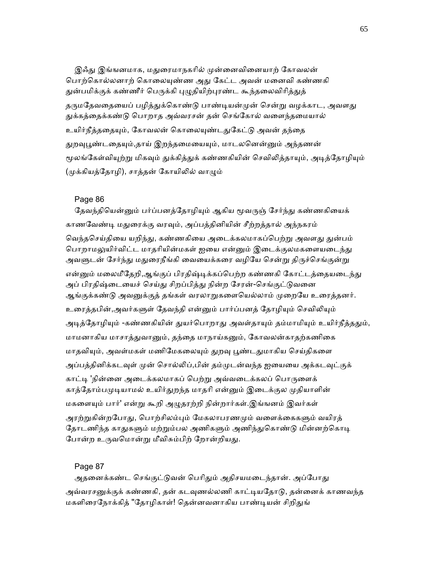இஃது இங்ஙனமாக, மதுரைமாநகரில் முன்னைவினையாற் கோவலன் பொற்கொல்லனாற் கொலையுண்ண அது கேட்ட அவன் மனைவி கண்ணகி துன்பமிக்குக் கண்ணீர் பெருக்கி புழுதியிற்புரண்ட கூந்தலைவிரித்துத் தருமதேவதையைப் பழித்துக்கொண்டு பாண்டியன்முன் சென்று வழக்காட, அவளது ᾐக்கத்ைதக்கண்ᾌ ெபாறாத அவ்வரசன் தன் ெசங்ேகால் வைளந்தைமயால் உயிர்நீத்ததையும், கோவலன் கொலையுண்டதுகேட்டு அவன் தந்தை துறவுபூண்டதையும்,தாய் இறந்தமையையும், மாடலனென்னும் அந்தணன் மூலங்கேள்வியுற்று மிகவும் துக்கித்துக் கண்ணகியின் செவிலித்தாயும், அடித்தோழியும் (முக்கியத்தோழி), சாத்தன் கோயிலில் வாழும்

# Page 86

தேவந்தியென்னும் பர்ப்பனத்தோழியும் ஆகிய மூவருஞ் சேர்ந்து கண்ணகியைக் காணவேண்டி மதுரைக்கு வரவும், அப்பத்தினியின் சீற்றத்தால் அந்நகரம் வெந்தசெய்தியை யறிந்து, கண்ணகியை அடைக்கலமாகப்பெற்று அவளது துன்பம் பொறாமலுயிர்விட்ட மாதரியின்மகள் ஐயை என்னும் இடைக்குலமகளையடைந்து அவளுடன் சேர்ந்து மதுரைநீங்கி வையைக்கரை வழியே சென்று திருச்செங்குன்று என்னும் மலைமீதேறி,ஆங்குப் பிரதிஷ்டிக்கப்பெற்ற கண்ணகி கோட்டத்தையடைந்து அப் பிரதிஷ்டையைச் செய்து சிறப்பித்து நின்ற சேரன்-செங்குட்டுவனை ஆங்குக்கண்டு அவனுக்குத் தங்கள் வரலாறுகளையெல்லாம் முறையே உரைத்தனர். உரைத்தபின்,அவர்களுள் தேவந்தி என்னும் பார்ப்பனத் தோழியும் செவிலியும் அடித்தோழியும் -கண்ணகியின் துயர்பொறாது அவள்தாயும் தம்மாமியும் உயிர்நீத்ததும், மாமனாகிய மாசாத்துவானும், தந்தை மாநாய்கனும், கோவலன்காதற்கணிகை மாதவியும், அவள்மகள் மணிமேகலையும் துறவு பூண்டதுமாகிய செய்திகளை அப்பத்தினிக்கடவுள் முன் சொல்லிப்,பின் தம்முடன்வந்த ஐயையை அக்கடவுட்குக் காட்டி 'நின்னை அடைக்கலமாகப் பெற்று அவ்வடைக்கலப் பொருளைக் காத்தோம்பமுடியாமல் உயிர்துறந்த மாதரி என்னும் இடைக்குல முதியாளின் மகளையும் பார்' என்று கூறி அழுதரற்றி நின்றார்கள்.இங்ஙனம் இவர்கள் அரற்றுகின்றபோது, பொற்சிலம்பும் மேகலாபரணமும் வளைக்கைகளும் வயிரத் தோடணிந்த காதுகளும் மற்றும்பல அணிகளும் அணிந்துகொண்டு மின்னற்கொடி போன்ற உருவமொன்று மீவிசும்பிற் றோன்றியது.

Page 87

அதனைக்கண்ட செங்குட்டுவன் பெரிதும் அதிசயமடைந்தான். அப்போது அவ்வரசனுக்குக் கண்ணகி, தன் கடவுணல்லணி காட்டியதோடு, தன்னைக் காணவந்த மகளிரைநோக்கித் "தோழிகாள்! தென்னவனாகிய பாண்டியன் சிறிதுங்

65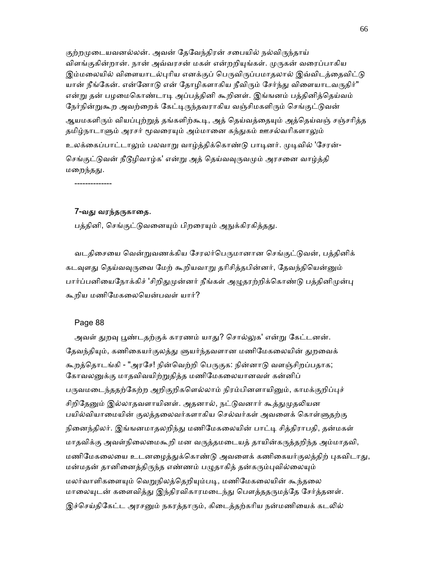குற்றமுடையவனல்லன். அவன் தேவேந்திரன் சபையில் நல்விருந்தாய் விளங்குகின்றான். நான் அவ்வரசன் மகள் என்றறியுங்கள். முருகன் வரைப்பாகிய இம்மலையில் விளையாடல்புரிய எனக்குப் பெருவிருப்பமாதலால் இவ்விடத்தைவிட்டு யான் நீங்கேன். என்னோடு என் தோழிகளாகிய நீவிரும் சேர்ந்து விளையாடவருதிர்" என்று தன் பழமைகொண்டாடி அப்பத்தினி கூறினள். இங்ஙனம் பத்தினித்தெய்வம் நேர்நின்றுகூற அவற்றைக் கேட்டிருந்தவராகிய வஞ்சிமகளிரும் செங்குட்டுவன் ஆயமகளிரும் வியப்புற்றுத் தங்களிற்கூடி, அத் தெய்வத்தையும் அத்தெய்வஞ் சஞ்சரித்த தமிழ்நாடாளும் அரசர் மூவரையும் அம்மானை கந்துகம் ஊசல்வரிகளாலும் உலக்கைப்பாட்டாலும் பலவாறு வாழ்த்திக்கொண்டு பாடினர். முடிவில் 'சேரன்-செங்குட்டுவன் நீடூழிவாழ்க' என்று அத் தெய்வவுருவமும் அரசனை வாழ்த்தி மறைந்தது.

--------------

#### 7-வது வரந்தருகாதை.

பத்தினி, செங்குட்டுவனையும் பிறரையும் அநுக்கிரகித்தது.

வடதிசையை வென்றுவணக்கிய சேரலர்பெருமானான செங்குட்டுவன், பத்தினிக் கடவுளது தெய்வவுருவை மேற் கூறியவாறு தரிசித்தபின்னர், தேவந்தியென்னும் பார்ப்பனியைநோக்கிச் 'சிறிதுமுன்னர் நீங்கள் அழுதரற்றிக்கொண்டு பத்தினிமுன்பு கூறிய மணிேமகைலெயன்பவள் யார்?

#### Page 88

அவள் துறவு பூண்டதற்குக் காரணம் யாது? சொல்லுக' என்று கேட்டனன். தேவந்தியும், கணிகையர்குலத்து ளுயர்ந்தவளான மணிமேகலையின் துறவைக் கூறத்தொடங்கி - "அரசே! நின்வெற்றி பெருகுக: நின்னாடு வளஞ்சிறப்பதாக; கோவலனுக்கு மாதவிவயிற்றுதித்த மணிமேகலையானவள் கன்னிப் பருவமடைந்ததற்கேற்ற அறிகுறிகளெல்லாம் நிரம்பினளாயினும், காமக்குறிப்புச் சிறிதேனும் இல்லாதவளாயினள். அதனால், நட்டுவனார் கூத்துமுதலியன பயில்வியாமையின் குலத்தலைவர்களாகிய செல்வர்கள் அவளைக் கொள்ளுதற்கு நினைந்திலர். இங்ஙனமாதலறிந்து மணிமேகலையின் பாட்டி சித்திராபதி, தன்மகள் மாதவிக்கு அவள்நிலைமைகூறி மன வருத்தமடையத் தாயின்கருத்தறிந்த அம்மாதவி, மணிமேகலையை உடனழைத்துக்கொண்டு அவளைக் கணிகையர்குலத்திற் புகவிடாது, மன்மதன் தானினைத்திருந்த எண்ணம் பழுதாகித் தன்கரும்புவில்லையும் மலர்வாளிகளையும் வெறுநிலத்தெறியும்படி, மணிமேகலையின் கூந்தலை மாலையுடன் களைவித்து இந்திரவிகாரமடைந்து பௌத்ததருமத்தே சேர்த்தனள். இச்செய்திகேட்ட அரசனும் நகரத்தாரும், கிடைத்தற்கரிய நன்மணியைக் கடலில்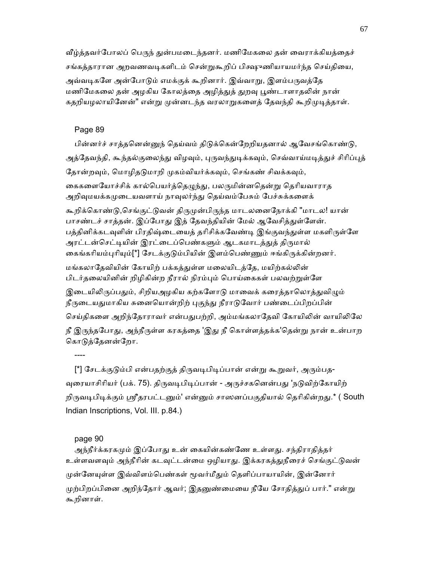வீழ்த்தவர்போலப் பெருந் துன்பமடைந்தனர். மணிமேகலை தன் வைராக்கியத்தைச் சங்கத்தாரான அறவணவடிகளிடம் சென்றுகூறிப் பிக்ஷுணியாயமர்ந்த செய்தியை, அவ்வடிகளே அன்போடும் எமக்குக் கூறினார். இவ்வாறு, இளம்பருவத்தே மணிமேகலை தன் அழகிய கோலத்தை அழித்துத் துறவு பூண்டாளாதலின் நான் கதறியழலாயினேன்" என்று முன்னடந்த வரலாறுகளைத் தேவந்தி கூறிமுடித்தாள்.

## Page 89

பின்னர்ச் சாத்தனென்னுந் தெய்வம் திடுக்கென்றேறியதனால் ஆவேசங்கொண்டு, அத்தேவந்தி, கூந்தல்குலைந்து விழவும், புருவந்துடிக்கவும், செவ்வாய்மடித்துச் சிரிப்புத் தோன்றவும், மொழிதடுமாறி முகம்வியர்க்கவும், செங்கண் சிவக்கவும், கைகளையோச்சிக் கால்பெயர்த்தெழுந்து, பலருமின்னதென்று தெரியவாராத அறிவுமயக்கமுடையவளாய் நாவுலர்ந்து தெய்வம்பேசும் பேச்சுக்களைக் கூறிக்கொண்டு,செங்குட்டுவன் திருமுன்பிருந்த மாடலனைநோக்கி "மாடல! யான் பாசண்டச் சாத்தன். இப்போது இத் தேவந்தியின் மேல் ஆவேசித்துள்ளேன். பத்தினிக்கடவுளின் பிரதிஷ்டையைத் தரிசிக்கவேண்டி இங்குவந்துள்ள மகளிருள்ளே அரட்டன்செட்டியின் இரட்டைப்பெண்களும் ஆடகமாடத்துத் திருமால் கைங்கரியம்புரியும்[\*] சேடக்குடும்பியின் இளம்பெண்ணும் ஈங்கிருக்கின்றனர். மங்கலாதேவியின் கோயிற் பக்கத்துள்ள மலையிடத்தே, மயிற்கல்லின் பிடர்தலையினின் றிழிகின்ற நீரால் நிரம்பும் பொய்கைகள் பலவற்றுள்ளே இடையிலிருப்பதும், சிறியஅழகிய கற்களோடு மாவைக் கரைத்தாலொத்துவிழும் நீருடையதுமாகிய சுனையொன்றிற் புகுந்து நீராடுவோர் பண்டைப்பிறப்பின் செய்திகளை அறிந்தோராவர் என்பதுபற்றி, அம்மங்கலாதேவி கோயிலின் வாயிலிலே

நீ இருந்தபோது, அந்நீருள்ள கரகத்தை 'இது நீ கொள்ளத்தக்க'தென்று நான் உன்பாற கொடுத்தேனன்றோ.

----

[\*] சேடக்குடும்பி என்பதற்குத் திருவடிபிடிப்பான் என்று கூறுவர், அரும்பத-வுரையாசிரியர் (பக். 75). திருவடிபிடிப்பான் - அருச்சகனென்பது 'நடுவிற்கோயிற் றிருவடிபிடிக்கும் ஸ்ரீதரபட்டனும்' என்னும் சாஸனப்பகுதியால் தெரிகின்றது.\* ( South Indian Inscriptions, Vol. III. p.84.)

#### page 90

அந்நீர்க்கரகமும் இப்போது உன் கையின்கண்ணே உள்ளது. சந்திராதித்தர் உள்ளவளவும் அந்நீரின் கடவுட்டன்மை ஒழியாது. இக்கரகத்துநீரைச் செங்குட்டுவன் முன்னேயுள்ள இவ்விளம்பெண்கள் மூவர்மீதும் தெளிப்பாயாயின், இன்னோர் முற்பிறப்பினை அறிந்தோர் ஆவர்; இதனுண்மையை நீயே சோதித்துப் பார்." என்று கூறினாள்.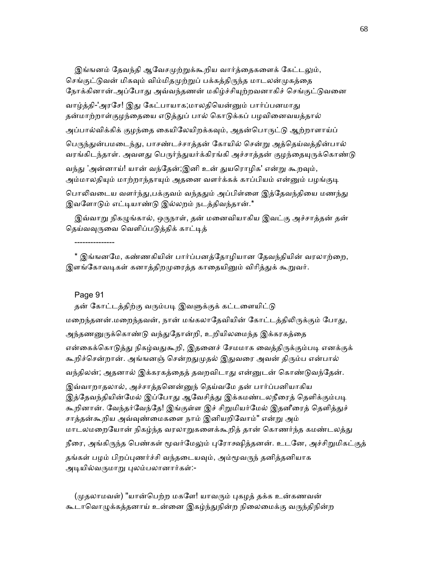இங்ஙனம் தேவந்தி ஆவேசமுற்றுக்கூறிய வார்த்தைகளைக் கேட்டலும், செங்குட்டுவன் மிகவும் விம்மிதமுற்றுப் பக்கத்திருந்த மாடலன்முகத்தை நோக்கினான்.அப்போது அவ்வந்தணன் மகிழ்ச்சியுற்றவனாகிச் செங்குட்டுவனை வாழ்த்தி-'அரசே! இது கேட்பாயாக;மாலதியென்னும் பார்ப்பனமாது தன்மாற்றாள்குழந்தையை எடுத்துப் பால் கொடுக்கப் பழவினைவயத்தால் அப்பால்விக்கிக் குழந்தை கையிலேயிறக்கவும், அதன்பொருட்டு ஆற்றாளாய்ப் பெருந்துன்பமடைந்து, பாசண்டச்சாத்தன் கோயில் சென்று அத்தெய்வத்தின்பால் வரங்கிடந்தாள். அவளது பெருர்ந்துயர்க்கிரங்கி அச்சாத்தன் குழந்தையுருக்கொண்டு வந்து 'அன்னாய்! யான் வந்தேன்;இனி உன் துயரொழிக' என்று கூறவும், அம்மாலதியும் மாற்றாந்தாயும் அதனை வளர்க்கக் காப்பியம் என்னும் பழங்குடி பொலிவடைய வளர்ந்து,பக்குவம் வந்ததும் அப்பிள்ளை இத்தேவந்தியை மணந்து இவளோடும் எட்டியாண்டு இல்லறம் நடத்திவந்தான்.\*

இவ்வாறு நிகழுங்கால், ஒருநாள், தன் மனைவியாகிய இவட்கு அச்சாத்தன் தன் தெய்வவுருவை வெளிப்படுத்திக் காட்டித்

\* இங்ஙனமே, கண்ணகியின் பார்ப்பனத்தோழியான தேவந்தியின் வரலாற்றை, இளங்கோவடிகள் கனாத்திறமுரைத்த காதையினும் விரித்துக் கூறுவர்.

Page 91

---------------

தன் கோட்டத்திற்கு வரும்படி இவளுக்குக் கட்டளையிட்டு மறைந்தனன்.மறைந்தவன், நான் மங்கலாதேவியின் கோட்டத்திலிருக்கும் போது, அந்தணனுருக்கொண்டு வந்துதோன்றி, உறியிலமைந்த இக்கரகத்தை என்கைக்கொடுத்து நிகழ்வதுகூறி, இதனைச் சேமமாக வைத்திருக்கும்படி எனக்குக் கூறிச்சென்றான். அங்ஙனஞ் சென்றதுமுதல் இதுவரை அவன் திரும்ப என்பால் வந்திலன்; அதனால் இக்கரகத்தைத் தவறவிடாது என்னுடன் கொண்டுவந்தேன். இவ்வாறாதலால், அச்சாத்தனென்னுந் தெய்வமே தன் பார்ப்பனியாகிய இத்தேவந்தியின்மேல் இப்போது ஆவேசித்து இக்கமண்டலநீரைத் தெளிக்கும்படி கூறினான். வேந்தர்வேந்தே! இங்குள்ள இச் சிறுமியர்மேல் இதனீரைத் தெளித்துச் சாத்தன்கூறிய அவ்ᾫண்ைமகைள நாம் இனியறிேவாம்" என்ᾠ அம் மாடலமறையோன் நிகழ்ந்த வரலாறுகளைக்கூறித் தான் கொணர்ந்த கமண்டலத்து நீரை, அங்கிருந்த பெண்கள் மூவர்மேலும் புரோக்ஷித்தனன். உடனே, அச்சிறுமிகட்குத் தங்கள் பழம் பிறப்புணர்ச்சி வந்தடையவும், அம்மூவருந் தனித்தனியாக அடியில்வருமாறு புலம்பலானார்கள்:-

(முதலாமவள்) "யான்பெற்ற மகளே! யாவரும் புகழத் தக்க உன்கணவன் கூடாவொழுக்கத்தனாய் உன்னை இகழ்ந்துநின்ற நிலைமைக்கு வருந்திநின்ற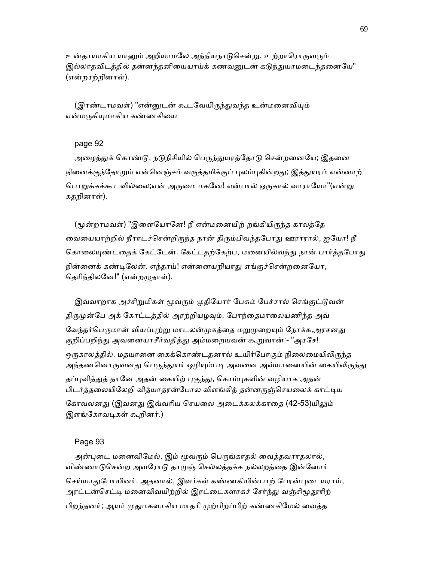உன்தாயாகிய யானும் அறியாமலே அந்நியநாடுசென்று, உற்றாரொருவரும் இல்லாதவிடத்தில் தன்னந்தனியையாய்க் கணவனுடன் கடுந்துயரமடைந்தனையே" (என்றரற்றினாள்).

(இரண்டாமவள்) "என்னுடன் கூடவேயிருந்துவந்த உன்மனைவியும் என்மருகியமாகிய கண்ணகியை

# page 92

அழைத்துக் கொண்டு, நடுநிசியில் பெருந்துயரத்தோடு சென்றனையே; இதனை நினைக்குந்தோறும் என்னெஞ்சம் வருத்தமிக்குப் புலம்புகின்றது; இத்துயரம் என்னாற் பொறுக்கக்கூடவில்லை;என் அருமை மகனே! என்பால் ஒருகால் வாராயோ"(என்று கதறினாள்).

(மூன்றாமவள்) "இளையோனே! நீ என்மனையிற் றங்கியிருந்த காலத்தே வையையாற்றில் நீராடச்சென்றிருந்த நான் திரும்பிவந்தபோது ஊராரால், ஐயோ! நீ கொலையுண்டதைக் கேட்டேன். கேட்டதற்கேற்ப, மனையில்வந்து நான் பார்த்தபோது நின்னைக் கண்டிலேன். எந்தாய்! என்னையறியாது எங்குச்சென்றனையோ, தெரிந்திலனே!" (என்றழுதாள்).

இவ்வாறாக அச்சிறுமிகள் மூவரும் முதியோர் பேசும் பேச்சால் செங்குட்டுவன் திருமுன்பே அக் கோட்டத்தில் அரற்றியழவும், போந்தைமாலையணிந்த அவ் வேந்தர்பெருமான் வியப்புற்று மாடலன்முகத்தை மறுமுறையும் நோக்க,அரசனது குறிப்பறிந்து அவனையாசீர்வதித்து அம்மறையவன் கூறுவான்:- "அரசே! ஒருகாலத்தில், மதயானை கைக்கொண்டதனால் உயிர்போகும் நிலைமையிலிருந்த அந்தணனொருவனது பெருந்துயர் ஒழியும்படி அவனை அவ்யானையின் கையிலிருந்து தப்புவித்துத் தானே அதன் கையிற் புகுந்து, கொம்புகளின் வழியாக அதன் பிடர்த்தலையிலேறி வித்யாதரன்போல விளங்கித் தன்னருஞ்செயலைக் காட்டிய கோவலனது (இவனது இவ்வரிய செயலை அடைக்கலக்காதை (42-53)யிலும் இளங்கோவடிகள் கூறினர்.)

#### Page 93

அன்புடை மனைவிமேல், இம் மூவரும் பெருங்காதல் வைத்தவராதலால், விண்ணாடுசென்ற அவரோடு தாமுஞ் செல்லத்தக்க நல்லறத்தை இன்னோர் செய்யாதுபோயினர். அதனால், இவர்கள் கண்ணகியின்பாற் பேரன்புடையராய், அரட்டன்செட்டி மனைவிவயிற்றில் இரட்டைகளாகச் சேர்ந்து வஞ்சிமூதூரிற் பிறந்தனர்; ஆயர் ᾙᾐமகளாகிய மாதாி ᾙற்பிறப்பிற் கண்ணகிேமல் ைவத்த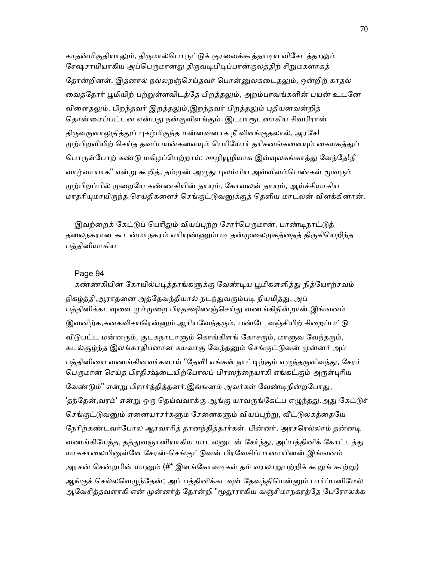காதன்மிகுதியாலும், திருமால்பொருட்டுக் குரவைக்கூத்தாடிய விசேடத்தாலும் சேஷசாயியாகிய அப்பெருமானது திருவடிபிடிப்பான்குலத்திற் சிறுமகளாகத் தோன்றினள். இதனால் நல்லறஞ்செய்தவர் பொன்னுலகடைதலும், ஒன்றிற் காதல் வைத்தோர் பூமியிற் பற்றுள்ளவிடத்தே பிறத்தலும், அறம்பாவங்களின் பயன் உடனே விளைதலும், பிறந்தவர் இறத்தலும்,இறந்தவர் பிறத்தலும் புதியனவன்றித் தொன்மைப்பட்டன என்பது நன்குவிளங்கும். இடபாரூடனாகிய சிவபிரான் திருவருளாலுதித்துப் புகழ்மிகுந்த மன்னவனாக நீ விளங்குதலால், அரசே! முற்பிறவியிற் செய்த தவப்பயன்களையும் பெரியோர் தரிசனங்களையும் கையகத்துப் பொருள்போற் கண்டு மகிழப்பெற்றாய்; ஊழியூழியாக இவ்வுலகங்காத்து வேந்தே!நீ வாழ்வாயாக" என்று கூறித், தம்முன் அழுது புலம்பிய அவ்விளம்பெண்கள் மூவரும் முற்பிறப்பில் முறையே கண்ணகியின் தாயும், கோவலன் தாயும், ஆய்ச்சியாகிய மாதரியுமாயிருந்த செய்திகளைச் செங்குட்டுவனுக்குத் தெளிய மாடலன் விளக்கினான்.

இவற்றைக் கேட்டுப் பெரிதும் வியப்புற்ற சேரர்பெருமான், பாண்டிநாட்டுக் தலைநகரான கூடன்மாநகரம் எரியுண்ணும்படி தன்முலைமுகத்தைத் திருகியெறிந்த பத்தினியாகிய

# Page 94

கண்ணகியின் கோயில்படித்தரங்களுக்கு வேண்டிய பூமிகளளித்து நித்யோற்சவம் நிகழ்த்தி,ஆராதனை அத்தேவந்தியால் நடந்துவரும்படி நியமித்து, அப் பத்தினிக்கடவுளை மும்முறை பிரதக்ஷிணஞ்செய்து வணங்கிநின்றான்.இங்ஙனம் இவனிற்க,கனகவிசயரென்னும் ஆரியவேந்தரும், பண்டே வஞ்சியிற் சிறைப்பட்டு விடுபட்ட மன்னரும், குடகநாடாளும் கொங்கிளங் கோசரும், மாளுவ வேந்தரும், கடல்சூழ்ந்த இலங்காதிபனான கயவாகு வேந்தனும் செங்குட்டுவன் முன்னர் அப் பத்தினியை வணங்கினவர்களாய் "தேவீ! எங்கள் நாட்டிற்கும் எழுந்தருளிவந்து, சேரர் பெருமான் செய்த பிரதிசஷ்டையிற்போலப் பிரஸந்நையாகி எங்கட்கும் அருள்புரிய வேண்டும்" என்று பிரார்த்தித்தனர்.இங்ஙனம் அவர்கள் வேண்டிநின்றபோது, 'தந்தேன்,வரம்' என்று ஒரு தெய்வவாக்கு ஆங்கு யாவருங்கேட்ப எழுந்தது.அது கேட்டுச் செங்குட்டுவனும் ஏனையரசர்களும் சேனைகளும் வியப்புற்று, வீட்டுலகத்தையே நேரிற்கண்டவர்போல ஆரவாரித் தானந்தித்தார்கள். பின்னர், அரசரெல்லாம் தன்னடி வணங்கியேத்த, தத்துவஞானியாகிய மாடலனுடன் சேர்ந்து, அப்பத்தினிக் கோட்டத்து யாகசாலையினுள்ளே சேரன்-செங்குட்டுவன் பிரவேசிப்பானாயினன்.இங்ஙனம் அரசன் சென்றபின் யானும் (#\* இளங்கோவடிகள் தம் வரலாறுபற்றிக் கூறுங் கூற்று) அங்குச் செல்லவெமுந்தேன்; அப் பத்தினிக்கடவுள் தேவந்தியென்னும் பார்ப்பனிமேல் ஆவேசித்தவளாகி என் முன்னர்த் தோன்றி "மூதூராகிய வஞ்சிமாநகரத்தே பேரோலக்க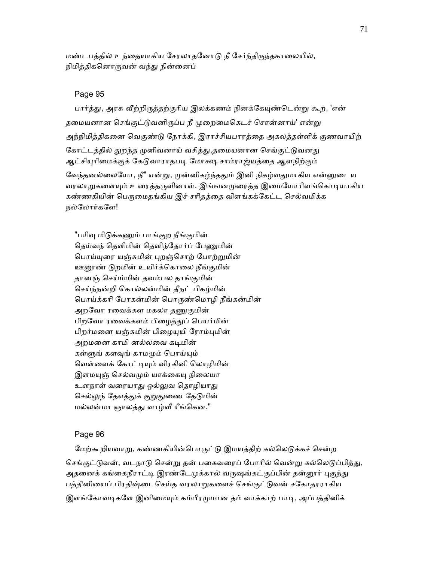மண்டபத்தில் உந்தையாகிய சேரலாதனோடு நீ சேர்ந்திருந்தகாலையில், நிமித்திகனொருவன் வந்து நின்னைப்

## Page 95

பார்த்து, அரசு வீற்றிருத்தற்குரிய இலக்கணம் நினக்கேயுண்டென்று கூற, 'என் தமையனான செங்குட்டுவனிருப்ப நீ முறைமைகெடச் சொன்னாய்' என்று அந்நிமித்திகனை வெகுண்டு நோக்கி, இராச்சியபாரத்தை அகலத்தள்ளிக் குணவாயிற் கோட்டத்தில் துறந்த முனிவனாய் வசித்து,தமையனான செங்குட்டுவனது ஆட்சியுரிமைக்குக் கேடுவாராதபடி மோக்ஷ சாம்ராஜ்யத்தை ஆளநிற்கும் வேந்தனல்லையோ, நீ" என்று, முன்னிகழ்ந்ததும் இனி நிகழ்வதுமாகிய என்னுடைய வரலாறுகளையும் உரைத்தருளினாள். இங்ஙனமுறைத்த இமையோரிளங்கொடியாகிய கண்ணகியின் பெருமைதங்கிய இச் சரிதத்தை விளங்கக்கேட்ட செல்வமிக்க நல்ேலார்கேள!

"பரிவு மிடுக்கணும் பாங்குற நீங்குமின் தெய்வந் தெளிமின் தெளிந்தோர்ப் பேணுமின் பொய்யுரை யஞ்சுமின் புறஞ்சொற் போற்றுமின் ஊனூண் டுறமின் உயிர்க்கொலை நீங்குமின் தானஞ் ெசய்ம்மின் தவம்பல தாங்குமின் ெசய்ந்நன்றி ெகால்லன்மின் தீநட் பிகழ்மின் ெபாய்க்காி ேபாகன்மின் ெபாᾞண்ெமாழி நீங்கன்மின் அறவோ ரவைக்கள மகலா தணுகுமின் பிறவோ ரவைக்களம் பிழைத்துப் பெயர்மின் பிறர்மனை யஞ்சுமின் பிழையுயி ரோம்புமின் அறமனை காமி னல்லவை கடிமின் கள்ளுங் களவுங் காமமும் பொய்யும் வெள்ளைக் கோட்டியும் விரகினி லொழிமின் இளமயுஞ் செல்வமும் யாக்கையு நிலையா உளநாள் வரையாது ஒல்லுவ தொழியாது செல்லுந் தேஎத்துக் குறுதுணை தேடுமின் மல்லன்மா ஞாலத்து வாழ்வீ ரீங்கென."

## Page 96

மேற்கூறியவாறு, கண்ணகியின்பொருட்டு இமயத்திற் கல்லெடுக்கச் சென்ற செங்குட்டுவன், வடநாடு சென்று தன் பகைவரைப் போரில் வென்று கல்லெடுப்பித்து, அதனைக் கங்கைநீராட்டி இரண்டேமுக்கால் வருஷங்கட்குப்பின் தன்னூர் புகுந்து பத்தினியைப் பிரதிஷ்டைசெய்த வரலாறுகளைச் செங்குட்டுவன் சகோதரராகிய இளங்கோவடிகளே இனிமையும் கம்பீரமுமான தம் வாக்காற் பாடி, அப்பத்தினிக்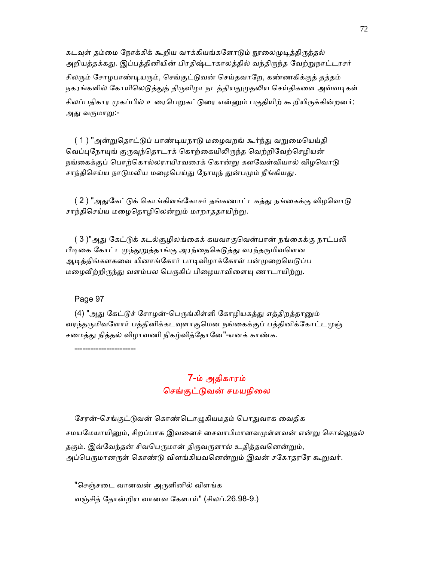கடவுள் தம்மை நோக்கிக் கூறிய வாக்கியங்களோடும் நூலைமுடித்திருத்தல் அறியத்தக்கது. இப்பத்தினியின் பிரதிஷ்டாகாலத்தில் வந்திருந்த வேற்றுநாட்டரசர் சிலரும் சோழபாண்டியரும், செங்குட்டுவன் செய்தவாறே, கண்ணகிக்குத் தத்தம் நகரங்களில் கோயிலெடுத்துத் திருவிழா நடத்தியதுமுதலிய செய்திகளை அவ்வடிகள் சிலப்பதிகார முகப்பில் உரைபெறுகட்டுரை என்னும் பகுதியிற் கூறியிருக்கின்றனர்; அது வருமாறு:-

( 1 ) "அன்றுதொட்டுப் பாண்டியநாடு மழைவறங் கூர்ந்து வறுமையெய்தி வெப்புநோயுங் குருவுந்தொடரக் கொற்கையிலிருந்த வெற்றிவேற்செழியன் நங்கைக்குப் பொற்கொல்லராயிரவரைக் கொன்று களவேள்வியால் விழவொடு சாந்திசெய்ய நாடுமலிய மழைபெய்து நோயுந் துன்பமும் நீங்கியது.

( 2 ) "அதுகேட்டுக் கொங்கிளங்கோசர் தங்கணாட்டகத்து நங்கைக்கு விழவொடு சாந்திசெய்ய மழைதொழிலென்றும் மாறாததாயிற்று.

( 3 )"அது கேட்டுக் கடல்சூமிலங்கைக் கயவாகுவென்பான் நங்கைக்கு நாட்பலி பீடிகை கோட்டமுந்துறுத்தாங்கு அரந்தைகெடுத்து வரந்தருமிவளென ஆடித்திங்களகவை யினாங்கோர் பாடிவிழாக்கோள் பன்முறையெடுப்ப மழைவீற்றிருந்து வளம்பல பெருகிப் பிழையாவிளையு ணாடாயிற்று.

## Page 97

-----------------------

(4) "அது கேட்டுச் சோழன்-பெருங்கிள்ளி கோழியகத்து எத்திறத்தானும் வரந்தருமிவளோர் பத்தினிக்கடவுளாகுமென நங்கைக்குப் பத்தினிக்கோட்டமுஞ் சமைத்து நித்தல் விழாவணி நிகழ்வித்தோனே"-எனக் காண்க.

> 7-ம் அதிகாரம் செங்குட்டுவன் சமயநிலை

சேரன்-செங்குட்டுவன் கொண்டொழுகியமதம் பொதுவாக வைதிக சமயமேயாயினும், சிறப்பாக இவனைச் சைவாபிமானவமுள்ளவன் என்று சொல்லுதல் தகும். இவ்வேந்தன் சிவபெருமான் திருவருளால் உதித்தவனென்றும், அப்பெருமானருள் கொண்டு விளங்கியவனென்றும் இவன் சகோதரரே கூறுவர்.

"செஞ்சடை வானவன் அருளினில் விளங்க வஞ்சித் ேதான்றிய வானவ ேகளாய்" (சிலப்.26.98-9.)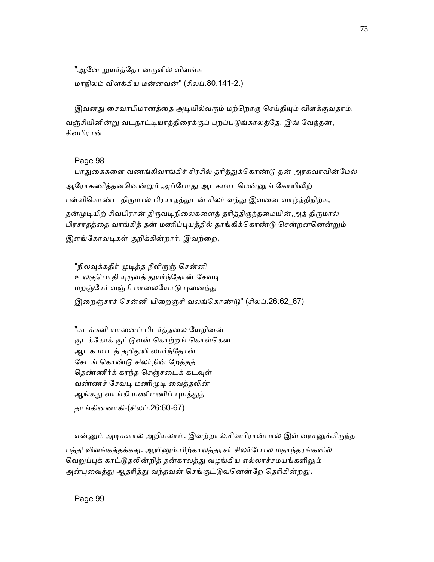"ஆனே றுயர்த்தோ னருளில் விளங்க மாநிலம் விளக்கிய மன்னவன்" (சிலப்.80.141-2.)

இவனது சைவாபிமானத்தை அடியில்வரும் மற்றொரு செய்தியும் விளக்குவதாம். வஞ்சியினின்று வடநாட்டியாத்திரைக்குப் புறப்படுங்காலத்தே, இவ் வேந்தன், சிவபிரான்

## Page 98

பாதுகைகளை வணங்கிவாங்கிச் சிரசில் தரித்துக்கொண்டு தன் அரசுவாவின்மேல் ஆரோகணித்தனனென்றும்,அப்போது ஆடகமாடமென்னுங் கோயிலிற் பள்ளிகொண்ட திருமால் பிரசாதத்துடன் சிலர் வந்து இவனை வாழ்த்திநிற்க, தன்முடியிற் சிவபிரான் திருவடிநிலைகளைத் தரித்திருந்தமையின்,அத் திருமால் பிரசாதத்தை வாங்கித் தன் மணிப்புயத்தில் தாங்கிக்கொண்டு சென்றனனென்றும் இளங்கோவடிகள் குறிக்கின்றார். இவற்றை,

"நிலவுக்கதிர் முடித்த நீளிருஞ் சென்னி உலகுபொதி யுருவத் துயர்ந்தோன் சேவடி மறஞ்சேர் வஞ்சி மாலையோடு புனைந்து இறைஞ்சாச் சென்னி யிறைஞ்சி வலங்கொண்டு" (சிலப்.26:62\_67)

"கடக்களி யானைப் பிடர்த்தலை யேறினன் குடக்கோக் குட்டுவன் கொற்றங் கொள்கென ஆடக மாடத் தறிதுயி லமர்ந்தோன் ேசடங் ெகாண்ᾌ சிலர்நின் ேறத்தத் தெண்ணீர்க் கரந்த செஞ்சடைக் கடவுள் வண்ணச் சேவடி மணிமுடி வைத்தலின் ஆங்கது வாங்கி யணிமணிப் புயத்துத் தாங்கினனாகி-(சிலப்.26:60-67)

என்னும் அடிகளால் அறியலாம். இவற்றால்,சிவபிரான்பால் இவ் வரசனுக்கிருந்த

பத்தி விளங்கத்தக்கது. ஆயினும்,பிற்காலத்தரசர் சிலர்போல மதாந்தரங்களில் வெறுப்புக் காட்டுதலின்றித் தன்காலத்து வழங்கிய எல்லாச்சமயங்களிலும் அன்புவைத்து ஆதரித்து வந்தவன் செங்குட்டுவனென்றே தெரிகின்றது.

Page 99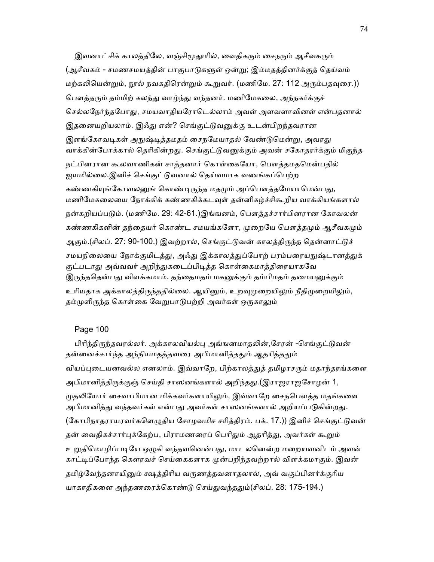இவனாட்சிக் காலத்திலே, வஞ்சிமூதூரில், வைதிகரும் சைநரும் ஆசீவகரும் (ஆசீவகம் - சமணசமயத்தின் பாகுபாடுகளுள் ஒன்று; இம்மதத்தினர்க்குத் தெய்வம் மற்கலியென்றும், நூல் நவகதிரென்றும் கூறுவர். (மணிமே. 27: 112 அரும்பதவுரை.)) பௌத்தரும் தம்மிற் கலந்து வாழ்ந்து வந்தனர். மணிமேகலை, அந்நகர்க்குச் செல்லநேர்ந்தபோது, சமயவாதியரோடெல்லாம் அவள் அளவளாவினள் என்பதனால் இதனையறியலாம். இஃது என்? செங்குட்டுவனுக்கு உடன்பிறந்தவரான இளங்கோவடிகள் அநுஷ்டித்தமதம் சைநமேயாதல் வேண்டுமென்று, அவரது வாக்கின்போக்கால் தெரிகின்றது. செங்குட்டுவனுக்கும் அவன் சகோதரர்க்கும் மிகுந்த நட்பினரான கூலவாணிகன் சாத்தனார் கொள்கையோ, பௌத்தமதமென்பதில் ஐயமில்ைல.இனிச் ெசங்குட்ᾌவனால் ெதய்வமாக வணங்கப்ெபற்ற கண்ணகியுங்கோவலனுங் கொண்டிருந்த மதமும் அப்பௌத்தமேயாமென்பது, மணிமேகலையை நோக்கிக் கண்ணகிக்கடவுள் தன்னிகழ்ச்சிகூறிய வாக்கியங்களால் நன்கறியப்படும். (மணிமே. 29: 42-61.)இங்ஙனம், பௌத்தச்சார்பினரான கோவலன் கண்ணகிகளின் தந்தையர் கொண்ட சமயங்களோ, முறையே பௌத்தமும் ஆசீவகமும் ஆகும்.(சிலப். 27: 90-100.) இவற்றால், செங்குட்டுவன் காலத்திருந்த தென்னாட்டுச் சமயநிலையை நோக்குமிடத்து, அஃது இக்காலத்துப்போற் பரம்பரையநுஷ்டானத்துக் குட்படாது அவ்வவர் அறிந்துகடைப்பிடித்த கொள்கைமாத்திரையாகவே இருந்ததென்பது விளக்கமாம். தந்தைமதம் மகனுக்கும் தம்பிமதம் தமையனுக்கும் உரியதாக அக்காலத்திருந்ததில்லை. ஆயினும், உறவுமுறையிலும் நீதிமுறையிலும், தம்முளிருந்த கொள்கை வேறுபாடுபற்றி அவர்கள் ஒருகாலும்

## Page 100

பிரிந்திருந்தவரல்லர். அக்காலவியல்பு அங்ஙனமாதலின்,சேரன் -செங்குட்டுவன் தன்னைச்சார்ந்த அந்நியமதத்தவரை அபிமானித்ததும் ஆதரித்ததும் வியப்புடையனவல்ல எனலாம். இவ்வாறே, பிற்காலத்துத் தமிழரசரும் மதாந்தரங்களை அபிமானித்திருக்குஞ் செய்தி சாஸனங்களால் அறிந்தது.(இராஜராஜசோழன் 1, முதலியோர் சைவாபிமான மிக்கவர்களாயிலும், இவ்வாறே சைநபௌத்த மதங்களை அபிமானித்து வந்தவர்கள் என்பது அவர்கள் சாஸனங்களால் அறியப்படுகின்றது. (கோபிநாதராயரவர்களெழுதிய சோழவமிச சரித்திரம். பக். 17.)) இனிச் செங்குட்டுவன் தன் வைதிகச்சார்புக்கேற்ப, பிராமணரைப் பெரிதும் ஆதரித்து, அவர்கள் கூறும் உறுதிமொழிப்படியே ஒழுகி வந்தவனென்பது, மாடலனென்ற மறையவனிடம் அவன் காட்டிப்போந்த கௌரவச் செய்கைகளாக முன்பறிந்தவற்றால் விளக்கமாகும். இவன் தமிழ்வேந்தனாயினும் க்ஷத்திரிய வருணத்தவனாதலால், அவ் வகுப்பினர்க்குரிய யாகாதிகளை அந்தணரைக்கொண்டு செய்துவந்ததும்(சிலப். 28: 175-194.)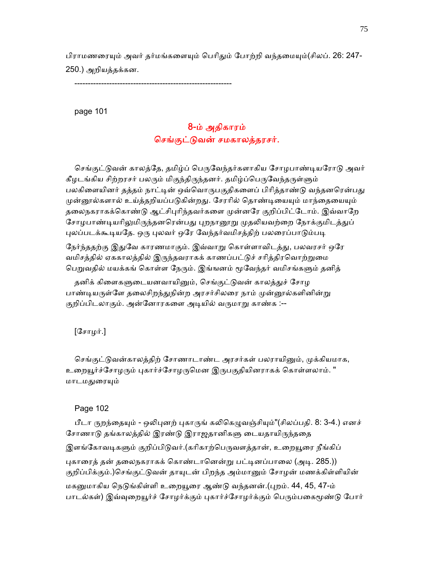பிராமணரையும் அவர் தர்மங்களையும் பெரிதும் போற்றி வந்தமையும்(சிலப். 26: 247-250.) அறியத்தக்கன.

-----------------------------------------------------------

page 101

# 8-ம் அதிகாரம் செங்குட்டுவன் சமகாலத்தரசர்.

செங்குட்டுவன் காலத்தே, தமிழ்ப் பெருவேந்தர்களாகிய சோழபாண்டியரோடு அவர் கீழடங்கிய சிற்றரசர் பலரும் மிகுந்திருந்தனர். தமிழ்ப்பெருவேந்தருள்ளும் பலகிளையினர் தத்தம் நாட்டின் ஒவ்வொருபகுதிகளைப் பிரித்தாண்டு வந்தனரென்பது முன்னூல்களால் உய்த்தறியப்படுகின்றது. சேரரில் தொண்டியையும் மாந்தையையும் தலைநகராகக்கொண்டு ஆட்சிபுரிந்தவர்களை முன்னரே குறிப்பிட்டோம். இவ்வாறே சோழபாண்டியரிலுமிருந்தனரென்பது புறநானூறு முதலியவற்றை நோக்குமிடத்துப் புலப்படக்கூடியதே. ஒரு புலவர் ஒரே வேந்தர்வமிசத்திற் பலரைப்பாடும்படி

நேர்ந்ததற்கு இதுவே காரணமாகும். இவ்வாறு கொள்ளாவிடத்து, பலவரசர் ஒரே வமிசத்தில் ஏககாலத்தில் இருந்தவராகக் காணப்பட்டுச் சரித்திரவொற்றுமை பெறுவதில் மயக்கங் கொள்ள நேரும். இங்ஙனம் மூவேந்தர் வமிசங்களும் தனித்

தனிக் கிளைகளுடையனவாயினும், செங்குட்டுவன் காலத்துச் சோழ பாண்டியருள்ளே தலைசிறந்துநின்ற அரசர்சிலரை நாம் முன்னூல்களினின்று குறிப்பிடலாகும். அன்னோரகளை அடியில் வருமாறு காண்க :--

 $[$ சோழர். $]$ 

செங்குட்டுவன்காலத்திற் சோணாடாண்ட அரசர்கள் பலராயினும், முக்கியமாக, உறையூர்ச்சோழரும் புகார்ச்சோழருமென இருபகுதியினராகக் கொள்ளலாம். " மாடமதுரையும்

#### Page 102

பீடா ருறந்தையும் - ஒலிபுனற் புகாருங் கலிகெழுவஞ்சியும்"(சிலப்பதி. 8: 3-4.) எனச் சோணாடு தங்காலத்தில் இரண்டு இராஜதானிகளு டையதாயிருந்ததை இளங்கோவடிகளும் குறிப்பிடுவர்.(கரிகாற்பெருவளத்தான், உறையூரை நீங்கிப் புகாரைத் தன் தலைநகராகக் கொண்டானென்று பட்டினப்பாலை (அடி. 285.)) குறிப்பிக்கும்.)செங்குட்டுவன் தாயுடன் பிறந்த அம்மானும் சோழன் மணக்கிள்ளியின் மகனுமாகிய நெடுங்கிள்ளி உறையூரை ஆண்டு வந்தனன்.(புறம். 44, 45, 47-ம் பாடல்கள்) இவ்வுறையூர்ச் சோழர்க்கும் புகார்ச்சோழர்க்கும் பெரும்பகைமூண்டு போர்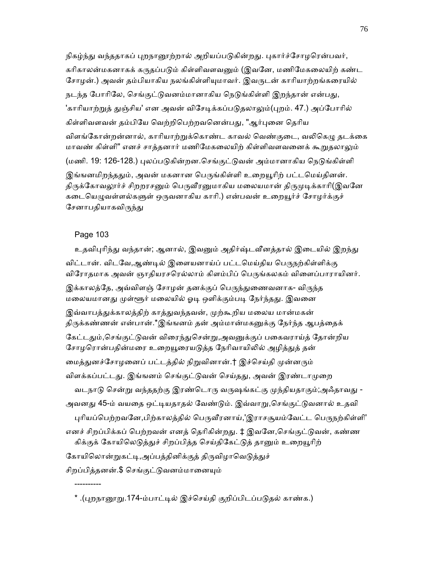நிகழ்ந்து வந்ததாகப் புறநானூற்றால் அறியப்படுகின்றது. புகார்ச்சோழரென்பவர், கரிகாலன்மகனாகக் கருதப்படும் கிள்ளிவளவனும் (இவனே, மணிமேகலையிற் கண்ட சோழன்.) அவன் தம்பியாகிய நலங்கிள்ளியுமாவர். இவருடன் காரியாற்றங்கரையில் நடந்த போரிலே, செங்குட்டுவனம்மானாகிய நெடுங்கிள்ளி இறந்தான் என்பது, 'காரியாற்றுத் துஞ்சிய' என அவன் விசேடிக்கப்படுதலாலும்(புறம். 47.) அப்போரில் கிள்ளிவளவன் தம்பியே வெற்றிபெற்றவனென்பது, "ஆர்புனை தெரிய விளங்கோன்றன்னால், காரியாற்றுக்கொண்ட காவல் வெண்குடை, வலிகெழு தடக்கை மாவண் கிள்ளி" எனச் சாத்தனார் மணிமேகலையிற் கிள்ளிவளவனைக் கூறுதலாலும் (மணி. 19: 126-128.) புலப்படுகின்றன.செங்குட்டுவன் அம்மானாகிய நெடுங்கிள்ளி இங்ஙனமிறந்ததும், அவன் மகனான பெருங்கிள்ளி உறையூரிற் பட்டமெய்கினன். திருக்கோவலூர்ச் சிறறரசனும் பெருவீரனுமாகிய மலையமான் திருமுடிக்காரி(இவனே கடையெழுவள்ளல்களுள் ஒருவனாகிய காரி.) என்பவன் உறையூர்ச் சோழர்க்குச் சேனாபதியாகவிருந்து

## Page 103

----------

உதவிபுரிந்து வந்தான்; ஆனால், இவனும் அதிர்ஷ்டவீனத்தால் இடையில் இறந்து விட்டான். விடவே,ஆண்டில் இளையனாய்ப் பட்டமெய்திய பெருநற்கிள்ளிக்கு விரோதமாக அவன் ஞாதியரசரெல்லாம் கிளம்பிப் பெருங்கலகம் விளைப்பாராயினர். இக்காலத்தே, அவ்விளஞ் சோழன் தனக்குப் பெருந்துணைவனாக- விருந்த மலையமானது முள்ளூர் மலையில் ஓடி ஒளிக்கும்படி நேர்ந்தது. இவனை இவ்வாபத்துக்காலத்திற் காத்துவந்தவன், முற்கூறிய மலைய மான்மகன் திருக்கண்ணன் என்பான்.\*இங்ஙனம் தன் அம்மான்மகனுக்கு நேர்ந்த ஆபத்தைக் கேட்டதும்,செங்குட்டுவன் விரைந்துசென்று,அவனுக்குப் பகைவராய்த் தோன்றிய சோழரொன்பதின்மரை உறையூரையடுத்த நேரிவாயிலில் அழித்துத் தன் மைத்துனச்சோழனைப் பட்டத்தில் நிறுவினான்.† இச்செய்தி முன்னரும் விளக்கப்பட்டது. இங்ஙனம் செங்குட்டுவன் செய்தது, அவன் இரண்டாமுறை வடநாடு சென்று வந்ததற்கு இரண்டொரு வருஷங்கட்கு முந்தியதாகும்;அஃதாவது -அவனது 45-ம் வயதை ஒட்டியதாதல் வேண்டும். இவ்வாறு,செங்குட்டுவனால் உதவி புரியப்பெற்றவனே,பிற்காலத்தில் பெருவீரனாய்,'இராசசூயம்வேட்ட பெருநற்கிள்ளி' எனச் சிறப்பிக்கப் பெற்றவன் எனத் தெரிகின்றது. ‡ இவனே,செங்குட்டுவன், கண்ண கிக்குக் கோயிலெடுத்துச் சிறப்பித்த செய்திகேட்டுத் தானும் உறையூரிற் கோயிலொன்றுகட்டி,அப்பத்தினிக்குத் திருவிழாவெடுத்துச் சிறப்பித்தனன்.\$ செங்குட்டுவனம்மானையும்

\* .(ᾗறநாᾕᾠ.174-ம்பாட்ᾊல் இச்ெசய்தி குறிப்பிடப்பᾌதல் காண்க.)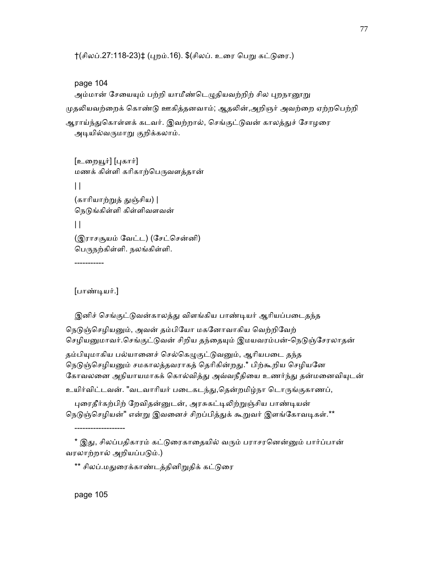†(சிலப்.27:118-23)‡ (புறம்.16). \$(சிலப். உரை பெறு கட்டுரை.)

# page 104

அம்மான் சேயையும் பற்றி யாமீண்டெழுதியவற்றிற் சில புறநானூறு முதலியவற்றைக் கொண்டு ஊகித்தனவாம்; ஆதலின்,அறிஞர் அவற்றை ஏற்றபெற்றி ஆராய்ந்துகொள்ளக் கடவர். இவற்றால், செங்குட்டுவன் காலத்துச் சோழரை அடியில்வருமாறு குறிக்கலாம்.

[உறையூர்] [புகார்] மணக் கிள்ளி கரிகாற்பெருவளத்தான்  $\mathbf{||}$ (காரியாற்றுத் துஞ்சிய) | நெடுங்கிள்ளி கிள்ளிவளவன்  $\mathbf{||}$  (இராசசூயம் ேவட்ட) (ேசட்ெசன்னி) ெபᾞநற்கிள்ளி. நலங்கிள்ளி.

[பாண்ᾊயர்.]

-----------

இனிச் செங்குட்டுவன்காலத்து விளங்கிய பாண்டியர் ஆரியப்படைதந்த

நெடுஞ்செழியனும், அவன் தம்பியோ மகனோவாகிய வெற்றிவேற் செழியனுமாவர்.செங்குட்டுவன் சிறிய தந்தையும் இமயவரம்பன்-நெடுஞ்சேரலாதன்

தம்பியுமாகிய பல்யானைச் செல்கெழுகுட்டுவனும், ஆரியபடை தந்த நெடுஞ்செழியனும் சமகாலத்தவராகத் தெரிகின்றது.\* பிற்கூறிய செழியனே கோவலனை அநியாயமாகக் கொல்வித்து அவ்வநீதியை உணர்ந்து தன்மனைவியுடன்

உயிர்விட்டவன். "வடவாரியர் படைகடந்து,தென்றமிழ்நா டொருங்குகாணப்,

புரைதீர்கற்பிற் றேவிதன்னுடன், அரசுகட்டிலிற்றுஞ்சிய பாண்டியன் நெடுஞ்செழியன்" என்று இவனைச் சிறப்பித்துக் கூறுவர் இளங்கோவடிகள்.\*\*

\* இது, சிலப்பதிகாரம் கட்டுரைகாதையில் வரும் பராசரனென்னும் பார்ப்பான் வரலாற்றால் அறியப்படும்.)

\*\* சிலப்.மதுரைக்காண்டத்தினிறுதிக் கட்டுரை

page 105

-------------------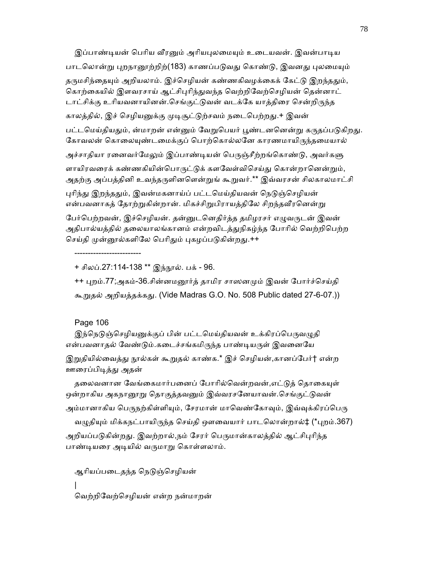இப்பாண்டியன் பெரிய வீரனும் அரியபுலமையும் உடையவன். இவன்பாடிய பாடலொன்று புறநானூற்றிற்(183) காணப்படுவது கொண்டு, இவனது புலமையும் தருமசிந்தையும் அறியலாம். இச்செழியன் கண்ணகிவழக்கைக் கேட்டு இறந்ததும், கொற்கையில் இளவரசாய் ஆட்சிபுரிந்துவந்த வெற்றிவேற்செழியன் தென்னாட் டாட்சிக்கு உரியவனாயினன்.செங்குட்டுவன் வடக்கே யாத்திரை சென்றிருந்த காலத்தில், இச் செழியனுக்கு முடிசூட்டுற்சவம் நடைபெற்றது.+ இவன் பட்டமெய்தியதும், ன்மாறன் என்னும் வேறுபெயர் பூண்டனனென்று கருதப்படுகிறது. கோவலன் கொலையுண்டமைக்குப் பொற்கொல்லனே காரணமாயிருந்தமையால் அச்சாதியா ரனைவர்மேலும் இப்பாண்டியன் பெருஞ்சீற்றங்கொண்டு, அவர்களு ளாயிரவரைக் கண்ணகியின்பொருட்டுக் களவேள்விசெய்து கொன்றானென்றும், அதற்கு அப்பத்தினி உவந்தருளினளென்றுங் கூறுவர்.\*\* இவ்வரசன் சிலகாலமாட்சி புரிந்து இறந்ததும், இவன்மகனாய்ப் பட்டமெய்தியவன் நெடுஞ்செழியன் என்பவனாகத் தோற்றுகின்றான். மிகச்சிறுபிராயத்திலே சிறந்தவீரனென்று பேர்பெற்றவன், இச்செழியன். தன்னுடனெதிர்த்த தமிழரசர் எழுவருடன் இவன்

அதிபால்யத்தில் தலையாலங்கானம் என்றவிடத்துநிகழ்ந்த போரில் வெற்றிபெற்ற செய்தி முன்னூல்களிலே பெரிதும் புகழப்படுகின்றது.++

+ சிலப்.27:114-138 \*\* இந்நூல். பக் - 96.

 ++ ᾗறம்.77;அகம்-36.சின்னமᾕர்த் தாமிர சாஸனᾙம் இவன் ேபார்ச்ெசய்தி கூᾠதல் அறியத்தக்கᾐ. (Vide Madras G.O. No. 508 Public dated 27-6-07.))

## Page 106

-------------------------

இந்நெடுஞ்செழியனுக்குப் பின் பட்டமெய்தியவன் உக்கிரப்பெருவழுதி என்பவனாதல் வேண்டும்.கடைச்சங்கமிருந்த பாண்டியருள் இவனையே

இறுதியில்வைத்து நூல்கள் கூறுதல் காண்க.\* இச் செழியன்,கானப்பேர்† என்ற ஊைரப்பிᾊத்ᾐ அதன்

தலைவனான வேங்கைமார்பனைப் போரில்வென்றவன்,எட்டுத் தொகையுள் ஒன்றாகிய அகநானூறு தொகுத்தவனும் இவ்வரசனேயாவன்.செங்குட்டுவன் அம்மானாகிய பெருநற்கிள்ளியும், சேரமான் மாவெண்கோவும், இவ்வுக்கிரப்பெரு வழுதியும் மிக்கநட்பாயிருந்த செய்தி ஔவையார் பாடலொன்றால்‡ (\*புறம்.367) அறியப்படுகின்றது. இவற்றால்,நம் சேரர் பெருமான்காலத்தில் ஆட்சிபுரிந்த பாண்டியரை அடியில் வருமாறு கொள்ளலாம்.

```
ஆரியப்படைதந்த நெடுஞ்செழியன்
\blacksquare ெவற்றிேவற்ெசழியன் என்ற நன்மாறன்
```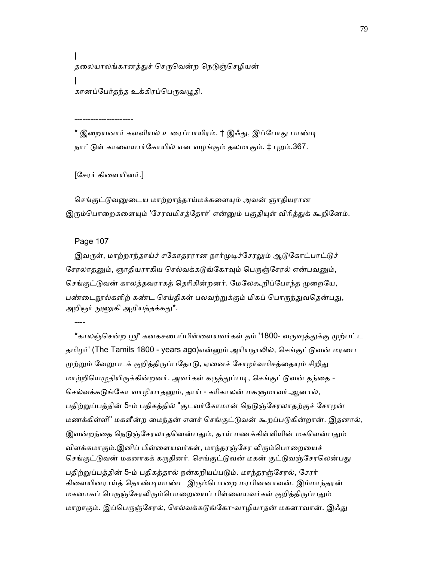$\blacksquare$ தலையாலங்கானத்துச் செருவென்ற நெடுஞ்செழியன்  $\blacksquare$ கானப்பேர்தந்த உக்கிரப்பெருவழுதி.

\* இறையனார் களவியல் உரைப்பாயிரம். † இஃது, இப்போது பாண்டி நாட்டுள் காளையார்கோயில் என வழங்கும் தலமாகும். ‡ புறம்.367.

[ேசரர் கிைளயினர்.]

----------------------

செங்குட்டுவனுடைய மாற்றாந்தாய்மக்களையும் அவன் ஞாதியரான இரும்பொறைகளையும் 'சேரவமிசத்தோர்' என்னும் பகுதியுள் விரித்துக் கூறினேம்.

Page 107

இவருள், மாற்றாந்தாய்ச் சகோதரரான நார்முடிச்சேரலும் ஆடுகோட்பாட்டுச் சேரலாதனும், ஞாதியராகிய செல்வக்கடுங்கோவும் பெருஞ்சேரல் என்பவனும், செங்குட்டுவன் காலத்தவராகத் தெரிகின்றனர். மேலேகூறிப்போந்த முறையே, பண்டைநூல்களிற் கண்ட செய்திகள் பலவற்றுக்கும் மிகப் பொருந்துவதென்பது, அறிஞர் நுணுகி அறியத்தக்கது\*.

----

\*காலஞ்சென்ற ஸ்ரீ கனகசபைப்பிள்ளையவர்கள் தம் '1800- வருஷத்துக்கு முற்பட்ட தமிழர்' (The Tamils 1800 - years ago)என்னும் அரியநூலில், செங்குட்டுவன் மரபை முற்றும் வேறுபடக் குறித்திருப்பதோடு, ஏனைச் சோழர்வமிசத்தையும் சிறிது மாற்றியெழுதியிருக்கின்றனர். அவர்கள் கருத்துப்படி, செங்குட்டுவன் தந்தை -செல்வக்கடுங்கோ வாழியாதனும், தாய் - கரிகாலன் மகளுமாவர்.ஆனால், பதிற்றுப்பத்தின் 5-ம் பதிகத்தில் "குடவர்கோமான் நெடுஞ்சேரலாதற்குச் சோழன் மணக்கிள்ளி" மகளீன்ற மைந்தன் எனச் செங்குட்டுவன் கூறப்படுகின்றான். இதனால், இவன்றந்தை நெடுஞ்சேரலாதனென்பதும், தாய் மணக்கிள்ளியின் மகளென்பதும் விளக்கமாகும்.இனிப் பிள்ளையவர்கள், மாந்தரஞ்சேர லிரும்பொறையைச் செங்குட்டுவன் மகனாகக் கருதினர். செங்குட்டுவன் மகன் குட்டுவஞ்சேரலென்பது பதிற்றுப்பத்தின் 5-ம் பதிகத்தால் நன்கறியப்படும். மாந்தரஞ்சேரல், சேரர் கிளையினராய்த் தொண்டியாண்ட இரும்பொறை மரபினனாவன். இம்மாந்தரன் மகனாகப் பெருஞ்சேரலிரும்பொறையைப் பிள்ளையவர்கள் குறித்திருப்பதும் மாறாகும். இப்பெருஞ்சேரல், செல்வக்கடுங்கோ-வாழியாதன் மகனாவான். இஃது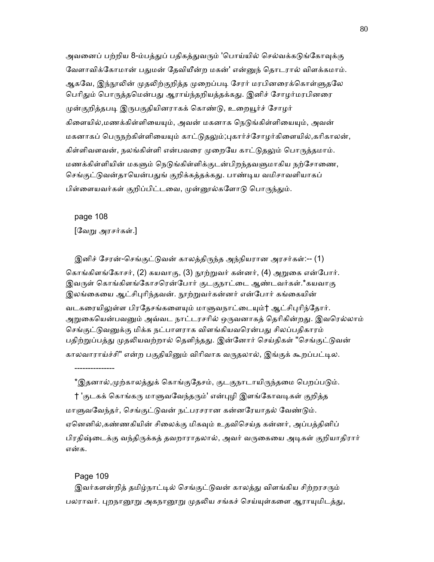அவனைப் பற்றிய 8-ம்பத்துப் பதிகத்துவரும் 'பொய்யில் செல்வக்கடுங்கோவுக்கு வேளாவிக்கோமான் பதுமன் தேவியீன்ற மகன்' என்னுந் தொடரால் விளக்கமாம். ஆகவே, இந்நூலின் முதலிற்குறித்த முறைப்படி சேரர் மரபினரைக்கொள்ளுதலே பெரிதும் பொருத்தமென்பது ஆராய்ந்தறியத்தக்கது. இனிச் சோழர்மரபினரை முன்குறித்தபடி இருபகுதியினராகக் கொண்டு, உறையூர்ச் சோழர் கிளையில்,மணக்கிள்ளியையும், அவன் மகனாக நெடுங்கிள்ளியையும், அவன் மகனாகப் பெருநற்கிள்ளியையும் காட்டுதலும்;புகார்ச்சோழர்கிளையில்,கரிகாலன், கிள்ளிவளவன், நலங்கிள்ளி என்பவரை முறையே காட்டுதலும் பொருத்தமாம். மணக்கிள்ளியின் மகளும் நெடுங்கிள்ளிக்குடன்பிறந்தவளுமாகிய நற்சோணை, செங்குட்டுவன்தாயென்பதுங் குறிக்கத்தக்கது. பாண்டிய வமிசாவளியாகப் பிள்ளையவர்கள் குறிப்பிட்டவை, முன்னூல்களோடு பொருந்தும்.

 page 108 [ேவᾠ அரசர்கள்.]

இனிச் சேரன்-செங்குட்டுவன் காலத்திருந்த அந்நியரான அரசர்கள்:-- (1) கொங்கிளங்கோசர், (2) கயவாகு, (3) நூற்றுவர் கன்னர், (4) அறுகை என்போர். இவருள் கொங்கிளங்கோசரென்போர் குடகுநாட்டை ஆண்டவர்கள்.\*கயவாகு இலங்கையை ஆட்சிபுரிந்தவன். நூற்றுவர்கன்னர் என்போர் கங்கையின் வடகரையிலுள்ள பிரதேசங்களையும் மாளுவநாட்டையும்† ஆட்சிபுரிந்தோர். அறுகையென்பவனும் அவ்வட நாட்டரசரில் ஒருவனாகத் தெரிகின்றது. இவரெல்லாம் செங்குட்டுவனுக்கு மிக்க நட்பாளராக விளங்கியவரென்பது சிலப்பதிகாரம் பதிற்றுப்பத்து முதலியவற்றால் தெளிந்தது. இன்னோர் செய்திகள் "செங்குட்டுவன் காலவாராய்ச்சி" என்ற பகுதியினும் விரிவாக வருதலால், இங்குக் கூறப்பட்டில.

\*இதனால்,முற்காலத்துக் கொங்குதேசம், குடகுநாடாயிருந்தமை பெறப்படும். † 'குடகக் கொங்கரு மாளுவவேந்தரும்' என்புழி இளங்கோவடிகள் குறித்த மாளுவவேந்தர், செங்குட்டுவன் நட்பரசரான கன்னரேயாதல் வேண்டும். ஏனெனில்,கண்ணகியின் சிலைக்கு மிகவும் உதவிசெய்த கன்னர், அப்பத்தினிப் பிரதிஷ்டைக்கு வந்திருக்கத் தவறாராதலால், அவர் வருகையை அடிகள் குறியாதிரார் என்க.

Page 109

---------------

இவர்களன்றித் தமிழ்நாட்டில் செங்குட்டுவன் காலத்து விளங்கிய சிற்றரசரும் பலராவர். புறநானூறு அகநானூறு முதலிய சங்கச் செய்யுள்களை ஆராயுமிடத்து,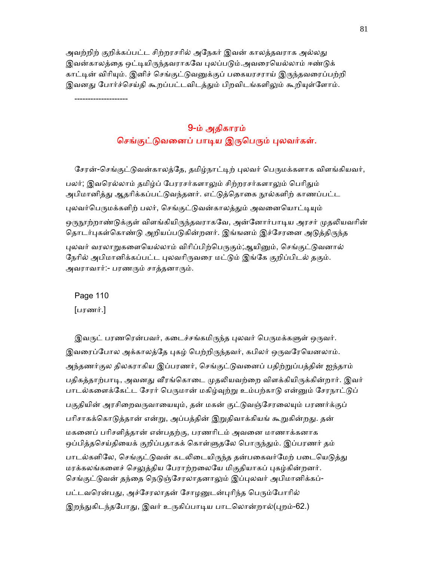அவற்றிற் குறிக்கப்பட்ட சிற்றரசரில் அநேகர் இவன் காலத்தவராக அல்லது இவன்காலத்தை ஒட்டியிருந்தவராகவே புலப்படும்.அவரையெல்லாம் ஈண்டுக் காட்டின் விரியும். இனிச் செங்குட்டுவனுக்குப் பகையரசராய் இருந்தவரைப்பற்றி இவனது போர்ச்செய்தி கூறப்பட்டவிடத்தும் பிறவிடங்களிலும் கூறியுள்ளோம்.

--------------------

# 9-ம் அதிகாரம் செங்குட்டுவனைப் பாடிய இருபெரும் புலவர்கள்.

சேரன்-செங்குட்டுவன்காலத்தே, தமிழ்நாட்டிற் புலவர் பெருமக்களாக விளங்கியவர், பலர்; இவரெல்லாம் தமிழ்ப் பேரரசர்களாலும் சிற்றரசர்களாலும் பெரிதும் அபிமானித்து ஆதரிக்கப்பட்டுவந்தனர். எட்டுத்தொகை நூல்களிற் காணப்பட்ட புலவர்பெருமக்களிற் பலர், செங்குட்டுவன்காலத்தும் அவனையொட்டியும் ஒருநூற்றாண்டுக்குள் விளங்கியிருந்தவராகவே, அன்னோர்பாடிய அரசர் முதலியவரின் தொடர்புகள்கொண்டு அறியப்படுகின்றனர். இங்ஙனம் இச்சேரனை அடுத்திருந்த புலவர் வரலாறுகளையெல்லாம் விரிப்பிற்பெருகும்;ஆயினும், செங்குட்டுவனால் நேரில் அபிமானிக்கப்பட்ட புலவரிருவரை மட்டும் இங்கே குறிப்பிடல் தகும். அவராவார்:- பரணரும் சாத்தனாரும்.

 Page 110 [பரணர்.]

இவருட் பரணரென்பவர், கடைச்சங்கமிருந்த புலவர் பெருமக்களுள் ஒருவர். இவரைப்போல அக்காலத்தே புகழ் பெற்றிருந்தவர், கபிலர் ஒருவரேயெனலாம். அந்தணர்குல திலகராகிய இப்பரணர், ெசங்குட்ᾌவைனப் பதிற்ᾠப்பத்தின் ஐந்தாம் பதிகத்தாற்பாடி, அவனது வீரங்கொடை முதலியவற்றை விளக்கியிருக்கின்றார். இவர் பாடல்களைக்கேட்ட சேரர் பெருமான் மகிழ்வுற்று உம்பற்காடு என்னும் சேரநாட்டுப் பகுதியின் அரசிறைவருவாயையும், தன் மகன் குட்டுவஞ்சேரலையும் பரணர்க்குப் பரிசாகக்கொடுத்தான் என்று, அப்பத்தின் இறுதிவாக்கியங் கூறுகின்றது. தன் மகைனப் பாிசளித்தான் என்பதற்கு, பரணாிடம் அவைன மாணாக்கனாக ஒப்பித்தசெய்தியைக் குறிப்பதாகக் கொள்ளுதலே பொருந்தும். இப்பரணர் தம் பாடல்களிலே, செங்குட்டுவன் கடலிடையிருந்த தன்பகைவர்மேற் படையெடுத்து மரக்கலங்களைச் செலுத்திய பேராற்றலையே மிகுதியாகப் புகழ்கின்றனர். செங்குட்டுவன் தந்தை நெடுஞ்சேரலாதனாலும் இப்புலவர் அபிமானிக்கப்-பட்டவரென்பது, அச்சேரலாதன் சோழனுடன்புரிந்த பெரும்போரில் இறந்துகிடந்தபோது, இவர் உருகிப்பாடிய பாடலொன்றால்(புறம்-62.)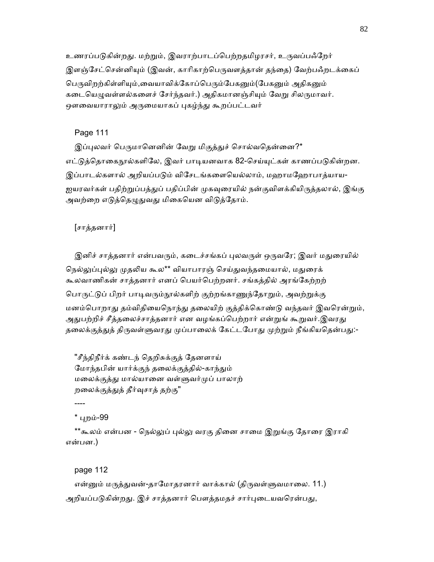உணரப்படுகின்றது. மற்றும், இவராற்பாடப்பெற்றதமிழரசர், உருவப்பஃறேர் இளஞ்சேட்சென்னியும் (இவன், காரிகாற்பெருவளத்தான் தந்தை) வேற்பஃறடக்கைப் பெருவிறற்கிள்ளியும்,வையாவிக்கோப்பெரும்பேகனும்(பேகனும் அதிகனும் கடையெழுவள்ளல்களைச் சேர்ந்தவர்.) அதிகமானஞ்சியும் வேறு சிலருமாவர். ஒளவையாராலும் அருமையாகப் புகழ்ந்து கூறப்பட்டவர்

# Page 111

இப்புலவர் பெருமானெனின் வேறு மிகுத்துச் சொல்வதென்னை?\* எட்டுத்தொகைநூல்களிலே, இவர் பாடியனவாக 82-செய்யுட்கள் காணப்படுகின்றன. இப்பாடல்களால் அறியப்படும் விசேடங்களையெல்லாம், மஹாமஹோபாத்யாய-ஐயரவர்கள் பதிற்றுப்பத்துப் பதிப்பின் முகவுரையில் நன்குவிளக்கியிருத்தலால், இங்கு அவற்றை எடுத்தெழுதுவது மிகையென விடுத்தோம்.

## [சாத்தனார்]

இனிச் சாத்தனார் என்பவரும், கடைச்சங்கப் புலவருள் ஒருவரே; இவர் மதுரையில் நெல்லுப்புல்லு முதலிய கூல\*\* வியாபாரஞ் செய்துவந்தமையால், மதுரைக் கூலவாணிகன் சாத்தனார் எனப் ெபயர்ெபற்றனர். சங்கத்தில் அரங்ேகற்றற் பொருட்டுப் பிறர் பாடிவரும்நூல்களிற் குற்றங்காணுந்தோறும், அவற்றுக்கு மனம்பொறாது தம்விதியைநொந்து தலையிற் குத்திக்கொண்டு வந்தவர் இவரென்றும், அதுபற்றிச் சீத்தலைச்சாத்தனார் என வழங்கப்பெற்றார் என்றுங் கூறுவர்.இவரது தலைக்குத்துத் திருவள்ளுவரது முப்பாலைக் கேட்டபோது முற்றும் நீங்கியதென்பது:-

 "சீந்திநீர்க் கண்டந் ெதறிசுக்குத் ேதனளாய் மோந்தபின் யார்க்குந் தலைக்குத்தில்-காந்தும் மைலக்குத்ᾐ மால்யாைன வள்ᾦவர்ᾙப் பாலாற் றலைக்குத்துத் தீர்வுசாத் தற்கு"

----

## \* ᾗறம்-99

\*\*கூலம் என்பன - நெல்லுப் புல்லு வரகு தினை சாமை இறுங்கு தோரை இராகி என்பன.)

## page 112

என்னும் மருத்துவன்-தாமோதரனார் வாக்கால் (திருவள்ளுவமாலை. 11.) அறியப்படுகின்றது. இச் சாத்தனார் பௌத்தமதச் சார்புடையவரென்பது,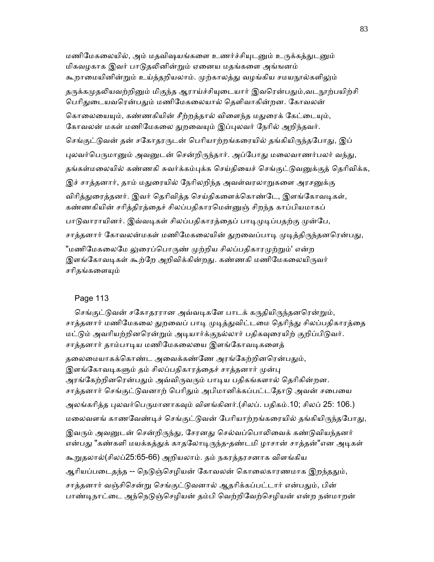மணிமேகலையில், அம் மதவிஷயங்களை உணர்ச்சியுடனும் உருக்கத்துடனும் மிகவழகாக இவர் பாடுதலினின்றும் ஏனைய மதங்களை அங்ஙனம் கூறாமையினின்றும் உய்த்தறியலாம். முற்காலத்து வழங்கிய சமயநூல்களிலும் தருக்கமுதலியவற்றினும் மிகுந்த ஆராய்ச்சியுடையார் இவரென்பதும்,வடநூற்பயிற்சி பெரிதுடையவரென்பதும் மணிமேகலையால் தெளிவாகின்றன. கோவலன் கொலையையும், கண்ணகியின் சீற்றத்தால் விளைந்த மதுரைக் கேட்டையும், கோவலன் மகள் மணிமேகலை துறவையும் இப்புலவர் நேரில் அறிந்தவர். செங்குட்டுவன் தன் சகோதரருடன் பெரியாற்றங்கரையில் தங்கியிருந்தபோது, இப் புலவர்பெருமானும் அவனுடன் சென்றிருந்தார். அப்போது மலைவாணர்பலர் வந்து, தங்கள்மலையில் கண்ணகி சுவர்க்கம்பக்க செய்கியைச் செங்குட்டுவனுக்குக் கெரிவிக்க, இச் சாத்தனார், தாம் மதுரையில் நேரிலறிந்த அவள்வரலாறுகளை அரசனுக்கு விரித்துரைத்தனர். இவர் தெரிவித்த செய்திகளைக்கொண்டே, இளங்கோவடிகள், கண்ணகியின் சரித்திரத்தைச் சிலப்பதிகாரமென்னுஞ் சிறந்த காப்பியமாகப் பாடுவாராயினர். இவ்வடிகள் சிலப்பதிகாரத்தைப் பாடிமுடிப்பதற்கு முன்பே, சாத்தனார் கோவலன்மகள் மணிமேகலையின் துறவைப்பாடி முடித்திருந்தனரென்பது, "மணிமேகலைமே லுரைப்பொருண் முற்றிய சிலப்பதிகாரமுற்றும்' என்ற இளங்கோவடிகள் கூற்றே அறிவிக்கின்றது. கண்ணகி மணிமேகலையிருவர் சரிதங்களையும்

# Page 113

செங்குட்டுவன் சகோதரரான அவ்வடிகளே பாடக் கருதியிருந்தனரென்றும், சாத்தனார் மணிமேகலை துறவைப் பாடி முடித்துவிட்டமை தெரிந்து சிலப்பதிகாரத்தை மட்டும் அவரியற்றினரென்றும் அடியார்க்குநல்லார் பதிகவுரையிற் குறிப்பிடுவர். சாத்தனார் தாம்பாடிய மணிமேகலையை இளங்கோவடிகளைத் தலைமையாகக்கொண்ட அவைக்கண்ணே அரங்கேற்றினரென்பதும், இளங்கோவடிகளும் தம் சிலப்பதிகாரத்தைச் சாத்தனார் முன்பு அரங்கேற்றினரென்பதும் அவ்விருவரும் பாடிய பதிகங்களால் தெரிகின்றன. சாத்தனார் செங்குட்டுவனாற் பெரிதும் அபிமானிக்கப்பட்டதோடு அவன் சபையை அலங்கரித்த புலவர்பெருமானாகவும் விளங்கினர்.(சிலப். பதிகம்.10; சிலப் 25: 106.) மலைவளங் காணவேண்டிச் செங்குட்டுவன் பேரியாற்றங்கரையில் தங்கியிருந்தபோது, இவரும் அவனுடன் சென்றிருந்து, சேரனது செல்வப்பொலிவைக் கண்டுவியந்தனர் என்பது "கண்களி மயக்கத்துக் காதலோடிருந்த-தண்டமி ழாசான் சாத்தன்"என அடிகள் கூᾠதலால்(சிலப்25:65-66) அறியலாம். தம் நகரத்தரசனாக விளங்கிய ஆரியப்படைதந்த -- நெடுஞ்செழியன் கோவலன் கொலைகாரணமாக இறந்ததும், சாத்தனார் வஞ்சிசென்று செங்குட்டுவனால் ஆதரிக்கப்பட்டார் என்பதும், பின் பாண்டிநாட்டை அந்நெடுஞ்செழியன் தம்பி வெற்றிவேற்செழியன் என்ற நன்மாறன்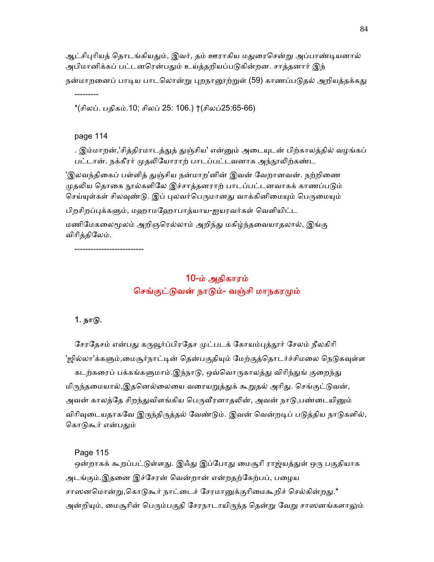ஆட்சிபுரியத் தொடங்கியதும், இவர், தம் ஊராகிய மதுரைசென்று அப்பாண்டியனால் அபிமானிக்கப் பட்டனரென்பதும் உய்த்தறியப்படுகின்றன. சாத்தனார் இந் நன்மாறனைப் பாடிய பாடலொன்று புறநானூற்றுள் (59) காணப்படுதல் அறியத்தக்கது

\*(சிலப். பதிகம்.10; சிலப் 25: 106.) †(சிலப்25:65-66)

#### page 114

---------

. இம்மாறன்,'சித்திரமாடத்துத் துஞ்சிய' என்னும் அடையுடன் பிற்காலத்தில் வழங்கப் பட்டான். நக்கீரர் முதலியோராற் பாடப்பட்டவனாக அந்நூலிற்கண்ட

'இலவந்திகைப் பள்ளித் துஞ்சிய நன்மாற'னின் இவன் வேறானவன். நற்றிணை முதலிய தொகை நூல்களிலே இச்சாத்தனராற் பாடப்பட்டனவாகக் காணப்படும் செய்யுள்கள் சிலவுண்டு. இப் புலவர்பெருமானது வாக்கினிமையும் பெருமையும்

பிறசிறப்புக்களும், மஹாமஹோபாத்யாய-ஐயரவர்கள் வெளியிட்ட

மணிமேகலைமூலம் அறிஞரெல்லாம் அறிந்து மகிழ்ந்தவையாதலால், இங்கு விாித்திேலம்.

--------------------------

# 10-ம் அதிகாரம் செங்குட்டுவன் நாடும்- வஞ்சி மாநகரமும்

## 1. நாᾌ.

சேரதேசம் என்பது கருவூர்ப்பிரதேச முட்படக் கோயம்புத்தூர் சேலம் நீலகிரி 'ஜில்லா'க்களும்,மைசூர்நாட்டின் தென்பகுதியும் மேற்குத்தொடர்ச்சிமலை நெடுகவுள்ள கடற்கரைப் பக்கங்களுமாம்.இந்நாடு, ஒவ்வொருகாலத்து விரிந்துங் குறைந்து மிருந்தமையால்,இதனெல்லையை வரையறுத்துக் கூறுதல் அரிது. செங்குட்டுவன், அவன் காலத்தே சிறந்துவிளங்கிய பெருவீரனாதலின், அவன் நாடு,பண்டையினும் விரிவுடையதாகவே இருந்திருத்தல் வேண்டும். இவன் வென்றடிப் படுத்திய நாடுகளில், கொடுகூர் என்பதும்

Page 115

ஒன்றாகக் கூறப்பட்டுள்ளது. இஃது இப்போது மைசூரி ராஜ்யத்துள் ஒரு பகுதியாக அடங்கும்.இதனை இச்சேரன் வென்றான் என்றதற்கேற்பப், பழைய சாஸனமொன்று,கொடுகூர் நாட்டைச் சேரமானுக்குரிமைகூறிச் செல்கின்றது.\* அன்றியும், மைசூரின் பெரும்பகுதி சேரநாடாயிருந்த தென்று வேறு சாஸனங்களாலும்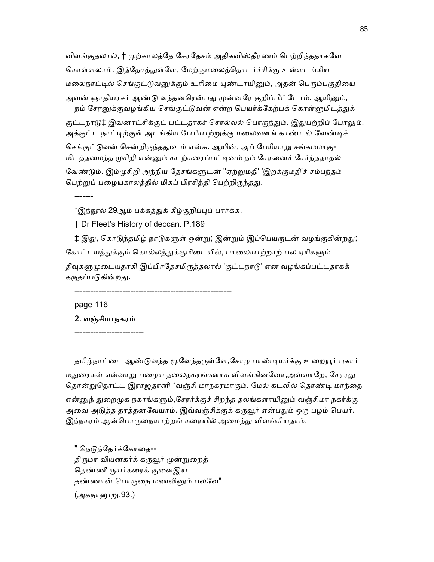விளங்குதலால், † முற்காலத்தே சேரதேசம் அதிகவிஸ்தீரணம் பெற்றிந்ததாகவே கொள்ளலாம். இத்தேசத்துள்ளே, மேற்குமலைத்தொடர்ச்சிக்கு உள்ளடங்கிய மலைநாட்டில் செங்குட்டுவனுக்கும் உரிமை யுண்டாயினும், அதன் பெரும்பகுதியை அவன் ஞாதியரசர் ஆண்டு வந்தனரென்பது முன்னரே குறிப்பிட்டோம். ஆயினும், நம் சேரனுக்குவழங்கிய செங்குட்டுவன் என்ற பெயர்க்கேற்பக் கொள்ளுமிடத்துக் குட்டநாடு‡ இவனாட்சிக்குட் பட்டதாகச் சொல்லல் பொருந்தும். இதுபற்றிப் போலும், அக்குட்ட நாட்டிற்குள் அடங்கிய பேரியாற்றுக்கு மலைவளங் காண்டல் வேண்டிச் செங்குட்டுவன் சென்றிருந்ததூஉம் என்க. ஆயின், அப் பேரியாறு சங்கமமாகு-மிடத்தமைந்த முசிறி என்னும் கடற்கரைப்பட்டினம் நம் சேரனைச் சேர்ந்ததாதல்

வேண்டும். இம்முசிறி அந்நிய தேசங்களுடன் "ஏற்றுமதி' 'இறக்குமதி'ச் சம்பந்தம் பெற்றுப் பழையகாலத்தில் மிகப் பிரசித்தி பெற்றிருந்தது.

\*இந்நூல் 29ஆம் பக்கத்துக் கீழ்குறிப்புப் பார்க்க.

† Dr Fleet's History of deccan. P.189

‡ இது, கொடுந்தமிழ் நாடுகளுள் ஒன்று; இன்றும் இப்பெயருடன் வழங்குகின்றது; கோட்டயத்துக்கும் கொல்லத்துக்குமிடையில், பாலையாற்றாற் பல ஏரிகளும் தீவுகளுமுடையதாகி இப்பிரதேசமிருத்தலால் 'குட்டநாடு' என வழங்கப்பட்டதாகக் கருதப்படுகின்றது.

-----------------------------------------------------------

page 116

-------

 2. வஞ்சிமாநகரம் --------------------------

தமிழ்நாட்டை ஆண்டுவந்த மூவேந்தருள்ளே,சோழ பாண்டியர்க்கு உறையூர் புகார் மதுரைகள் எவ்வாறு பழைய தலைநகரங்களாக விளங்கினவோ,அவ்வாறே, சேரரது தொன்றுதொட்ட இராஜதானி \*வஞ்சி மாநகரமாகும். மேல் கடலில் தொண்டி மாந்தை என்னுந் துறைமுக நகரங்களும்,சேரர்க்குச் சிறந்த தலங்களாயினும் வஞ்சிமா நகர்க்கு அவை அடுத்த தரத்தனவேயாம். இவ்வஞ்சிக்குக் கருவூர் என்பதும் ஒரு பழம் பெயர். இந்நகரம் ஆன்பொருநையாற்றங் கரையில் அமைந்து விளங்கியதாம்.

" நெடுந்தேர்க்கோதை--திருமா வியனகர்க் கருவூர் முன்றுறைத் தெண்ணீ ருயர்கரைக் குவைஇய தண்ணான் பொருநை மணலினும் பலவே" (அகந<u>ா</u>னூறு.93.)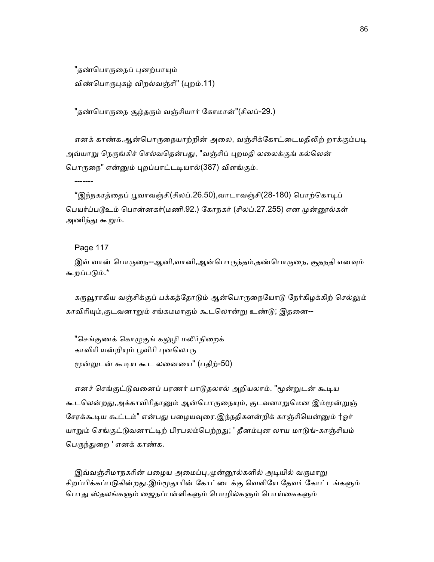"தண்பொருநைப் புனற்பாயும் விண்பொருபுகழ் விறல்வஞ்சி" (புறம்.11)

"தண்பொருநை சூழ்தரும் வஞ்சியார் கோமான்"(சிலப்-29.)

எனக் காண்க.ஆன்பொருநையாற்றின் அலை, வஞ்சிக்கோட்டைமதிலிற் றாக்கும்படி அவ்யாறு நெருங்கிச் செல்வதென்பது, "வஞ்சிப் புறமதி லலைக்குங் கல்லென் பொருநை" என்னும் புறப்பாட்டடியால்(387) விளங்கும்.

\*இந்நகரத்தைப் பூவாவஞ்சி(சிலப்.26.50),வாடாவஞ்சி(28-180) பொற்கொடிப் பெயர்ப்படூஉம் பொன்னகர்(மணி.92.) கோநகர் (சிலப்.27.255) என முன்னூல்கள் அணிந்து கூறும்.

Page 117

-------

இவ் வான் பொருநை--ஆனி,வானி,ஆன்பொருந்தம்,தண்பொருநை, சூதநதி எனவும் கூறப்பᾌம்.\*

கருவூராகிய வஞ்சிக்குப் பக்கத்தோடும் ஆன்பொருநையோடு நேர்கிழக்கிற் செல்லும் காவிரியும்,குடவனாறும் சங்கமமாகும் கூடலொன்று உண்டு; இதனை--

"செங்குணக் கொழுகுங் கலுழி மலிர்நிறைக் காவிரி யன்றியும் பூவிரி புனலொரு ᾚன்ᾠடன் கூᾊய கூட லைனைய" (பதிற்-50)

எனச் செங்குட்டுவனைப் பரணர் பாடுதலால் அறியலாம். "மூன்றுடன் கூடிய கூடலென்றது,அக்காவிரிதானும் ஆன்பொருநையும், குடவனாறுமென இம்மூன்றுஞ் சேரக்கூடிய கூட்டம்" என்பது பழையவுரை.இந்நதிகளன்றிக் காஞ்சியென்னும் †ஓர் யாறும் செங்குட்டுவனாட்டிற் பிரபலம்பெற்றது; ' தீனம்புன லாய மாடுங்-காஞ்சியம் பெருந்துறை ' எனக் காண்க.

இவ்வஞ்சிமாநகரின் பழைய அமைப்பு,முன்னூல்களில் அடியில் வருமாறு சிறப்பிக்கப்படுகின்றது.இம்மூதூரின் கோட்டைக்கு வெளியே தேவர் கோட்டங்களும் பொது ஸ்தலங்களும் ஜைநப்பள்ளிகளும் பொழில்களும் பொய்கைகளும்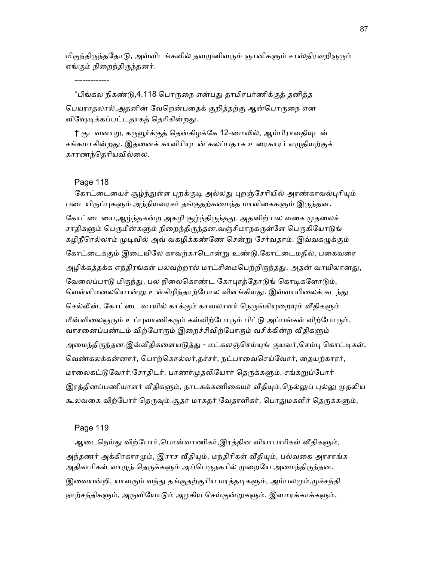மிகுந்திருந்ததோடு, அவ்விடங்களில் தவமுனிவரும் ஞானிகளும் சாஸ்திரவறிஞரும் எங்கும் நிறைந்திருந்தனர்.

 \*பிங்கல நிகண்ᾌ,4.118 ெபாᾞைந என்பᾐ தாமிரபர்ணிக்குத் தனித்த பெயராதலால்,அதனின் வேறென்பதைக் குறித்தற்கு ஆன்பொருநை என விஷேடிக்கப்பட்டதாகத் தெரிகின்றது.

† குடவனாறு, கருவூர்க்குத் தென்கிழக்கே 12-மைலில், ஆம்பிராவதியுடன் சங்கமாகின்றது. இதனைக் காவிரியுடன் கலப்பதாக உரைகாரர் எழுதியற்குக் காரணந்ெதாியவில்ைல.

#### Page 118

-------------

கோட்டையைச் சூழ்ந்துள்ள புறக்குடி அல்லது புறஞ்சேரியில் அரண்காவல்புரியும் படையிருப்புகளும் அந்நியவரசர் தங்குதற்கமைந்த மாளிகைகளும் இருந்தன. கோட்டையை,ஆழ்ந்தகன்ற அகழி சூழ்ந்திருந்தது. அதனிற் பல வகை முதலைச் சாதிகளும் பெருமீன்களும் நிறைந்திருந்தன.வஞ்சிமாநகருள்ளே பெருகியோடுங் கழிநீரெல்லாம் முடிவில் அவ் வகழிக்கண்ணே சென்று சேர்வதாம். இவ்வகழுக்கும் கோட்டைக்கும் இடையிலே காவற்காடொன்று உண்டு.கோட்டைமதில், பகைவரை அழிக்கத்தக்க எந்திரங்கள் பலவற்றால் மாட்சிமைபெற்றிருந்தது. அதன் வாயிலானது, வேலைப்பாடு மிகுந்து, பல நிலைகொண்ட கோபுரத்தோடுங் கொடிகளோடும், வெள்ளிமலையொன்று உள்கிழிந்தாற்போல விளங்கியது. இவ்வாயிலைக் கடந்து செல்லின், கோட்டை வாயில் காக்கும் காவலாளர் நெருங்கியுறையும் வீதிகளும் மீன்விலைஞரும் உப்புவாணிகரும் கள்விற்போரும் பிட்டு அப்பங்கள் விற்போரும், வாசனைப்பண்டம் விற்போரும் இறைச்சிவிற்போரும் வசிக்கின்ற வீதிகளும் அமைந்திருந்தன.இவ்வீதிகளையடுத்து - மட்கலஞ்செய்யுங் குயவர்,செம்பு கொட்டிகள், வெண்கலக்கன்னார், பொற்கொல்லர்,தச்சர், நட்பாவைசெய்வோர், தையற்காரர், மாலைகட்டுவோர்,சோதிடர், பாணர்முதலியோர் தெருக்களும், சங்கறுப்போர் இரத்தினப்பணியாளர் வீதிகளும், நாடகக்கணிகையர் வீதியும்,நெல்லுப் புல்லு முதலிய கூலவகை விற்போர் தெருவும்,சூதர் மாகதர் வேதாளிகர், பொதுமகளிர் தெருக்களும்,

#### Page 119

ஆடைநெய்து விற்போர்,பொன்வாணிகர்,இரத்தின வியாபாரிகள் வீதிகளும், அந்தணர் அக்கிரகாரமும், இராச வீதியும், மந்திரிகள் வீதியும், பல்வகை அரசாங்க அதிகாரிகள் வாழுந் தெருக்களும் அப்பெருநகரில் முறையே அமைந்திருந்தன. இவையன்றி, யாவரும் வந்து தங்குதற்குரிய மரத்தடிகளும், அம்பலமும்,முச்சந்தி நாற்சந்திகளும், அருவியோடும் அழகிய செய்குன்றுகளும், இளமரக்காக்களும்,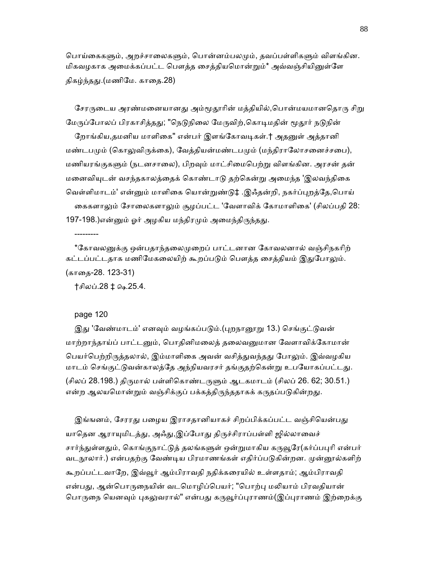பொய்கைகளும், அறச்சாலைகளும், பொன்னம்பலமும், தவப்பள்ளிகளும் விளங்கின. மிகவழகாக அமைக்கப்பட்ட பௌத்த சைத்தியமொன்றும்\* அவ்வஞ்சியினுள்ளே திகழ்ந்தது.(மணிமே. காதை.28)

சேரருடைய அரண்மனையானது அம்மூதூரின் மத்தியில்,பொன்மயமானதொரு சிறு மேருப்போலப் பிரகாசித்தது; "நெடுநிலை மேருவிற்,கொடிமதின் மூதூர் நடுநின்

றோங்கிய,தமனிய மாளிகை" என்பர் இளங்கோவடிகள்.† அதனுள் அத்தானி மண்டபமும் (கொலுவிருக்கை), வேத்தியன்மண்டபமும் (மந்திராலோசனைச்சபை), மணியரங்குகளும் (நடனசாலை), பிறவும் மாட்சிமைபெற்று விளங்கின. அரசன் தன் மனைவியுடன் வசந்தகாலத்தைக் கொண்டாடு தற்கென்று அமைந்த 'இலவந்திகை ெவள்ளிமாடம்' என்ᾔம் மாளிைக ெயான்ᾠண்ᾌ‡ .இஃதன்றி, நகர்ப்ᾗறத்ேத,ெபாய் கைகளாலும் சோலைகளாலும் சூழப்பட்ட 'வேளாவிக் கோமாளிகை' (சிலப்பதி 28: 197-198.)என்னும் ஓர் அழகிய மந்திரமும் அமைந்திருந்தது.

---------

\*கோவலனுக்கு ஒன்பதாந்தலைமுறைப் பாட்டனான கோவலனால் வஞ்சிநகரிற் கட்டப்பட்டதாக மணிமேகலையிற் கூறப்படும் பௌத்த சைத்தியம் இதுபோலும். (காைத-28. 123-31)

†சிலப்.28 ‡ ௸.25.4.

#### page 120

இது 'வேண்மாடம்' எனவும் வழங்கப்படும்.(புறநானூறு 13.) செங்குட்டுவன் மாற்றாந்தாய்ப் பாட்டனும், பொதினிமலைத் தலைவனுமான வேளாவிக்கோமான் பெயர்பெற்றிருத்தலால், இம்மாளிகை அவன் வசித்துவந்தது போலும். இவ்வழகிய மாடம் செங்குட்டுவன்காலத்தே அந்நியவரசர் தங்குதற்கென்று உபயோகப்பட்டது. (சிலப் 28.198.) திருமால் பள்ளிகொண்டருளும் ஆடகமாடம் (சிலப் 26. 62; 30.51.) என்ற ஆலயமொன்றும் வஞ்சிக்குப் பக்கத்திருந்ததாகக் கருதப்படுகின்றது.

இங்ஙனம், சேரரது பழைய இராசதானியாகச் சிறப்பிக்கப்பட்ட வஞ்சியென்பது யாதென ஆராயுமிடத்து, அஃது,இப்போது திருச்சிராப்பள்ளி ஜில்லாவைச் சார்ந்துள்ளதும், கொங்குநாட்டுத் தலங்களுள் ஒன்றுமாகிய கருவூரே(கர்ப்பபுரி என்பர் வடநூலார்.) என்பதற்கு வேண்டிய பிரமாணங்கள் எதிர்ப்படுகின்றன. முன்னூல்களிற் கூறப்பட்டவாேற, இவ்ᾬர் ஆம்பிராவதி நதிக்கைரயில் உள்ளதாம்; ஆம்பிராவதி என்பது, ஆன்பொருநையின் வடமொழிப்பெயர்; "பொற்பு மலியாம் பிரவதியான் பொருநை யெனவும் புகலுவரால்" என்பது கருவூர்ப்புராணம்(இப்புராணம் இற்றைக்கு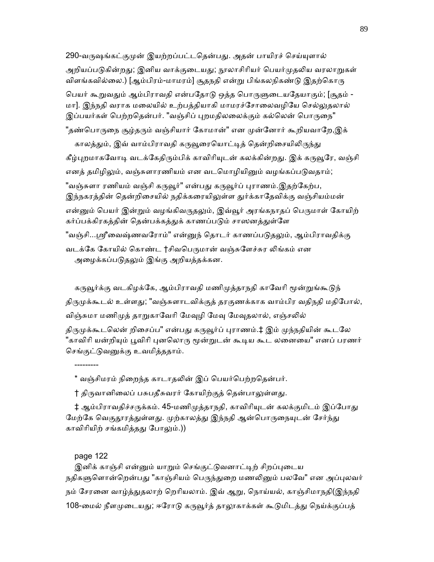290-வருஷங்கட்குமுன் இயற்றப்பட்டதென்பது. அதன் பாயிரச் செய்யுளால் அறியப்படுகின்றது; இனிய வாக்குடையது; நூலாசிரியர் பெயர்முதலிய வரலாறுகள் விளங்கவில்லை.) [ஆம்பிரம்-மாமரம்] சூதநதி என்று பிங்கலநிகண்டு இதற்கொரு பெயர் கூறுவதும் ஆம்பிராவதி என்பதோடு ஒத்த பொருளுடையதேயாகும்; [சூதம் -மா]. இந்நதி வராக மலையில் உற்பத்தியாகி மாமரச்சோலைவழியே செல்லுதலால் இப்பயர்கள் பெற்றதென்பர். "வஞ்சிப் புறமதிலலைக்கும் கல்லென் பொருநை" "தண்பொருநை சூழ்தரும் வஞ்சியார் கோமான்" என முன்னோர் கூறியவாறே,இக் காலத்தும், இவ் வாம்பிராவதி கருவூரையொட்டித் தென்றிசையிலிருந்து கீழ்புறமாகவோடி வடக்கேதிரும்பிக் காவிரியுடன் கலக்கின்றது. இக் கருவூரே, வஞ்சி எனத் தமிழிலும், வஞ்சுளாரணியம் என வடமொழியினும் வழங்கப்படுவதாம்; "வஞ்சுளா ரணியம் வஞ்சி கருவூர்" என்பது கருவூர்ப் புராணம்.இதற்கேற்ப, இந்நகரத்தின் தென்றிசையில் நதிக்கரையிலுள்ள துர்க்காதேவிக்கு வஞ்சியம்மன் என்னும் பெயர் இன்றும் வழங்கிவருதலும், இவ்வூர் அரங்கநாதப் பெருமாள் கோயிற் கர்ப்பக்கிரகத்தின் தென்பக்கத்துக் காணப்படும் சாஸனத்துள்ளே "வஞ்சி...ஸ்ரீவைஷ்ணவரோம்" என்னுந் தொடர் காணப்படுதலும், ஆம்பிராவதிக்கு வடக்கே கோயில் கொண்ட †சிவபெருமான் வஞ்சுளேச்சுர லிங்கம் என அழைக்கப்படுதலும் இங்கு அறியத்தக்கன.

கருவூர்க்கு வடகிழக்கே, ஆம்பிராவதி மணிமுத்தாநதி காவேரி மூன்றுங்கூடுந் திருமுக்கூடல் உள்ளது; "வஞ்சுளாடவிக்குத் தரகுணக்காக வாம்பிர வதிநதி மதிபோல், விஞ்சுமா மணிமுத் தாறுகாவேரி மேவுழி மேவு மேவுதலால், எஞ்சலில் திருமுக்கூடலென் றிசைப்ப" என்பது கருவூர்ப் புராணம்.‡ இம் முந்நதியின் கூடலே "காவிரி யன்றியும் பூவிரி புனலொரு மூன்றுடன் கூடிய கூட லனையை" எனப் பரணர் செங்குட்டுவனுக்கு உவமித்ததாம்.

\* வஞ்சிமரம் நிறைந்த காடாதலின் இப் பெயர்பெற்றதென்பர்.

† திருவானிலைப் பசுபதீசுவரர் கோயிற்குத் தென்பாலுள்ளது.

‡ ஆம்பிராவதிச்சருக்கம். 45-மணிமுத்தாநதி, காவிரியுடன் கலக்குமிடம் இப்போது மேற்கே வெகுதூரத்துள்ளது. முற்காலத்து இந்நதி ஆன்பொருநையுடன் சேர்ந்து காவிரியிற் சங்கமித்தது போலும்.))

# page 122

---------

இனிக் காஞ்சி என்னும் யாறும் செங்குட்டுவனாட்டிற் சிறப்புடைய நதிகளுளொன்றென்பது "காஞ்சியம் பெருந்துறை மணலினும் பலவே" என அப்புலவர் நம் சேரனை வாழ்த்துதலாற் றெரியலாம். இவ் ஆறு, நொய்யல், காஞ்சிமாநதி(இந்நதி 108-மைல் நீளமுடையது; ஈரோடு கருவூர்த் தாலூகாக்கள் கூடுமிடத்து நெய்க்குப்பத்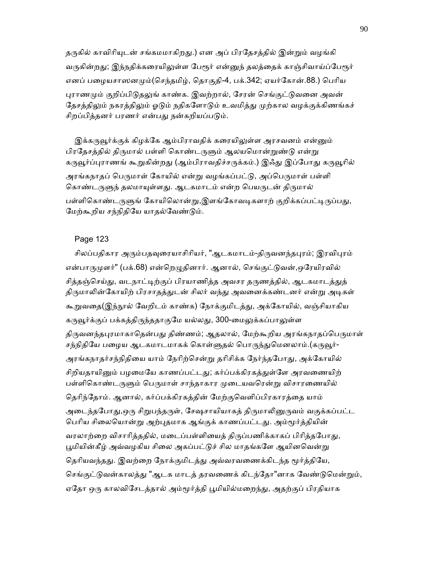தருகில் காவிரியுடன் சங்கமமாகிறது.) என அப் பிரதேசத்தில் இன்றும் வழங்கி வருகின்றது; இந்நதிக்கரையிலுள்ள பேரூர் என்னுந் தலத்தைக் காஞ்சிவாய்ப்பேரூர் எனப் பழையசாஸனமும்(செந்தமிழ், தொகுதி-4, பக்.342; ஏயர்கோன்.88.) பெரிய புராணமும் குறிப்பிடுதலுங் காண்க. இவற்றால், சேரன் செங்குட்டுவனை அவன் தேசத்திலும் நகரத்திலும் ஓடும் நதிகளோடும் உவமித்து முற்கால வழக்குக்கிணங்கச் சிறப்பித்தனர் பரணர் என்பது நன்கறியப்படும்.

இக்கருவூர்க்குக் கிழக்கே ஆம்பிராவதிக் கரையிலுள்ள அரசவனம் என்னும் பிரதேசத்தில் திருமால் பள்ளி கொண்டருளும் ஆலயமொன்றுண்டு என்று கருவூர்ப்புராணங் கூறுகின்றது (ஆம்பிராவதிச்சருக்கம்.) இஃது இப்போது கருவூரில் அரங்கநாதப் பெருமாள் கோயில் என்று வழங்கப்பட்டு, அப்பெருமாள் பள்ளி கொண்டருளுந் தலமாயுள்ளது. ஆடகமாடம் என்ற பெயருடன் திருமால் பள்ளிகொண்டருளுங் கோயிலொன்று,இளங்கோவடிகளாற் குறிக்கப்பட்டிருப்பது, மேற்கூறிய சந்நிதியே யாதல்வேண்டும்.

## Page 123

சிலப்பதிகார அரும்பதவுரையாசிரியர், "ஆடகமாடம்-திருவனந்தபுரம்; இரவிபுரம் என்பாருமுளர்" (பக்.68) என்றெழுதினார். ஆனால், செங்குட்டுவன்,ஒரேயிரவில் சித்தஞ்செய்து, வடநாட்டிற்குப் பிரயாணித்த அவசர தருணத்தில், ஆடகமாடத்துத் திருமாலின்கோயிற் பிரசாதத்துடன் சிலர் வந்து அவனைக்கண்டனர் என்று அடிகள் கூறுவதை(இந்நூல் வேறிடம் காண்க) நோக்குமிடத்து, அக்கோயில், வஞ்சியாகிய கருவூர்க்குப் பக்கத்திருந்ததாகுமே யல்லது, 300-மைலுக்கப்பாலுள்ள திருவனந்தபுரமாகாதென்பது திண்ணம்; ஆதலால், மேற்கூறிய அரங்கநாதப்பெருமாள் சந்நிதியே பழைய ஆடகமாடமாகக் கொள்ளுதல் பொருந்துமெனலாம்.(கருவூர்-அரங்கநாதர்சந்நிதியை யாம் நேரிற்சென்று தரிசிக்க நேர்ந்தபோது, அக்கோயில் சிறியதாயினும் பமமையே காணப்பட்டது; கர்ப்பக்கிரகக்குள்ளே அரவணையிற் பள்ளிகொண்டருளும் பெருமாள் சாந்தாகார முடையவரென்று விசாரணையில் தெரிந்தோம். ஆனால், கர்ப்பக்கிரகத்தின் மேற்குவெளிப்பிரகாரத்தை யாம் அடைந்தபோது,ஒரு சிறுபந்தருள், சேஷசாயியாகத் திருமாலினுருவம் வகுக்கப்பட்ட பெரிய சிலையொன்று அற்புதமாக ஆங்குக் காணப்பட்டது. அம்மூர்த்தியின் வரலாற்றை விசாரித்ததில், மடைப்பள்ளியைத் திருப்பணிக்காகப் பிரித்தபோது, பூமியின்கீழ் அவ்வழகிய சிலை அகப்பட்டுச் சில மாதங்களே ஆயினவென்று தெரியவந்தது. இவற்றை நோக்குமிடத்து அவ்வரவணைக்கிடந்த மூர்த்தியே, செங்குட்டுவன்காலத்து "ஆடக மாடத் தரவணைக் கிடந்தோ"னாக வேண்டுமென்றும், ஏதோ ஒரு காலவிசேடத்தால் அம்மூர்த்தி பூமியில்மறைந்து, அதற்குப் பிரதியாக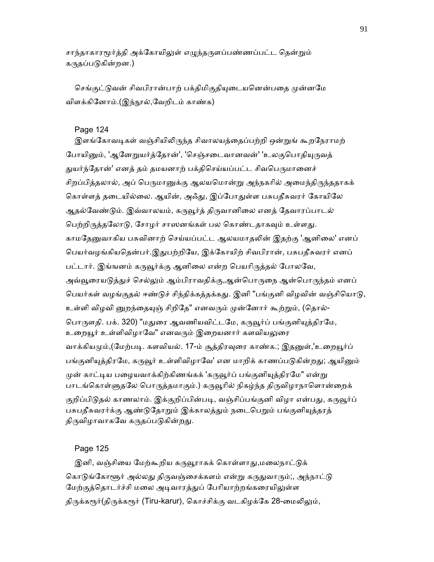சாந்தாகாரமூர்த்தி அக்கோயிலுள் எழுந்தருளப்பண்ணப்பட்ட தென்றும் கருதப்படுகின்றன.)

செங்குட்டுவன் சிவபிரான்பாற் பக்திமிகுதியுடையனென்பதை முன்னமே விளக்கினோம்.(இந்நூல்,வேறிடம் காண்க)

### Page 124

இளங்கோவடிகள் வஞ்சியிலிருந்த சிவாலயத்தைப்பற்றி ஒன்றுங் கூறநேராமற் போயினும், 'ஆனேறுயர்த்தோன்', 'செஞ்சடைவானவன்' 'உலகுபொதியுருவத் துயர்ந்தோன்' எனத் தம் தமயனாற் பக்திசெய்யப்பட்ட சிவபெருமானைச் சிறப்பித்தலால், அப் பெருமானுக்கு ஆலயமொன்று அந்நகரில் அமைந்திருந்ததாகக் கொள்ளத் தடையில்லை. ஆயின், அஃது, இப்போதுள்ள பசுபதீசுவரர் கோயிலே ஆதல்வேண்டும். இவ்வாலயம், கருவூர்த் திருவானிலை எனத் தேவாரப்பாடல் பெற்றிருத்தலோடு, சோழர் சாஸனங்கள் பல கொண்டதாகவும் உள்ளது. காமதேனுவாகிய பசுவினாற் செய்யப்பட்ட ஆலயமாதலின் இதற்கு 'ஆனிலை' எனப் ெபயர்வழங்கியெதன்பர்.இᾐபற்றிேய, இக்ேகாயிற் சிவபிரான், பசுபதீசுவரர் எனப் பட்டார். இங்ஙனம் கருவூர்க்கு ஆனிலை என்ற பெயரிருத்தல் போலவே, அவ்வூரையடுத்துச் செல்லும் ஆம்பிராவதிக்கு,ஆன்பொருநை ஆன்பொருந்தம் எனப் பெயர்கள் வழங்குதல் ஈண்டுச் சிந்திக்கத்தக்கது. இனி "பங்குனி விழவின் வஞ்சியொடு, உள்ளி விழவி னுறந்தையுஞ் சிறிதே" எனவரும் முன்னோர் கூற்றும், (தொல்-பொருளதி. பக். 320) "மதுரை ஆவணியவிட்டமே, கருவூர்ப் பங்குனியுத்திரமே, உறையூர் உள்ளிவிழாவே" எனவரும் இறையனார் களவியலுரை வாக்கியமும்,(மேற்படி. களவியல். 17-ம் சூத்திரவுரை காண்க.; இதனுள்,'உறையூர்ப் பங்குனியுத்திரமே, கருவூர் உள்ளிவிழாவே' என மாறிக் காணப்படுகின்றது; ஆயினும் முன் காட்டிய பழையவாக்கிற்கிணங்கக் 'கருவூர்ப் பங்குனியுத்திரமே" என்று பாடங்கொள்ளுதலே பொருத்தமாகும்.) கருவூரில் நிகழ்ந்த திருவிழாநாளொன்றைக் குறிப்பிடுதல் காணலாம். இக்குறிப்பின்படி, வஞ்சிப்பங்குனி விழா என்பது, கருவூர்ப் பசுபதீசுவரர்க்கு ஆண்டுதோறும் இக்காலத்தும் நடைபெறும் பங்குனியுத்தரத் திருவிழாவாகவே கருதப்படுகின்றது.

# Page 125

இனி, வஞ்சியை மேற்கூறிய கருவூராகக் கொள்ளாது,மலைநாட்டுக் கொடுங்கோளூர் அல்லது திருவஞ்சைக்களம் என்று கருதுவாரும்;, அந்நாட்டு மேற்குத்தொடர்ச்சி மலை அடிவாரத்துப் பேரியாற்றங்கரையிலுள்ள திருக்கரூர்(திருக்கரூர் (Tiru-karur), கொச்சிக்கு வடகிழக்கே 28-மைலிலும்,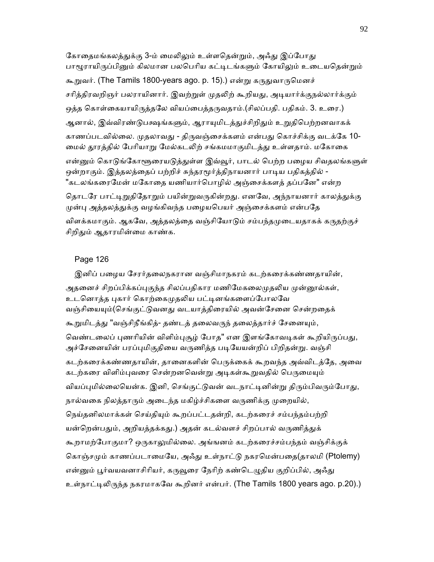கோதைமங்கலத்துக்கு 3-ம் மைலிலும் உள்ளதென்றும், அஃது இப்போது பாழூராயிருப்பினும் கிலமான பலபெரிய கட்டிடங்களும் கோயிலும் உடையதென்றும் கூறுவர். (The Tamils 1800-years ago. p. 15).) என்று கருதுவாருமெனச் சரித்திரவறிஞர் பலராயினார். இவற்றுள் முதலிற் கூறியது, அடியார்க்குநல்லார்க்கும் ஒத்த கொள்கையாயிருத்தலே வியப்பைத்தருவதாம்.(சிலப்பதி. பதிகம். 3. உரை.) ஆனால், இவ்விரண்டுபக்ஷங்களும், ஆராயுமிடத்துச்சிறிதும் உறுதிபெற்றனவாகக் காணப்படவில்லை. முதலாவது - திருவஞ்சைக்களம் என்பது கொச்சிக்கு வடக்கே 10-மைல் தூரத்தில் பேரியாறு மேல்கடலிற் சங்கமமாகுமிடத்து உள்ளதாம். மகோகை என்னும் கொடுங்கோளூரையடுத்துள்ள இவ்வூர், பாடல் பெற்ற பழைய சிவதலங்களுள் ஒன்றாகும். இத்தலத்தைப் பற்றிச் சுந்தரமூர்த்திநாயனார் பாடிய பதிகத்தில் -"கடலங்கரைமேன் மகோதை யணியார்பொழில் அஞ்சைக்களத் தப்பனே" என்ற தொடரே பாட்டிறுதிதோறும் பயின்றுவருகின்றது. எனவே, அந்நாயனார் காலத்துக்கு

முன்பு அத்தலத்துக்கு வழங்கிவந்த பழையபெயர் அஞ்சைக்களம் என்பதே விளக்கமாகும். ஆகவே, அத்தலத்தை வஞ்சியோடும் சம்பந்தமுடையதாகக் கருதற்குச் சிறிதும் ஆதாரமின்மை காண்க.

## Page 126

 இனிப் பைழய ேசரர்தைலநகரான வஞ்சிமாநகரம் கடற்கைரக்கண்ணதாயின், அதனைச் சிறப்பிக்கப்புகுந்த சிலப்பதிகார மணிமேகலைமுதலிய முன்னூல்கள், உடனொத்த புகார் கொற்கைமுதலிய பட்டினங்களைப்போலவே வஞ்சியையும்(செங்குட்டுவனது வடயாத்திரையில் அவன்சேனை சென்றதைக் கூறுமிடத்து "வஞ்சிநீங்கித்- தண்டத் தலைவருந் தலைத்தார்ச் சேனையும், வெண்டலைப் புணரியின் விளிம்புசூழ் போத" என இளங்கோவடிகள் கூறியிருப்பது, அச்சேனையின் பரப்புமிகுதியை வருணித்த படியேயன்றிப் பிறிதன்று. வஞ்சி கடற்கரைக்கண்ணதாயின், தானைகளின் பெருக்கைக் கூறவந்த அவ்விடத்தே, அவை கடற்கரை விளிம்புவரை சென்றனவென்று அடிகள்கூறுவதில் பெருமையும் வியப்புமில்லையென்க. இனி, செங்குட்டுவன் வடநாட்டினின்று திரும்பிவரும்போது, நால்வகை நிலத்தாரும் அடைந்த மகிழ்ச்சிகளை வருணிக்கு முறையில், நெய்தனிலமாக்கள் செய்தியும் கூறப்பட்டதன்றி, கடற்கரைச் சம்பந்தம்பற்றி யன்றென்பதும், அறியத்தக்கது.) அதன் கடல்வளச் சிறப்பால் வருணித்துக் கூறாமற்போகுமா? ஒருகாலுமில்லை. அங்ஙனம் கடற்கரைச்சம்பந்தம் வஞ்சிக்குக் கொஞ்சமும் காணப்படாமையே, அஃது உள்நாட்டு நகரமென்பதை(தாலமி (Ptolemy) என்னும் பூர்வயவனாசிரியர், கருவூரை நேரிற் கண்டெழுதிய குறிப்பில், அஃது உள்நாட்டிலிருந்த நகரமாகவே கூறினர் என்பர். (The Tamils 1800 years ago. p.20).)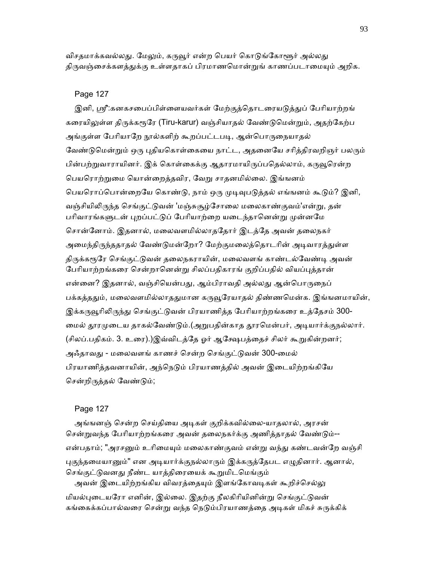விசதமாக்கவல்லது. மேலும், கருவூர் என்ற பெயர் கொடுங்கோளூர் அல்லது திருவஞ்சைக்களத்துக்கு உள்ளதாகப் பிரமாணமொன்றுங் காணப்படாமையும் அறிக.

### Page 127

இனி, ஸ்ரீ:கனகசபைப்பிள்ளையவர்கள் மேற்குத்தொடரையடுத்துப் பேரியாற்றங் கரையிலுள்ள திருக்கரூரே (Tiru-karur) வஞ்சியாதல் வேண்டுமென்றும், அதற்கேற்ப அங்குள்ள பேரியாறே நூல்களிற் கூறப்பட்டபடி, ஆன்பொருநையாதல் வேண்டுமென்றும் ஒரு புதியகொள்கையை நாட்ட, அதனையே சரித்திரவறிஞர் பலரும் பின்பற்றுவாராயினர். இக் கொள்கைக்கு ஆதாரமாயிருப்பதெல்லாம், கருவூரென்ற ெபயெராற்ᾠைம ெயான்ைறத்தவிர, ேவᾠ சாதனமில்ைல. இங்ஙனம் பெயரொப்பொன்றையே கொண்டு, நாம் ஒரு முடிவுபடுத்தல் எங்ஙனம் கூடும்? இனி, வஞ்சியிலிருந்த செங்குட்டுவன் 'மஞ்சுசூழ்சோலை மலைகாண்குவம்'என்று, தன் பரிவாரங்களுடன் புறப்பட்டுப் பேரியாற்றை யடைந்தானென்று முன்னமே ெசான்ேனாம். இதனால், மைலவளமில்லாதேதார் இடத்ேத அவன் தைலநகர் அமைந்திருந்ததாதல் வேண்டுமன்றோ? மேற்குமலைத்தொடரின் அடிவாரத்துள்ள திருக்கரூரே செங்குட்டுவன் தலைநகராயின், மலைவளங் காண்டல்வேண்டி அவன் பேரியாற்றங்கரை சென்றானென்று சிலப்பதிகாரங் குறிப்பதில் வியப்புத்தான் என்னை? இதனால், வஞ்சியென்பது, ஆம்பிராவதி அல்லது ஆன்பொருநைப் பக்கத்ததும், மலைவளமில்லாததுமான கருவூரேயாதல் திண்ணமென்க. இங்ஙனமாயின், இக்கருவூரிலிருந்து செங்குட்டுவன் பிரயாணித்த பேரியாற்றங்கரை உத்தேசம் 300-மைல் தூரமுடைய தாகல்வேண்டும்.(அறுபதின்காத தூரமென்பர், அடியார்க்குநல்லார். (சிலப்.பதிகம். 3. உரை).)இவ்விடத்தே ஓர் ஆக்ஷேபத்தைச் சிலர் கூறுகின்றனர்; அஃதாவது - மலைவளங் காணச் சென்ற செங்குட்டுவன் 300-மைல் பிரயாணித்தவனாயின், அந்நெடும் பிரயாணத்தில் அவன் இடையிற்றங்கியே ெசன்றிᾞத்தல் ேவண்ᾌம்;

#### Page 127

அங்ஙனஞ் சென்ற செய்தியை அடிகள் குறிக்கவில்லை-யாதலால், அரசன் சென்றுவந்த பேரியாற்றங்கரை அவன் தலைநகர்க்கு அணித்தாதல் வேண்டும்--என்பதாம்; "அரசனும் உரிமையும் மலைகாண்குவம் என்று வந்து கண்டவன்றே வஞ்சி புகுந்தமையானும்" என அடியார்க்குநல்லாரும் இக்கருத்தேபட எழுதினார். ஆனால், செங்குட்டுவனது நீண்ட யாத்திரையைக் கூறுமிடமெங்கும் அவன் இடையிற்றங்கிய விவரத்தையும் இளங்கோவடிகள் கூறிச்செல்லு

மியல்புடையரோ எனின், இல்லை. இதற்கு நீலகிரியினின்று செங்குட்டுவன் கங்கைக்கப்பால்வரை சென்று வந்த நெடும்பிரயாணத்தை அடிகள் மிகச் சுருக்கிக்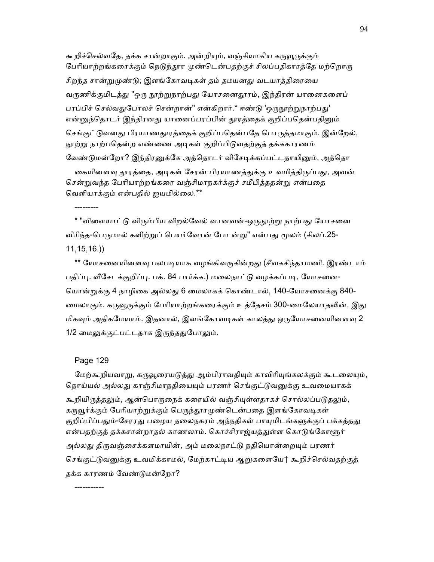கூறிச்செல்வதே, தக்க சான்றாகும். அன்றியும், வஞ்சியாகிய கருவூருக்கும் பேரியாற்றங்கரைக்கும் நெடுந்தூர முண்டென்பதற்குச் சிலப்பதிகாரத்தே மற்றொரு சிறந்த சான்றுமுண்டு; இளங்கோவடிகள் தம் தமயனது வடயாத்திரையை வருணிக்குமிடத்து "ஒரு நூற்றுநாற்பது யோசனைதூரம், இந்திரன் யானைகளைப் பரப்பிச் செல்வதுபோலச் சென்றான்" என்கிறார்.\* ஈண்டு 'ஒருநூற்றுநாற்பது' என்னுந்தொடர் இந்திரனது யானைப்பரப்பின் தூரத்தைக் குறிப்பதென்பதினும் செங்குட்டுவனது பிரயாணதூரத்தைக் குறிப்பதென்பதே பொருத்தமாகும். இன்றேல், நூற்று நாற்பதென்ற எண்ணை அடிகள் குறிப்பிடுவதற்குத் தக்ககாரணம் வேண்டுமன்றோ? இந்திரனுக்கே அத்தொடர் விசேடிக்கப்பட்டதாயினும், அத்தொ

கையினளவு தூரத்தை, அடிகள் சேரன் பிரயாணத்துக்கு உவமித்திருப்பது, அவன் ெசன்ᾠவந்த ேபாியாற்றங்கைர வஞ்சிமாநகர்க்குச் சமீபித்ததன்ᾠ என்பைத ெவளியாக்கும் என்பதில் ஐயமில்ைல.\*\*

\* "விளையாட்டு விரும்பிய விறல்வேல் வானவன்-ஒருநூற்று நாற்பது யோசனை விரிந்த-பெருமால் களிற்றுப் பெயர்வோன் போ ன்று" என்பது மூலம் (சிலப்.25-11,15,16.))

\*\* யோசனையினளவு பலபடியாக வழங்கிவருகின்றது (சீவகசிந்தாமணி. இரண்டாம் பதிப்பு. வீசேடக்குறிப்பு. பக். 84 பார்க்க.) மலைநாட்டு வழக்கப்படி, யோசனை-ெயான்ᾠக்கு 4 நாழிைக அல்லᾐ 6 ைமலாகக் ெகாண்டால், 140-ேயாசைனக்கு 840- மைலாகும். கருவூருக்கும் பேரியாற்றங்கரைக்கும் உத்தேசம் 300-மைலேயாதலின், இது மிகவும் அதிகமேயாம். இதனால், இளங்கோவடிகள் காலத்து ஒருயோசனையினளவு 2 1/2 மைலுக்குட்பட்டதாக இருந்ததுபோலும்.

## Page 129

---------

மேற்கூறியவாறு, கருவூரையடுத்து ஆம்பிராவதியும் காவிரியுங்கலக்கும் கூடலையும், நொய்யல் அல்லது காஞ்சிமாநதியையும் பரணர் செங்குட்டுவனுக்கு உவமையாகக் கூறியிருத்தலும், ஆன்பொருநைக் கரையில் வஞ்சியுள்ளதாகச் சொல்லப்படுதலும், கருவூர்க்கும் பேரியாற்றுக்கும் பெருந்தூரமுண்டென்பதை இளங்கோவடிகள் குறிப்பிப்பதும்-சேரரது பழைய தலைநகரம் அந்நதிகள் பாயுமிடங்களுக்குப் பக்கத்தது என்பதற்குத் தக்கசான்றாதல் காணலாம். கொச்சிராஜ்யத்துள்ள கொடுங்கோளூர் அல்லது திருவஞ்சைக்களமாயின், அம் மலைநாட்டு நதியொன்றையும் பரணர் செங்குட்டுவனுக்கு உவமிக்காமல், மேற்காட்டிய ஆறுகளையே† கூறிச்செல்வதற்குத்

தக்க காரணம் ேவண்ᾌமன்ேறா?

-----------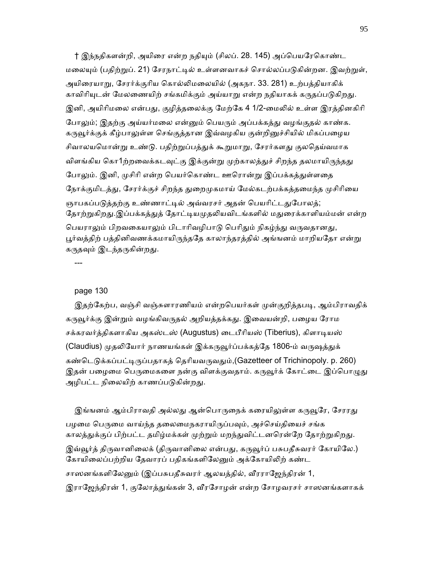† இந்நதிகளன்றி, அயிரை என்ற நதியும் (சிலப். 28. 145) அப்பெயரேகொண்ட மலையும் (பதிற்றுப். 21) சேரநாட்டில் உள்ளனவாகச் சொல்லப்படுகின்றன. இவற்றுள், அயிைரயாᾠ, ேசரர்க்குாிய ெகால்ᾢமைலயில் (அகநா. 33. 281) உற்பத்தியாகிக் காவிரியுடன் மேலணையிற் சங்கமிக்கும் அய்யாறு என்ற நதியாகக் கருதப்படுகிறது. இனி, அயிரிமலை என்பது, குழித்தலைக்கு மேற்கே 4 1/2-மைலில் உள்ள இரத்தினகிரி போலும்; இதற்கு அய்யர்மலை என்னும் பெயரும் அப்பக்கத்து வழங்குதல் காண்க. கருவூர்க்குக் கீழ்பாலுள்ள செங்குத்தான இவ்வழகிய குன்றினுச்சியில் மிகப்பழைய சிவாலயமொன்று உண்டு. பதிற்றுப்பத்துக் கூறுமாறு, சேரர்களது குலதெய்வமாக விளங்கிய கொ1ற்றவைக்கடவுட்கு இக்குன்று முற்காலத்துச் சிறந்த தலமாயிருந்தது போலும். இனி, முசிரி என்ற பெயர்கொண்ட ஊரொன்று இப்பக்கத்துள்ளதை நோக்குமிடத்து, சேரர்க்குச் சிறந்த துறைமுகமாய் மேல்கடற்பக்கத்தமைந்த முசிரியை ஞாபகப்படுத்தற்கு உண்ணாட்டில் அவ்வரசர் அதன் பெயரிட்டதுபோலத்; தோற்றுகிறது.இப்பக்கத்துத் தோட்டியமுதலியவிடங்களில் மதுரைக்காளியம்மன் என்ற பெயராலும் பிறவகையாலும் பிடாரிவழிபாடு பெரிதும் நிகழ்ந்து வருவதானது, பூர்வத்திற் பத்தினிவணக்கமாயிருந்ததே காலாந்தரத்தில் அங்ஙனம் மாறியதோ என்று கருதவும் இடந்தருகின்றது.

---

#### page 130

இதற்கேற்ப, வஞ்சி வஞ்சுளாரணியம் என்றபெயர்கள் முன்குறித்தபடி, ஆம்பிராவதிக் கருவூர்க்கு இன்றும் வழங்கிவருதல் அறியத்தக்கது. இவையன்றி, பழைய ரோம சக்கரவர்த்திகளாகிய அகஸ்டஸ் (Augustus) டைபீரியஸ் (Tiberius), கிளாடியஸ் (Claudius) முதலியோர் நாணயங்கள் இக்கருவூர்ப்பக்கத்தே 1806-ம் வருஷத்துக் கண்டெடுக்கப்பட்டிருப்பதாகக் தெரியவருவதும்,(Gazetteer of Trichinopoly. p. 260) இதன் பழைமை பெருமைகளை நன்கு விளக்குவதாம். கருவூர்க் கோட்டை இப்பொழுது அழிபட்ட நிலையிற் காணப்படுகின்றது.

இங்ஙனம் ஆம்பிராவதி அல்லது ஆன்பொருநைக் கரையிலுள்ள கருவூரே, சேரரது பழமை பெருமை வாய்ந்த தலைமைநகராயிருப்பவும், அச்செய்தியைச் சங்க காலத்துக்குப் பிற்பட்ட தமிழ்மக்கள் முற்றும் மறந்துவிட்டனரென்றே தோற்றுகிறது. இவ்வூர்த் திருவானிலைக் (திருவானிலை என்பது, கருவூர்ப் பசுபதீசுவரர் கோயிலே.) கோயிலைப்பற்றிய தேவாரப் பதிகங்களிலேனும் அக்கோயிலிற் கண்ட சாஸனங்களிலேனும் (இப்பசுபதீசுவரர் ஆலயத்தில், வீரராஜேந்திரன் 1, இராஜேந்திரன் 1, குலோத்துங்கன் 3, வீரசோழன் என்ற சோழவரசர் சாஸனங்களாகக்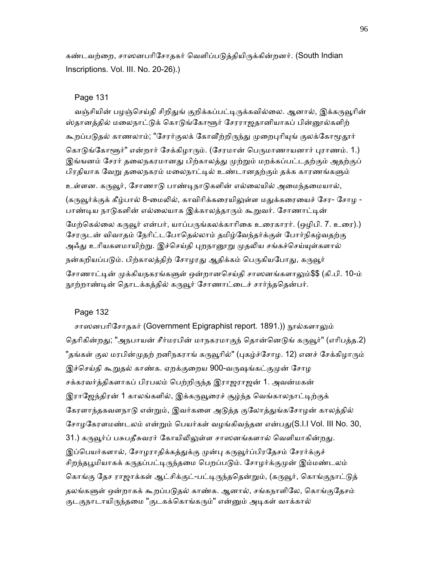கண்டவற்றை, சாஸனபரிசோககர் வெளிப்படுக்கியிருக்கின்றனர். (South Indian Inscriptions. Vol. III. No. 20-26).)

## Page 131

வஞ்சியின் பழஞ்செய்தி சிறிதுங் குறிக்கப்பட்டிருக்கவில்லை. ஆனால், இக்கருவூரின் ஸ்தானத்தில் மலைநாட்டுக் கொடுங்கோளூர் சேரராஜதானியாகப் பின்னூல்களிற் கூறப்படுதல் காணலாம்; "சேரர்குலக் கோவீற்றிருந்து முறைபுரியுங் குலக்கோமூதூர் கொடுங்கோளூர்" என்றார் சேக்கிழாரும். (சேரமான் பெருமாணாயனார் புராணம். 1.) இங்ஙனம் சேரர் தலைநகரமானது பிற்காலத்து முற்றும் மறக்கப்பட்டதற்கும் அதற்குப் பிரதியாக வேறு தலைநகரம் மலைநாட்டில் உண்டானதற்கும் தக்க காரணங்களும் உள்ளன. கருவூர், சோணாடு பாண்டிநாடுகளின் எல்லையில் அமைந்தமையால், (கருவூர்க்குக் கீழ்பால் 8-மைலில், காவிரிக்கரையிலுள்ள மதுக்கரையைச் சேர- சோழ -பாண்டிய நாடுகளின் எல்லையாக இக்காலத்தாரும் கூறுவர். சோணாட்டின் மேற்கெல்லை கருவூர் என்பர், யாப்பருங்கலக்காரிகை உரைகாரர். (ஒழிபி. 7. உரை).) சேரருடன் விவாதம் நேரிட்டபோதெல்லாம் தமிழ்வேந்தர்க்குள் போர்நிகழ்வதற்கு அஃது உரியகளமாயிற்று. இச்செய்தி புறநானூறு முதலிய சங்கச்செய்யுள்களால் நன்கறியப்படும். பிற்காலத்திற் சோழரது ஆதிக்கம் பெருகியபோது, கருவூர் சோணாட்டின் முக்கியநகரங்களுள் ஒன்றானசெய்கி சாஸனங்களாலும்\$\$ (கி.பி. 10-ம் நூற்றாண்டின் தொடக்கத்தில் கருவூர் சோணாட்டைச் சார்ந்ததென்பர்.

## Page 132

சாஸனபரிசோதகர் (Government Epigraphist report. 1891.)) நூல்களாலும் தெரிகின்றது; "அநபாயன் சீர்மரபின் மாநகரமாகுந் தொன்னெடுங் கருவூர்" (எரிபத்த.2) "தங்கள் குல மரபின்முதற் றனிநகராங் கருவூரில்" (புகழ்ச்சோழ. 12) எனச் சேக்கிழாரும் இச்செய்தி கூறுதல் காண்க. ஏறக்குறைய 900-வருஷங்கட்குமுன் சோழ சக்கரவர்த்திகளாகப் பிரபலம் பெற்றிருந்த இராஜராஜன் 1. அவன்மகன் இராஜேந்திரன் 1 காலங்களில், இக்கருவூரைச் சூழ்ந்த வெங்காலநாட்டிற்குக் கேரளாந்தகவளநாடு என்றும், இவர்களை அடுத்த குலோத்துங்கசோழன் காலத்தில் சோழகேரளமண்டலம் என்றும் பெயர்கள் வழங்கிவந்தன என்பது(S.I.I Vol. III No. 30, 31.) கருவூர்ப் பசுபதீசுவரர் கோயிலிலுள்ள சாஸனங்களால் வெளியாகின்றது. இப்பெயர்களால், சோழராதிக்கத்துக்கு முன்பு கருவூர்ப்பிரதேசம் சேரர்க்குச் சிறந்தபூமியாகக் கருதப்பட்டிருந்தமை பெறப்படும். சோழர்க்குமுன் இம்மண்டலம் கொங்கு தேச ராஜாக்கள் ஆட்சிக்குட்-பட்டிருந்ததென்றும், (கருவூர், கொங்குநாட்டுத் தலங்களுள் ஒன்றாகக் கூறப்படுதல் காண்க. ஆனால், சங்கநாளிலே, கொங்குதேசம் குடகுநாடாயிருந்தமை "குடகக்கொங்கரும்" என்னும் அடிகள் வாக்கால்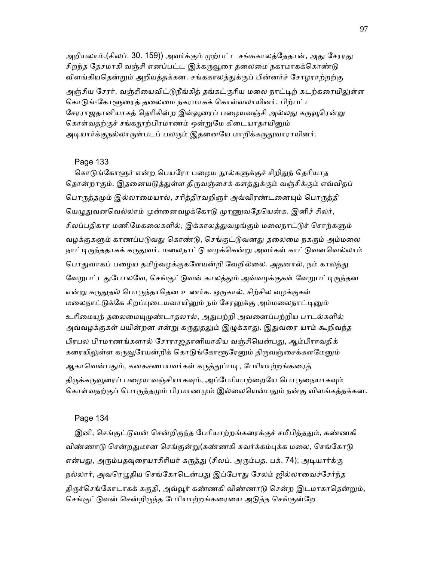அறியலாம்.(சிலப். 30. 159)) அவர்க்கும் முற்பட்ட சங்ககாலத்தேதான், அது சேரரது சிறந்த தேசமாகி வஞ்சி எனப்பட்ட இக்கருவூரை தலைமை நகரமாகக்கொண்டு விளங்கியதென்றும் அறியத்தக்கன. சங்ககாலத்துக்குப் பின்னர்ச் சோழராற்றற்கு அஞ்சிய சேரர், வஞ்சியைவிட்டுநீங்கிக் கங்கட்குரிய மலை நாட்டிற் கடற்கரையிலுள்ள கொடுங்-கோளூரைத் தலைமை நகரமாகக் கொள்ளலாயினர். பிற்பட்ட சேரராஜதானியாகத் தெரிகின்ற இவ்வூரைப் பழையவஞ்சி அல்லது கருவூரென்று கொள்வதற்குச் சங்கநூற்பிரமாணம் ஒன்றுமே கிடையாதாயினும் அடியார்க்குநல்லாருள்படப் பலரும் இதனையே மாறிக்கருதுவாராயினர்.

#### Page 133

கொடுங்கோளூர் என்ற பெயரோ பமைய நால்களுக்குச் சிறிதுந் தெரியாத தொன்றாகும். இதனையடுத்துள்ள திருவஞ்சைக் களத்துக்கும் வஞ்சிக்கும் எவ்விதப் பொருத்தமும் இல்லாமையால், சரித்திரவறிஞர் அவ்விரண்டனையும் பொருத்தி யெழுதுவனவெல்லாம் முன்னைவழக்கோடு முரணுவதேயென்க. இனிச் சிலர், சிலப்பதிகார மணிமேகலைகளில், இக்காலத்துவழங்கும் மலைநாட்டுச் சொற்களும் வழக்குகளும் காணப்படுவது கொண்டு, செங்குட்டுவனது தலைமை நகரும் அம்மலை நாட்டிருந்ததாகக் கருதுவர். மலைநாட்டு வழக்கென்று அவர்கள் காட்டுவனவெல்லாம் பொதுவாகப் பழைய தமிழ்வழக்குகளேயன்றி வேறில்லை. அதனால், நம் காலத்து வேறுபட்டதுபோலவே, செங்குட்டுவன் காலத்தும் அவ்வழக்குகள் வேறுபட்டிருந்தன என்று கருதுதல் பொருந்தாதென உணர்க. ஒருகால், சிற்சில வழக்குகள் மலைநாட்டுக்கே சிறப்புடையவாயினும் நம் சேரனுக்கு அம்மலைநாட்டினும் உரிமையுந் தலைமையுமுண்டாதலால், அதுபற்றி அவனைப்பற்றிய பாடல்களில் அவ்வழக்குகள் பயின்றன என்று கருதுதலும் இழுக்காது. இதுவரை யாம் கூறிவந்த பிரபல பிரமாணங்களால் சேரராஜதானியாகிய வஞ்சியென்பது, ஆம்பிராவதிக் கரையிலுள்ள கருவூரேயன்றிக் கொடுங்கோளூரேனும் திருவஞ்சைக்களமேனும் ஆகாவென்பதும், கனகசபையவர்கள் கருத்துப்படி, பேரியாற்றங்கரைத் திருக்கருவூரைப் பழைய வஞ்சியாகவும், அப்பேரியாற்றையே பொருநையாகவும் கொள்வதற்குப் பொருத்தமும் பிரமாணமும் இல்லையென்பதும் நன்கு விளங்கத்தக்கன.

#### Page 134

இனி, செங்குட்டுவன் சென்றிருந்த பேரியாற்றங்கரைக்குச் சமீபித்ததும், கண்ணகி விண்ணாடு சென்றதுமான செங்குன்று(கண்ணகி சுவர்க்கம்புக்க மலை, செங்கோடு என்பது, அரும்பதவுரையாசிரியர் கருத்து (சிலப். அரும்பத. பக். 74); அடியார்க்கு நல்லார், அவரெழுதிய செங்கோடென்பது இப்போது சேலம் ஜில்லாவைச்சேர்ந்த திருச்செங்கோடாகக் கருதி, அவ்வூர் கண்ணகி விண்ணாடு சென்ற இடமாகாகென்றும், செங்குட்டுவன் சென்றிருந்த பேரியாற்றங்கரையை அடுத்த செங்குன்றே

97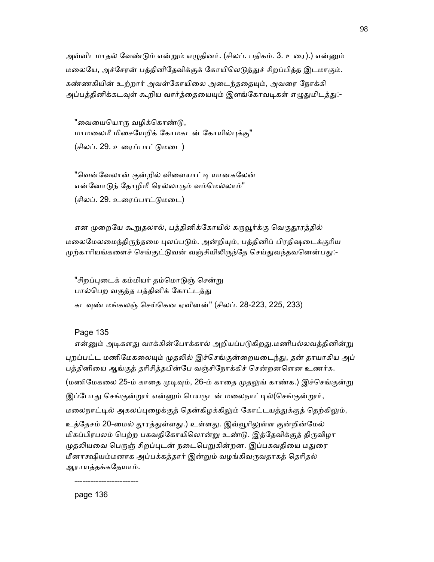அவ்விடமாதல் வேண்டும் என்றும் எழுதினர். (சிலப். பதிகம். 3. உரை).) என்னும் மலையே, அச்சேரன் பத்தினிதேவிக்குக் கோயிலெடுத்துச் சிறப்பித்த இடமாகும். கண்ணகியின் உற்றார் அவள்கோயிலை அடைந்ததையும், அவரை நோக்கி அப்பத்தினிக்கடவுள் கூறிய வார்த்தையையும் இளங்கோவடிகள் எழுதுமிடத்து:-

"வையையொரு வழிக்கொண்டு, மாமலைமீ மிசையேறிக் கோமகடன் கோயில்புக்கு" (சிலப். 29. உைரப்பாட்ᾌமைட)

"வென்வேலான் குன்றில் விளையாட்டி யானகலேன் என்னோடுந் தோழிமீ ரெல்லாரும் வம்மெல்லாம்"

(சிலப். 29. உைரப்பாட்ᾌமைட)

என முறையே கூறுதலால், பத்தினிக்கோயில் கருவூர்க்கு வெகுதூரத்தில் மலைமேலமைந்திருந்தமை புலப்படும். அன்றியும், பத்தினிப் பிரதிஷடைக்குரிய முற்காரியங்களைச் செங்குட்டுவன் வஞ்சியிலிருந்தே செய்துவந்தவனென்பது:-

"சிறப்புடைக் கம்மியர் தம்மொடுஞ் சென்று பால்பெற வகுத்த பத்தினிக் கோட்டத்து கடவுண் மங்கலஞ் செய்கென ஏவினன்" (சிலப். 28-223, 225, 233)

Page 135

என்னும் அடிகளது வாக்கின்போக்கால் அறியப்படுகிறது.மணிபல்லவத்தினின்று புறப்பட்ட மணிமேகலையும் முதலில் இச்செங்குன்றையடைந்து, தன் தாயாகிய அப் பத்தினிைய ஆங்குத் தாிசித்தபின்ேப வஞ்சிேநாக்கிச் ெசன்றனெளன உணர்க. (மணிமேகலை 25-ம் காதை முடிவும், 26-ம் காதை முதலுங் காண்க.) இச்செங்குன்று இப்போது செங்குன்றூர் என்னும் பெயருடன் மலைநாட்டில்(செங்குன்றூர், மலைநாட்டில் அகலப்புழைக்குத் தென்கிழக்கிலும் கோட்டயத்துக்குத் தெற்கிலும், உத்தேசம் 20-மைல் தூரத்துள்ளது.) உள்ளது. இவ்வூரிலுள்ள குன்றின்மேல் மிகப்பிரபலம் பெற்ற பகவதிகோயிலொன்று உண்டு. இத்தேவிக்குத் திருவிழா முதலியவை பெருஞ் சிறப்புடன் நடைபெறுகின்றன. இப்பகவதியை மதுரை மீனாக்ஷியம்மனாக அப்பக்கத்தார் இன்றும் வழங்கிவருவதாகத் தெரிதல் ஆராயத்தக்கேதயாம்.

------------------------

page 136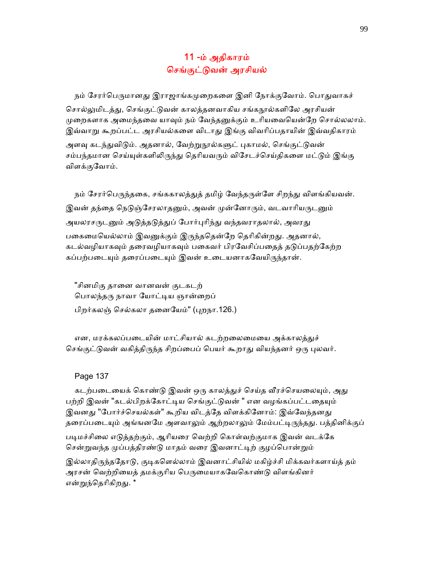# 11 -ம் அதிகாரம் ெசங்குட்ᾌவன் அரசியல்

நம் சேரர்பெருமானது இராஜாங்கமுறைகளை இனி நோக்குவோம். பொதுவாகச் சொல்லுமிடத்து, செங்குட்டுவன் காலத்தனவாகிய சங்கநூல்களிலே அரசியன் முறைகளாக அமைந்தவை யாவும் நம் வேந்தனுக்கும் உரியவையென்றே சொல்லலாம். இவ்வாறு கூறப்பட்ட அரசியல்களை விடாது இங்கு விவரிப்பதாயின் இவ்வதிகாரம்

அளவு கடந்துவிடும். அதனால், வேற்றுநூல்களுட் புகாமல், செங்குட்டுவன் சம்பந்தமான செய்யுள்களிலிருந்து தெரியவரும் விசேடச்செய்திகளை மட்டும் இங்கு விளக்குேவாம்.

நம் சேரர்பெருந்தகை, சங்ககாலத்துத் தமிழ் வேந்தருள்ளே சிறந்து விளங்கியவன். இவன் தந்தை நெடுஞ்சேரலாதனும், அவன் முன்னோரும், வடவாரியருடனும் அயலரசருடனும் அடுத்தடுத்துப் போர்புரிந்து வந்தவராதலால், அவரது பகைமையெல்லாம் இவனுக்கும் இருந்ததென்றே தெரிகின்றது. அதனால், கடல்வழியாகவும் தரைவழியாகவும் பகைவர் பிரவேசிப்பதைக் கடுப்பகற்கேற்ற கப்பற்படையும் தரைப்படையும் இவன் உடையனாகவேயிருந்தான்.

 "சினமிகு தாைன வானவன் குடகடற் பொலந்தரு நாவா யோட்டிய ஞான்றைப் பிறர்கலஞ் செல்கலா தனையேம்" (புறநா.126.)

என, மரக்கலப்படையின் மாட்சியால் கடற்றலைமையை அக்காலத்துச் செங்குட்டுவன் வகித்திருந்த சிறப்பைப் பெயர் கூறாது வியந்தனர் ஒரு புலவர்.

Page 137

கடற்படையைக் கொண்டு இவன் ஒரு காலத்துச் செய்த வீரச்செயலையும், அது பற்றி இவன் "கடல்பிறக்கோட்டிய செங்குட்டுவன் " என வழங்கப்பட்டதையும் இவனது "போர்ச்செயல்கள்" கூறிய விடத்தே விளக்கினோம்: இவ்வேந்தனது தரைப்படையும் அங்ஙனமே அளவாலும் ஆற்றலாலும் மேம்பட்டிருந்தது. பத்தினிக்குப்

படிமச்சிலை எடுத்தற்கும், ஆரியரை வெற்றி கொள்வற்குமாக இவன் வடக்கே சென்றுவந்த முப்பத்திரண்டு மாதம் வரை இவனாட்டிற் குழப்பொன்றும்

இல்லாதிருந்ததோடு, குடிகளெல்லாம் இவனாட்சியில் மகிழ்ச்சி மிக்கவர்களாய்த் தம் அரசன் வெற்றியைத் தமக்குரிய பெருமையாகவேகொண்டு விளங்கினர் என்றுந்தெரிகிறது. \*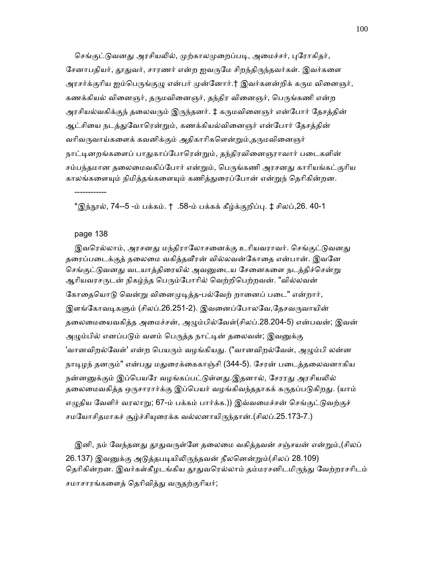செங்குட்டுவனது அரசியலில், முற்காலமுறைப்படி, அமைச்சர், புரோகிதர், சேனாபதியர், தூதுவர், சாரணர் என்ற ஐவருமே சிறந்திருந்தவர்கள். இவர்களை அரசர்க்குரிய ஐம்பெருங்குழு என்பர் முன்னோர்.† இவர்களன்றிக் கரும வினைஞர், கணக்கியல் வினைஞர், தருமவினைஞர், தந்திர வினைஞர், பெருங்கணி என்ற அரசியல்வகிக்குந் தலைவரும் இருந்தனர். ‡ கருமவினைஞர் என்போர் தேசத்தின் ஆட்சியை நடத்துவோரென்றும், கணக்கியல்வினைஞர் என்போர் தேசத்தின் வரிவருவாய்களைக் கவனிக்கும் அதிகாரிகளென்றும்,தருமவினைஞர் நாட்டினறங்களைப் பாதுகாப்போரென்றும், தந்திரவினைஞராவார் படைகளின் சம்பந்தமான தலைமைவகிப்போர் என்றும், பெருங்கணி அரசனது காரியங்கட்குரிய காலங்களையும் நிமித்தங்களையும் கணித்துரைப்போன் என்றுந் தெரிகின்றன.

\*இந்நூல், 74--5 -ம் பக்கம். † .58-ம் பக்கக் கீழ்க்குறிப்பு. ‡ சிலப்,26. 40-1

#### page 138

------------

இவரெல்லாம், அரசனது மந்திராலோசனைக்கு உரியவராவர். செங்குட்டுவனது தைரப்பைடக்குத் தைலைம வகித்தᾪர ன் வில்லவன்ேகாைத என்பான். இவேன செங்குட்டுவனது வடயாத்திரையில் அவனுடைய சேனைகளை நடத்திச்சென்று ஆரியவரசருடன் நிகழ்ந்த பெரும்போரில் வெற்றிபெற்றவன். "வில்லவன் கோதையொடு வென்று வினைமுடித்த-பல்வேற் றானைப் படை" என்றார், இளங்கோவடிகளும் (சிலப்.26.251-2). இவனைப்போலவே,தேசவருவாயின் தலைமையைவகித்த அமைச்சன், அழும்பில்வேள்(சிலப்.28.204-5) என்பவன்; இவன் அழும்பில் எனப்படும் வளம் பெருத்த நாட்டின் தலைவன்; இவனுக்கு 'வானவிறல்வேள்' என்ற பெயரும் வழங்கியது. ("வானவிறல்வேள், அழும்பி லன்ன நாடிழந் தனரும்" என்பது மதுரைக்கைகாஞ்சி (344-5). சேரன் படைத்தலைவனாகிய நன்னனுக்கும் இப்பெயரே வழங்கப்பட்டுள்ளது.இதனால், சேரரது அரசியலில் தலைமைவகித்த ஒருசாரார்க்கு இப்பெயர் வழங்கிவந்ததாகக் கருதப்படுகிறது. (யாம் எழுதிய வேளிர் வரலாறு; 67-ம் பக்கம் பார்க்க.)) இவ்வமைச்சன் செங்குட்டுவற்குச் சமயோசிதமாகச் சூழ்ச்சியுரைக்க வல்லனாயிருந்தான்.(சிலப்.25.173-7.)

இனி, நம் வேந்தனது தூதுவருள்ளே தலைமை வகித்தவன் சஞ்சயன் என்றும்,(சிலப் 26.137) இவனுக்கு அடுத்தபடியிலிருந்தவன் நீலனென்றும்(சிலப் 28.109) தெரிகின்றன. இவர்கள்கீழடங்கிய தூதுவரெல்லாம் தம்மரசனிடமிருந்து வேற்றரசரிடம் சமாசாரங்களைத் தெரிவித்து வருதற்குரியர்;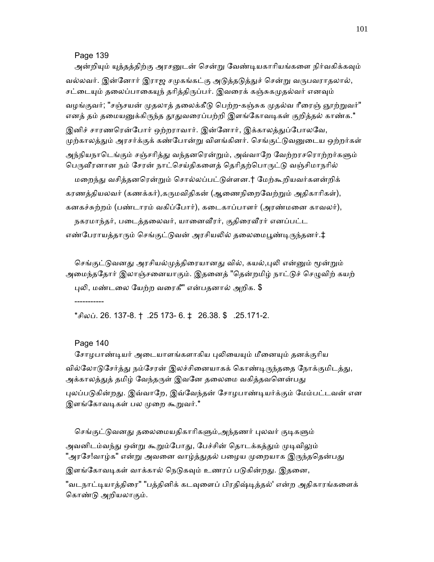### Page 139

அன்றியும் யுத்தத்திற்கு அரசனுடன் சென்று வேண்டியகாரியங்களை நிர்வகிக்கவும் வல்லவர். இன்னோர் இராஜ சமுகங்கட்கு அடுத்தடுத்துச் சென்று வருபவராதலால், சட்டையும் தலைப்பாகையுந் தரித்திருப்பர். இவரைக் கஞ்சுகமுதல்வர் எனவும் வழங்குவர்; "சஞ்சயன் முதலாத் தலைக்கீடு பெற்ற-கஞ்சுக முதல்வ ரீரைஞ் ஞூற்றுவர்" எனத் தம் தமையனுக்கிருந்த தூதுவரைப்பற்றி இளங்கோவடிகள் குறித்தல் காண்க. $^{\star}$ இனிச் சாரணரென்போர் ஒற்றராவார். இன்னோர், இக்காலத்துப்போலவே, முற்காலத்தும் அரசர்க்குக் கண்போன்று விளங்கினர். செங்குட்டுவனுடைய ஒற்றர்கள் அந்நியநாடெங்கும் சஞ்சரித்து வந்தனரென்றும், அவ்வாறே வேற்றரசரொற்றர்களும் பெருவீரனான நம் சேரன் நாட்செய்திகளைத் தெரிதற்பொருட்டு வஞ்சிமாநரில் மறைந்து வசித்தனரென்றும் சொல்லப்பட்டுள்ளன.† மேற்கூறியவர்களன்றிக் கரணத்தியலவர் (கணக்கர்),கருமவிதிகன் (ஆணைநிறைவேற்றும் அதிகாரிகள்), கனகச்சுற்றம் (பண்டாரம் வகிப்ேபார்), கைடகாப்பாளர் (அரண்மைன காவலர்), நகரமாந்தர், படைத்தலைவர், யானைவீரர், குதிரைவீரர் எனப்பட்ட

எண்பேராயத்தாரும் செங்குட்டுவன் அரசியலில் தலைமைபூண்டிருந்தனர்.‡

செங்குட்டுவனது அரசியல்முத்திரையானது வில், கயல்,புலி என்னும் மூன்றும் அமைந்ததோர் இலாஞ்சனையாகும். இதனைத் "தென்றமிழ் நாட்டுச் செழுவிற் கயற் ᾗᾢ, மண்டைல ேயற்ற வைரகீ" என்பதனால் அறிக. \$

\*சிலப். 26. 137-8. †.25 173- 6. ‡ 26.38. \$ .25.171-2.

## Page 140

-----------

சோழபாண்டியர் அடையாளங்களாகிய புலியையும் மீனையும் தனக்குரிய வில்லோடுசேர்த்து நம்சேரன் இலச்சினையாகக் கொண்டிருந்ததை நோக்குமிடத்து, அக்காலத்துத் தமிழ் வேந்தருள் இவனே தலைமை வகித்தவனென்பது புலப்படுகின்றது. இவ்வாறே, இவ்வேந்தன் சோழபாண்டியர்க்கும் மேம்பட்டவன் என இளங்கோவடிகள் பல முறை கூறுவர்.\*

செங்குட்டுவனது தலைமையதிகாரிகளும்,அந்தணர் புலவர் குடிகளும் அவனிடம்வந்து ஒன்று கூறும்போது, பேச்சின் தொடக்கத்தும் முடிவிலும் "அரசே!வாழ்க" என்று அவனை வாழ்த்துதல் பழைய முறையாக இருந்ததென்பது இளங்கோவடிகள் வாக்கால் நெடுகவும் உணரப் படுகின்றது. இதனை,

"வடநாட்டியாத்திரை" "பத்தினிக் கடவுளைப் பிரதிஷ்டித்தல்' என்ற அதிகாரங்களைக் ெகாண்ᾌ அறியலாகும்.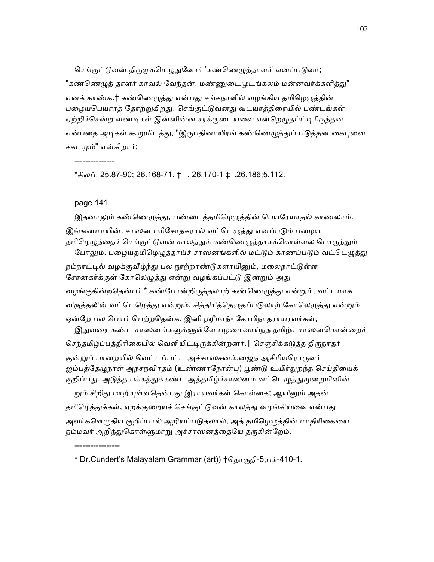செங்குட்டுவன் திருமுகமெழுதுவோர் 'கண்ணெழுத்தாளர்' எனப்படுவர்; "கண்ணெழுத் தாளர் காவல் வேந்தன், மண்ணுடைமுடங்கலம் மன்னவர்க்களித்து" எனக் காண்க.† கண்ணெழுத்து என்பது சங்கநாளில் வழங்கிய தமிழெழுத்தின் பழையபெயராத் தோற்றுகிறது. செங்குட்டுவனது வடயாத்திரையில் பண்டங்கள் ஏற்றிச்சென்ற வண்டிகள் இன்னின்ன சரக்குடையவை என்றெழுதப்ட்டிரிருந்தன என்பதை அடிகள் கூறுமிடத்து, "இருபதினாயிரங் கண்ணெழுத்துப் படுத்தன கைபுனை சகடᾙம்" என்கிறார்;

\*சிலப். 25.87-90; 26.168-71. † . 26.170-1 ‡.26.186;5.112.

### page 141

-----------------

---------------

இதனாலும் கண்ணெழுத்து, பண்டைத்தமிழெழுத்தின் பெயரேயாதல் காணலாம். இங்ஙனமாயின், சாஸன பரிசோதகரால் வட்டெழுத்து எனப்படும் பழைய தமிழெழுத்தைச் செங்குட்டுவன் காலத்துக் கண்ணெழுத்தாகக்கொள்ளல் பொருந்தும்

போலும். பழையதமிழெழுத்தாய்ச் சாஸனங்களில் மட்டும் காணப்படும் வட்டெழுத்து

நம்நாட்டில் வழக்குவீழ்ந்து பல நூற்றாண்டுகளாயினும், மலைநாட்டுள்ள சோனகர்க்குள் கோலெழுத்து என்று வழங்கப்பட்டு இன்றும் அது

வழங்குகின்றதென்பர்.\* கண்போன்றிருத்தலாற் கண்ணெழுத்து என்றும், வட்டமாக

விருத்தலின் வட்டெழெத்து என்றும், சித்திரித்தெழுதப்படுலாற் கோலெழுத்து என்றும்

ஒன்றே பல பெயர் பெற்றதென்க. இனி ஸ்ரீமாந்- கோபிநாதராயரவர்கள்,

இதுவரை கண்ட சாஸனங்களுக்ளுள்ளே பழமைவாய்ந்த தமிழ்ச் சாஸனமொன்றைச்

செந்தமிழ்ப்பத்திரிகையில் வெளியிட்டிருக்கின்றனர்.† செஞ்சிக்கடுத்த திருநாதர்

குன்றுப் பாறையில் வெட்டப்பட்ட அச்சாஸசனம்,ஜைந ஆசிரியரொருவர் ஐம்பத்தேழுநாள் அநசநவிரதம் (உண்ணாநோன்பு) பூண்டு உயிர்துறந்த செய்தியைக் குறிப்பது. அடுத்த பக்கத்துக்கண்ட அத்தமிழ்ச்சாஸனம் வட்டெழுத்துமுறையினின்

றும் சிறிது மாறியுள்ளதென்பது இராயவர்கள் கொள்கை; ஆயினும் அதன் தமிழெத்துக்கள், ஏறக்குறையச் செங்குட்டுவன் காலத்து வழங்கியவை என்பது அவர்களெழுதிய குறிப்பால் அறியப்படுதலால், அத் தமிழெழுத்தின் மாதிரிகையை

நம்மவர் அறிந்துகொள்ளுமாறு அச்சாஸனத்தையே தருகின்றேம்.

\* Dr.Cundert's Malayalam Grammar (art)) †தொகுதி-5,பக்-410-1.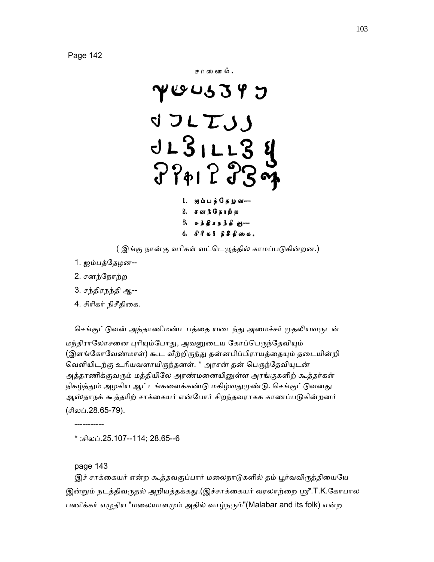

( இங்கு நான்கு வரிகள் வட்டெழுத்தில் காமப்படுகின்றன.)

- 1. ஐம்பத்ேதழன--
- 2. சனந்ேநாற்ற
- 3. சந்திரநந்தி ஆ--
- 4. சிரிகர் நிசீதிகை.

செங்குட்டுவன் அத்தாணிமண்டபத்தை யடைந்து அமைச்சர் முதலியவருடன்

மந்திராலோசனை புரியும்போது, அவனுடைய கோப்பெருந்தேவியும் (இளங்கோவேண்மாள்) கூட வீற்றிருந்து தன்னபிப்பிராயத்தையும் தடையின்றி வெளியிடற்கு உரியவளாயிருந்தனள். \* அரசன் தன் பெருந்தேவியுடன் அத்தாணிக்குவரும் மத்தியிலே அரண்மனையினுள்ள அரங்குகளிற் கூத்தர்கள் நிகழ்த்தும் அழகிய ஆட்டங்களைக்கண்டு மகிழ்வதுமுண்டு. செங்குட்டுவனது ஆஸ்தாநக் கூத்தரிற் சாக்கையர் என்போர் சிறந்தவராகக காணப்படுகின்றனர் (சிலப்.28.65-79).

\* ;சிலப்.25.107--114; 28.65--6

page 143

-----------

இச் சாக்கையர் என்ற கூத்தவகுப்பார் மலைநாடுகளில் தம் பூர்வவிருத்தியையே இன்றும் நடத்திவருதல் அறியத்தக்கது.(இச்சாக்கையர் வரலாற்றை ஸ்ரீ.T.K.கோபால பணிக்கர் எழுதிய "மலையாளமும் அதில் வாழ்நரும்"(Malabar and its folk) என்ற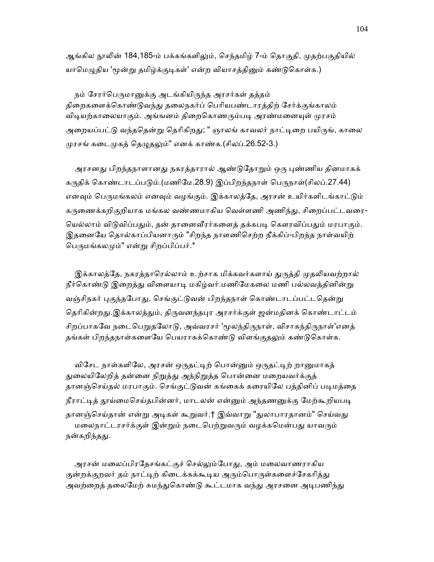ஆங்கில நூலின் 184,185-ம் பக்கங்களிலும், செந்தமிழ் 7-ம் தொகுதி, முதற்பகுதியில் யாமெழுதிய 'மூன்று தமிழ்க்குடிகள்' என்ற வியாசத்தினும் கண்டுகொள்க.)

நம் சேரர்பெருமானுக்கு அடங்கியிருந்த அரசர்கள் தத்தம் திறைகளைக்கொண்டுவந்து தலைநகர்ப் பெரியபண்டாரத்திற் சேர்க்குங்காலம் விடியற்காலையாகும். அங்ஙனம் திறைகொணரும்படி அரண்மனையுள் முரசம் அறையப்பட்டு வந்ததென்று தெரிகிறது; " ஞாலங் காவலர் நாட்டிறை பயிருங், காலை முரசங் கடைமுகத் தெழுதலும்" எனக் காண்க.(சிலப்.26.52-3.)

அரசனது பிறந்தநாளானது நகரத்தாரால் ஆண்டுதோறும் ஒரு புண்ணிய தினமாகக் கருதிக் கொண்டாடப்படும்.(மணிமே.28.9) இப்பிறந்தநாள் பெருநாள்(சிலப்.27.44) எனவும் பெருமங்கலம் எனவும் வழங்கும். இக்காலத்தே, அரசன் உயிர்களிடங்காட்டும் கருணைக்கறிகுறியாக மங்கல வண்ணமாகிய வெள்ளணி அணிந்து, சிறைப்பட்டவரை-யெல்லாம் விடுவிப்பதும், தன் தானைவீரர்களைத் தக்கபடி கௌரவிப்பதும் மரபாகும். இதைனேய ெதால்காப்பியனாᾞம் "சிறந்த நாளணிெசற்ற நீக்கிப்-பிறந்த நாள்வயிற் பெருமங்கலமும்" என்று சிறப்பிப்பர்.\*

இக்காலத்தே, நகரத்தாரெல்லாம் உற்சாக மிக்கவர்களாய் துருத்தி முதலியவற்றால் நீர்கொண்டு இறைத்து விளையாடி மகிழ்வர்.மணிமேகலை மணி பல்லவத்தினின்று வஞ்சிநகர் புகுந்தபோது, செங்குட்டுவன் பிறந்தநாள் கொண்டாடப்பட்டதென்று தெரிகின்றது.இக்காலத்தும், திருவனந்தபுர அரசர்க்குள் ஜன்மதினக் கொண்டாட்டம் சிறப்பாகவே நடைபெறுதலோடு, அவ்வரசர் 'மூலந்திருநாள், விசாகந்திருநாள்'எனத் தங்கள் பிறந்தநாள்களையே பெயராகக்கொண்டு விளங்குதலும் கண்டுகொள்க.

விசேட நாள்களிலே, அரசன் ஒருதட்டிற் பொன்னும் ஒருதட்டிற் றானுமாகத் துலையிலேறித் தன்னை நிறுத்து அந்நிறுத்த பொன்னை மறையவர்க்குத் தானஞ்செய்தல் மரபாகும். செங்குட்டுவன் கங்கைக் கரையிலே பத்தினிப் படிமத்தை நீராட்டித் தூய்மைசெய்தபின்னர், மாடலன் என்னும் அந்தணனுக்கு மேற்கூறியபடி தானஞ்செய்தான் என்று அடிகள் கூறுவர்.† இவ்வாறு "துலாபாரதானம்" செய்வது மலைநாட்டரசர்க்குள் இன்றும் நடைபெற்றுவரும் வழக்கமென்பது யாவரும் நன்கறிந்தது.

அரசன் மலைப்பிரதேசங்கட்குச் செல்லும்போது, அம் மலைவாணராகிய குன்றக்குறவர் தம் நாட்டிற் கிடைக்கக்கூடிய அரும்பொருள்களைச்சேகரித்து அவற்றைத் தலைமேற் சுமந்துகொண்டு கூட்டமாக வந்து அரசனை அடிபணிந்து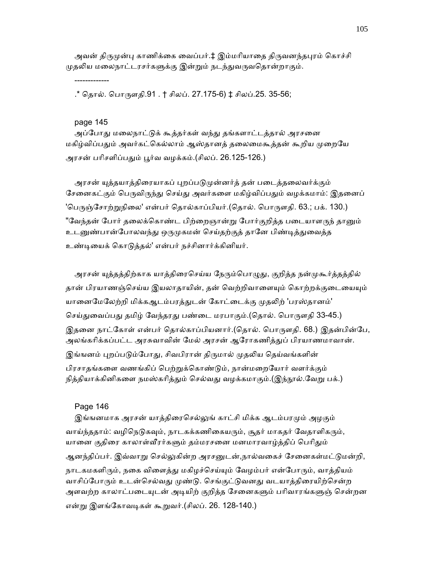அவன் திருமுன்பு காணிக்கை வைப்பர்.‡ இம்மரியாதை திருவனந்தபுரம் கொச்சி முதலிய மலைநாட்டரசர்களுக்கு இன்றும் நடந்துவருவதொன்றாகும்.

.\* ெதால். ெபாᾞளதி.91 . † சிலப். 27.175-6) ‡ சிலப்.25. 35-56;

page 145

-------------

அப்போது மலைநாட்டுக் கூத்தர்கள் வந்து தங்களாட்டத்தால் அரசனை மகிழ்விப்பதும் அவர்கட்கெல்லாம் ஆஸ்தானத் தலைமைகூத்தன் கூறிய முறையே அரசன் பரிசளிப்பதும் பூர்வ வழக்கம்.(சிலப். 26.125-126.)

அரசன் யுத்தயாத்திரையாகப் புறப்படுமுன்னர்த் தன் படைத்தலைவர்க்கும் சேனைகட்கும் பெருவிருந்து செய்து அவர்களை மகிழ்விப்பதும் வழக்கமாம்: இதனைப் 'பெருஞ்சோற்றுநிலை' என்பர் தொல்காப்பியர்.(தொல். பொருளதி. 63.; பக். 130.) "வேந்தன் போர் தலைக்கொண்ட பிற்றைஞான்று போர்குறித்த படையாளருந் தானும் உடனுண்பான்போலவந்து ஒருமுகமன் செய்தற்குத் தானே பிண்டித்துவைத்த உண்ᾊையக் ெகாᾌத்தல்' என்பர் நச்சினார்க்கினியர்.

அரசன் யுத்தத்திற்காக யாத்திரைசெய்ய நேரும்பொழுது, குறித்த நன்முகூர்த்தத்தில் தான் பிரயாணஞ்செய்ய இயலாதாயின், தன் வெற்றிவாளையும் கொற்றக்குடையையும் யானைமேலேற்றி மிக்கஆடம்பரத்துடன் கோட்டைக்கு முதலிற் 'பரஸ்தானம்' செய்துவைப்பது தமிழ் வேந்தரது பண்டை மரபாகும்.(தொல். பொருளதி 33-45.) இதனை நாட்கோள் என்பர் தொல்காப்பியனார்.(தொல். பொருளதி. 68.) இதன்பின்பே, அலங்கரிக்கப்பட்ட அரசுவாவின் மேல் அரசன் ஆரோகணித்துப் பிரயாணமாவான். இங்ஙனம் புறப்படும்போது, சிவபிரான் திருமால் முதலிய தெய்வங்களின் பிரசாதங்களை வணங்கிப் பெற்றுக்கொண்டும், நான்மறையோர் வளர்க்கும் நித்தியாக்கினிகளை நமஸ்கரித்தும் செல்வது வழக்கமாகும்.(இந்நூல்.வேறு பக்.)

#### Page 146

இங்ஙனமாக அரசன் யாத்திரைசெல்லுங் காட்சி மிக்க ஆடம்பரமும் அழகும் வாய்ந்ததாம்: வழிநெடுகவும், நாடகக்கணிகையரும், சூதர் மாகதர் வேதாளிகரும், யானை குதிரை காலாள்வீரர்களும் தம்மரசனை மனமாரவாழ்த்திப் பெரிதும் ஆனந்திப்பர். இவ்வாறு செல்லுகின்ற அரசனுடன்,நால்வகைச் சேனைகள்மட்டுமன்றி, நாடகமகளிரும், நகை விளைத்து மகிழச்செய்யும் வேழம்பர் என்போரும், வாத்தியம் வாசிப்போரும் உடன்செல்வது முண்டு. செங்குட்டுவனது வடயாத்திரையிற்சென்ற அளவற்ற காலாட்படையுடன் அடியிற் குறித்த சேனைகளும் பரிவாரங்களுஞ் சென்றன என்று இளங்கோவடிகள் கூறுவர்.(சிலப். 26. 128-140.)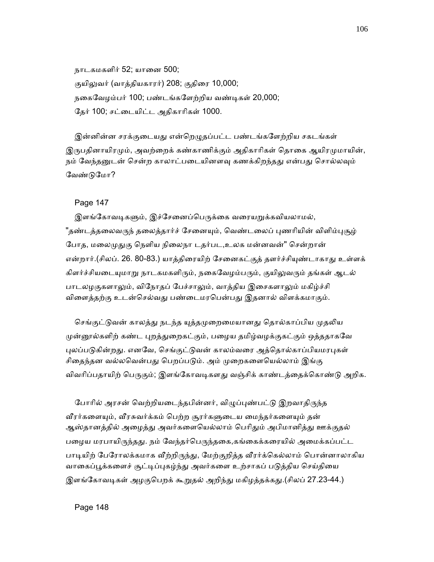நாடகமகளிர் 52; யானை 500; குயிலுவர் (வாத்தியகாரர்) 208; குதிரை 10,000; நைகேவழம்பர் 100; பண்டங்கேளற்றிய வண்ᾊகள் 20,000; ேதர் 100; சட்ைடயிட்ட அதிகாாிகள் 1000.

இன்னின்ன சரக்குடையது என்றெழுதப்பட்ட பண்டங்களேற்றிய சகடங்கள் இருபதினாயிரமும், அவற்றைக் கண்காணிக்கும் அதிகாரிகள் தொகை ஆயிரமுமாயின், நம் வேந்தனுடன் சென்ற காலாட்படையினளவு கணக்கிறந்தது என்பது சொல்லவும் ேவண்ᾌேமா?

Page 147

இளங்கோவடிகளும், இச்சேனைப்பெருக்கை வரையறுக்கவியலாமல், "தண்டத்தலைவருந் தலைத்தார்ச் சேனையும், வெண்டலைப் புணரியின் விளிம்புசூழ் போத, மலைமுதுகு நெளிய நிலைநா டதர்பட,உலக மன்னவன்" சென்றான் என்றார்.(சிலப். 26. 80-83.) யாத்திரையிற் சேனைகட்குத் தளர்ச்சியுண்டாகாது உள்ளக் கிளர்ச்சியடையுமாறு நாடகமகளிரும், நகைவேழம்பரும், குயிலுவரும் தங்கள் ஆடல் பாடலழகுகளாலும், விநோதப் பேச்சாலும், வாத்திய இசைகளாலும் மகிழ்ச்சி விளைத்தற்கு உடன்செல்வது பண்டைமரபென்பது இதனால் விளக்கமாகும்.

செங்குட்டுவன் காலத்து நடந்த யுத்தமுறைமையானது தொல்காப்பிய முதலிய முன்னூல்களிற் கண்ட புறத்துறைகட்கும், பழைய தமிழ்வழக்குகட்கும் ஒத்ததாகவே புலப்படுகின்றது. எனவே, செங்குட்டுவன் காலம்வரை அத்தொல்காப்பியமரபுகள் சிதைந்தன வல்லவென்பது பெறப்படும். அம் முறைகளையெல்லாம் இங்கு விவரிப்பதாயிற் பெருகும்; இளங்கோவடிகளது வஞ்சிக் காண்டத்தைக்கொண்டு அறிக.

போரில் அரசன் வெற்றியடைந்தபின்னர், விழுப்புண்பட்டு இறவாதிருந்த வீரர்களையும், வீரசுவர்க்கம் பெற்ற சூரர்களுடைய மைந்தர்களையும் தன் ஆஸ்தானத்தில் அழைத்து அவர்களையெல்லாம் பெரிதும் அபிமானித்து ஊக்குதல் பழைய மரபாயிருந்தது. நம் வேந்தர்பெருந்தகை,கங்கைக்கரையில் அமைக்கப்பட்ட பாடியிற் பேரோலக்கமாக வீற்றிருந்து, மேற்குறித்த வீரர்க்கெல்லாம் பொன்னாலாகிய வாகைப்பூக்களைச் சூட்டிப்புகழ்ந்து அவர்களை உற்சாகப் படுத்திய செய்தியை இளங்கோவடிகள் அழகுபெறக் கூறுதல் அறிந்து மகிழத்தக்கது.(சிலப் 27.23-44.)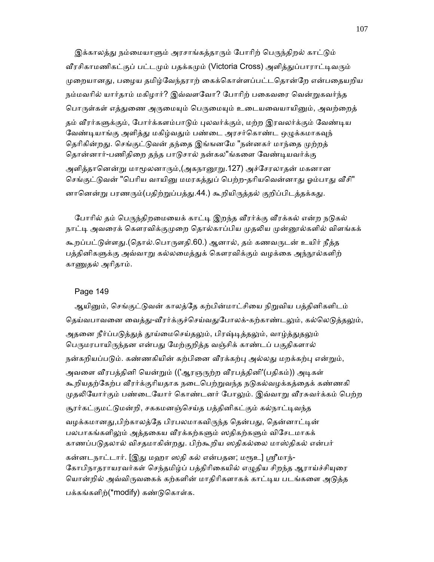இக்காலத்து நம்மையாளும் அரசாங்கத்தாரும் போரிற் பெருந்திறல் காட்டும் வீரசிகாமணிகட்குப் பட்டமும் பதக்கமும் (Victoria Cross) அளித்துப்பாராட்டிவரும் முறையானது, பழைய தமிழ்வேந்தராற் கைக்கொள்ளப்பட்டதொன்றே என்பதையறிய நம்மவரில் யார்தாம் மகிழார்? இவ்வளவோ? போரிற் பகைவரை வென்றுகவர்ந்த பொருள்கள் எத்துணை அருமையும் பெருமையும் உடையவையாயினும், அவற்றைத் தம் வீரர்களுக்கும், போர்க்களம்பாடும் புலவர்க்கும், மற்ற இரவலர்க்கும் வேண்டிய வேண்டியாங்கு அளித்து மகிழ்வதும் பண்டை அரசர்கொண்ட ஒழுக்கமாகவுந் தெரிகின்றது. செங்குட்டுவன் தந்தை இங்ஙனமே "நன்னகர் மாந்தை முற்றத் தொன்னார்-பணிதிறை தந்த பாடுசால் நன்கல"ங்களை வேண்டியவர்க்கு அளித்தானென்று மாமூலனாரும்,(அகநானூறு.127) அச்சேரலாதன் மகனான செங்குட்டுவன் "பெரிய வாயினு மமரகத்துப் பெற்ற-தரியவென்னாது ஓம்பாது வீசி" னானென்று பரணரும்(பதிற்றுப்பத்து.44.) கூறியிருத்தல் குறிப்பிடத்தக்கது.

போரில் தம் பெருந்திறமையைக் காட்டி இறந்த வீரர்க்கு வீரக்கல் என்ற நடுகல் நாட்டி அவரைக் கௌரவிக்குமுறை தொல்காப்பிய முதலிய முன்னூல்களில் விளங்கக் கூறப்பட்டுள்ளது.(தொல்.பொருளதி.60.) ஆனால், தம் கணவருடன் உயிர் நீத்த பத்தினிகளுக்கு அவ்வாறு கல்லமைத்துக் கௌரவிக்கும் வழக்கை அந்நூல்களிற் காணுதல் அரிதாம்.

#### Page 149

ஆயினும், செங்குட்டுவன் காலத்தே கற்பின்மாட்சியை நிறுவிய பத்தினிகளிடம் தெய்வபாவனை வைத்து-வீரர்க்குச்செய்வதுபோலக்-கற்காண்டலும், கல்லெடுத்தலும், அதனை நீர்ப்படுத்துத் தூய்மைசெய்தலும், பிரஷ்டித்தலும், வாழ்த்துதலும் பெருமரபாயிருந்தன என்பது மேற்குறித்த வஞ்சிக் காண்டப் பகுதிகளால் நன்கறியப்படும். கண்ணகியின் கற்பினை வீரக்கற்பு அல்லது மறக்கற்பு என்றும், அவளை வீரபத்தினி யென்றும் (('ஆரஞருற்ற வீரபத்தினி'(பதிகம்)) அடிகள் கூறியதற்கேற்ப வீரர்க்குரியதாக நடைபெற்றுவந்த நடுகல்வழக்கத்தைக் கண்ணகி முதலியோர்கும் பண்டையோர் கொண்டனர் போலும். இவ்வாறு வீரசுவர்க்கம் பெற்ற சூரர்கட்குமட்டுமன்றி, சககமனஞ்செய்த பத்தினிகட்கும் கல்நாட்டிவந்த வழக்கமானது,பிற்காலத்தே பிரபலமாகவிருந்த தென்பது, தென்னாட்டின் பலபாகங்களிலும் அத்தகைய வீரக்கற்களும் ஸதிகற்களும் விசேடமாகக் காணப்பᾌதலால் விசதமாகின்றᾐ. பிற்கூறிய ஸதிகல்ைல மாஸ்திகல் என்பர் கன்னடநாட்டார். [இது மஹா ஸதி கல் என்பதன; மரூஉ] ஸ்ரீமாந்-கோபிநாதராயரவர்கள் செந்தமிழ்ப் பத்திரிகையில் எழுதிய சிறந்த ஆராய்ச்சியுரை யொன்றில் அவ்விருவகைக் கற்களின் மாதிரிகளாகக் காட்டிய படங்களை அடுத்த பக்கங்களிற்(\*modify) கண்ᾌெகாள்க.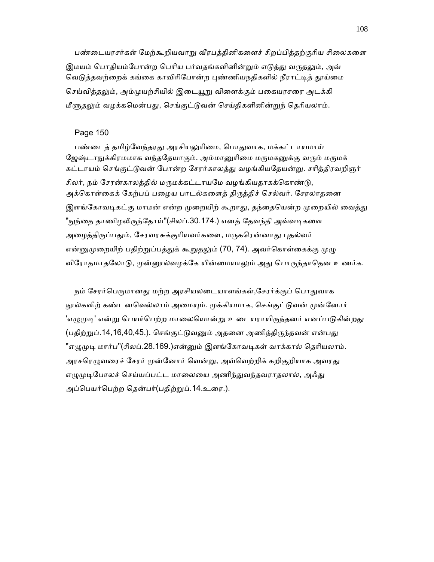பண்டையரசர்கள் மேற்கூறியவாறு வீரபத்தினிகளைச் சிறப்பித்தற்குரிய சிலைகளை இமயம் பொதியம்போன்ற பெரிய பர்வதங்களினின்றும் எடுத்து வருதலும், அவ் வெடுத்தவற்றைக் கங்கை காவிரிபோன்ற புண்ணியநதிகளில் நீராட்டித் தூய்மை செய்வித்தலும், அம்முயற்சியில் இடையூறு விளைக்கும் பகையரசரை அடக்கி மீளுதலும் வழக்கமென்பது, செங்குட்டுவன் செய்திகளினின்றுந் தெரியலாம்.

## Page 150

பண்டைத் தமிழ்வேந்தரது அரசியலுரிமை, பொதுவாக, மக்கட்டாயமாய் ஜேஷ்டாநுக்கிரமமாக வந்ததேயாகும். அம்மானுரிமை மருமகனுக்கு வரும் மருமக் கட்டாயம் செங்குட்டுவன் போன்ற சேரர்காலத்து வழங்கியதேயன்று. சரித்திரவறிஞர் சிலர், நம் சேரன்காலத்தில் மருமக்கட்டாயமே வழங்கியதாகக்கொண்டு, அக்கொள்கைக் கேற்பப் பழைய பாடல்களைத் திருத்திச் செல்வர். சேரலாதனை இளங்கோவடிகட்கு மாமன் என்ற முறையிற் கூறாது, தந்தையென்ற முறையில் வைத்து "நுந்தை தாணிழலிருந்தோய்"(சிலப்.30.174.) எனத் தேவந்தி அவ்வடிகளை அழைத்திருப்பதும், சேரவரசுக்குரியவர்களை, மருகரென்னாது புதல்வர் என்னுமுறையிற் பதிற்றுப்பத்துக் கூறுதலும் (70, 74). அவர்கொள்கைக்கு முழு விரோதமாதலோடு, முன்னூல்வழக்கே யின்மையாலும் அது பொருந்தாதென உணர்க.

நம் சேரர்பெருமானது மற்ற அரசியலடையாளங்கள்,சேரர்க்குப் பொதுவாக நூல்களிற் கண்டனவெல்லாம் அமையும். முக்கியமாக, செங்குட்டுவன் முன்னோர் 'எழுமுடி' என்று பெயர்பெற்ற மாலையொன்று உடையராயிருந்தனர் எனப்படுகின்றது (பதிற்றுப்.14,16,40,45.). செங்குட்டுவனும் அதனை அணிந்திருந்தவன் என்பது "எழுமுடி மார்ப"(சிலப்.28.169.)என்னும் இளங்கோவடிகள் வாக்கால் தெரியலாம். அரசரெழுவரைச் சேரர் முன்னோர் வென்று, அவ்வெற்றிக் கறிகுறியாக அவரது எழுமுடிபோலச் செய்யப்பட்ட மாலையை அணிந்துவந்தவராதலால், அஃது அப்பெயர்பெற்ற தென்பர்(பதிற்றுப்.14.உரை.).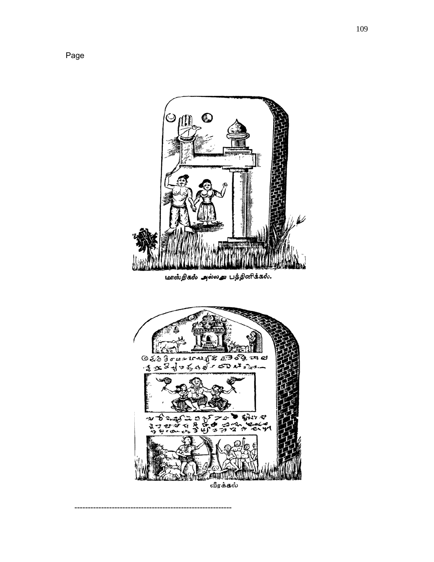

Page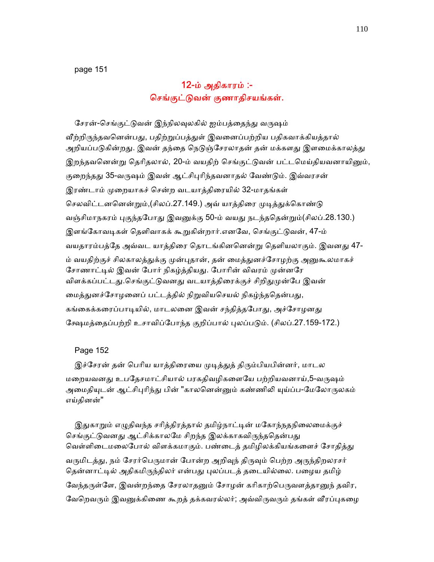# 12-ம் அதிகாரம் :- ெசங்குட்ᾌவன் குணாதிசயங்கள்.

சேரன்-செங்குட்டுவன் இந்நிலவுலகில் ஐம்பத்தைந்து வருஷம் வீற்றிருந்தவனென்பது, பதிற்றுப்பத்துள் இவனைப்பற்றிய பதிகவாக்கியத்தால் அறியப்படுகின்றது. இவன் தந்தை நெடுஞ்சேரலாதன் தன் மக்களது இளமைக்காலத்து இறந்தவனென்று தெரிதலால், 20-ம் வயதிற் செங்குட்டுவன் பட்டமெய்தியவனாயினும், குறைந்தது 35-வருஷம் இவன் ஆட்சிபுரிந்தவனாதல் வேண்டும். இவ்வரசன் இரண்டாம் முறையாகச் சென்ற வடயாத்திரையில் 32-மாதங்கள் செலவிட்டனனென்றும்,(சிலப்.27.149.) அவ் யாக்கிரை முடிக்குக்கொண்டு வஞ்சிமாநகரம் புகுந்தபோது இவனுக்கு 50-ம் வயது நடந்ததென்றும்(சிலப்.28.130.) இளங்கோவடிகள் தெளிவாகக் கூறுகின்றார்.எனவே, செங்குட்டுவன், 47-ம் வயதாரம்பத்தே அவ்வட யாத்திரை தொடங்கினனென்று தெளியலாகும். இவனது 47-ம் வயதிற்குச் சிலகாலத்துக்கு முன்புதான், தன் மைத்துனச்சோழற்கு அனுகூலமாகச் சோணாட்டில் இவன் போர் நிகழ்த்தியது. போரின் விவரம் முன்னரே விளக்கப்பட்டது.செங்குட்டுவனது வடயாத்திரைக்குச் சிறிதுமுன்பே இவன் மைத்துனச்சோழனைப் பட்டத்தில் நிறுவியசெயல் நிகழ்ந்ததென்பது, கங்கைக்கரைப்பாடியில், மாடலனை இவன் சந்தித்தபோது, அச்சோழனது கேஷமத்தைப்பற்றி உசாவிப்போந்த குறிப்பால் புலப்படும். (சிலப்.27.159-172.)

### Page 152

இச்சேரன் தன் பெரிய யாத்திரையை முடித்துத் திரும்பியபின்னர், மாடல மறையவனது உபதேசமாட்சியால் பரகதிவழிகளையே பற்றியவனாய்,5-வருஷம் அமைதியுடன் ஆட்சிபுரிந்து பின் "காலனென்னும் கண்ணிலி யுய்ப்ப-மேலோருலகம் எய்தினன்"

இதுகாறும் எழுதிவந்த சரித்திரத்தால் தமிழ்நாட்டின் மகோந்நதநிலைமைக்குச் செங்குட்டுவனது ஆட்சிக்காலமே சிறந்த இலக்காகவிருந்ததென்பது வெள்ளிடைமலைபோல் விளக்கமாகும். பண்டைத் தமிழிலக்கியங்களைச் சோதித்து வருமிடத்து, நம் சேரர்பெருமான் போன்ற அறிவுந் திருவும் பெற்ற அருந்திறலரசர் தென்னாட்டில் அதிகமிருந்திலர் என்பது புலப்படத் தடையில்லை. பழைய தமிழ் வேந்தருள்ளே, இவன்றந்தை சேரலாதனும் சோழன் கரிகாற்பெருவளத்தானுந் தவிர, வேறெவரும் இவனுக்கிணை கூறத் தக்கவரல்லர்; அவ்விருவரும் தங்கள் வீரப்புகழை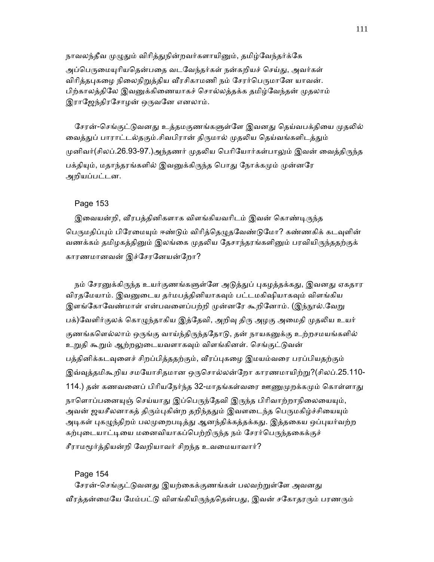நாவலந்தீவ முழுதும் விரித்துநின்றவர்களாயினும், தமிழ்வேந்தர்க்கே அப்பெருமையுரியதென்பதை வடவேந்தர்கள் நன்கறியச் செய்து, அவர்கள் விரித்தபுகழை நிலைநிறுத்திய வீரசிகாமணி நம் சேரர்பெருமானே யாவன். பிற்காலத்திலே இவனுக்கிணையாகச் சொல்லத்தக்க தமிழ்வேந்தன் முதலாம் இராஜேந்திரசோழன் ஒருவனே எனலாம்.

சேரன்-செங்குட்டுவனது உத்தமகுணங்களுள்ளே இவனது தெய்வபக்தியை முதலில் வைத்துப் பாராட்டல்தகும்.சிவபிரான் திருமால் முதலிய தெய்வங்களிடத்தும் முனிவர்(சிலப்.26.93-97.)அந்தணர் முதலிய பெரியோர்கள்பாலும் இவன் வைத்திருந்த பக்தியும், மதாந்தரங்களில் இவனுக்கிருந்த பொது நோக்கமும் முன்னரே அறியப்பட்டன.

## Page 153

இவையன்றி, வீரபத்தினிகளாக விளங்கியவரிடம் இவன் கொண்டிருந்த பெருமதிப்பும் பிரேமையும் ஈண்டும் விரித்தெழுதவேண்டுமோ? கண்ணகிக் கடவுளின் வணக்கம் தமிழகத்தினும் இலங்கை முதலிய தேசாந்தரங்களினும் பரவியிருந்ததற்குக் காரணமானவன் இச்ேசரேனயன்ேறா?

நம் சேரனுக்கிருந்த உயர்குணங்களுள்ளே அடுத்துப் புகழத்தக்கது, இவனது ஏகதார விரதமேயாம். இவனுடைய தர்மபத்தினியாகவும் பட்டமகிஷியாகவும் விளங்கிய இளங்கோவேண்மாள் என்பவளைப்பற்றி முன்னரே கூறினோம். (இந்நூல்.வேறு பக்)வேளிர்குலக் கொழுந்தாகிய இத்தேவி, அறிவு திரு அழகு அமைதி முதலிய உயர் குணங்களெல்லாம் ஒருங்கு வாய்ந்திருந்ததோடு, தன் நாயகனுக்கு உற்றசமயங்களில் உறுதி கூறும் ஆற்றலுடையவளாகவும் விளங்கினள். செங்குட்டுவன் பத்தினிக்கடவுளைச் சிறப்பித்ததற்கும், வீரப்புகழை இமயம்வரை பரப்பியதற்கும் இவ்வுத்தமிகூறிய சமயோசிதமான ஒருசொல்லன்றோ காரணமாயிற்று?(சிலப்.25.110-114.) தன் கணவனைப் பிரியநேர்ந்த 32-மாதங்கள்வரை ஊணுமுறக்கமும் கொள்ளாது நாளொப்பனையுஞ் செய்யாது இப்பெருந்தேவி இருந்த பிரிவாற்றாநிலையையும், அவன் ஜயசீலனாகத் திரும்புகின்ற தறிந்ததும் இவளடைந்த பெருமகிழ்ச்சியையும் அடிகள் புகழுந்திறம் பலமுறைபடித்து ஆனந்திக்கத்தக்கது. இத்தகைய ஒப்புயர்வற்ற கற்புடையாட்டியை மனைவியாகப்பெற்றிருந்த நம் சேரர்பெருந்தகைக்குச்

சீராமᾚர்த்தியன்றி ேவறியாவர் சிறந்த உவைமயாவார்?

#### Page 154

சேரன்-செங்குட்டுவனது இயற்கைக்குணங்கள் பலவற்றுள்ளே அவனது வீரத்தன்மையே மேம்பட்டு விளங்கியிருந்ததென்பது, இவன் சகோதரரும் பரணரும்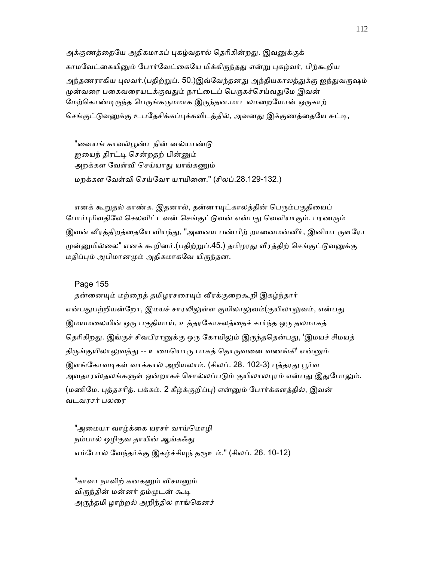அக்குணத்தையே அதிகமாகப் புகழ்வதால் தெரிகின்றது. இவனுக்குக் காமவேட்கையினும் போர்வேட்கையே மிக்கிருந்தது என்று புகழ்வர், பிற்கூறிய அந்தணராகிய புலவர்.(பதிற்றுப். 50.)இவ்வேந்தனது அந்தியகாலத்துக்கு ஐந்துவருஷம் முன்வரை பகைவரையடக்குவதும் நாட்டைப் பெருகச்செய்வதுமே இவன் மேற்கொண்டிருந்த பெருங்கருமமாக இருந்தன.மாடலமறையோன் ஒருகாற் செங்குட்டுவனுக்கு உபதேசிக்கப்புக்கவிடத்தில், அவனது இக்குணத்தையே சுட்டி,

"வையங் காவல்பூண்டநின் னல்யாண்டு ஐயைந் திரட்டி சென்றதற் பின்னும் அறக்கள வேள்வி செய்யாது யாங்கணும் மறக்கள ேவள்வி ெசய்ேவா யாயிைன." (சிலப்.28.129-132.)

எனக் கூறுதல் காண்க. இதனால், தன்னாயுட்காலத்தின் பெரும்பகுதியைப் போர்புரிவதிலே செலவிட்டவன் செங்குட்டுவன் என்பது வெளியாகும். பரணரும் இவன் வீரத்திறத்தையே வியந்து, "அனைய பண்பிற் றானைமன்னீர், இனியா ருளரோ முன்னுமில்லை" எனக் கூறினர்.(பதிற்றுப்.45.) தமிழரது வீரத்திற் செங்குட்டுவனுக்கு மதிப்பும் அபிமானமும் அதிகமாகவே யிருந்தன.

#### Page 155

தன்னையும் மற்றைத் தமிழரசரையும் வீரக்குறைகூறி இகழ்ந்தார் என்பதுபற்றியன்றோ, இமயச் சாரலிலுள்ள குயிலாலுவம்(குயிலாலுவம், என்பது இமயமலையின் ஒரு பகுதியாய், உத்தரகோசலத்தைச் சார்ந்த ஒரு தலமாகத் தெரிகிறது. இங்குச் சிவபிரானுக்கு ஒரு கோயிலும் இருந்ததென்பது, 'இமயச் சிமயத் திருங்குயிலாலுவத்து -- உமையொரு பாகத் தொருவனை வணங்கி' என்னும் இளங்கோவடிகள் வாக்கால் அறியலாம். (சிலப். 28. 102-3) பக்கரது பூர்வ அவதாரஸ்தலங்களுள் ஒன்றாகச் சொல்லப்படும் குயிலாலபுரம் என்பது இதுபோலும். (மணிமே. புத்தசரித். பக்கம். 2 கீழ்க்குறிப்பு) என்னும் போர்க்களத்தில், இவன் வடவரசர் பலைர

"அமையா வாழ்க்கை யரசர் வாய்மொழி நம்பால் ஒழிகுவ தாயின் ஆங்கஃது எம்போல் வேந்தர்க்கு இகழ்ச்சியுந் தரூஉம்." (சிலப். 26. 10-12)

"காவா நாவிற் கனகனும் விசயனும் விருந்தின் மன்னர் தம்முடன் கூடி அருந்தமி ழாற்றல் அறிந்தில ராங்கெனச்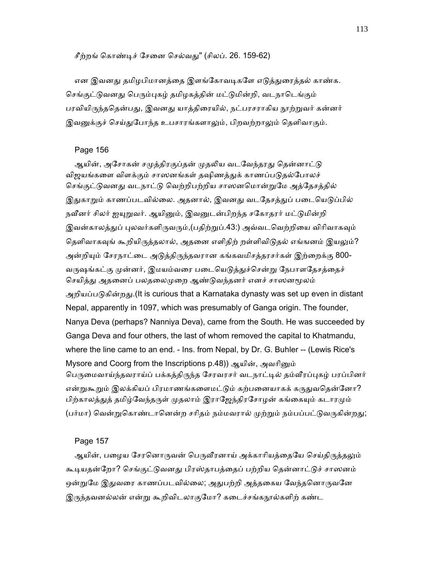### சீற்றங் கொண்டிச் சேனை செல்வது" (சிலப். 26. 159-62)

என இவனது தமிழபிமானத்தை இளங்கோவடிகளே எடுத்துரைத்தல் காண்க. செங்குட்டுவனது பெரும்புகழ் தமிழகத்தின் மட்டுமின்றி, வடநாடெங்கும் பரவியிருந்ததென்பது, இவனது யாத்திரையில், நட்பரசராகிய நூற்றுவர் கன்னர் இவனுக்குச் செய்துபோந்த உபசாரங்களாலும், பிறவற்றாலும் தெளிவாகும்.

#### Page 156

ஆயின், அசோகன் சமுத்திரகுப்தன் முதலிய வடவேந்தரது தென்னாட்டு விஜயங்களை விளக்கும் சாஸனங்கள் தஷிணத்துக் காணப்படுதல்போலச் செங்குட்டுவனது வடநாட்டு வெற்றிபற்றிய சாஸனமொன்றுமே அத்தேசத்தில் இதுகாறும் காணப்படவில்லை. அதனால், இவனது வடதேசத்துப் படையெடுப்பில் நவீனர் சிலர் ஐயுறுவர். ஆயினும், இவனுடன்பிறந்த சகோதரர் மட்டுமின்றி இவன்காலத்துப் புலவர்களிருவரும்,(பதிற்றுப்.43:) அவ்வடவெற்றியை விரிவாகவும் தெளிவாகவுங் கூறியிருத்தலால், அதனை எளிதிற் றள்ளிவிடுதல் எங்ஙனம் இயலும்? அன்றியும் சேரநாட்டை அடுத்திருந்தவரான கங்கவமிசத்தரசர்கள் இற்றைக்கு 800-வருஷங்கட்கு முன்னர், இமயம்வரை படையெடுத்துச்சென்று நேபாளதேசத்தைச் செயித்து அதனைப் பலதலைமுறை ஆண்டுவந்தனர் எனச் சாஸனமூலம் அறியப்பᾌகின்றᾐ.(It is curious that a Karnataka dynasty was set up even in distant Nepal, apparently in 1097, which was presumably of Ganga origin. The founder, Nanya Deva (perhaps? Nanniya Deva), came from the South. He was succeeded by Ganga Deva and four others, the last of whom removed the capital to Khatmandu, where the line came to an end. - Ins. from Nepal, by Dr. G. Buhler -- (Lewis Rice's Mysore and Coorg from the Inscriptions p.48)) ஆயின், அவரினும் பெருமைவாய்ந்தவராய்ப் பக்கத்திருந்த சேரவரசர் வடநாட்டில் தம்வீரப்புகழ் பரப்பினர் என்றுகூறும் இலக்கியப் பிரமாணங்களைமட்டும் கற்பனையாகக் கருதுவதென்னோ? பிற்காலத்துத் தமிழ்வேந்தருள் முதலாம் இராஜேந்திரசோழன் கங்கையும் கடாரமும் (பர்மா) வென்றுகொண்டானென்ற சரிதம் நம்மவரால் முற்றும் நம்பப்பட்டுவருகின்றது;

### Page 157

ஆயின், பழைய சேரனொருவன் பெருவீரனாய் அக்காரியத்தையே செய்திருத்தலும் கூடியதன்றோ? செங்குட்டுவனது பிரஸ்தாபத்தைப் பற்றிய தென்னாட்டுச் சாஸனம் ஒன்றுமே இதுவரை காணப்படவில்லை; அதுபற்றி அத்தகைய வேந்தனொருவனே இருந்தவனல்லன் என்று கூறிவிடலாகுமோ? கடைச்சங்கநூல்களிற் கண்ட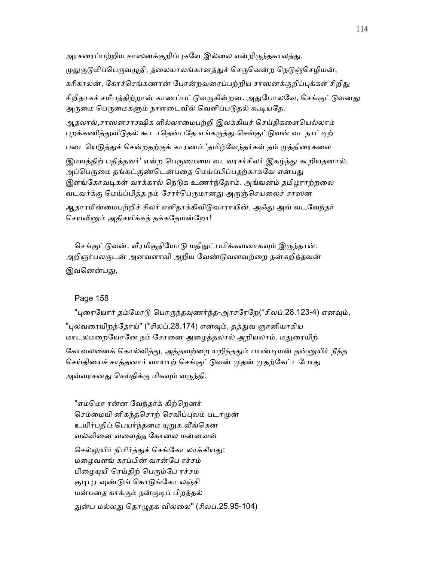அரசரைப்பற்றிய சாஸனக்குறிப்புகளே இல்லை என்றிருந்தகாலத்து, முதுகுடுமிப்பெருவழுதி, தலையாலங்கானத்துச் செருவென்ற நெடுஞ்செழியன், கரிகாலன், கோச்செங்கணான் போன்றவரைப்பற்றிய சாஸனக்குறிப்புக்கள் சிறிது சிறிதாகச் சமீபத்திற்றான் காணப்பட்டுவருகின்றன. அதுபோலவே, செங்குட்டுவனது அருமை பெருமைகளும் நாளடைவில் வெளிப்படுதல் கூடியதே. ஆதலால்,சாஸனசாக்ஷிக ளில்லாைமபற்றி இலக்கியச் ெசய்திகைளெயல்லாம்

புறக்கணித்துவிடுதல் கூடாதென்பதே எங்கருத்து.செங்குட்டுவன் வடநாட்டிற் படையெடுத்துச் சென்றதற்குக் காரணம் 'தமிழ்வேந்தர்கள் தம் முத்திரைகளை

இமயத்திற் பதித்தவர்' என்ற பெருமையை வடவரசர்சிலர் இகழ்ந்து கூறியதனால், அப்பெருமை தங்கட்குண்டென்பதை மெய்ப்பிப்பதற்காகவே என்பது இளங்கோவடிகள் வாக்கால் நெடுக உணர்ந்தோம். அங்ஙனம் தமிழராற்றலை வடவர்க்கு மெய்ப்பித்த நம் சேரர்பெருமானது அருஞ்செயலைச் சாஸன

ஆதாரமின்மைபற்றிச் சிலர் எளிதாக்கிவிடுவாராயின், அஃது அவ் வடவேந்தர் செயலினும் அதிசயிக்கத் தக்கதேயன்றோ!

செங்குட்டுவன், வீரமிகுதியோடு மதிநுட்பமிக்கவனாகவும் இருந்தான். அறிஞர்பலருடன் அனவளாவி அறிய வேண்டுவனவற்றை நன்கறிந்தவன் இவனென்பது,

# Page 158

"புரையோர் தம்மோடு பொருந்தவுணர்ந்த-அரசரேறே(\*சிலப்.28.123-4) எனவும், "புலவரையிறந்தோய்" (\*சிலப்.28.174) எனவும், தத்துவ ஞானியாகிய மாடலமறையோனே நம் சேரனை அழைத்தலால் அறியலாம். மதுரையிற் கோவலனைக் கொல்வித்து, அத்தவற்றை யறிந்ததும் பாண்டியன் தன்னுயிர் நீத்த செய்கியைச் சாத்தனார் வாயாற் செங்குட்டுவன் முதன் முதற்கேட்டபோது அவ்வரசனது செய்திக்கு மிகவும் வருந்தி,

"எம்மொ ரன்ன வேந்தர்க் கிற்றெனச் செம்மையி னிகந்தசொற் செவிப்புலம் படாமுன் உயிர்பதிப் பெயர்ந்தமை யுறுக வீங்கென வல்விைன வைளத்த ேகாைல மன்னவன் செல்லுயிர் நிமிர்த்துச் செங்கோ லாக்கியது; மைழவளங் கரப்பின் வான்ேப ரச்சம் பிழையுயி ரெய்திற் பெரும்பே ரச்சம் குடிபுர வுண்டுங் கொடுங்கோ லஞ்சி மன்பைத காக்கும் நன்குᾊப் பிறத்தல் துன்ப மல்லது தொழுதக வில்லை" (சிலப்.25.95-104)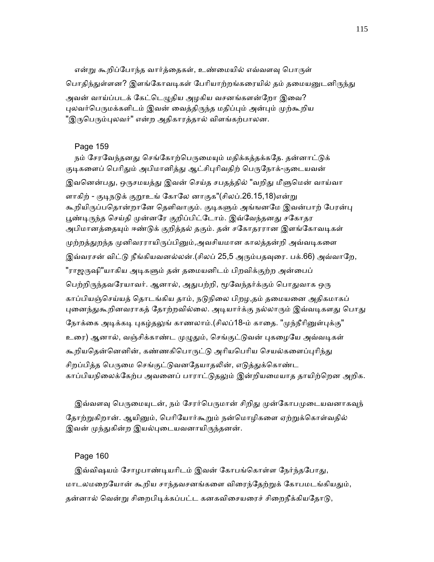என்று கூறிப்போந்த வார்த்தைகள், உண்மையில் எவ்வளவு பொருள் பொதிந்துள்ளன? இளங்கோவடிகள் பேரியாற்றங்கரையில் தம் தமையனுடனிருந்து அவன் வாய்ப்படக் கேட்டெழுதிய அழகிய வசனங்களன்றோ இவை? புலவர்பெருமக்களிடம் இவன் வைத்திருந்த மதிப்பும் அன்பும் முற்கூறிய "இருபெரும்புலவர்" என்ற அதிகாரத்தால் விளங்கற்பாலன.

# Page 159

நம் சேரவேந்தனது செங்கோற்பெருமையும் மதிக்கத்தக்கதே. தன்னாட்டுக் குடிகளைப் பெரிதும் அபிமானித்து ஆட்சிபுரிவதிற் பெருநோக்-குடையவன் இவனென்பது, ஒருசமயத்து இவன் செய்த சபதத்தில் "வறிது மீளுமென் வாய்வா ளாகிற் - குடிநடுக் குறூஉங் கோலே னாகுக"(சிலப்.26.15,18)என்று கூறியிருப்பதொன்றானே தெளிவாகும். குடிகளும் அங்ஙனமே இவன்பாற் பேரன்பு பூண்டிருந்த செய்தி முன்னரே குறிப்பிட்டோம். இவ்வேந்தனது சகோதர அபிமானத்தையும் ஈண்டுக் குறித்தல் தகும். தன் சகோதரரான இளங்கோவடிகள் முற்றத்துறந்த முனிவரராயிருப்பினும்,அவசியமான காலத்தன்றி அவ்வடிகளை இவ்வரசன் விட்டு நீங்கியவனல்லன்.(சிலப் 25,5 அரும்பதவுரை. பக்.66) அவ்வாறே, "ராஜருஷி"யாகிய அடிகளும் தன் தமையனிடம் பிறவிக்குற்ற அன்பைப் பெற்றிருந்தவரேயாவர். ஆனால், அதுபற்றி, மூவேந்தர்க்கும் பொதுவாக ஒரு காப்பியஞ்செய்யத் தொடங்கிய தாம், நடுநிலை பிறழ,தம் தமையனை அதிகமாகப் புனைந்துகூறினவராகத் தோற்றவில்லை. அடியார்க்கு நல்லாரும் இவ்வடிகளது பொது நோக்கை அடிக்கடி புகழ்தலுங் காணலாம்.(சிலப்18-ம் காதை. "முந்நீரினுள்புக்கு" உரை) ஆனால், வஞ்சிக்காண்ட முழுதும், செங்குட்டுவன் புகழையே அவ்வடிகள் கூறியதென்னெனின், கண்ணகிபொருட்டு அரியபெரிய செயல்களைப்புரிந்து சிறப்பிக்க பெருமை செங்குட்டுவனதேயாதலின், எடுத்துக்கொண்ட காப்பியநிலைக்கேற்ப அவனைப் பாராட்டுதலும் இன்றியமையாத தாயிற்றென அறிக.

இவ்வளவு பெருமையுடன், நம் சேரர்பெருமான் சிறிது முன்கோபமுடையவனாகவுந் தோற்றுகிறான். ஆயினும், பெரியோர்கூறும் நன்மொழிகளை ஏற்றுக்கொள்வதில் இவன் முந்துகின்ற இயல்புடையவனாயிருந்தனன்.

# Page 160

இவ்விஷயம் சோழபாண்டியரிடம் இவன் கோபங்கொள்ள நேர்ந்தபோது, மாடலமறையோன் கூறிய சாந்தவசனங்களை விரைந்தேற்றுக் கோபமடங்கியதும், தன்னால் வென்று சிறைபிடிக்கப்பட்ட கனகவிசையரைச் சிறைநீக்கியதோடு,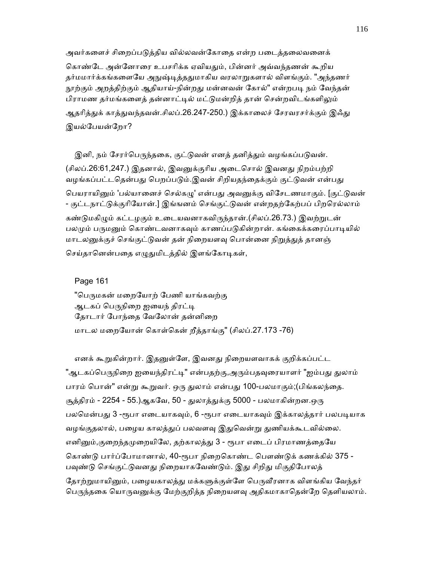அவர்களைச் சிறைப்படுத்திய வில்லவன்கோதை என்ற படைத்தலைவனைக் கொண்டே அன்னோரை உபசரிக்க ஏவியதும், பின்னர் அவ்வந்தணன் கூறிய தர்மமார்க்கங்களையே அநுஷ்டித்ததுமாகிய வரலாறுகளால் விளங்கும். "அந்தணர் நூற்கும் அறத்திற்கும் ஆதியாய்-நின்றது மன்னவன் கோல்" என்றபடி நம் வேந்தன் பிராமண தர்மங்களைத் தன்னாட்டில் மட்டுமன்றித் தான் சென்றவிடங்களிலும் ஆதரித்துக் காத்துவந்தவன்.சிலப்.26.247-250.) இக்காலைச் சேரவரசர்க்கும் இஃது இயல்பேயன்றோ?

இனி, நம் சேரர்பெருந்தகை, குட்டுவன் எனத் தனித்தும் வழங்கப்படுவன். (சிலப்.26:61,247.) இதனால், இவனுக்குரிய அடைசொல் இவனது நிறம்பற்றி வழங்கப்பட்டதென்பது பெறப்படும்.இவன் சிறியதந்தைக்கும் குட்டுவன் என்பது பெயராயினும் 'பல்யானைச் செல்கழு' என்பது அவனுக்கு விசேடணமாகும். [குட்டுவன் - குட்டநாட்ᾌக்குாிேயான்.] இங்ஙனம் ெசங்குட்ᾌவன் என்றதற்ேகற்பப் பிறெரல்லாம் கண்டுமகிழும் கட்டழகும் உடையவனாகவிருந்தான்.(சிலப்.26.73.) இவற்றுடன் பலமும் பருமனும் கொண்டவனாகவும் காணப்படுகின்றான். கங்கைக்கரைப்பாடியில் மாடலனுக்குச் செங்குட்டுவன் தன் நிறையளவு பொன்னை நிறுத்துத் தானஞ் செய்தானென்பதை எழுதுமிடத்தில் இளங்கோடிகள்,

Page 161

"பெருமகன் மறையோற் பேணி யாங்கவற்கு ஆடகப் பெருநிறை ஐயைந் திரட்டி தோடார் போந்தை வேலோன் தன்னிறை மாடல மைறேயான் ெகாள்ெகன் றீத்தாங்கு" (சிலப்.27.173 -76)

எனக் கூறுகின்றார். இதனுள்ளே, இவனது நிறையளவாகக் குறிக்கப்பட்ட "ஆடகப்பெருநிறை ஐயைந்திரட்டி" என்பதற்கு,அரும்பதவுரையாளர் "ஐம்பது துலாம் பாரம் பொன்" என்று கூறுவர். ஒரு துலாம் என்பது 100-பலமாகும்;(பிங்கலந்தை. சூத்திரம் - 2254 - 55.)ஆகவே, 50 - துலாத்துக்கு 5000 - பலமாகின்றன.ஒரு பலமென்பது 3 -ரூபா எடையாகவும், 6 -ரூபா எடையாகவும் இக்காலத்தார் பலபடியாக வழங்குதலால், பழைய காலத்துப் பலவளவு இதுவென்று துணியக்கூடவில்லை. எனினும்,குறைந்தமுறையிலே, தற்காலத்து 3 - ரூபா எடைப் பிரமாணத்தையே கொண்டு பார்ப்போமானால், 40-ரூபா நிறைகொண்ட பௌண்டுக் கணக்கில் 375 -பவுண்டு செங்குட்டுவனது நிறையாகவேண்டும். இது சிறிது மிகுதிபோலத் தோற்றுமாயினும், பழையகாலக்குு மக்களுக்குள்ளே பெருவீரனாக விளங்கிய வேந்தர் பெருந்தகை யொருவனுக்கு மேற்குறித்த நிறையளவு அதிகமாகாதென்றே தெளியலாம்.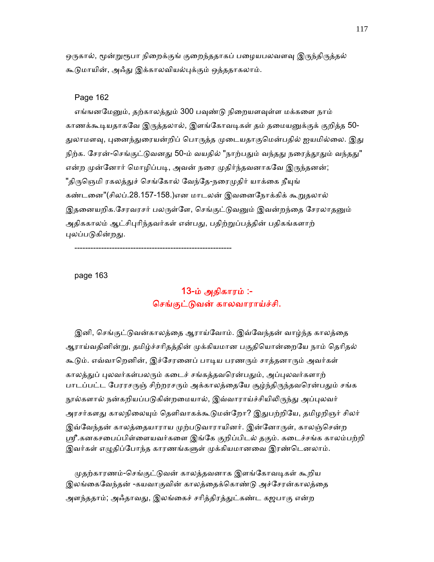ஒருகால், மூன்றுரூபா நிறைக்குங் குறைந்ததாகப் பழையபலவளவு இருந்திருத்தல் கூடுமாயின், அஃது இக்காலவியல்புக்கும் ஒத்ததாகலாம்.

### Page 162

எங்ஙனமேனும், தற்காலத்தும் 300 பவுண்டு நிறையளவுள்ள மக்களை நாம் காணக்கூடியதாகவே இருத்தலால், இளங்கோவடிகள் தம் தமையனுக்குக் குறித்த 50-துலாமளவு, புனைந்துரையன்றிப் பொருத்த முடையதாகுமென்பதில் ஐயமில்லை. இது நிற்க. சேரன்-செங்குட்டுவனது 50-ம் வயதில் "நாற்பதும் வந்தது நரைத்தூதும் வந்தது" என்ற முன்னோர் மொழிப்படி, அவன் நரை முதிர்ந்தவனாகவே இருந்தனன்; "திருஞெமி ரகலத்துச் செங்கோல் வேந்தே-நரைமுதிர் யாக்கை நீயுங் கண்டனை"(சிலப்.28.157-158.)என மாடலன் இவனைநோக்கிக் கூறுதலால் இதனையறிக.சேரவரசர் பலருள்ளே, செங்குட்டுவனும் இவன்றந்தை சேரலாதனும் அதிககாலம் ஆட்சிபுரிந்தவர்கள் என்பது, பதிற்றுப்பத்தின் பதிகங்களாற் புலப்படுகின்றது.

-----------------------------------------------------------

page 163

# 13-ம் அதிகாரம் :- ெசங்குட்ᾌவன் காலவாராய்ச்சி.

இனி, செங்குட்டுவன்காலத்தை ஆராய்வோம். இவ்வேந்தன் வாழ்ந்த காலத்தை ஆராய்வதினின்று, தமிழ்ச்சரிதத்தின் முக்கியமான பகுதியொன்றையே நாம் தெரிதல் கூடும். எவ்வாறெனின், இச்சேரனைப் பாடிய பரணரும் சாத்தனாரும் அவர்கள் காலத்துப் புலவர்கள்பலரும் கடைச் சங்கத்தவரென்பதும், அப்புலவர்களாற் பாடப்பட்ட பேரரசருஞ் சிற்றரசரும் அக்காலத்தையே சூழ்ந்திருந்தவரென்பதும் சங்க நூல்களால் நன்கறியப்படுகின்றமையால், இவ்வாராய்ச்சியிலிருந்து அப்புலவர் அரசர்களது காலநிலையும் தெளிவாகக்கூடுமன்றோ? இதுபற்றியே, தமிழறிஞர் சிலர் இவ்வேந்தன் காலத்தையாராய முற்படுவாராயினர். இன்னோருள், காலஞ்சென்ற ஸ்ரீ.கனகசபைப்பிள்ளையவர்களை இங்கே குறிப்பிடல் தகும். கடைச்சங்க காலம்பற்றி இவர்கள் எழுதிப்போந்த காரணங்களுள் முக்கியமானவை இரண்டெனலாம்.

முதற்காரணம்-செங்குட்டுவன் காலத்தவனாக இளங்கோவடிகள் கூறிய இலங்கைவேந்தன் -கயவாகுவின் காலத்தைக்கொண்டு அச்சேரன்காலத்தை அளந்ததாம்; அஃதாவது, இலங்கைச் சரித்திரத்துட்கண்ட கஜபாகு என்ற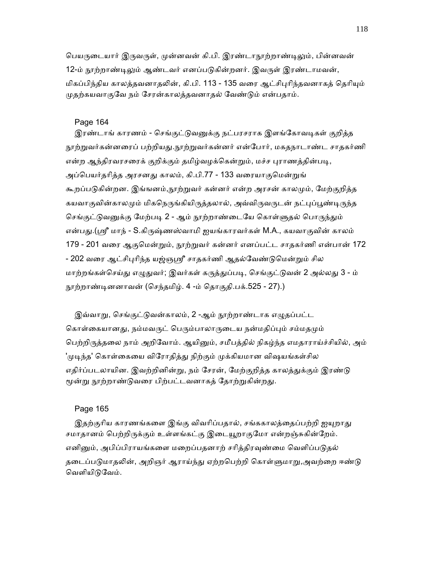பெயருடையார் இருவருள், முன்னவன் கி.பி. இரண்டாநூற்றாண்டிலும், பின்னவன் 12-ம் நூற்றாண்டிலும் ஆண்டவர் எனப்படுகின்றனர். இவருள் இரண்டாமவன், மிகப்பிந்திய காலத்தவனாதலின், கி.பி. 113 - 135 வரை ஆட்சிபுரிந்தவனாகத் தெரியும் முதற்கயவாகுவே நம் சேரன்காலத்தவனாதல் வேண்டும் என்பதாம்.

### Page 164

இரண்டாங் காரணம் - செங்குட்டுவனுக்கு நட்பரசராக இளங்கோவடிகள் குறித்த நூற்றுவர்கன்னரைப் பற்றியது.நூற்றுவர்கன்னர் என்போர், மகதநாடாண்ட சாதகர்ணி என்ற ஆந்திரவரசரைக் குறிக்கும் தமிழ்வழக்கென்றும், மச்ச புராணத்தின்படி, அப்பெயர்தரித்த அரசனது காலம், கி.பி.77 - 133 வரையாகுமென்றுங் கூறப்படுகின்றன. இங்ஙனம்,நூற்றுவர் கன்னர் என்ற அரசன் காலமும், மேற்குறித்த கயவாகுவின்காலமும் மிகநெருங்கியிருத்தலால், அவ்விருவருடன் நட்புப்பூண்டிருந்த செங்குட்டுவனுக்கு மேற்படி 2 - ஆம் நூற்றாண்டையே கொள்ளுதல் பொருந்தும் என்பது.(ஸ்ரீ மாந் - S.கிருஷ்ணஸ்வாமி ஐயங்காரவர்கள் M.A., கயவாகுவின் காலம் 179 - 201 வரை ஆகுமென்றும், நூற்றுவர் கன்னர் எனப்பட்ட சாதகர்ணி என்பான் 172 - 202 வரை ஆட்சிபுரிந்த யஜ்ஞஸ்ரீ சாதகர்ணி ஆதல்வேண்டுமென்றும் சில மாற்றங்கள்செய்து எழுதுவர்; இவர்கள் கருத்துப்படி, செங்குட்டுவன் 2 அல்லது 3 - ம் ᾓற்றாண்ᾊனனாவன் (ெசந்தமிழ். 4 -ம் ெதாகுதி.பக்.525 - 27).)

இவ்வாறு, செங்குட்டுவன்காலம், 2 -ஆம் நூற்றாண்டாக எழுதப்பட்ட கொள்கையானது, நம்மவருட் பெரும்பாலாருடைய நன்மதிப்பும் சம்மதமும் பெற்றிருத்தலை நாம் அறிவோம். ஆயினும், சமீபத்தில் நிகழ்ந்த எமதாராய்ச்சியில், அம் 'முடிந்த' கொள்கையை விரோதித்து நிற்கும் முக்கியமான விஷயங்கள்சில எதிர்ப்படலாயின. இவற்றினின்று, நம் சேரன், மேற்குறித்த காலத்துக்கும் இரண்டு மூன்று நூற்றாண்டுவரை பிற்பட்டவனாகத் தோற்றுகின்றது.

#### Page 165

இதற்குரிய காரணங்களை இங்கு விவரிப்பதால், சங்ககாலத்தைப்பற்றி ஐயுறாது சமாதானம் பெற்றிருக்கும் உள்ளங்கட்கு இடையூறாகுமோ என்றஞ்சுகின்றேம். எனினும், அபிப்பிராயங்களை மறைப்பதனாற் சரித்திரவுண்மை வெளிப்படுதல் தடைப்படுமாதலின், அறிஞர் ஆராய்ந்து ஏற்றபெற்றி கொள்ளுமாறு,அவற்றை ஈண்டு வெளியிடுவேம்.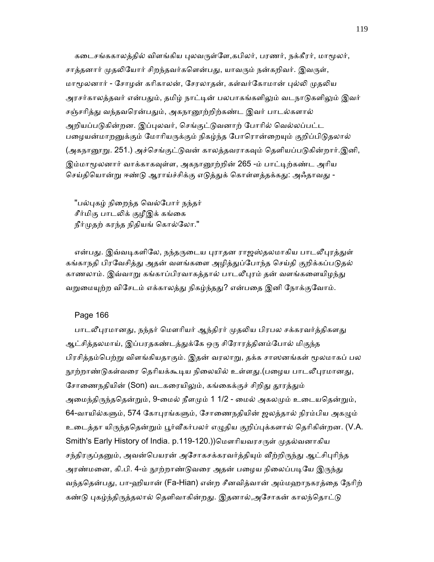கடைசங்ககாலத்தில் விளங்கிய புலவருள்ளே,கபிலர், பரணர், நக்கீரர், மாமூலர், சாத்தனார் முதலியோர் சிறந்தவர்களென்பது, யாவரும் நன்கறிவர். இவருள், மாமூலனார் - சோழன் கரிகாலன், சேரலாகன், கள்வர்கோமான் புல்லி முகலிய அரசர்காலத்தவர் என்பதும், தமிழ் நாட்டின் பலபாகங்களிலும் வடநாடுகளிலும் இவர் சஞ்சரித்து வந்தவரென்பதும், அகநானூற்றிற்கண்ட இவர் பாடல்களால் அறியப்படுகின்றன. இப்புலவர், செங்குட்டுவனாற் போரில் வெல்லப்பட்ட பழையன்மாறனுக்கும் மோரியருக்கும் நிகழ்ந்த போரொன்றையும் குறிப்பிடுதலால் (அகநானூறு. 251.) அச்செங்குட்டுவன் காலத்தவராகவும் தெளியப்படுகின்றார்.இனி, இம்மாமூலனார் வாக்காகவுள்ள, அகநானூற்றின் 265 -ம் பாட்டிற்கண்ட அரிய செய்தியொன்று ஈண்டு ஆராய்ச்சிக்கு எடுத்துக் கொள்ளத்தக்கது: அஃதாவது -

"பல்புகழ் நிறைந்த வெல்போர் நந்தர் சீர்மிகு பாடலிக் குழீஇக் கங்கை நீர்முதற் கரந்த நிதியங் கொல்லோ."

என்பது. இவ்வடிகளிலே, நந்தருடைய புராதன ராஜஸ்தலமாகிய பாடலீபுரத்துள் கங்காநதி பிரவேசித்து அதன் வளங்களை அழித்துப்போந்த செய்தி குறிக்கப்படுதல் காணலாம். இவ்வாறு கங்காப்பிரவாகத்தால் பாடலீபுரம் தன் வளங்களையிழந்து வறுமையுற்ற விசேடம் எக்காலத்து நிகழ்ந்தது? என்பதை இனி நோக்குவோம்.

### Page 166

பாடலீபுரமானது, நந்தர் மௌரியர் ஆந்திரர் முதலிய பிரபல சக்கரவர்த்திகளது ஆட்சித்தலமாய், இப்பரதகண்டத்துக்கே ஒரு சிரோரத்தினம்போல் மிகுந்த பிரசித்தம்பெற்று விளங்கியதாகும். இதன் வரலாறு, தக்க சாஸனங்கள் மூலமாகப் பல நூற்றாண்டுகள்வரை தெரியக்கூடிய நிலையில் உள்ளது.(பழைய பாடலீபுரமானது, சோணைநதியின் (Son) வடகரையிலும், கங்கைக்குச் சிறிது தூரத்தும் அமைந்திருந்ததென்றும், 9-மைல் நீளமும் 1 1/2 - மைல் அகலமும் உடையதென்றும், 64-வாயில்களும், 574 கோபுரங்களும், சோணைநதியின் ஜலத்தால் நிரம்பிய அகழும் உடைத்தா யிருந்ததென்றும் பூர்வீகர்பலர் எழுதிய குறிப்புக்களால் தெரிகின்றன. (V.A. Smith's Early History of India. p.119-120.))மௌரியவரசருள் முதல்வனாகிய சந்திரகுப்தனும், அவன்பெயரன் அசோகசக்கரவர்த்தியும் வீற்றிருந்து ஆட்சிபுரிந்த அரண்மனை, கி.பி. 4-ம் நூற்றாண்டுவரை அதன் பழைய நிலைப்படியே இருந்து வந்ததென்பது, பா-ஹியான் (Fa-Hian) என்ற சீனவித்வான் அம்மஹாநகரத்தை நேரிற் கண்டு புகழ்ந்திருத்தலால் தெளிவாகின்றது. இதனால்,அசோகன் காலந்தொட்டு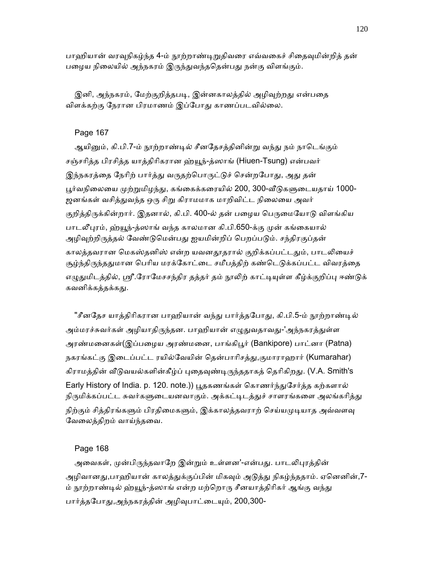பாஹியான் வரவுநிகழ்ந்த 4-ம் நூற்றாண்டிறுதிவரை எவ்வகைச் சிதைவுமின்றிக் கன் பழைய நிலையில் அந்நகரம் இருந்துவந்ததென்பது நன்கு விளங்கும்.

இனி, அந்நகரம், மேற்குறித்தபடி, இன்னகாலத்தில் அழிவுற்றது என்பதை விளக்கற்கு நேரான பிரமாணம் இப்போது காணப்படவில்லை.

# Page 167

ஆயினும், கி.பி.7-ம் நூற்றாண்டில் சீனதேசத்தினின்று வந்து நம் நாடெங்கும் சஞ்சாித்த பிரசித்த யாத்திாிகரான ஹ்ᾝந்-த்ஸாங் (Hiuen-Tsung) என்பவர் இந்நகரத்தை நேரிற் பார்த்து வருதற்பொருட்டுச் சென்றபோது, அது தன் பூர்வநிலையை முற்றுமிழந்து, கங்கைக்கரையில் 200, 300-வீடுகளுடையதாய் 1000-ஜனங்கள் வசித்துவந்த ஒரு சிறு கிராமமாக மாறிவிட்ட நிலையை அவர் குறித்திருக்கின்றார். இதனால், கி.பி. 400-ல் தன் பழைய பெருமையோடு விளங்கிய பாடலீபுரம், ஹ்யூந்-த்ஸாங் வந்த காலமான கி.பி.650-க்கு முன் கங்கையால் அழிவுற்றிருத்தல் வேண்டுமென்பது ஐயமின்றிப் பெறப்படும். சந்திரகுப்தன் காலத்தவரான மெகஸ்தனிஸ் என்ற யவனதூதரால் குறிக்கப்பட்டதும், பாடலியைச் சூழ்ந்திருந்ததுமான பெரிய மரக்கோட்டை சமீபத்திற் கண்டெடுக்கப்பட்ட விவரத்தை எழுதுமிடத்தில், ஸ்ரீ.ரோமேசசந்திர தத்தர் தம் நூலிற் காட்டியுள்ள கீழ்க்குறிப்பு ஈண்டுக் கவனிக்கத்தக்கது.

"சீனதேச யாத்திரிகரான பாஹியான் வந்து பார்த்தபோது, கி.பி.5-ம் நூற்றாண்டில் அம்மரச்சுவர்கள் அழியாதிருந்தன. பாஹியான் எழுதுவதாவது-'அந்நகரத்துள்ள அரண்மனைகள்(இப்பழைய அரண்மனை, பாங்கிபூர் (Bankipore) பாட்னா (Patna) நகரங்கட்கு இடைப்பட்ட ரயில்வேயின் தென்பாரிசத்து,குமாராஹார் (Kumarahar) கிராமத்தின் வீடுவயல்களின்கீழ்ப் புதைவுண்டிருந்ததாகத் தெரிகிறது. (V.A. Smith's Early History of India. p. 120. note.)) பூதகணங்கள் கொணர்ந்துசேர்த்த கற்களால் நிருமிக்கப்பட்ட சுவர்களுடையனவாகும். அக்கட்டிடத்துச் சாளரங்களை அலங்கரித்து நிற்கும் சித்திரங்களும் பிரதிமைகளும், இக்காலத்தவராற் செய்யமுடியாத அவ்வளவு ேவைலத்திறம் வாய்ந்தைவ.

# Page 168

அவைகள், முன்பிருந்தவாறே இன்றும் உள்ளன'-என்பது. பாடலிபுரத்தின் அழிவானது,பாஹியான் காலத்துக்குப்பின் மிகவும் அடுத்து நிகழ்ந்ததாம். ஏனெனின்,7-ம் நூற்றாண்டில் ஹ்யூந்-த்ஸாங் என்ற மற்றொரு சீனயாத்திரிகர் ஆங்கு வந்து பார்த்தபோது,அந்நகரத்தின் அழிவுபாட்டையும், 200,300-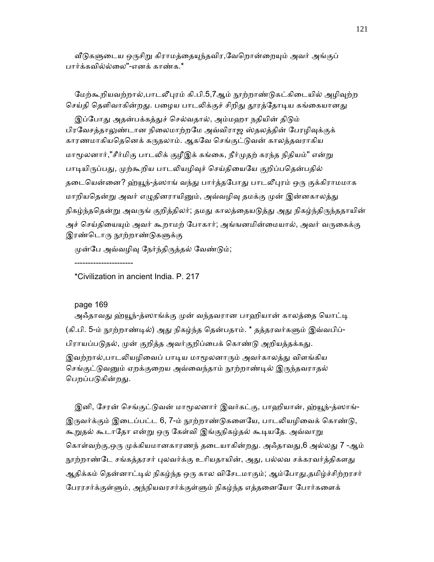வீடுகளுடைய ஒருசிறு கிராமத்தையுந்தவிர,வேறொன்றையும் அவர் அங்குப் பார்க்கவில்ல்ைல"-எனக் காண்க.\*

மேற்கூறியவற்றால்,பாடலீபுரம் கி.பி.5,7ஆம் நூற்றாண்டுகட்கிடையில் அழிவுற்ற செய்தி தெளிவாகின்றது. பழைய பாடலிக்குச் சிறிது தூரத்தோடிய கங்கையானது

இப்போது அதன்பக்கத்துச் செல்வதால், அம்மஹா நதியின் திடும் பிரவேசத்தாலுண்டான நிலைமாற்றமே அவ்விராஜ ஸ்தலத்தின் பேரழிவுக்குக் காரணமாகியதெனெக் கருதலாம். ஆகவே செங்குட்டுவன் காலத்தவராகிய மாமூலனார்,"சீர்மிகு பாடலிக் குழீஇக் கங்கை, நீர்முதற் கரந்த நிதியம்" என்று பாடியிருப்பது, முற்கூறிய பாடலியழிவுச் செய்தியையே குறிப்பதென்பதில் தடையென்னை? ஹ்யூந்-த்ஸாங் வந்து பார்த்தபோது பாடலீபுரம் ஒரு குக்கிராமமாக மாறியதென்று அவர் எழுதினராயினும், அவ்வழிவு தமக்கு முன் இன்னகாலத்து நிகழ்ந்ததென்று அவருங் குறித்திலர்; தமது காலத்தையடுத்து அது நிகழ்ந்திருந்ததாயின் அச் செய்தியையும் அவர் கூறாமற் போகார்; அங்ஙனமின்மையால், அவர் வருகைக்கு இரண்டொரு நூற்றாண்டுகளுக்கு

முன்பே அவ்வழிவு நேர்ந்திருத்தல் வேண்டும்;

\*Civilization in ancient India. P. 217

# page 169

----------------------

அஃதாவது ஹ்யூந்-த்ஸாங்க்கு முன் வந்தவரான பாஹியான் காலத்தை யொட்டி (கி.பி. 5-ம் நூற்றாண்டில்) அது நிகழ்ந்த தென்பதாம். \* தத்தரவர்களும் இவ்வபிப்-பிராயப்படுதல், முன் குறித்த அவர்குறிப்பைக் கொண்டு அறியத்தக்கது. இவற்றால்,பாடலியழிவைப் பாடிய மாமூலனாரும் அவர்காலத்து விளங்கிய செங்குட்டுவனும் ஏறக்குறைய அவ்வைந்தாம் நூற்றாண்டில் இருந்தவராதல் பெறப்படுகின்றது.

இனி, சேரன் செங்குட்டுவன் மாமூலனார் இவர்கட்கு, பாஹியான், ஹ்யூந்-த்ஸாங்-இருவர்க்கும் இடைப்பட்ட 6, 7-ம் நூற்றாண்டுகளையே, பாடலியழிவைக் கொண்டு, கூறுதல் கூடாதோ என்று ஒரு கேள்வி இங்குநிகழ்தல் கூடியதே. அவ்வாறு கொள்வற்கு,ஒரு முக்கியமானகாரணந் தடையாகின்றது. அஃதாவது,6 அல்லது 7 -ஆம் நூற்றாண்டே சங்கத்தரசர் புலவர்க்கு உரியதாயின், அது, பல்லவ சக்கரவர்த்திகளது ஆதிக்கம் தென்னாட்டில் நிகழ்ந்த ஒரு கால விசேடமாகும்; ஆம்போது,தமிழ்ச்சிற்றரசர் பேரரசர்க்குள்ளும், அந்நியவரசர்க்குள்ளும் நிகழ்ந்த எத்தனையோ போர்களைக்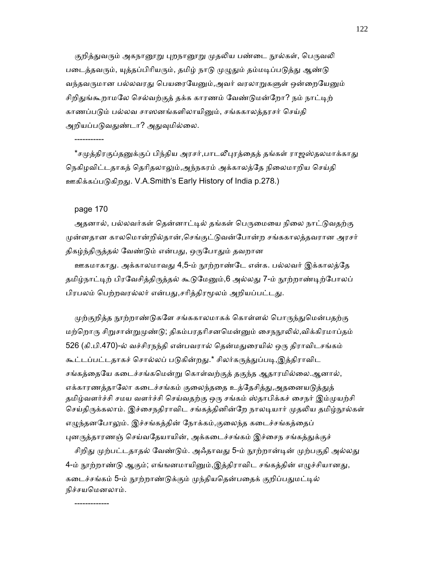குறித்துவரும் அகநானூறு புறநானூறு முதலிய பண்டை நூல்கள், பெருவலி படைத்தவரும், யுத்தப்பிரியரும், தமிழ் நாடு முழுதும் தம்மடிப்படுத்து ஆண்டு வந்தவருமான பல்லவரது பெயரையேனும்,அவர் வரலாறுகளுள் ஒன்றையேனும் சிறிதுங்கூறாமலே செல்வற்குத் தக்க காரணம் வேண்டுமன்றோ? நம் நாட்டிற் காணப்படும் பல்லவ சாஸனங்களிலாயினும், சங்ககாலத்தரசர் செய்தி அறியப்படுவதுண்டா? அதுவுமில்லை.

 $^*$ சமுத்திரகுப்தனுக்குப் பிந்திய அரசர்,பாடலீபுரத்தைத் தங்கள் ராஜஸ்தலமாக்காது நெகிழவிட்டதாகத் தெரிதலாலும்,அந்நகரம் அக்காலத்தே நிலைமாறிய செய்தி ஊகிக்கப்படுகிறது. V.A.Smith's Early History of India p.278.)

#### page 170

-------------

-----------

அதனால், பல்லவர்கள் தென்னாட்டில் தங்கள் பெருமையை நிலை நாட்டுவதற்கு முன்னதான காலமொன்றில்தான்,செங்குட்டுவன்போன்ற சங்ககாலத்தவரான அரசர் திகழ்ந்திருத்தல் வேண்டும் என்பது, ஒருபோதும் தவறான

ஊகமாகாது. அக்காலமாவது 4,5-ம் நூற்றாண்டே என்க. பல்லவர் இக்காலத்தே தமிழ்நாட்டிற் பிரவேசித்திருத்தல் கூடுமேனும்,6 அல்லது 7-ம் நூற்றாண்டிற்போலப் பிரபலம் பெற்றவரல்லர் என்பது,சரித்திரமூலம் அறியப்பட்டது.

முற்குறித்த நூற்றாண்டுகளே சங்ககாலமாகக் கொள்ளல் பொருந்துமென்பதற்கு மற்றொரு சிறுசான்றுமுண்டு; திகம்பரதரிசனமென்னும் சைநநூலில்,விக்கிரமாப்தம் 526 (கி.பி.470)-ல் வச்சிரநந்தி என்பவரால் தென்மதுரையில் ஒரு திராவிடசங்கம் கூட்டப்பட்டதாகச் சொல்லப் படுகின்றது.\* சிலர்கருத்துப்படி,இத்திராவிட சங்கத்தையே கடைச்சங்கமென்று கொள்வற்குத் தகுந்த ஆதாரமில்லை.ஆனால், எக்காரணத்தாலோ கடைச்சங்கம் குலைந்ததை உத்தேசித்து,அதனையடுத்துத் தமிழ்வளர்ச்சி சமய வளர்ச்சி செய்வதற்கு ஒரு சங்கம் ஸ்தாபிக்கச் சைநர் இம்முயற்சி செய்திருக்கலாம். இச்சைநதிராவிட சங்கத்தினின்றே நாலடியார் முதலிய தமிழ்நூல்கள் எழுந்தனபோலும். இச்சங்கத்தின் நோக்கம்,குலைந்த கடைச்சங்கத்தைப் புனருத்தாரணஞ் செய்வதேயாயின், அக்கடைச்சங்கம் இச்சைந சங்கத்துக்குச்

சிறிது முற்பட்டதாதல் வேண்டும். அஃதாவது 5-ம் நூற்றான்டின் முற்பகுதி அல்லது 4-ம் நூற்றாண்டு ஆகும்; எங்ஙனமாயினும்,இத்திராவிட சங்கத்தின் எழுச்சியானது, கடைச்சங்கம் 5-ம் நூற்றாண்டுக்கும் முந்தியதென்பதைக் குறிப்பதுமட்டில் நிச்சயெமனலாம்.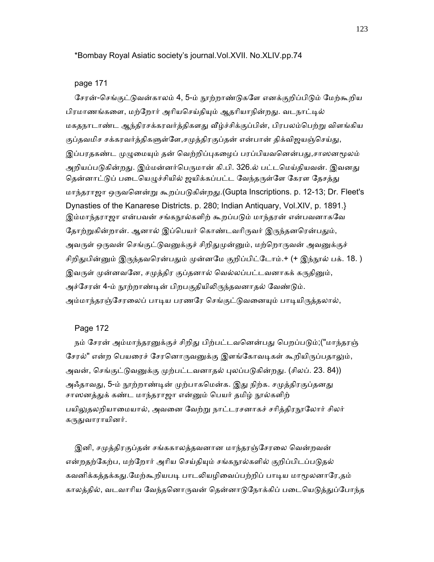### \*Bombay Royal Asiatic society's journal.Vol.XVII. No.XLIV.pp.74

#### page 171

சேரன்-செங்குட்டுவன்காலம் 4, 5-ம் நூற்றாண்டுகளே எனக்குறிப்பிடும் மேற்கூறிய பிரமாணங்களை, மற்றோர் அரியசெய்தியும் ஆதரியாநின்றது. வடநாட்டில் மகதநாடாண்ட ஆந்திரசக்கரவர்த்திகளது வீழ்ச்சிக்குப்பின், பிரபலம்பெற்று விளங்கிய குப்தவமிச சக்கரவர்த்திகளுள்ளே,சமுத்திரகுப்தன் என்பான் திக்விஜயஞ்செய்து, இப்பரதகண்ட முழுமையும் தன் வெற்றிப்புகழைப் பரப்பியவனென்பது,சாஸனமூலம் அறியப்படுகின்றது. இம்மன்னர்பெருமான் கி.பி. 326.ல் பட்டமெய்தியவன். இவனது தென்னாட்டுப் படையெழுச்சியில் ஜயிக்கப்பட்ட வேந்தருள்ளே கேரள தேசத்து மாந்தராஜா ஒᾞவெனன்ᾠ கூறப்பᾌகின்றᾐ.(Gupta Inscriptions. p. 12-13; Dr. Fleet's Dynasties of the Kanarese Districts. p. 280; Indian Antiquary, Vol.XIV, p. 1891.} இம்மாந்தராஜா என்பவன் சங்கநூல்களிற் கூறப்படும் மாந்தரன் என்பவனாகவே தோற்றுகின்றான். ஆனால் இப்பெயர் கொண்டவரிருவர் இருந்தனரென்பதும், அவருள் ஒருவன் செங்குட்டுவனுக்குச் சிறிதுமுன்னும், மற்றொருவன் அவனுக்குச் சிறிதுபின்னும் இருந்தவரென்பதும் முன்னமே குறிப்பிட்டோம்.+ (+ இந்நூல் பக். 18. ) இவருள் முன்னவனே, சமுத்திர குப்தனால் வெல்லப்பட்டவனாகக் கருதினும், அச்சேரன் 4-ம் நூற்றாண்டின் பிறபகுதியிலிருந்தவனாதல் வேண்டும். அம்மாந்தரஞ்சேரலைப் பாடிய பரணரே செங்குட்டுவனையும் பாடியிருத்தலால்,

### Page 172

நம் சேரன் அம்மாந்தரனுக்குச் சிறிது பிற்பட்டவனென்பது பெறப்படும்;("மாந்தரஞ் சேரல்" என்ற பெயரைச் சேரனொருவனுக்கு இளங்கோவடிகள் கூறியிருப்பதாலும், அவன், செங்குட்டுவனுக்கு முற்பட்டவனாதல் புலப்படுகின்றது. (சிலப். 23. 84)) அஃதாவது, 5-ம் நூற்றாண்டின் முற்பாகமென்க. இது நிற்க. சமுத்திரகுப்தனது சாஸனத்துக் கண்ட மாந்தராஜா என்னும் பெயர் தமிழ் நூல்களிற் பயிலுதலறியாமையால், அவனை வேற்று நாட்டரசனாகச் சரித்திரநூலோர் சிலர் கருதுவாராயினர்.

இனி, சமுத்திரகுப்தன் சங்ககாலத்தவனான மாந்தரஞ்சேரலை வென்றவன் என்றதற்கேற்ப, மற்றோர் அரிய செய்தியும் சங்கநூல்களில் குறிப்பிடப்படுதல் கவனிக்கத்தக்கது.மேற்கூறியபடி பாடலியழிவைப்பற்றிப் பாடிய மாமூலனாரே,தம் காலத்தில், வடவாரிய வேந்தனொருவன் தென்னாடுநோக்கிப் படையெடுத்துப்போந்த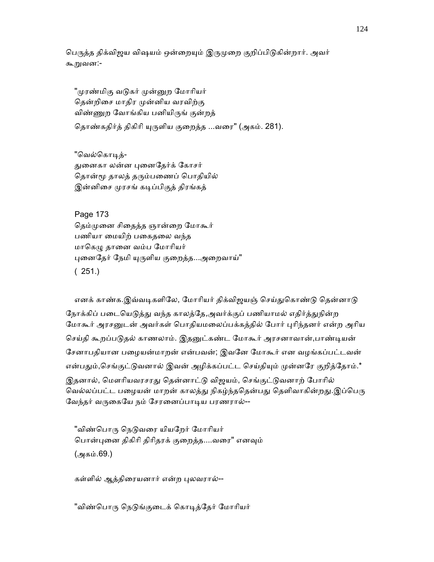பெருத்த திக்விஜய விஷயம் ஒன்றையும் இருமுறை குறிப்பிடுகின்றார். அவர் கூறுவன:-

"முரண்மிகு வடுகர் முன்னுற மோரியர் தென்றிசை மாதிர முன்னிய வரவிற்கு விண்ணுற வோங்கிய பனியிருங் குன்றத்

தொண்கதிர்த் திகிரி யுருளிய குறைத்த ...வரை" (அகம். 281).

"வெல்கொடிக் ᾐைனகா லன்ன ᾗைனேதர்க் ேகாசர் தொன்மூ தாலத் தரும்பணைப் பொதியில் இன்னிசை முரசங் கடிப்பிகுத் திரங்கத்

 Page 173 தெம்முனை சிதைத்த ஞான்றை மோகூர் பணியா மையிற் பகைதலை வந்த மாகெழு தானை வம்ப மோரியர் புனைதேர் நேமி யுருளிய குறைத்த...அறைவாய்" (251.)

எனக் காண்க.இவ்வடிகளிலே, மோரியர் திக்விஜயஞ் செய்துகொண்டு தென்னாடு நோக்கிப் படையெடுத்து வந்த காலத்தே,அவர்க்குப் பணியாமல் எதிர்த்துநின்ற மோகூர் அரசனுடன் அவர்கள் பொதியமலைப்பக்கத்தில் போர் புரிந்தனர் என்ற அரிய செய்தி கூறப்படுதல் காணலாம். இதனுட்கண்ட மோகூர் அரசனாவான்,பாண்டியன் ேசனாபதியான பைழயன்மாறன் என்பவன்; இவேன ேமாகூர் என வழங்கப்பட்டவன் என்பதும்,செங்குட்டுவனால் இவன் அழிக்கப்பட்ட செய்தியும் முன்னரே குறித்தோம்.\* இதனால், மௌரியவரசரது தென்னாட்டு விஜயம், செங்குட்டுவனாற் போரில் வெல்லப்பட்ட பழையன் மாறன் காலத்து நிகழ்ந்ததென்பது தெளிவாகின்றது.இப்பெரு வேந்தர் வருகையே நம் சேரனைப்பாடிய பரணரால்--

"விண்பொரு நெடுவரை யியறேர் மோரியர் பொன்புனை திகிரி திரிதரக் குறைத்த....வரை" எனவும் (அகம்.69.)

கள்ளில் ஆத்திரையனார் என்ற புலவரால்--

"விண்பொரு நெடுங்குடைக் கொடித்தேர் மோரியர்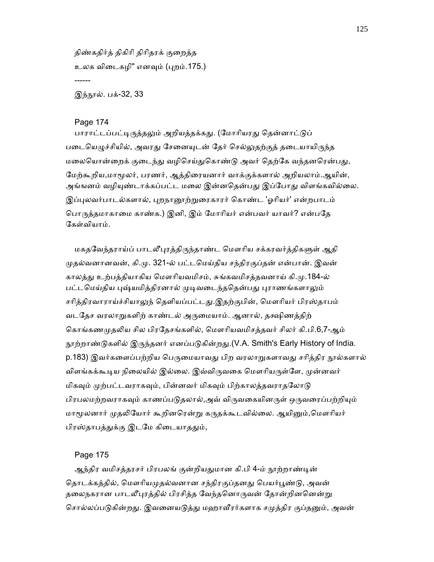திண்கதிர்த் திகிாி திாிதரக் குைறத்த உலக விைடகழி" எனᾫம் (ᾗறம்.175.) ------

<u>இந்நூல். பக்-32, 33</u>

### Page 174

பாராட்டப்பட்டிருத்தலும் அறியத்தக்கது. (மோரியரது தென்னாட்டுப் படையெழுச்சியில், அவரது சேனையுடன் தேர் செல்லுதற்குத் தடையாயிருந்த மலையொன்றைக் குடைந்து வழிசெய்துகொண்டு அவர் தெற்கே வந்தனரென்பது, மேற்கூறிய,மாமூலர், பரணர், ஆத்திரையனார் வாக்குக்களால் அறியலாம்.ஆயின், அங்ஙனம் வழியுண்டாக்கப்பட்ட மலை இன்னதென்பது இப்போது விளங்கவில்லை. இப்புலவர்பாடல்களால், புறநானூற்றுரைகாரர் கொண்ட 'ஓரியர்' என்றபாடம் பொருத்தமாகாமை காண்க.) இனி, இம் மோரியர் என்பவர் யாவர்? என்பதே ேகள்வியாம்.

மகதவேந்தராய்ப் பாடலீபுரத்திருந்தாண்ட மௌரிய சக்கரவர்த்திகளுள் ஆதி ᾙதல்வனானவன், கி.ᾙ. 321-ல் பட்டெமய்திய சந்திரகுப்தன் என்பான். இவன் காலத்ᾐ உற்பத்தியாகிய ெமௗாியவமிசம், சுங்கவமிசத்தவனாய் கி.ᾙ.184-ல் பட்டமெய்திய புஷ்யமித்திரனால் முடிவடைந்ததென்பது புராணங்களாலும் சரித்திரவாராய்ச்சியாலுந் தெளியப்பட்டது.இதற்குபின், மௌரியர் பிரஸ்தாபம் வடேதச வரலாᾠகளிற் காண்டல் அᾞைமயாம். ஆனால், தக்ஷிணத்திற் கொங்கணமுதலிய சில பிரதேசங்களில், மௌரியவமிசத்தவர் சிலர் கி.பி.6,7-ஆம் நூற்றாண்டுகளில் இருந்தனர் எனப்படுகின்றது.(V.A. Smith's Early History of India. p.183) இவர்களைப்பற்றிய பெருமையாவது பிற வரலாறுகளாவது சரித்திர நூல்களால் விளங்கக்கூடிய நிலையில் இல்லை. இவ்விருவகை மௌரியருள்ளே, முன்னவர் மிகவும் முற்பட்டவராகவும், பின்னவர் மிகவும் பிற்காலத்தவராதலோடு பிரபலமற்றவராகவும் காணப்படுதலால்,அவ் விருவகையினருள் ஒருவரைப்பற்றியும் மாமூலனார் முதலியோர் கூறினரென்று கருதக்கூடவில்லை. ஆயினும்,மௌரியர் பிரஸ்தாபத்துக்கு இடமே கிடையாததும்,

#### Page 175

ஆந்திர வமிசத்தரசர் பிரபலங் குன்றியதுமான கி.பி 4-ம் நூற்றாண்டின் தொடக்கத்தில், மௌரியமுதல்வனான சந்திரகுப்தனது பெயர்பூண்டு, அவன் தலைநகரான பாடலீபுரத்தில் பிரசித்த வேந்தனொருவன் தோன்றினனென்று சொல்லப்படுகின்றது. இவனையடுத்து மஹாவீரர்களாக சமுத்திர குப்தனும், அவன்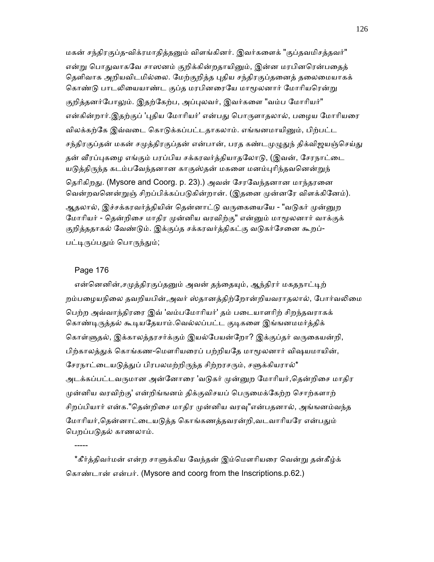மகன் சந்திரகுப்த-விக்ரமாதித்தனும் விளங்கினர். இவர்களைக் "குப்தவமிசத்தவர்" என்று பொதுவாகவே சாஸனம் குறிக்கின்றதாயினும், இன்ன மரபினரென்பதைத் தெளிவாக அறியவிடமில்லை. மேற்குறித்த புதிய சந்திரகுப்தனைத் தலைமையாகக் கொண்டு பாடலியையாண்ட குப்த மரபினரையே மாமூலனார் மோரியரென்று குறித்தனர்போலும். இதற்கேற்ப, அப்புலவர், இவர்களை "வம்ப மோரியர்" என்கின்றார்.இதற்குப் 'புதிய மோரியர்' என்பது பொருளாதலால், பழைய மோரியரை விலக்கற்கே இவ்வடை கொடுக்கப்பட்டதாகலாம். எங்ஙனமாயினும், பிற்பட்ட சந்திரகுப்தன் மகன் சமுத்திரகுப்தன் என்பான், பரத கண்டமுழுதுந் திக்விஜயஞ்செய்து தன் வீரப்புகழை எங்கும் பரப்பிய சக்கரவர்த்தியாதலோடு, (இவன், சேரநாட்டை யடுத்திருந்த கடம்பவேந்தனான காகுஸ்தன் மகளை மனம்புரிந்தவனென்றுந் தெரிகிறது. (Mysore and Coorg. p. 23).) அவன் சேரவேந்தனான மாந்தரனை வென்றவனென்றுஞ் சிறப்பிக்கப்படுகின்றான். (இதனை முன்னரே விளக்கினேம்). ஆதலால், இச்சக்கரவர்த்தியின் தென்னாட்டு வருகையையே - "வடுகர் முன்னுற மோரியர் - தென்றிசை மாதிர முன்னிய வரவிற்கு" என்னும் மாமூலனார் வாக்குக் குறித்ததாகல் வேண்டும். இக்குப்த சக்கரவர்த்திகட்கு வடுகர்சேனை கூறப்-பட்டிருப்பதும் பொருந்தும்;

### Page 176

-----

என்னெனின்,சமுத்திரகுப்தனும் அவன் தந்தையும், ஆந்திரர் மகதநாட்டிற் றம்பழையநிலை தவறியபின்,அவர் ஸ்தானத்திற்றோன்றியவராதலால், போர்வலிமை ெபற்ற அவ்வாந்திரைர இவ் 'வம்பேமாாியர்' தம் பைடயாளாிற் சிறந்தவராகக் கொண்டிருத்தல் கூடியதேயாம்.வெல்லப்பட்ட குடிகளை இங்ஙனமமர்த்திக் கொள்ளுதல், இக்காலத்தரசர்க்கும் இயல்பேயன்றோ? இக்குப்தர் வருகையன்றி, பிற்காலத்துக் கொங்கண-மௌரியரைப் பற்றியதே மாமூலனார் விஷயமாயின், சேரநாட்டையடுத்துப் பிரபலமற்றிருந்த சிற்றரசரும், சளுக்கியரால்\* அடக்கப்பட்டவருமான அன்னோரை 'வடுகர் முன்னுற மோரியர்,தென்றிசை மாதிர முன்னிய வரவிற்கு' என்றிங்ஙனம் திக்குவிசயப் பெருமைக்கேற்ற சொற்களாற் சிறப்பியார் என்க."தென்றிசை மாதிர முன்னிய வரவு"என்பதனால், அங்ஙனம்வந்த மோரியர்,தென்னாட்டையடுத்த கொங்கணத்தவரன்றி,வடவாரியரே என்பதும் பெறப்படுதல் காணலாம்.

\*கீர்த்திவர்மன் என்ற சாளுக்கிய வேந்தன் இம்மௌரியரை வென்று தன்கீழ்க் ெகாண்டான் என்பர். (Mysore and coorg from the Inscriptions.p.62.)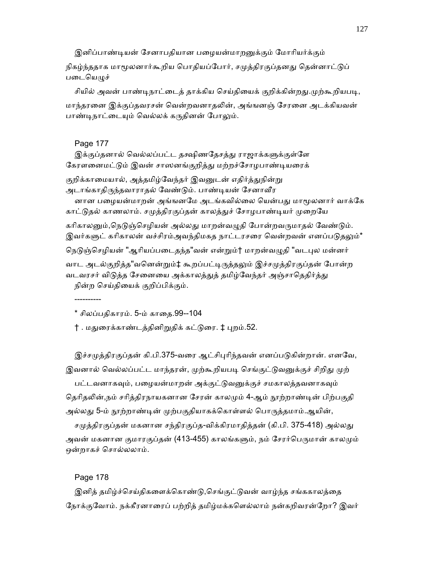இனிப்பாண்டியன் சேனாபதியான பழையன்மாறனுக்கும் மோரியர்க்கும் நிகழ்ந்ததாக மாமூலனார்கூறிய பொதியப்போர், சமுத்திரகுப்தனது தென்னாட்டுப் படையெழுச்

சியில் அவன் பாண்டிநாட்டைத் தாக்கிய செய்தியைக் குறிக்கின்றது.முற்கூறியபடி, மாந்தரனை இக்குப்தவரசன் வென்றவனாதலின், அங்ஙனஞ் சேரனை அடக்கியவன் பாண்டிநாட்டையும் வெல்லக் கருதினன் போலும்.

#### Page 177

இக்குப்தனால் வெல்லப்பட்ட தக்ஷிணதேசத்து ராஜாக்களுக்குள்ளே கேரளனைமட்டும் இவன் சாஸனங்குறித்து மற்றச்சோழபாண்டியரைக்

குறிக்காமையால், அத்தமிழ்வேந்தர் இவனுடன் எதிர்த்துநின்று அடாங்காதிருந்தவாராதல் வேண்டும். பாண்டியன் சேனாவீர

னான பழையன்மாறன் அங்ஙனமே அடங்கவில்லை யென்பது மாமூலனார் வாக்கே காட்டுதல் காணலாம். சமுத்திரகுப்தன் காலத்துச் சோழபாண்டியர் முறையே

கரிகாலனும்,நெடுஞ்செழியன் அல்லது மாறன்வழுதி போன்றவருமாதல் வேண்டும். இவர்களுட் கரிகாலன் வச்சிரம்அவந்திமகத நாட்டரசரை வென்றவன் எனப்படுதலும்\*

நெடுஞ்செழியன் "ஆரியப்படைதந்த"வன் என்றும்† மாறன்வழுதி "வடபுல மன்னர்

வாட அடல்குறித்த"வனென்றும்‡ கூறப்பட்டிருத்தலும் இச்சமுத்திரகுப்தன் போன்ற வடவரசர் விடுத்த சேனையை அக்காலத்துத் தமிழ்வேந்தர் அஞ்சாதெதிர்த்து நின்ற ெசய்திையக் குறிப்பிக்கும்.

----------

\* சிலப்பதிகாரம். 5-ம் காைத.99--104

† . மதுரைக்காண்டத்தினிறுதிக் கட்டுரை. ‡ புறம்.52.

இச்சமுத்திரகுப்தன் கி.பி.375-வரை ஆட்சிபுரிந்தவன் எனப்படுகின்றான். எனவே, இவனால் வெல்லப்பட்ட மாந்தரன், முற்கூறியபடி செங்குட்டுவனுக்குச் சிறிது முற்

பட்டவனாகவும், பழையன்மாறன் அக்குட்டுவனுக்குச் சமகாலத்தவனாகவும் தெரிதலின்,நம் சரித்திரநாயகனான சேரன் காலமும் 4-ஆம் நூற்றாண்டின் பிற்பகுதி அல்லது 5-ம் நூற்றாண்டின் முற்பகுதியாகக்கொள்ளல் பொருத்தமாம்.ஆயின்,

சமுத்திரகுப்தன் மகனான சந்திரகுப்த-விக்கிரமாதித்தன் (கி.பி. 375-418) அல்லது அவன் மகனான குமாரகுப்தன் (413-455) காலங்களும், நம் சேரர்பெருமான் காலமும் ஒன்றாகச் ெசால்லலாம்.

Page 178

இனித் தமிழ்ச்செய்திகளைக்கொண்டு,செங்குட்டுவன் வாழ்ந்த சங்ககாலத்தை நோக்குவோம். நக்கீரனாரைப் பற்றித் தமிழ்மக்களெல்லாம் நன்கறிவரன்றோ? இவர்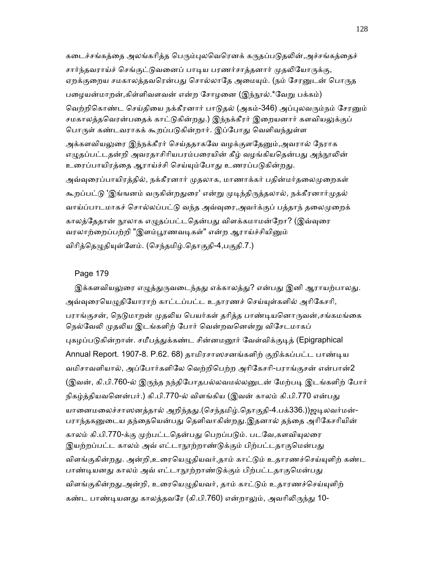கடைச்சங்கத்தை அலங்கரித்த பெரும்புலவெரெனக் கருதப்படுதலின்,அச்சங்கத்தைச்

சார்ந்தவராய்ச் செங்குட்டுவனைப் பாடிய பரணர்சாத்தனார் முதலியோருக்கு, ஏறக்குறைய சமகாலத்தவரென்பது சொல்லாதே அமையும். (நம் சேரனுடன் பொருத பழையன்மாறன்,கிள்ளிவளவன் என்ற சோழனை (இந்நூல்.\*வேறு பக்கம்) வெற்றிகொண்ட செய்தியை நக்கீரனார் பாடுதல் (அகம்-346) அப்புலவரும்நம் சேரனும் சமகாலத்தவெரன்பதைக் காட்டுகின்றது.) இந்நக்கீரர் இறையனார் களவியலுக்குப் பொருள் கண்டவராகக் கூறப்படுகின்றார். இப்போது வெளிவந்துள்ள அக்களவியலுரை இந்நக்கீரர் செய்ததாகவே வழக்குளதேனும்,அவரால் நேராக

எழுதப்பட்டதன்றி அவரதாசிரியபரம்பரையின் கீழ் வழங்கியதென்பது அந்நூலின் உரைப்பாயிரத்தை ஆராய்ச்சி செய்யும்போது உணரப்படுகின்றது.

அவ்வுரைப்பாயிரத்தில், நக்கீரனார் முதலாக, மாணாக்கர் பதின்மர்தலைமுறைகள் கூறப்பட்டு 'இங்ஙனம் வருகின்றதுரை' என்று முடிந்திருத்தலால், நக்கீரனார்முதல் வாய்ப்பாடமாகச் சொல்லப்பட்டு வந்த அவ்வுரை,அவர்க்குப் பத்தாந் தலைமுறைக் காலத்தேதான் நூலாக எழுதப்பட்டதென்பது விளக்கமாமன்றோ? (இவ்வுரை வரலாற்றைப்பற்றி "இளம்பூரணவடிகள்" என்ற ஆராய்ச்சியினும் விரித்தெழுதியுள்ளேம். (செந்தமிழ்.தொகுதி-4,பகுதி.7.)

# Page 179

இக்களவியலுரை எழுத்துருவடைந்தது எக்காலத்து? என்பது இனி ஆராயற்பாலது. அவ்வுரையெழுதியோராற் காட்டப்பட்ட உதாரணச் செய்யுள்களில் அரிகேசரி, பராங்குசன், நெடுமாறன் முதலிய பெயர்கள் தரித்த பாண்டியனொருவன்,சங்கமங்கை நெல்வேலி முதலிய இடங்களிற் போர் வென்றவனென்று விசேடமாகப் புகழப்படுகின்றான். சமீபத்துக்கண்ட சின்னமனூர் வேள்விக்குடித் (Epigraphical Annual Report. 1907-8. P.62. 68) தாமிரசாஸசனங்களிற் குறிக்கப்பட்ட பாண்ᾊய வமிசாவளியால், அப்ேபார்களிேல ெவற்றிெபற்ற அாிேகசாி-பராங்குசன் என்பான்2 (இவன், கி.பி.760-ல் இருந்த நந்திபோதபல்லவமல்லனுடன் மேற்படி இடங்களிற் போர் நிகழ்த்தியவனென்பர்.) கி.பி.770-ல் விளங்கிய (இவன் காலம் கி.பி.770 என்பது யானைமலைச்சாஸனத்தால் அறிந்தது.(செந்தமிழ்.தொகுதி-4.பக்336.))ஜடிலவர்மன்-பராந்தகனுடைய தந்தையென்பது தெளிவாகின்றது.இதனால் தந்தை அரிகேசரியின் காலம் கி.பி.770-க்கு முற்பட்டதென்பது பெறப்படும். படவே,களவியுலரை இயற்றப்பட்ட காலம் அவ் எட்டாநூற்றாண்டுக்கும் பிற்பட்டதாகுமென்பது விளங்குகின்றது. அன்றி,உரையெழுதியவர்,தாம் காட்டும் உதாரணச்செய்யுளிற் கண்ட பாண்டியனது காலம் அவ் எட்டாநூற்றாண்டுக்கும் பிற்பட்டதாகுமென்பது விளங்குகின்றது.அன்றி, உரையெழுதியவர், தாம் காட்டும் உதாரணச்செய்யுளிற் கண்ட பாண்டியனது காலத்தவரே (கி.பி.760) என்றாலும், அவரிலிருந்து 10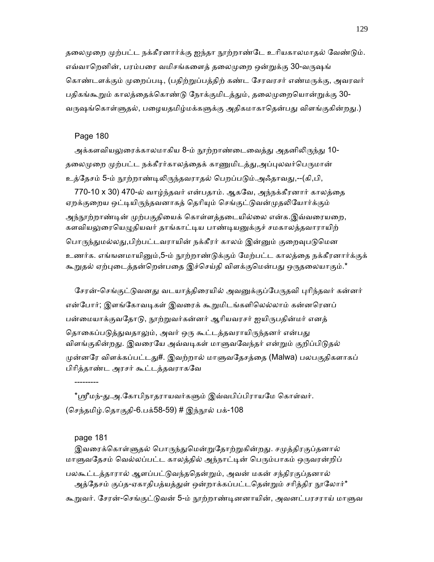தலைமுறை முற்பட்ட நக்கீரனார்க்கு ஐந்தா நூற்றாண்டே உரியகாலமாதல் வேண்டும். எவ்வாறெனின், பரம்பரை வமிசங்களைத் தலைமுறை ஒன்றுக்கு 30-வருஷங் கொண்டளக்கும் முறைப்படி, (பதிற்றுப்பத்திற் கண்ட சேரவரசர் எண்மருக்கு, அவரவர் பதிகங்கூறும் காலத்தைக்கொண்டு நோக்குமிடத்தும், தலைமுறையொன்றுக்கு 30-வருஷங்கொள்ளுதல், பழையதமிழ்மக்களுக்கு அதிகமாகாதென்பது விளங்குகின்றது.)

# Page 180

அக்களவியலுரைக்காலமாகிய 8-ம் நூற்றாண்டைவைத்து அதனிலிருந்து 10-தலைமுறை முற்பட்ட நக்கீரர்காலத்தைக் காணுமிடத்து,அப்புலவர்பெருமான் உத்தேசம் 5-ம் நூற்றாண்டிலிருந்தவராதல் பெறப்படும்.அஃதாவது,--(கி,பி,

770-10 x 30) 470-ல் வாழ்ந்தவர் என்பதாம். ஆகவே, அந்நக்கீரனார் காலத்தை ஏறக்குறைய ஒட்டியிருந்தவனாகத் தெரியும் செங்குட்டுவன்முதலியோர்க்கும் அந்நூற்றாண்டின் முற்பகுதியைக் கொள்ளத்தடையில்லை என்க.இவ்வரையறை, களவியலுரையெழுதியவர் தாங்காட்டிய பாண்டியனுக்குச் சமகாலத்தவாராயிற் பொருந்துமல்லது,பிற்பட்டவராயின் நக்கீரர் காலம் இன்னும் குறைவுபடுமென உணர்க. எங்ஙனமாயினும்,5-ம் நூற்றாண்டுக்கும் மேற்பட்ட காலத்தை நக்கீரனார்க்குக் கூறுதல் ஏற்புடைத்தன்றென்பதை இச்செய்தி விளக்குமென்பது ஒருதலையாகும்.\*

சேரன்-செங்குட்டுவனது வடயாத்திரையில் அவனுக்குப்பேருதவி புரிந்தவர் கன்னர் என்போர்; இளங்கோவடிகள் இவரைக் கூறுமிடங்களிலெல்லாம் கன்னரெனப் பன்மையாக்குவதோடு, நூற்றுவர்கன்னர் ஆரியவரசர் ஐயிருபதின்மர் எனத் தொகைப்படுத்துவதாலும், அவர் ஒரு கூட்டத்தவராயிருந்தனர் என்பது விளங்குகின்றது. இவரையே அவ்வடிகள் மாளுவவேந்தர் என்றும் குறிப்பிடுதல் முன்னரே விளக்கப்பட்டது#. இவற்றால் மாளுவதேசத்தை (Malwa) பலபகுதிகளாகப் பிாித்தாண்ட அரசர் கூட்டத்தவராகேவ

\*ஸ்ரீமந்-து.அ.கோபிநாதராயவர்களும் இவ்வபிப்பிராயமே கொள்வர். (செந்தமிழ்.தொகுதி-6.பக்58-59) # இந்நூல் பக்-108

### page 181

---------

இவரைக்கொள்ளுதல் பொருந்துமென்றுதோற்றுகின்றது. சமுத்திரகுப்தனால் மாளுவதேசம் வெல்லப்பட்ட காலத்தில் அந்நாட்டின் பெரும்பாகம் ஒருவரன்றிப் பலகூட்டத்தாரால் ஆளப்பட்டுவந்ததென்றும், அவன் மகன் சந்திரகுப்தனால் அத்தேசம் குப்த-ஏகாதிபத்யத்துள் ஒன்றாக்கப்பட்டதென்றும் சரித்திர நூலோர்\* கூறுவர். சேரன்-செங்குட்டுவன் 5-ம் நூற்றாண்டினனாயின், அவனட்பரசராய் மாளுவ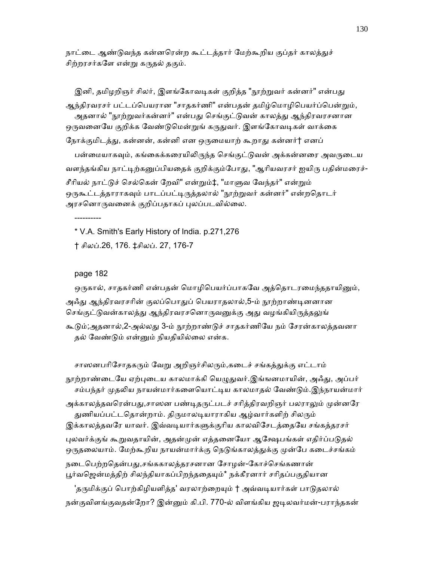நாட்டை ஆண்டுவந்த கன்னரென்ற கூட்டத்தார் மேற்கூறிய குப்தர் காலத்துச் சிற்றரசர்களே என்று கருதல் தகும்.

இனி, தமிழறிஞர் சிலர், இளங்கோவடிகள் குறித்த "நூற்றுவர் கன்னர்" என்பது ஆந்திரவரசர் பட்டப்பெயரான "சாதகர்ணி" என்பதன் தமிழ்மொழிபெயர்ப்பென்றும், அதனால் "நூற்றுவர்கன்னர்" என்பது செங்குட்டுவன் காலத்து ஆந்திரவரசனான ஒருவனையே குறிக்க வேண்டுமென்றுங் கருதுவர். இளங்கோவடிகள் வாக்கை நோக்குமிடத்து, கன்னன், கன்னி என ஒருமையாற் கூறாது கன்னர்† எனப் பன்மையாகவும், கங்கைக்கரையிலிருந்த செங்குட்டுவன் அக்கன்னரை அவருடைய வளந்தங்கிய நாட்டிற்கனுப்பியதைக் குறிக்கும்போது, "ஆரியவரசர் ஐயிரு பதின்மரைச்-சீரியல் நாட்டுச் செல்கென் றேவி" என்றும்‡, "மாளுவ வேந்தர்" என்றும் ஒருகூட்டத்தாராகவும் பாடப்பட்டிருத்தலால் "நூற்றுவர் கன்னர்" என்றதொடர் அரசனொருவனைக் குறிப்பதாகப் புலப்படவில்லை.

 \* V.A. Smith's Early History of India. p.271,276 † சிலப்.26, 176. ‡சிலப். 27, 176-7

### page 182

----------

ஒருகால், சாதகர்ணி என்பதன் மொழிபெயர்ப்பாகவே அத்தொடரமைந்ததாயினும்,

அஃது ஆந்திரவரசரின் குலப்பொதுப் பெயராதலால்,5-ம் நூற்றாண்டினனான செங்குட்டுவன்காலத்து ஆந்திரவரசனொருவனுக்கு அது வழங்கியிருத்தலுங்

கூடும்;அதனால்,2-அல்லது 3-ம் நூற்றாண்டுச் சாதகர்ணியே நம் சேரன்காலத்தவனா தல் ேவண்ᾌம் என்ᾔம் நியதியில்ைல என்க.

சாஸனபரிசோதகரும் வேறு அறிஞர்சிலரும்,கடைச் சங்கத்துக்கு எட்டாம்

நூற்றாண்டையே ஏற்புடைய காலமாக்கி யெழுதுவர்.இங்ஙனமாயின், அஃது, அப்பர் சம்பந்தர் முதலிய நாயன்மார்களையொட்டிய காலமாதல் வேண்டும்.இந்நாயன்மார் அக்காலத்தவரென்பது,சாஸன பண்டிதருட்படச் சரித்திரவறிஞர் பலராலும் முன்னரே துணியப்பட்டதொன்றாம். திருமாலடியாராகிய ஆழ்வார்களிற் சிலரும் இக்காலத்தவரே யாவர். இவ்வடியார்களுக்குரிய காலவிசேடத்தையே சங்கத்தரசர் புலவர்க்குங் கூறுவதாயின், அதன்முன் எத்தனையோ ஆக்ஷேபங்கள் எதிர்ப்படுதல் ஒருதலையாம். மேற்கூறிய நாயன்மார்க்கு நெடுங்காலத்துக்கு முன்பே கடைச்சங்கம் நடைபெற்றதென்பது,சங்ககாலத்தரசனான சோழன்-கோச்செங்கணான் பூர்வஜென்மத்திற் சிலந்தியாகப்பிறந்ததையும்\* நக்கீரனார் சரிதப்பகுதியான 'தருமிக்குப் பொற்கிழியளித்த' வரலாற்றையும் † அவ்வடியார்கள் பாடுதலால் நன்குவிளங்குவதன்றோ? இன்னும் கி.பி. 770-ல் விளங்கிய ஜடிலவர்மன்-பராந்தகன்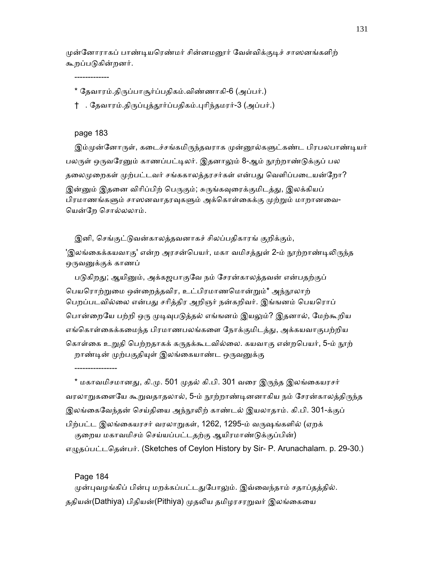முன்னோராகப் பாண்டியரெண்மர் சின்னமனூர் வேள்விக்குடிச் சாஸனங்களிற் கூறப்பᾌகின்றனர்.

\* ேதவாரம்.திᾞப்பாசூர்ப்பதிகம்.விண்ணாகி-6 (அப்பர்.)

† . தேவாரம்.திருப்புத்தூர்ப்பதிகம்.புரிந்தமரர்-3 (அப்பர்.)

### page 183

-------------

இம்முன்னோருள், கடைச்சங்கமிருந்தவராக முன்னூல்களுட்கண்ட பிரபலபாண்டியர் பலருள் ஒருவரேனும் காணப்பட்டிலர். இதனாலும் 8-ஆம் நூற்றாண்டுக்குப் பல தலைமுறைகள் முற்பட்டவர் சங்ககாலத்தரசர்கள் என்பது வெளிப்படையன்றோ? இன்னும் இதனை விரிப்பிற் பெருகும்; சுருங்கவுரைக்குமிடத்து, இலக்கியப் பிரமாணங்களும் சாஸனவாதரவுகளும் அக்கொள்கைக்கு முற்றும் மாறானவை-ெயன்ேற ெசால்லலாம்.

 இனி, ெசங்குட்ᾌவன்காலத்தவனாகச் சிலப்பதிகாரங் குறிக்கும், 'இலங்கைக்கயவாகு' என்ற அரசன்பெயர், மகா வமிசத்துள் 2-ம் நூற்றாண்டிலிருந்த ஒருவனுக்குக் காணப்

படுகிறது; ஆயினும், அக்கஜபாகுவே நம் சேரன்காலத்தவன் என்பதற்குப் ெபயெராற்ᾠைம ஒன்ைறத்தவிர, உட்பிரமாணெமான்ᾠம்\* அந்ᾓலாற் ெபறப்படவில்ைல என்பᾐ சாித்திர அறிஞர் நன்கறிவர். இங்ஙனம் ெபயெராப் பொன்றையே பற்றி ஒரு முடிவுபடுத்தல் எங்ஙனம் இயலும்? இதனால், மேற்கூறிய எங்கொள்கைக்கமைந்த பிரமாணபலங்களை நோக்குமிடத்து, அக்கயவாகுபற்றிய கொள்கை உறுதி பெற்றதாகக் கருதக்கூடவில்லை. கயவாகு என்றபெயர், 5-ம் <u>ந</u>ூற் றாண்டின் முற்பகுதியுள் இலங்கையாண்ட ஒருவனுக்கு

\* மகாவமிசமானது, கி.மு. 501 முதல் கி.பி. 301 வரை இருந்த இலங்கையரசர் வரலாறுகளையே கூறுவதாதலால், 5-ம் நூற்றாண்டினனாகிய நம் சேரன்காலத்திருந்த இலங்கைவேந்தன் செய்தியை அந்நூலிற் காண்டல் இயலாதாம். கி.பி. 301-க்குப் பிற்பட்ட இலங்ைகயரசர் வரலாᾠகள், 1262, 1295-ம் வᾞஷங்களில் (ஏறக் குறைய மகாவமிசம் செய்யப்பட்டதற்கு ஆயிரமாண்டுக்குப்பின்)

எழுதப்பட்டதென்பர். (Sketches of Ceylon History by Sir- P. Arunachalam. p. 29-30.)

Page 184

----------------

முன்புவழங்கிப் பின்பு மறக்கப்பட்டதுபோலும். இவ்வைந்தாம் சதாப்தத்தில். ததியன்(Dathiya) பிதியன்(Pithiya) முதலிய தமிழரசரறுவர் இலங்கையை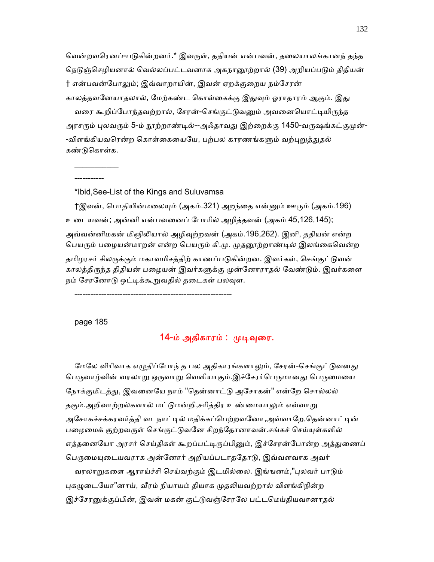வென்றவரெனப்-படுகின்றனர்.\* இவருள், ததியன் என்பவன், தலையாலங்கானந் தந்த நெடுஞ்செழியனால் வெல்லப்பட்டவனாக அகநானூற்றால் (39) அறியப்படும் திதியன் † என்பவன்போலும்; இவ்வாறாயின், இவன் ஏறக்குறைய நம்சேரன் காலத்தவனேயாதலால், மேற்கண்ட கொள்கைக்கு இதுவும் ஓராதாரம் ஆகும். இது வரை கூறிப்போந்தவற்றால், சேரன்-செங்குட்டுவனும் அவனையொட்டியிருந்த அரசரும் புலவரும் 5-ம் நூற்றாண்டில்--அஃதாவது இற்றைக்கு 1450-வருஷங்கட்குமுன்--விளங்கியவரென்ற கொள்கையையே, பற்பல காரணங்களும் வற்புறுத்துதல் கண்ᾌெகாள்க.

-----------

 $\frac{1}{2}$  ,  $\frac{1}{2}$  ,  $\frac{1}{2}$  ,  $\frac{1}{2}$  ,  $\frac{1}{2}$  ,  $\frac{1}{2}$  ,  $\frac{1}{2}$ 

\*Ibid,See-List of the Kings and Suluvamsa

†இவன், பொதியின்மலையும் (அகம்.321) அறந்தை என்னும் ஊரும் (அகம்.196) உைடயவன்; அன்னி என்பவைனப் ேபாாில் அழித்தவன் (அகம் 45,126,145); அவ்வன்னிமகன் மிஞிலியால் அழிவுற்றவன் (அகம்.196,262). இனி, ததியன் என்ற பெயரும் பழையன்மாறன் என்ற பெயரும் கி.மு. முதனூற்றாண்டில் இலங்கைவென்ற தமிழரசர் சிலருக்கும் மகாவமிசத்திற் காணப்படுகின்றன. இவர்கள், செங்குட்டுவன் காலத்திருந்த திதியன் பழையன் இவர்களுக்கு முன்னோராதல் வேண்டும். இவர்களை நம் சேரனோடு ஒட்டிக்கூறுவதில் தடைகள் பலவுள.

-----------------------------------------------------------

page 185

# 14-ம் அதிகாரம் : முடிவுரை.

மேலே விரிவாக எழுதிப்போந் த பல அதிகாரங்களாலும், சேரன்-செங்குட்டுவனது பெருவாழ்வின் வரலாறு ஒருவாறு வெளியாகும்.இச்சேரர்பெருமானது பெருமையை நோக்குமிடத்து, இவனையே நாம் "தென்னாட்டு அசோகன்" என்றே சொல்லல் தகும்.அறிவாற்றல்களால் மட்டுமன்றி,சரித்திர உண்மையாலும் எவ்வாறு அசோகச்சக்கரவர்த்தி வடநாட்டில் மதிக்கப்பெற்றவனோ,அவ்வாறே,தென்னாட்டின் பழைமைக் குற்றவருள் செங்குட்டுவனே சிறந்தோனாவன்.சங்கச் செய்யுள்களில் எத்தனையோ அரசர் செய்திகள் கூறப்பட்டிருப்பினும், இச்சேரன்போன்ற அத்துணைப் பெருமையுடையவராக அன்னோர் அறியப்படாததோடு, இவ்வளவாக அவர் வரலாறுகளை ஆராய்ச்சி செய்வற்கும் இடமில்லை. இங்ஙனம்,"புலவர் பாடும் புகழுடையோ"னாய், வீரம் நியாயம் தியாக முதலியவற்றால் விளங்கிநின்ற இச்சேரனுக்குப்பின், இவன் மகன் குட்டுவஞ்சேரலே பட்டமெய்தியவானாதல்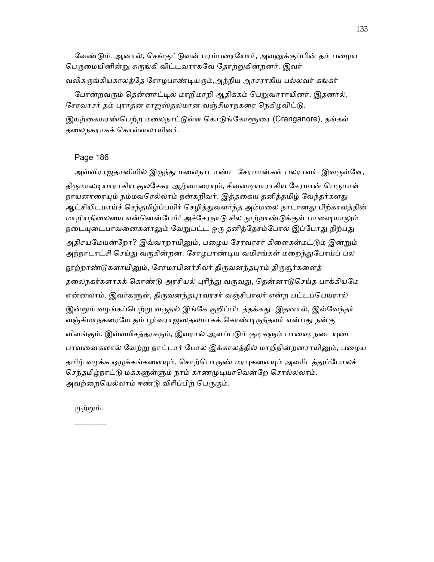வேண்டும். ஆனால், செங்குட்டுவன் பரம்பரையோர், அவனுக்குப்பின் தம் பமைய பெருமையினின்று சுருங்கி விட்டவராகவே தோற்றுகின்றனர். இவர் வலிசுருங்கியகாலத்தே சோழபாண்டியரும்,அந்நிய அரசராகிய பல்லவர் கங்கர்

போன்றவரும் தென்னாட்டில் மாறிமாறி ஆதிக்கம் பெறுவாராயினர். இதனால், சேரவரசர் தம் புராதன ராஜஸ்தலமான வஞ்சிமாநகரை நெகிழவிட்டு.

இயற்கையரண்பெற்ற மலைநாட்டுள்ள கொடுங்கோளூரை (Cranganore), தங்கள் தைலநகராகக் ெகாள்ளலாயினர்.

# Page 186

அவ்விராஜதானியில் இருந்து மலைநாடாண்ட சேரமான்கள் பலராவர். இவருள்ளே, திருமாலடியாராகிய குலசேகர ஆழ்வாரையும், சிவனடியாராகிய சேரமான் பெருமாள் நாயனாரையும் நம்மவரெல்லாம் நன்கறிவர். இத்தகைய தனித்தமிழ் வேந்தர்களது ஆட்சியிடமாய்ச் செந்தமிழ்ப்பயிர் செழித்துவளர்ந்த அம்மலை நாடானது பிற்காலத்தின் மாறியநிலையை என்னென்பேம்! அச்சேரநாடு சில நூற்றாண்டுக்குள் பாஷையாலும் நடையுடைபாவனைகளாலும் வேறுபட்ட ஒரு தனித்தேசம்போல் இப்போது நிற்பது அதிசயமேயன்றோ? இவ்வாறாயினும், பழைய சேரவரசர் கிளைகள்மட்டும் இன்றும் அந்நாடாட்சி செய்து வருகின்றன. சோழபாண்டிய வமிசங்கள் மறைந்துபோய்ப் பல நூற்றாண்டுகளாயினும், சேரமரபினர்சிலர் திருவனந்தபுரம் திருசூர்களைத் தலைநகர்களாகக் கொண்டு அரசியல் புரிந்து வருவது, தென்னாடுசெய்த பாக்கியமே என்னலாம். இவர்களுள், திருவனந்தபுரவரசர் வஞ்சிபாலர் என்ற பட்டப்பெயரால் இன்றும் வழங்கப்பெற்று வருதல் இங்கே குறிப்பிடத்தக்கது. இதனால், இவ்வேந்தர் வஞ்சிமாநகரையே தம் பூர்வராஜஸதலமாகக் கொண்டிருந்தவர் என்பது நன்கு விளங்கும். இவ்வமிசத்தரசரும், இவரால் ஆளப்படும் குடிகளும் பாஷை நடையுடை பாவனைகளால் வேற்று நாட்டார் போல இக்காலத்தில் மாறிநின்றனராயினும், பழைய தமிழ் வழக்க ஒழுக்கங்களையும், சொற்பொருண் மரபுகளையும் அவரிடத்துப்போலச் செந்தமிழ்நாட்டு மக்களுள்ளும் நாம் காணமுடியாவென்றே சொல்லலாம். அவற்றையெல்லாம் ஈண்டு விரிப்பிற் பெருகும்.

முற்றும்.  $\frac{1}{2}$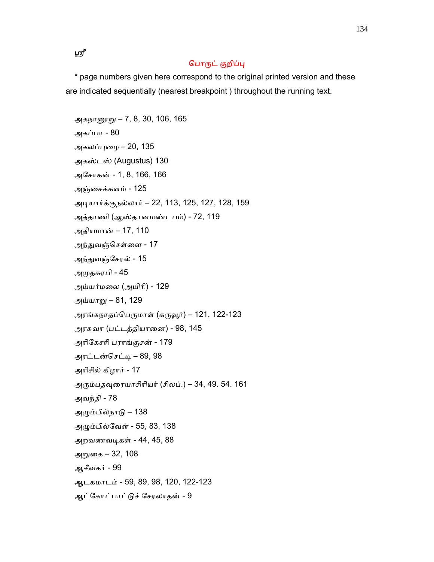ஸ்ரீ

# பொருட் குறிப்பு

 \* page numbers given here correspond to the original printed version and these are indicated sequentially (nearest breakpoint ) throughout the running text.

அகந<u>ானூறு</u> – 7, 8, 30, 106, 165 அகப்பா - 80 அகலப்புழை – 20, 135 அகஸ்டஸ் (Augustus) 130 அேசாகன் - 1, 8, 166, 166 அஞ்ைசக்களம் - 125 அᾊயார்க்குநல்லார் – 22, 113, 125, 127, 128, 159 அத்தாணி (ஆஸ்தானமண்டபம்) - 72, 119 அதியமான் – 17, 110 அந்துவஞ்செள்ளை - 17 அந்துவஞ்சேரல் - 15 அᾙதசுரபி - 45 அய்யர்மைல (அயிாி) - 129 அய்யாᾠ – 81, 129 அரங்கநாதப்பெருமாள் (கருவூர்) – 121, 122-123 அரசுவா (பட்டத்தியாைன) - 98, 145 அாிேகசாி பராங்குசன் - 179 அரட்டன்செட்டி – 89, 98 அாிசில் கிழார் - 17 அᾞம்பதᾫைரயாசிாியர் (சிலப்.) – 34, 49. 54. 161 அவந்தி - 78 அᾨம்பில்நாᾌ – 138 அᾨம்பில்ேவள் - 55, 83, 138 அறவணவᾊகள் - 44, 45, 88 அᾠைக – 32, 108 ஆசீவகர் - 99 ஆடகமாடம் - 59, 89, 98, 120, 122-123 ஆட்ேகாட்பாட்ᾌச் ேசரலாதன் - 9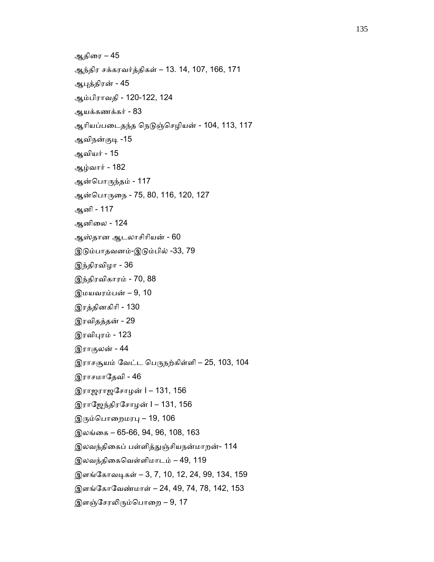```
 ஆதிைர – 45 
 ஆந்திர சக்கரவர்த்திகள் – 13. 14, 107, 166, 171 
 ஆᾗத்திரன் - 45 
 ஆம்பிராவதி - 120-122, 124 
 ஆயக்கணக்கர் - 83 
ஆரியப்படைதந்த நெடுஞ்செழியன் - 104, 113, 117
ஆவிநன்குடி -15
 ஆவியர் - 15 
 ஆழ்வார் - 182 
ஆன்பொருந்தம் - 117
ஆன்பொருநை - 75, 80, 116, 120, 127
 ஆனி - 117 
 ஆனிைல - 124 
 ஆஸ்தான ஆடலாசிாியன் - 60 
 இᾌம்பாதவனம்-இᾌம்பில் -33, 79 
 இந்திரவிழா - 36 
 இந்திரவிகாரம் - 70, 88 
 இமயவரம்பன் – 9, 10 
 இரத்தினகிாி - 130 
 இரவிதத்தன் - 29 
இரவிபுரம் - 123
 இராகுலன் - 44 
இராசசூயம் வேட்ட பெருநற்கிள்ளி – 25, 103, 104
இராசமாதேவி - 46
 இராஜராஜேசாழன் I – 131, 156 
 இராேஜந்திரேசாழன் I – 131, 156 
இரும்பொறைமரபு – 19, 106
 இலங்ைக – 65-66, 94, 96, 108, 163 
இலவந்திகைப் பள்ளித்துஞ்சியநன்மாறன்- 114
 இலவந்திைகெவள்ளிமாடம் – 49, 119 
இளங்கோவடிகள் – 3, 7, 10, 12, 24, 99, 134, 159
 இளங்ேகாேவண்மாள் – 24, 49, 74, 78, 142, 153 
இளஞ்சேரலிரும்பொறை – 9, 17
```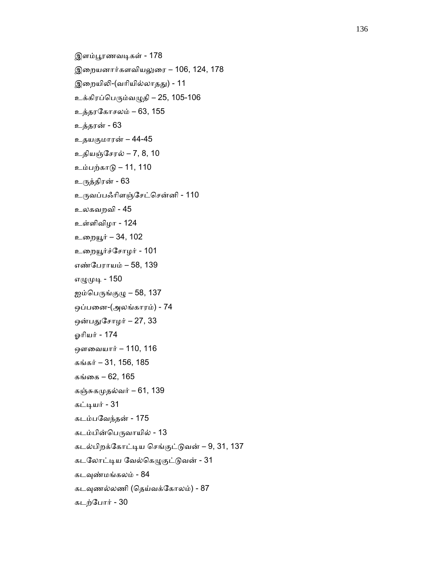```
இளம்பூரணவடிகள் - 178
 இைறயனார்களவியᾤைர – 106, 124, 178 
இறையிலி-(வரியில்லாதது) - 11
உக்கிரப்பெரும்வழுதி – 25, 105-106
 உத்தரேகாசலம் – 63, 155 
 உத்தரன் - 63 
 உதயகுமாரன் – 44-45 
 உதியஞ்ேசரல் – 7, 8, 10 
 உம்பற்காᾌ – 11, 110 
 உᾞத்திரன் - 63 
 உᾞவப்பஃாிளஞ்ேசட்ெசன்னி - 110 
 உலகவறவி - 45 
 உள்ளிவிழா - 124 
 உைறᾝர் – 34, 102 
உறையூர்ச்சோழர் - 101
 எண்ேபராயம் – 58, 139 
எழுமுடி - 150
ஐம்பெருங்குமு – 58, 137
 ஒப்பைன-(அலங்காரம்) - 74 
ஒன்பதுசோழர் – 27, 33
 ஓாியர் - 174 
 ஔைவயார் – 110, 116 
 கங்கர் – 31, 156, 185 
 கங்ைக – 62, 165 
கஞ்சுகமுதல்வர் – 61, 139
கட்டியர் - 31
 கடம்பேவந்தன் - 175 
கடம்பின்பெருவாயில் - 13
 கடல்பிறக்ேகாட்ᾊய ெசங்குட்ᾌவன் – 9, 31, 137 
கடலோட்டிய வேல்கெழுகுட்டுவன் - 31
கடவுண்மங்கலம் - 84
கடவுணல்லணி (தெய்வக்கோலம்) - 87
 கடற்ேபார் - 30
```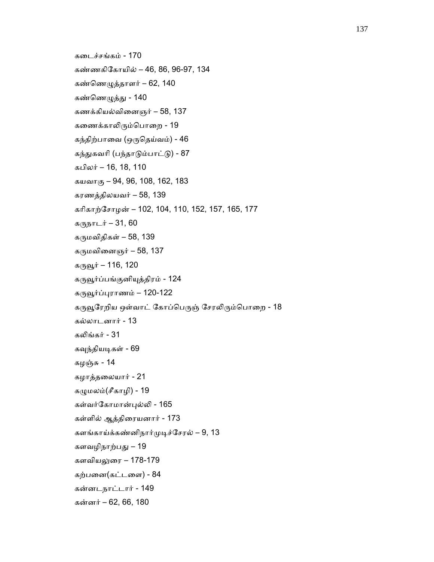```
 கைடச்சங்கம் - 170 
 கண்ணகிேகாயில் – 46, 86, 96-97, 134 
 கண்ெணᾨத்தாளர் – 62, 140 
கண்ணெழுத்து - 140
 கணக்கியல்விைனஞர் – 58, 137 
கணைக்காலிரும்பொறை - 19
கந்திற்பாவை (ஒருதெய்வம்) - 46
கந்துகவரி (பந்தாடும்பாட்டு) - 87
 கபிலர் – 16, 18, 110 
 கயவாகு – 94, 96, 108, 162, 183 
 கரணத்திலயவர் – 58, 139 
 காிகாற்ேசாழன் – 102, 104, 110, 152, 157, 165, 177 
கருநாடர் – 31, 60
கருமவிதிகள் – 58, 139
கருமவினைஞர் – 58, 137
கருவூர் – 116, 120
கருவூர்ப்பங்குனியுத்திரம் - 124
கருவூர்ப்புராணம் – 120-122
கருவூரேறிய ஒள்வாட் கோப்பெருஞ் சேரலிரும்பொறை - 18
 கல்லாடனார் - 13 
கலிங்கர் - 31
கவுந்தியடிகள் - 69
 கழஞ்சு - 14 
 கழாத்தைலயார் - 21 
கழுமலம்(சீகாழி) - 19
 கள்வர்ேகாமான்ᾗல்ᾢ - 165 
 கள்ளில் ஆத்திைரயனார் - 173 
களங்காய்க்கண்னிநார்முடிச்சேரல் – 9, 13
 களவழிநாற்பᾐ – 19 
 களவியᾤைர – 178-179 
 கற்பைன(கட்டைள) - 84 
 கன்னடநாட்டார் - 149 
 கன்னர் – 62, 66, 180
```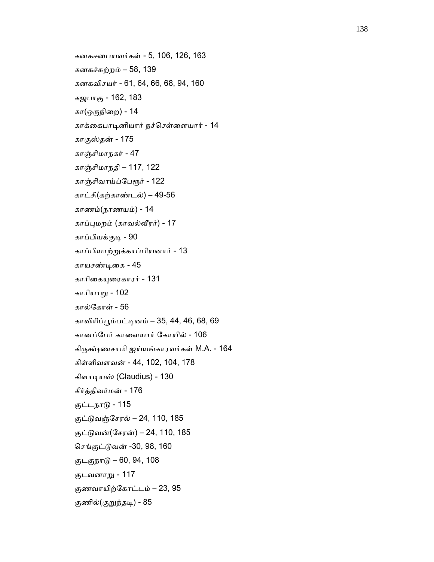```
 கனகசைபயவர்கள் - 5, 106, 126, 163 
 கனகச்சுற்றம் – 58, 139 
 கனகவிசயர் - 61, 64, 66, 68, 94, 160 
 கஜபாகு - 162, 183 
 கா(ஒᾞநிைற) - 14 
 காக்ைகபாᾊனியார் நச்ெசள்ைளயார் - 14 
 காகுஸ்தன் - 175 
 காஞ்சிமாநகர் - 47 
 காஞ்சிமாநதி – 117, 122 
காஞ்சிவாய்ப்பேரூர் - 122
 காட்சி(கற்காண்டல்) – 49-56 
 காணம்(நாணயம்) - 14 
 காப்ᾗமறம் (காவல்ᾪரர்) - 17 
 காப்பியக்குᾊ - 90 
 காப்பியாற்ᾠக்காப்பியனார் - 13 
 காயசண்ᾊைக - 45 
 காாிைகᾜைரகாரர் - 131 
 காாியாᾠ - 102 
 கால்ேகாள் - 56 
 காவிாிப்ᾘம்பட்ᾊனம் – 35, 44, 46, 68, 69 
 கானப்ேபர் காைளயார் ேகாயில் - 106 
கிருக்ஷ்ணசாமி ஐய்யங்காரவர்கள் M.A. - 164
 கிள்ளிவளவன் - 44, 102, 104, 178 
 கிளாᾊயஸ் (Claudius) - 130 
 கீர்த்திவர்மன் - 176 
 குட்டநாᾌ - 115 
 குட்ᾌவஞ்ேசரல் – 24, 110, 185 
 குட்ᾌவன்(ேசரன்) – 24, 110, 185 
 ெசங்குட்ᾌவன் -30, 98, 160 
 குடகுநாᾌ – 60, 94, 108 
 குடவனாᾠ - 117 
 குணவாயிற்ேகாட்டம் – 23, 95 
குணில்(குறுந்தடி) - 85
```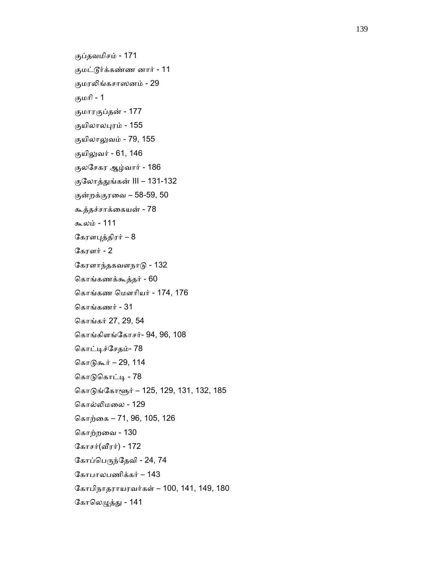```
 குப்தவமிசம் - 171 
 குமட்ᾍர்க்கண்ண னார் - 11 
 குமரᾢங்கசாஸனம் - 29 
 குமாி - 1 
 குமாரகுப்தன் - 177 
 குயிலாலᾗரம் - 155 
 குயிலாᾤவம் - 79, 155 
குயிலுவர் - 61, 146
 குலேசகர ஆழ்வார் - 186 
 குேலாத்ᾐங்கன் III – 131-132 
 குன்றக்குரைவ – 58-59, 50 
 கூத்தச்சாக்ைகயன் - 78 
 கூலம் - 111 
கேரளபுத்திரர் – 8
 ேகரளர் - 2 
 ேகரளாந்தகவளநாᾌ - 132 
 ெகாங்கணக்கூத்தர் - 60 
 ெகாங்கண ெமௗாியர் - 174, 176 
 ெகாங்கணர் - 31 
 ெகாங்கர் 27, 29, 54 
 ெகாங்கிளங்ேகாசர்- 94, 96, 108 
கொட்டிச்சேதம்- 78
கொடுகூர் – 29, 114
கொடுகொட்டி - 78
கொடுங்கோளூர் – 125, 129, 131, 132, 185
 ெகால்ᾢமைல - 129 
 ெகாற்ைக – 71, 96, 105, 126 
 ெகாற்றைவ - 130 
கோசர்(\text{aff}\,\pi) - 172
கோப்பெருந்தேவி - 24, 74
 ேகாபாலபணிக்கர் – 143 
 ேகாபிநாதராயரவர்கள் – 100, 141, 149, 180 
கோலெழுத்து - 141
```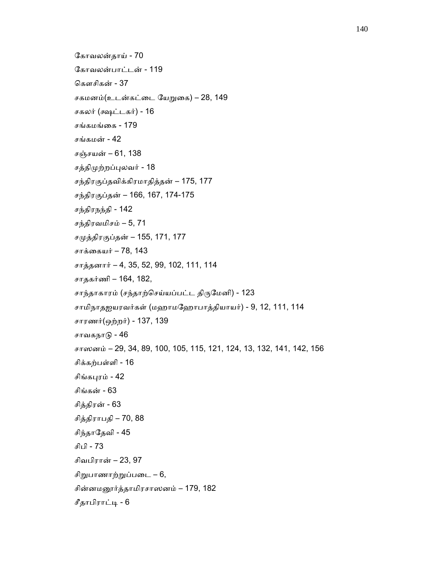ேகாவலன்தாய் - 70 ேகாவலன்பாட்டன் - 119 ெகௗசிகன் - 37 சகமனம்(உடன்கட்ைட ேயᾠைக) – 28, 149 சகலர் (க்ஷட்டகர்) - 16 சங்கமங்ைக - 179 சங்கமன் - 42 சஞ்சயன் – 61, 138 சத்திமுற்றப்புலவர் - 18 சந்திரகுப்தவிக்கிரமாதித்தன் – 175, 177 சந்திரகுப்தன் – 166, 167, 174-175 சந்திரநந்தி - 142 சந்திரவமிசம் – 5, 71 சமுத்திரகுப்தன் – 155, 171, 177 சாக்கையர் – 78, 143 சாத்தனார் – 4, 35, 52, 99, 102, 111, 114 சாதகர்ணி – 164, 182, சாந்தாகாரம் (சந்தாற்செய்யப்பட்ட திருமேனி) - 123 சாமிநாதஐயரவர்கள் (மஹாமேஹாபாத்தியாய ர்) - 9, 12, 111, 114 சாரணர்(ஒற்றர்) - 137, 139 சாவகநாᾌ - 46 சாஸனம் – 29, 34, 89, 100, 105, 115, 121, 124, 13, 132, 141, 142, 156 சிக்கற்பள்ளி - 16 சிங்கபுரம் - 42 சிங்கன் - 63 சித்திரன் - 63 சித்திராபதி – 70, 88 சிந்தாேதவி - 45 சிபி - 73 சிவபிரான் – 23, 97 சிறுபாணாற்றுப்படை – 6, சின்னமᾕர்த்தாமிரசாஸனம் – 179, 182 சீதாபிராட்ᾊ - 6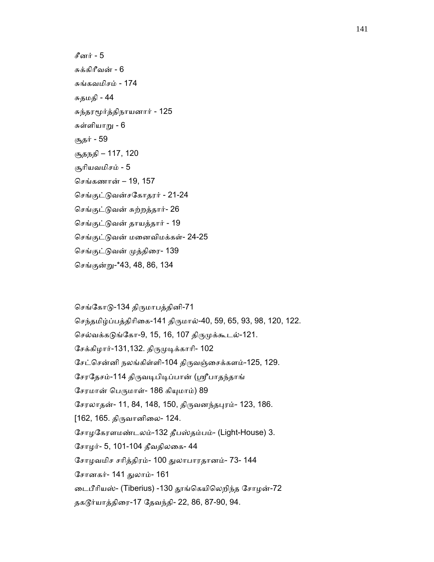சீனர் - 5 சுக்கிாீவன் - 6 சுங்கவமிசம் - 174 சுதமதி - 44 சுந்தரᾚர்த்திநாயனார் - 125 சுள்ளியாᾠ - 6 சூதர் - 59 சூதநதி – 117, 120 சூாியவமிசம் - 5 ெசங்கணான் – 19, 157 ெசங்குட்ᾌவன்சேகாதரர் - 21-24 ெசங்குட்ᾌவன் சுற்றத்தார்- 26 ெசங்குட்ᾌவன் தாயத்தார் - 19 ெசங்குட்ᾌவன் மைனவிமக்கள்- 24-25 ெசங்குட்ᾌவன் ᾙத்திைர- 139 ெசங்குன்ᾠ-\*43, 48, 86, 134

செங்கோடு-134 திருமாபத்தினி-71 ெசந்தமிழ்ப்பத்திாிைக-141 திᾞமால்-40, 59, 65, 93, 98, 120, 122. செல்வக்கடுங்கோ-9, 15, 16, 107 திருமுக்கூடல்-121. சேக்கிழார்-131,132. திருமுடிக்காரி- 102 ேசட்ெசன்னி நலங்கிள்ளி-104 திᾞவஞ்ைசக்களம்-125, 129. சேரதேசம்-114 திருவடிபிடிப்பான் (ஸ்ரீபாதந்தாங் சேரமான் பெருமாள்- 186 கியுமாம்) 89 ேசரலாதன்- 11, 84, 148, 150, திᾞவனந்தᾗரம்- 123, 186. [162, 165. திᾞவானிைல- 124. ேசாழேகரளமண்டலம்-132 தீபஸ்தம்பம்- (Light-House) 3. ேசாழர்- 5, 101-104 தீவதிலைக- 44 ேசாழவமிச சாித்திரம்- 100 ᾐலாபாரதானம்- 73- 144 ேசானகர்- 141 ᾐலாம்- 161 ைடபீாியஸ்- (Tiberius) -130 ᾑங்ெகயிெலறிந்த ேசாழன்-72 தகᾍர்யாத்திைர-17 ேதவந்தி- 22, 86, 87-90, 94.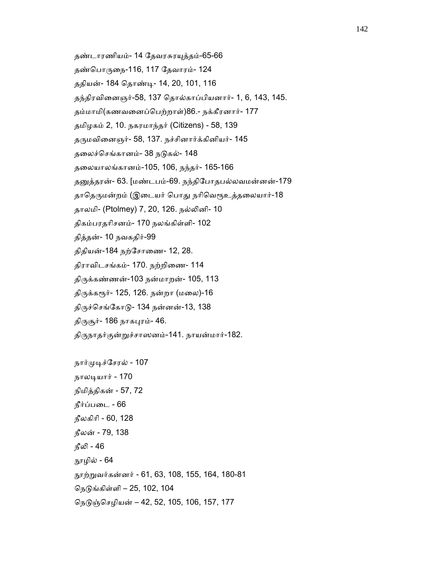- தண்டாரணியம்- 14 ேதவரசுரᾜத்தம்-65-66
- தண்ெபாᾞைந-116, 117 ேதவாரம்- 124
- ததியன்- 184 ெதாண்ᾊ- 14, 20, 101, 116
- தந்திரவிைனஞர்-58, 137 ெதால்காப்பியனார்- 1, 6, 143, 145.
- தம்மாமி(கணவைனப்ெபற்றாள்)86.- நக்கீரனார்- 177
- தமிழகம் 2, 10. நகரமாந்தர் (Citizens) 58, 139
- தᾞமவிைனஞர்- 58, 137. நச்சினார்க்கினியர்- 145
- தலைச்செங்கானம்- 38 நடுகல்- 148
- தைலயாலங்கானம்-105, 106, நந்தர்- 165-166
- தனுத்தரன்- 63. [மண்டபம்-69. நந்திபோதபல்லவமன்னன்-179
- தாதெருமன்றம் (இடையர் பொது நரிவெரூஉத்தலையார்-18
- தாலமி- (Ptolmey) 7, 20, 126. நல்ᾢனி- 10
- திகம்பரதாிசனம்- 170 நலங்கிள்ளி- 102
- தித்தன்- 10 நவகதிர்-99
- திதியன்-184 நற்ேசாைண- 12, 28.
- திராவிடசங்கம்- 170. நற்றிைண- 114
- திᾞக்கண்ணன்-103 நன்மாறன்- 105, 113
- திருக்கரூர்- 125, 126. நன்றா (மலை)-16
- திருச்செங்கோடு- 134 நன்னன்-13, 138
- திருசூர்- 186 நாகபுரம்- 46.
- திருநாதர்குன்றுச்சாஸனம்-141. நாயன்மார்-182.
- நார்முடிச்சேரல் 107 நாலᾊயார் - 170 நிமித்திகன் - 57, 72 நீர்ப்பைட - 66 நீலகிாி - 60, 128 நீலன் - 79, 138 நீலி - 46 ᾓழில் - 64 ᾓற்ᾠவர்கன்னர் - 61, 63, 108, 155, 164, 180-81 ெநᾌங்கிள்ளி – 25, 102, 104 ெநᾌஞ்ெசழியன் – 42, 52, 105, 106, 157, 177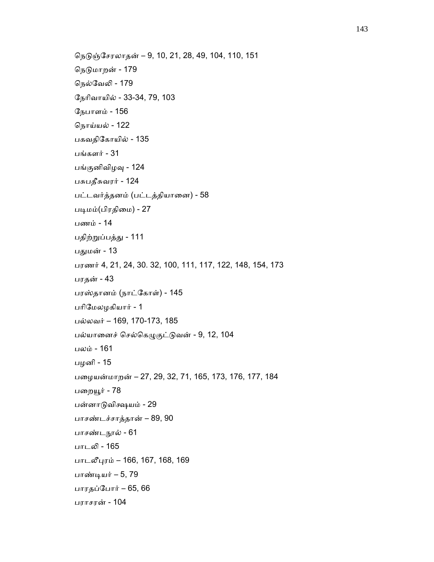```
 ெநᾌஞ்ேசரலாதன் – 9, 10, 21, 28, 49, 104, 110, 151 
நெடுமாறன் - 179
 ெநல்ேவᾢ - 179 
 ேநாிவாயில் - 33-34, 79, 103 
 ேநபாளம் - 156 
 ெநாய்யல் - 122 
 பகவதிேகாயில் - 135 
 பங்களர் - 31 
பங்குனிவிழவு - 124
 பசுபதீசுவரர் - 124 
 பட்டவர்த்தனம் (பட்டத்தியாைன) - 58 
படிமம்(பிரதிமை) - 27
 பணம் - 14 
 பதிற்ᾠப்பத்ᾐ - 111 
பதுமன் - 13
 பரணர் 4, 21, 24, 30. 32, 100, 111, 117, 122, 148, 154, 173 
 பரதன் - 43 
 பரஸ்தானம் (நாட்ேகாள்) - 145 
 பாிேமலழ கியார் - 1 
 பல்லவர் – 169, 170-173, 185 
பல்யானைச் செல்கெழுகுட்டுவன் - 9, 12, 104
 பலம் - 161 
 பழனி - 15 
 பைழயன்மாறன் – 27, 29, 32, 71, 165, 173, 176, 177, 184 
பறையூர் - 78
 பன்னாᾌவிக்ஷயம் - 29 
 பாசண்டச்சாத்தான் – 89, 90 
 பாசண்டᾓல் - 61 
 பாடᾢ - 165 
 பாடலீᾗரம் – 166, 167, 168, 169 
 பாண்ᾊயர் – 5, 79 
 பாரதப்ேபார் – 65, 66 
 பராசரன் - 104
```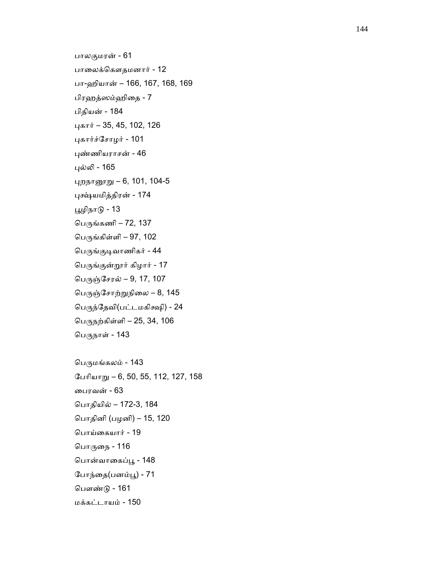பாலகுமரன் - 61 பாைலக்ெகௗதமனார் - 12 பா-ஹியான் – 166, 167, 168, 169 பிரஹத்ஸம்ஹிைத - 7 பிதியன் - 184 ᾗகார் – 35, 45, 102, 126 ᾗகார்ச்ேசாழர் - 101 ᾗண்ணியராசன் - 46 ᾗல்ᾢ - 165 ᾗறநாᾕᾠ – 6, 101, 104-5 ᾗῆயமித்திரன் - 174 ᾘழிநாᾌ - 13 பெருங்கணி – 72, 137 பெருங்கிள்ளி – 97, 102 பெருங்குடிவாணிகர் - 44 ெபᾞங்குன்ᾡர் கிழார் - 17 பெருஞ்சேரல் – 9, 17, 107 பெருஞ்சோற்றுநிலை – 8,  $145$  ெபᾞந்ேதவி(பட்டமகிக்ஷி) - 24 ெபᾞநற்கிள்ளி – 25, 34, 106 பெருநாள் - 143 பெருமங்கலம் - 143

 ேபாியாᾠ – 6, 50, 55, 112, 127, 158 ைபரவன் - 63 ெபாதியில் – 172-3, 184 ெபாதினி (பழனி) – 15, 120 ெபாய்ைகயார் - 19 பொருநை - 116 பொன்வாகைப்பூ - 148 போந்தை(பனம்பூ) - 71 ெபௗண்ᾌ - 161 மக்கட்டாயம் - 150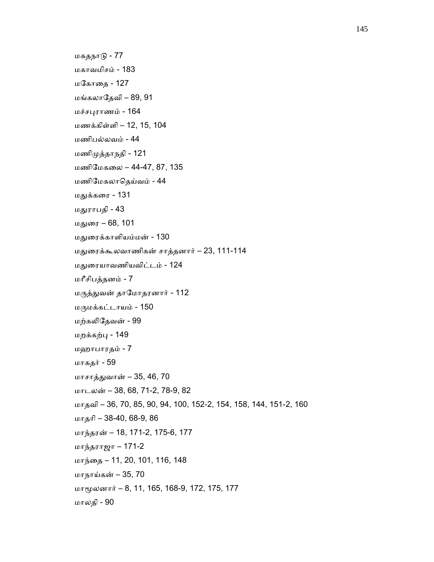மகதநாᾌ - 77 மகாவமிசம் - 183 ம ேகாைத - 127 மங்கலாேதவி – 89, 91 மச்சᾗராணம் - 164 ம ணக்கிள்ளி – 12, 15, 104 மணிபல்லவம் - 44 மணிᾙத்தாநதி - 121 மணிேமகைல – 44-47, 87, 135 மணிேமகலாெதய்வம் - 44 மᾐக்கைர - 131 மதுராபதி - 43 மᾐைர – 68, 101 மᾐைரக்காளியம்மன் - 130 மᾐைரக்கூலவாணிகன் சாத்தனார் – 23, 111-114 மᾐைரயாவணியவிட்டம் - 124 மாீசிபத்தனம் - 7 மᾞத்ᾐவன் தாேமாதரனார் - 112 மᾞமக்கட்டாயம் - 150 மற்கᾢேதவன் - 99 மறக்கற்ᾗ - 149 மஹாபாரதம் - 7 மாகதர் - 59 மாசாத்ᾐவான் – 35, 46, 70 மாடலன் – 38, 68, 71-2, 78-9, 82 மாதவி – 36, 70, 85, 90, 94, 100, 152-2, 154, 158, 144, 151-2, 160 மாதாி – 38-40, 68-9, 86 மாந்தரன் – 18, 171-2, 175-6, 177 மாந்தராஜா – 171-2 மாந்ைத – 11, 20, 101, 116, 148 மாநாய்கன் – 35, 70 மாᾚலனார் – 8, 11, 165, 168-9, 172, 175, 177 மாலதி - 90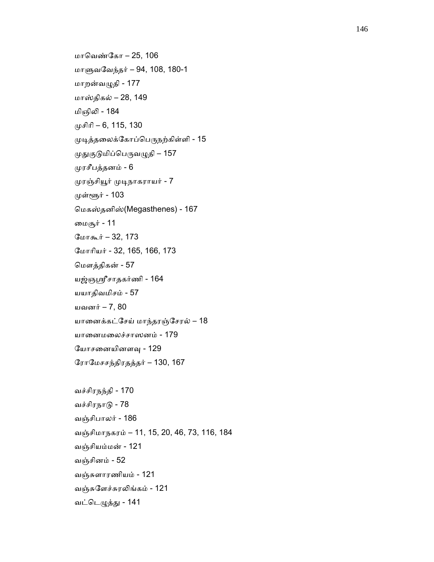```
 மாெவண்ேகா – 25, 106 
 மாᾦவேவந்தர் – 94, 108, 180-1 
 மாறன்வᾨதி - 177 
 மாஸ்திகல் – 28, 149 
 மிஞிᾢ - 184 
(\muசிரி – 6, 115, 130
முடித்தலைக்கோப்பெருநற்கிள்ளி - 15
முதுகுடுமிப்பெருவழுதி – 157
 ᾙரசீபத்தனம் - 6 
 ᾙரஞ்சிᾝர் ᾙᾊநாகராயர் - 7 
முள்ளூர் - 103
 ெமகஸ்தனிஸ்(Megasthenes) - 167 
 ைமசூர் - 11 
 ேமாகூர் – 32, 173 
 ேமாாியர் - 32, 165, 166, 173 
 ெமௗத்திகன் - 57 
 யஜ்ஞᾯசாதகர்ணி - 164 
 யயாதிவமிசம் - 57 
 யவனர் – 7, 80 
 யாைனக்கட்ேசய் மாந்தரஞ்ேசரல் – 18 
 யாைனமைலச்சாஸனம் - 179 
 ேயாசைனயினளᾫ - 129 
 ேராேமசசந்திரதத்தர் – 130, 167 
 வச்சிரநந்தி - 170 
 வச்சிரநாᾌ - 78 
 வஞ்சிபாலர் - 186 
 வஞ்சிமாநகரம் – 11, 15, 20, 46, 73, 116, 184
```
வஞ்சியம்மன் - 121

வட்ெடᾨத்ᾐ - 141

வஞ்சுளார ணியம் - 121

வஞ்சுேளச்சுரᾢங்கம் - 121

வஞ்சினம் - 52

```
146
```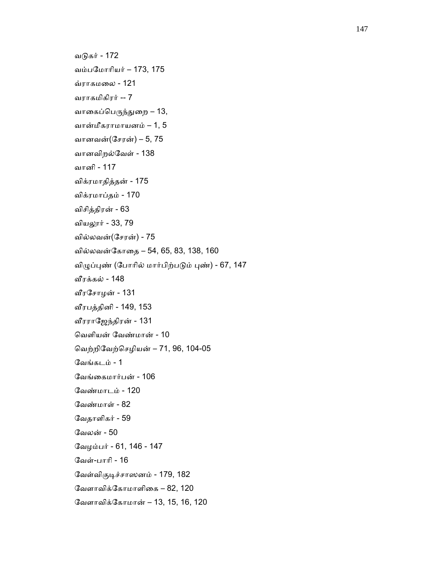வடுகர் - 172 வம்பேமாாியர் – 173, 175 வ்ராகமைல - 121 வராகமிகிரர் -- 7 வாகைப்பெருந்துறை – 13, வான்மீகராமாயனம் – 1, 5 வானவன்(ேசரன்) – 5, 75 வானவிறல்ேவள் - 138 வானி - 117 விக்ரமாதித்தன் - 175 விக்ரமாப்தம் - 170 விசித்திரன் - 63 வியலூர் - 33, 79 வில்லவன்(ேசரன்) - 75 வில்லவன்ேகாைத – 54, 65, 83, 138, 160 விழுப்புண் (போரில் மார்பிற்படும் புண்) - 67, 147 ᾪரக்கல் - 148 ᾪரேசாழன் - 131 ᾪரபத்தினி - 149, 153 ᾪரராேஜந்திரன் - 131 ெவளியன் ேவண்மான் - 10 ெவற்றிேவற்ெசழியன் – 71, 96, 104-05 ேவங்கடம் - 1 ேவங்ைகமார்பன் - 106 ேவண்மாடம் - 120 ேவண்மாள் - 82 ேவதாளிகர் - 59 ேவலன் - 50 ேவழம்பர் - 61, 146 - 147 ேவள்-பாாி - 16 வேள்விகுடிச்சாஸனம் - 179, 182 வேளாவிக்கோமாளிகை – 82, 120 ேவளாவிக்ேகாமான் – 13, 15, 16, 120